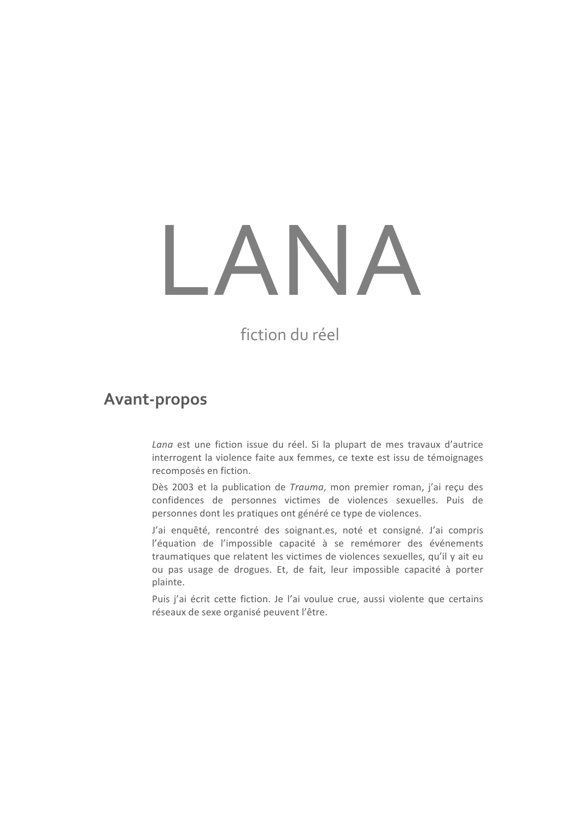## ANA

fiction du réel

## **Avant-propos**

Lana est une fiction issue du réel. Si la plupart de mes travaux d'autrice interrogent la violence faite aux femmes, ce texte est issu de témoignages recomposés en fiction.

Dès 2003 et la publication de Trauma, mon premier roman, j'ai reçu des confidences de personnes victimes de violences sexuelles. Puis de personnes dont les pratiques ont généré ce type de violences.

J'ai enquêté, rencontré des soignant.es, noté et consigné. J'ai compris l'équation de l'impossible capacité à se remémorer des événements traumatiques que relatent les victimes de violences sexuelles, qu'il y ait eu ou pas usage de drogues. Et, de fait, leur impossible capacité à porter plainte.

Puis j'ai écrit cette fiction. Je l'ai voulue crue, aussi violente que certains réseaux de sexe organisé peuvent l'être.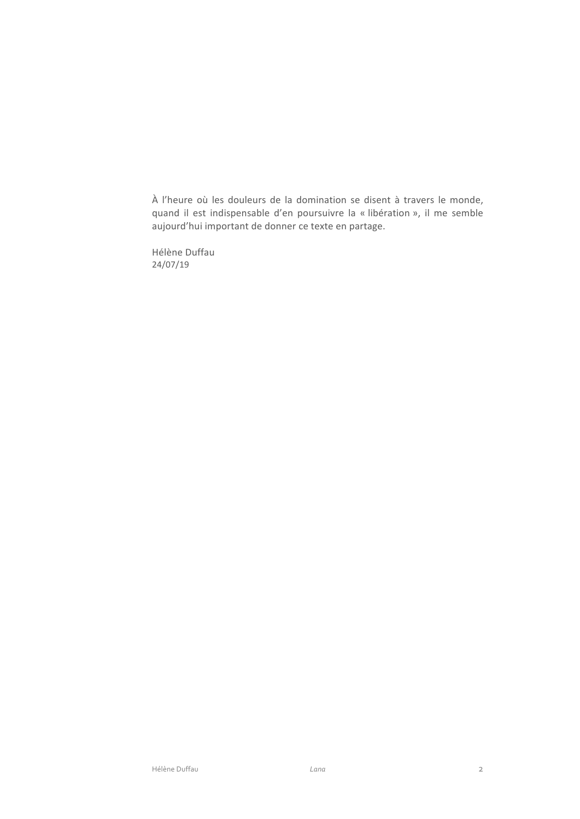À l'heure où les douleurs de la domination se disent à travers le monde, quand il est indispensable d'en poursuivre la « libération », il me semble aujourd'hui important de donner ce texte en partage.

Hélène Duffau  $24/07/19$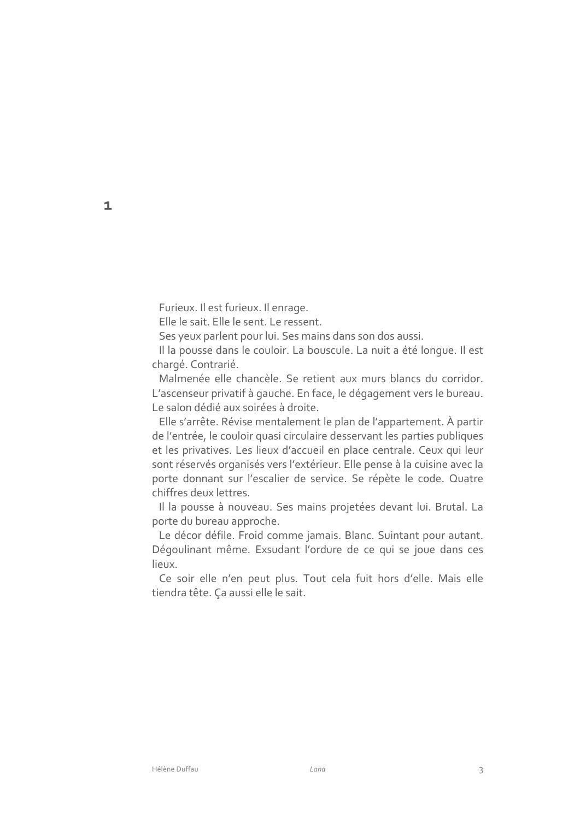Furieux. Il est furieux. Il enrage.

Elle le sait. Elle le sent. Le ressent.

Ses yeux parlent pour lui. Ses mains dans son dos aussi.

Il la pousse dans le couloir. La bouscule. La nuit a été longue. Il est chargé. Contrarié.

Malmenée elle chancèle. Se retient aux murs blancs du corridor. L'ascenseur privatif à gauche. En face, le dégagement vers le bureau. Le salon dédié aux soirées à droite.

Elle s'arrête. Révise mentalement le plan de l'appartement. À partir de l'entrée, le couloir quasi circulaire desservant les parties publiques et les privatives. Les lieux d'accueil en place centrale. Ceux qui leur sont réservés organisés vers l'extérieur. Elle pense à la cuisine avec la porte donnant sur l'escalier de service. Se répète le code. Quatre chiffres deux lettres.

Il la pousse à nouveau. Ses mains projetées devant lui. Brutal. La porte du bureau approche.

Le décor défile. Froid comme jamais. Blanc. Suintant pour autant. Dégoulinant même. Exsudant l'ordure de ce qui se joue dans ces lieux.

Ce soir elle n'en peut plus. Tout cela fuit hors d'elle. Mais elle tiendra tête. Ça aussi elle le sait.

 $\mathbf{1}$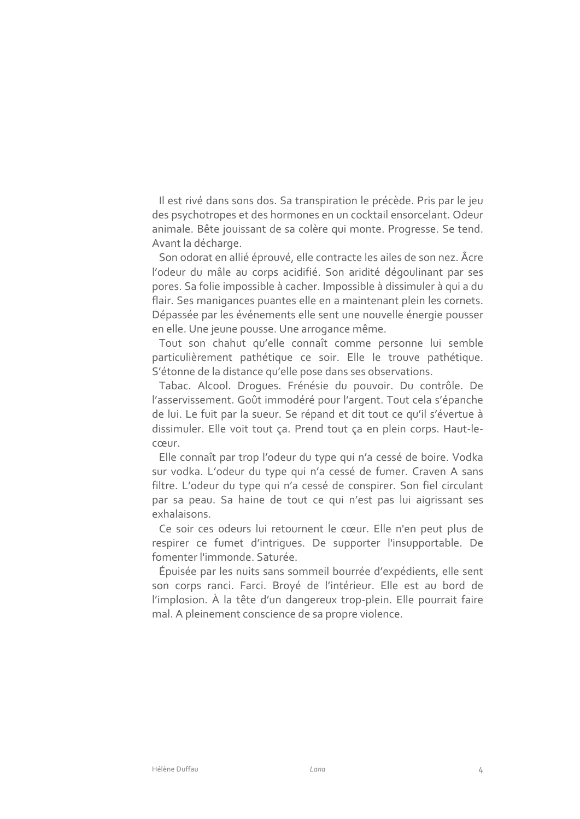Il est rivé dans sons dos. Sa transpiration le précède. Pris par le jeu des psychotropes et des hormones en un cocktail ensorcelant. Odeur animale. Bête jouissant de sa colère qui monte. Progresse. Se tend. Avant la décharge.

Son odorat en allié éprouvé, elle contracte les ailes de son nez. Âcre l'odeur du mâle au corps acidifié. Son aridité dégoulinant par ses pores. Sa folie impossible à cacher. Impossible à dissimuler à qui a du flair. Ses manigances puantes elle en a maintenant plein les cornets. Dépassée par les événements elle sent une nouvelle énergie pousser en elle. Une jeune pousse. Une arrogance même.

Tout son chahut qu'elle connaît comme personne lui semble particulièrement pathétique ce soir. Elle le trouve pathétique. S'étonne de la distance qu'elle pose dans ses observations.

Tabac. Alcool. Droques. Frénésie du pouvoir. Du contrôle. De l'asservissement. Goût immodéré pour l'argent. Tout cela s'épanche de lui. Le fuit par la sueur. Se répand et dit tout ce qu'il s'évertue à dissimuler. Elle voit tout ça. Prend tout ça en plein corps. Haut-lecœur.

Elle connaît par trop l'odeur du type qui n'a cessé de boire. Vodka sur vodka. L'odeur du type qui n'a cessé de fumer. Craven A sans filtre. L'odeur du type qui n'a cessé de conspirer. Son fiel circulant par sa peau. Sa haine de tout ce qui n'est pas lui aigrissant ses exhalaisons.

Ce soir ces odeurs lui retournent le cœur. Elle n'en peut plus de respirer ce fumet d'intriques. De supporter l'insupportable. De fomenter l'immonde. Saturée.

Épuisée par les nuits sans sommeil bourrée d'expédients, elle sent son corps ranci. Farci. Broyé de l'intérieur. Elle est au bord de l'implosion. À la tête d'un dangereux trop-plein. Elle pourrait faire mal. A pleinement conscience de sa propre violence.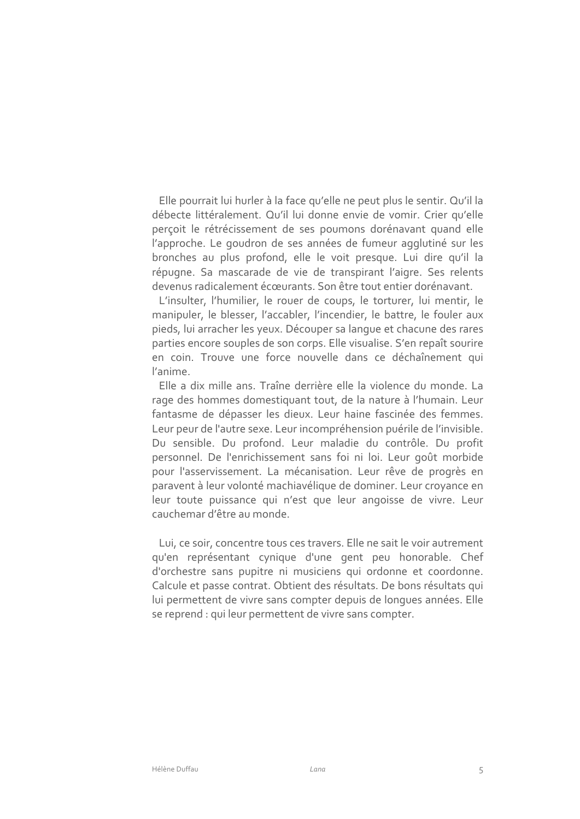Elle pourrait lui hurler à la face qu'elle ne peut plus le sentir. Qu'il la débecte littéralement. Qu'il lui donne envie de vomir. Crier qu'elle perçoit le rétrécissement de ses poumons dorénavant quand elle l'approche. Le goudron de ses années de fumeur agglutiné sur les bronches au plus profond, elle le voit presque. Lui dire qu'il la répugne. Sa mascarade de vie de transpirant l'aigre. Ses relents devenus radicalement écœurants. Son être tout entier dorénavant.

L'insulter, l'humilier, le rouer de coups, le torturer, lui mentir, le manipuler, le blesser, l'accabler, l'incendier, le battre, le fouler aux pieds, lui arracher les yeux. Découper sa langue et chacune des rares parties encore souples de son corps. Elle visualise. S'en repaît sourire en coin. Trouve une force nouvelle dans ce déchaînement qui l'anime.

Elle a dix mille ans. Traîne derrière elle la violence du monde. La rage des hommes domestiquant tout, de la nature à l'humain. Leur fantasme de dépasser les dieux. Leur haine fascinée des femmes. Leur peur de l'autre sexe. Leur incompréhension puérile de l'invisible. Du sensible. Du profond. Leur maladie du contrôle. Du profit personnel. De l'enrichissement sans foi ni loi. Leur goût morbide pour l'asservissement. La mécanisation. Leur rêve de progrès en paravent à leur volonté machiavélique de dominer. Leur croyance en leur toute puissance qui n'est que leur angoisse de vivre. Leur cauchemar d'être au monde

Lui, ce soir, concentre tous ces travers. Elle ne sait le voir autrement qu'en représentant cynique d'une gent peu honorable. Chef d'orchestre sans pupitre ni musiciens qui ordonne et coordonne. Calcule et passe contrat. Obtient des résultats. De bons résultats qui lui permettent de vivre sans compter depuis de longues années. Elle se reprend : qui leur permettent de vivre sans compter.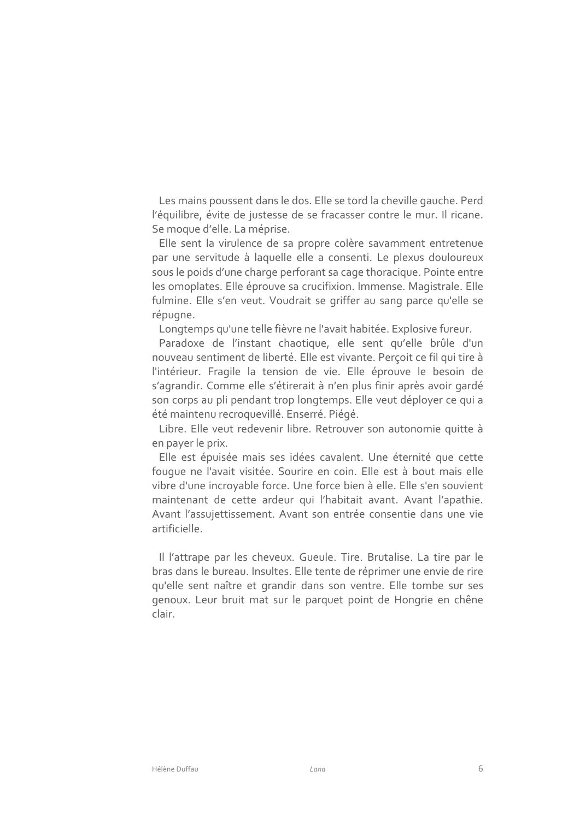Les mains poussent dans le dos. Elle se tord la cheville gauche. Perd l'équilibre, évite de justesse de se fracasser contre le mur. Il ricane. Se moque d'elle. La méprise.

Elle sent la virulence de sa propre colère savamment entretenue par une servitude à laquelle elle a consenti. Le plexus douloureux sous le poids d'une charge perforant sa cage thoracique. Pointe entre les omoplates. Elle éprouve sa crucifixion. Immense. Magistrale. Elle fulmine. Elle s'en veut. Voudrait se griffer au sang parce qu'elle se répugne.

Longtemps qu'une telle fièvre ne l'avait habitée. Explosive fureur.

Paradoxe de l'instant chaotique, elle sent qu'elle brûle d'un nouveau sentiment de liberté. Elle est vivante. Percoit ce fil qui tire à l'intérieur. Fragile la tension de vie. Elle éprouve le besoin de s'agrandir. Comme elle s'étirerait à n'en plus finir après avoir gardé son corps au pli pendant trop longtemps. Elle veut déployer ce qui a été maintenu recroquevillé. Enserré. Piégé.

Libre. Elle veut redevenir libre. Retrouver son autonomie quitte à en payer le prix.

Elle est épuisée mais ses idées cavalent. Une éternité que cette fouque ne l'avait visitée. Sourire en coin. Elle est à bout mais elle vibre d'une incroyable force. Une force bien à elle. Elle s'en souvient maintenant de cette ardeur qui l'habitait avant. Avant l'apathie. Avant l'assujettissement. Avant son entrée consentie dans une vie artificielle.

Il l'attrape par les cheveux. Gueule. Tire. Brutalise. La tire par le bras dans le bureau. Insultes. Elle tente de réprimer une envie de rire qu'elle sent naître et grandir dans son ventre. Elle tombe sur ses genoux. Leur bruit mat sur le parquet point de Hongrie en chêne clair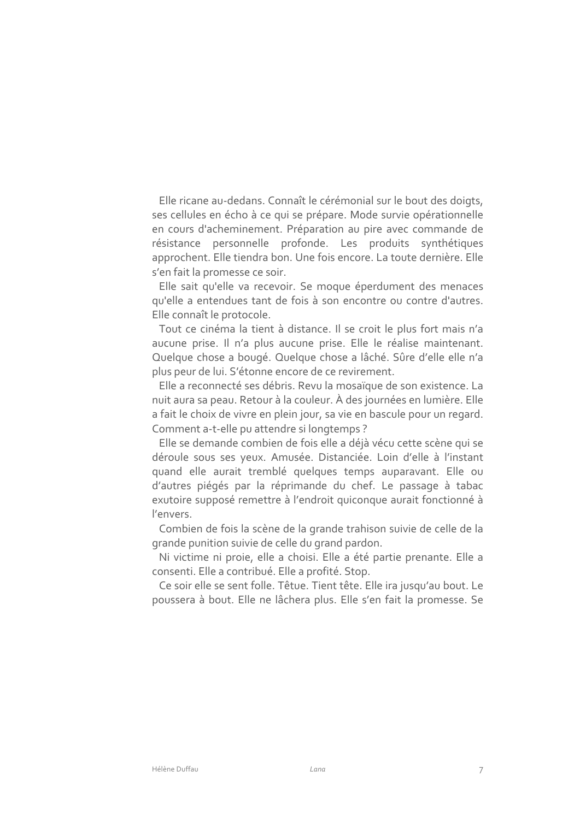Elle ricane au-dedans. Connaît le cérémonial sur le bout des doigts, ses cellules en écho à ce qui se prépare. Mode survie opérationnelle en cours d'acheminement. Préparation au pire avec commande de résistance personnelle profonde. Les produits synthétiques approchent. Elle tiendra bon. Une fois encore. La toute dernière. Elle s'en fait la promesse ce soir.

Elle sait qu'elle va recevoir. Se moque éperdument des menaces qu'elle a entendues tant de fois à son encontre ou contre d'autres. Elle connaît le protocole.

Tout ce cinéma la tient à distance. Il se croit le plus fort mais n'a aucune prise. Il n'a plus aucune prise. Elle le réalise maintenant. Quelque chose a bougé. Quelque chose a lâché. Sûre d'elle elle n'a plus peur de lui. S'étonne encore de ce revirement.

Elle a reconnecté ses débris. Revu la mosaïque de son existence. La nuit aura sa peau. Retour à la couleur. À des journées en lumière. Elle a fait le choix de vivre en plein jour, sa vie en bascule pour un regard. Comment a-t-elle pu attendre si longtemps ?

Elle se demande combien de fois elle a déjà vécu cette scène qui se déroule sous ses yeux. Amusée. Distanciée. Loin d'elle à l'instant quand elle aurait tremblé quelques temps auparavant. Elle ou d'autres piégés par la réprimande du chef. Le passage à tabac exutoire supposé remettre à l'endroit quiconque aurait fonctionné à l'envers.

Combien de fois la scène de la grande trahison suivie de celle de la grande punition suivie de celle du grand pardon.

Ni victime ni proie, elle a choisi. Elle a été partie prenante. Elle a consenti. Elle a contribué. Elle a profité. Stop.

Ce soir elle se sent folle. Têtue. Tient tête. Elle ira jusqu'au bout. Le poussera à bout. Elle ne lâchera plus. Elle s'en fait la promesse. Se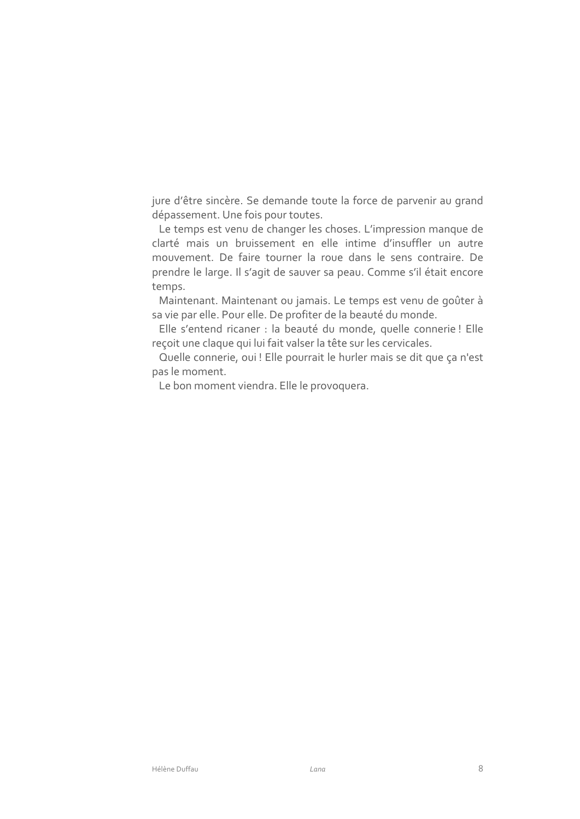jure d'être sincère. Se demande toute la force de parvenir au grand dépassement. Une fois pour toutes.

Le temps est venu de changer les choses. L'impression manque de clarté mais un bruissement en elle intime d'insuffler un autre mouvement. De faire tourner la roue dans le sens contraire. De prendre le large. Il s'agit de sauver sa peau. Comme s'il était encore temps.

Maintenant. Maintenant ou jamais. Le temps est venu de goûter à sa vie par elle. Pour elle. De profiter de la beauté du monde.

Elle s'entend ricaner : la beauté du monde, quelle connerie ! Elle reçoit une claque qui lui fait valser la tête sur les cervicales.

Quelle connerie, oui ! Elle pourrait le hurler mais se dit que ça n'est pas le moment.

Le bon moment viendra. Elle le provoquera.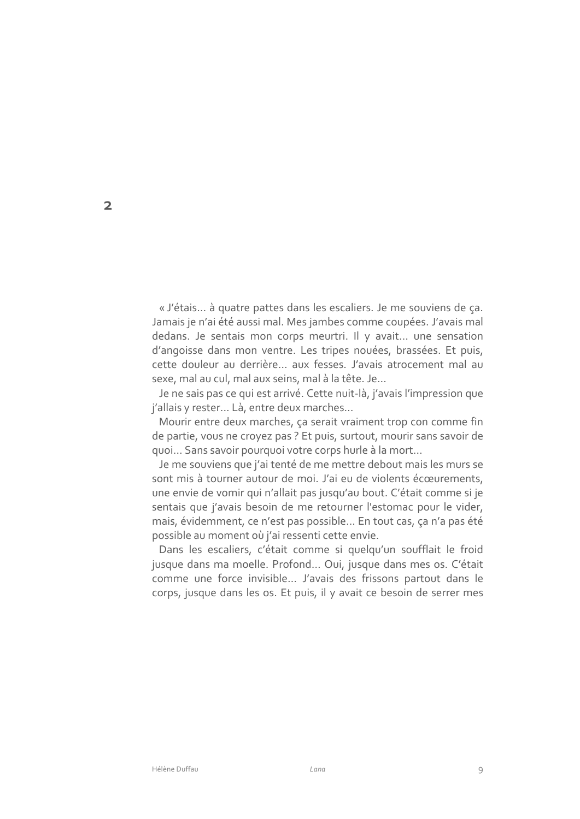« J'étais... à quatre pattes dans les escaliers. Je me souviens de ça. Jamais je n'ai été aussi mal. Mes jambes comme coupées. J'avais mal dedans. Je sentais mon corps meurtri. Il y avait... une sensation d'angoisse dans mon ventre. Les tripes nouées, brassées. Et puis, cette douleur au derrière... aux fesses. J'avais atrocement mal au sexe, mal au cul, mal aux seins, mal à la tête, Je...

Je ne sais pas ce qui est arrivé. Cette nuit-là, j'avais l'impression que j'allais y rester... Là, entre deux marches...

Mourir entre deux marches, ça serait vraiment trop con comme fin de partie, vous ne croyez pas ? Et puis, surtout, mourir sans savoir de quoi... Sans savoir pourquoi votre corps hurle à la mort...

Je me souviens que j'ai tenté de me mettre debout mais les murs se sont mis à tourner autour de moi. J'ai eu de violents écœurements, une envie de vomir qui n'allait pas jusqu'au bout. C'était comme si je sentais que j'avais besoin de me retourner l'estomac pour le vider, mais, évidemment, ce n'est pas possible... En tout cas, ça n'a pas été possible au moment où j'ai ressenti cette envie.

Dans les escaliers, c'était comme si quelqu'un soufflait le froid jusque dans ma moelle. Profond... Oui, jusque dans mes os. C'était comme une force invisible... J'avais des frissons partout dans le corps, jusque dans les os. Et puis, il y avait ce besoin de serrer mes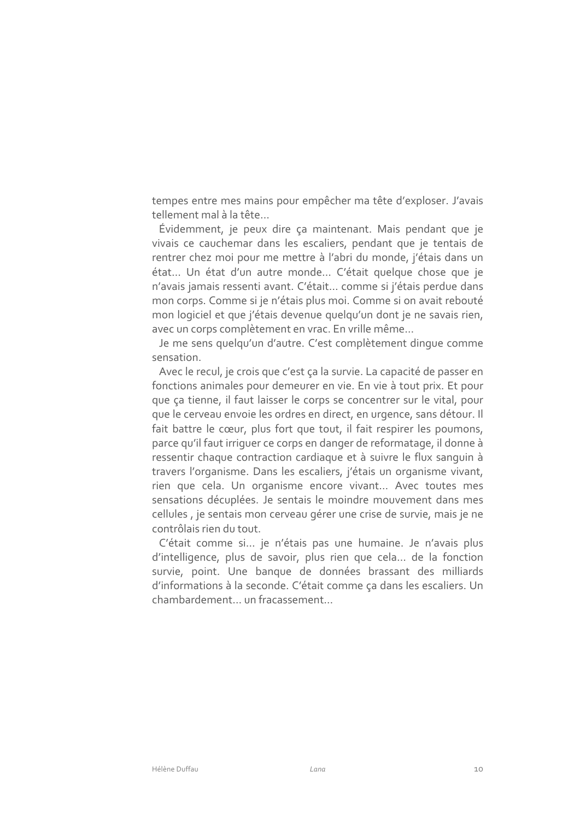tempes entre mes mains pour empêcher ma tête d'exploser. J'avais tellement mal à la tête...

Évidemment, je peux dire ça maintenant. Mais pendant que je vivais ce cauchemar dans les escaliers, pendant que je tentais de rentrer chez moi pour me mettre à l'abri du monde, j'étais dans un état... Un état d'un autre monde... C'était quelque chose que je n'avais jamais ressenti avant. C'était... comme si j'étais perdue dans mon corps. Comme si je n'étais plus moi. Comme si on avait rebouté mon logiciel et que j'étais devenue quelqu'un dont je ne savais rien, avec un corps complètement en vrac. En vrille même...

Je me sens quelqu'un d'autre. C'est complètement dinque comme sensation.

Avec le recul, je crois que c'est ça la survie. La capacité de passer en fonctions animales pour demeurer en vie. En vie à tout prix. Et pour que ca tienne, il faut laisser le corps se concentrer sur le vital, pour que le cerveau envoie les ordres en direct, en urgence, sans détour. Il fait battre le cœur, plus fort que tout, il fait respirer les poumons, parce qu'il faut irriquer ce corps en danger de reformatage, il donne à ressentir chaque contraction cardiaque et à suivre le flux sanguin à travers l'organisme. Dans les escaliers, j'étais un organisme vivant, rien que cela. Un organisme encore vivant... Avec toutes mes sensations décuplées. Je sentais le moindre mouvement dans mes cellules, je sentais mon cerveau gérer une crise de survie, mais je ne contrôlais rien du tout.

C'était comme si... je n'étais pas une humaine. Je n'avais plus d'intelligence, plus de savoir, plus rien que cela... de la fonction survie, point. Une banque de données brassant des milliards d'informations à la seconde. C'était comme ça dans les escaliers. Un chambardement... un fracassement...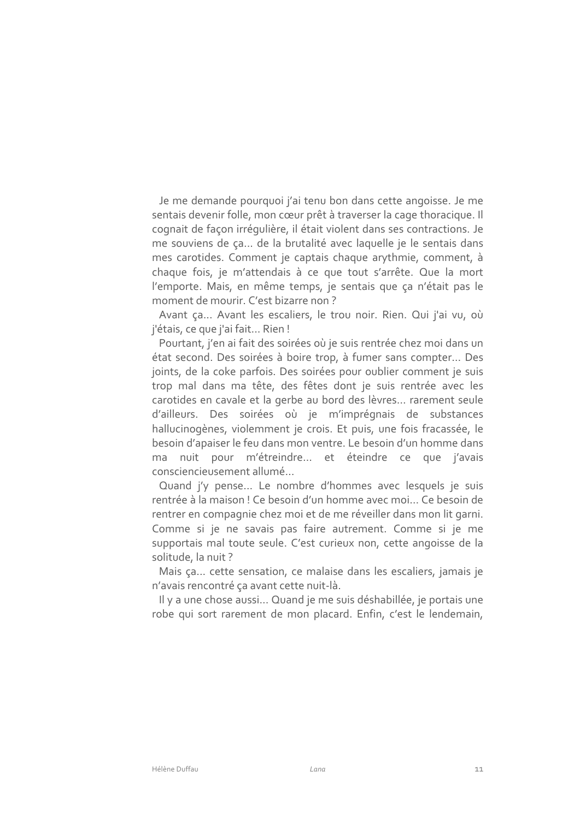Je me demande pourquoi j'ai tenu bon dans cette angoisse. Je me sentais devenir folle, mon cœur prêt à traverser la cage thoracique. Il cognait de façon irrégulière, il était violent dans ses contractions. Je me souviens de ça... de la brutalité avec laquelle je le sentais dans mes carotides. Comment je captais chaque arythmie, comment, à chaque fois, je m'attendais à ce que tout s'arrête. Que la mort l'emporte. Mais, en même temps, je sentais que ça n'était pas le moment de mourir. C'est bizarre non?

Avant ça... Avant les escaliers, le trou noir. Rien. Qui j'ai vu, où j'étais, ce que j'ai fait... Rien!

Pourtant, j'en ai fait des soirées où je suis rentrée chez moi dans un état second. Des soirées à boire trop, à fumer sans compter... Des joints, de la coke parfois. Des soirées pour oublier comment je suis trop mal dans ma tête, des fêtes dont je suis rentrée avec les carotides en cavale et la gerbe au bord des lèvres... rarement seule d'ailleurs. Des soirées où je m'imprégnais de substances hallucinogènes, violemment je crois. Et puis, une fois fracassée, le besoin d'apaiser le feu dans mon ventre. Le besoin d'un homme dans ma nuit pour m'étreindre... et éteindre ce que j'avais consciencieusement allumé...

Quand i'v pense... Le nombre d'hommes avec lesquels je suis rentrée à la maison ! Ce besoin d'un homme avec moi... Ce besoin de rentrer en compagnie chez moi et de me réveiller dans mon lit garni. Comme si je ne savais pas faire autrement. Comme si je me supportais mal toute seule. C'est curieux non, cette angoisse de la solitude, la nuit?

Mais ça... cette sensation, ce malaise dans les escaliers, jamais je n'avais rencontré ça avant cette nuit-là.

Il y a une chose aussi... Quand je me suis déshabillée, je portais une robe qui sort rarement de mon placard. Enfin, c'est le lendemain,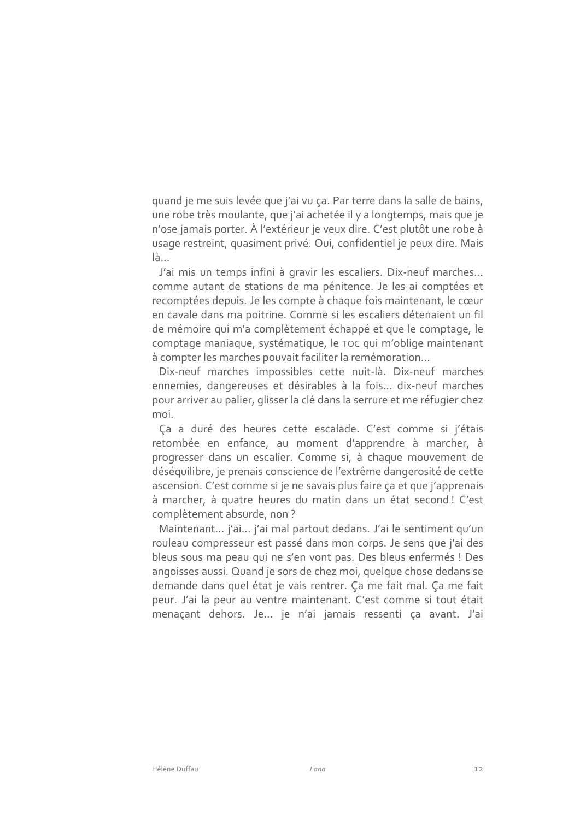quand je me suis levée que j'ai vu ça. Par terre dans la salle de bains, une robe très moulante, que j'ai achetée il y a longtemps, mais que je n'ose jamais porter. À l'extérieur je veux dire. C'est plutôt une robe à usage restreint, quasiment privé. Oui, confidentiel je peux dire. Mais  $l$ à...

J'ai mis un temps infini à gravir les escaliers. Dix-neuf marches... comme autant de stations de ma pénitence. Je les ai comptées et recomptées depuis. Je les compte à chaque fois maintenant, le cœur en cavale dans ma poitrine. Comme si les escaliers détenaient un fil de mémoire qui m'a complètement échappé et que le comptage, le comptage maniaque, systématique, le TOC qui m'oblige maintenant à compter les marches pouvait faciliter la remémoration...

Dix-neuf marches impossibles cette nuit-là. Dix-neuf marches ennemies, dangereuses et désirables à la fois... dix-neuf marches pour arriver au palier, glisser la clé dans la serrure et me réfugier chez moi

Ça a duré des heures cette escalade. C'est comme si j'étais retombée en enfance, au moment d'apprendre à marcher, à progresser dans un escalier. Comme si, à chaque mouvement de déséquilibre, je prenais conscience de l'extrême dangerosité de cette ascension. C'est comme si je ne savais plus faire ça et que j'apprenais à marcher, à quatre heures du matin dans un état second! C'est complètement absurde, non?

Maintenant... j'ai... j'ai mal partout dedans. J'ai le sentiment qu'un rouleau compresseur est passé dans mon corps. Je sens que j'ai des bleus sous ma peau qui ne s'en vont pas. Des bleus enfermés ! Des angoisses aussi. Quand je sors de chez moi, quelque chose dedans se demande dans quel état je vais rentrer. Ça me fait mal. Ça me fait peur. J'ai la peur au ventre maintenant. C'est comme si tout était menaçant dehors. Je... je n'ai jamais ressenti ça avant. J'ai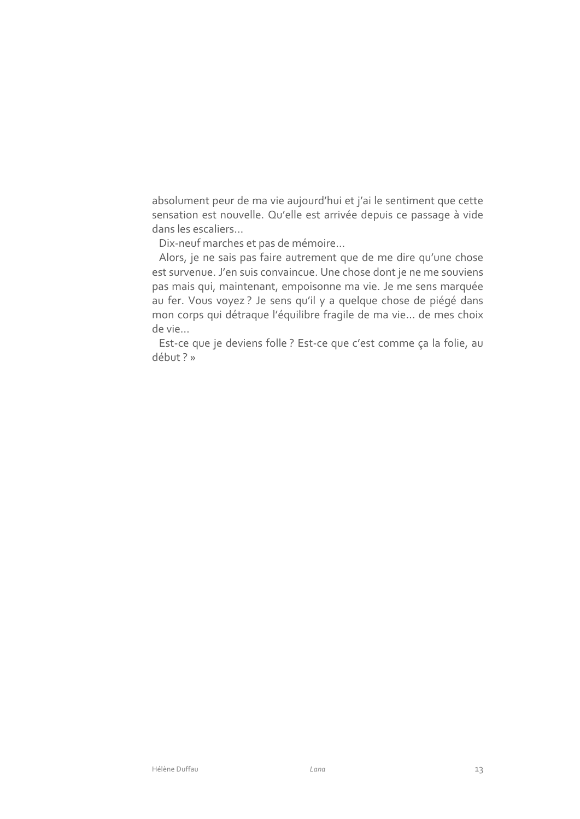absolument peur de ma vie aujourd'hui et j'ai le sentiment que cette sensation est nouvelle. Qu'elle est arrivée depuis ce passage à vide dans les escaliers...

Dix-neuf marches et pas de mémoire...

Alors, je ne sais pas faire autrement que de me dire qu'une chose est survenue. J'en suis convaincue. Une chose dont je ne me souviens pas mais qui, maintenant, empoisonne ma vie. Je me sens marquée au fer. Vous voyez? Je sens qu'il y a quelque chose de piégé dans mon corps qui détraque l'équilibre fragile de ma vie... de mes choix de vie...

Est-ce que je deviens folle ? Est-ce que c'est comme ça la folie, au début ?»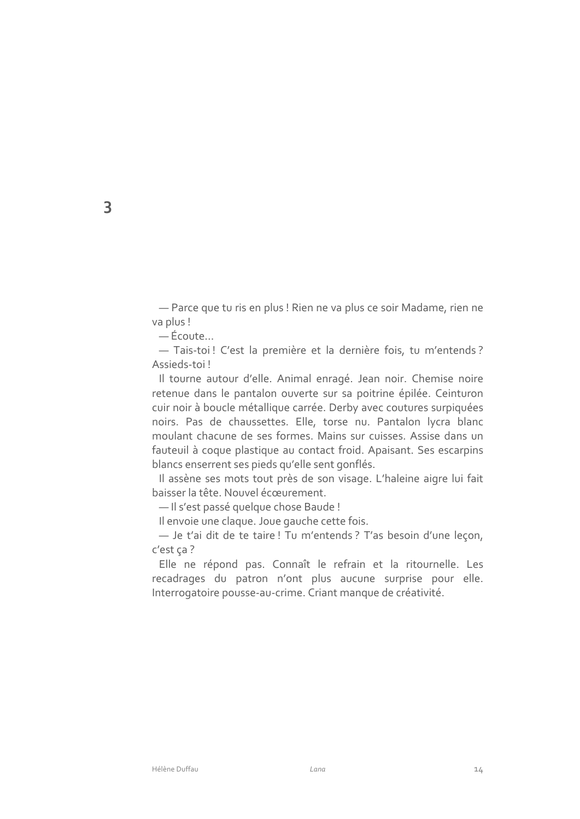- Parce que tu ris en plus ! Rien ne va plus ce soir Madame, rien ne va plus!

— Écoute...

- Tais-toi! C'est la première et la dernière fois, tu m'entends? Assieds-toi!

Il tourne autour d'elle. Animal enragé. Jean noir. Chemise noire retenue dans le pantalon ouverte sur sa poitrine épilée. Ceinturon cuir noir à boucle métallique carrée. Derby avec coutures surpiquées noirs. Pas de chaussettes. Elle, torse nu. Pantalon lycra blanc moulant chacune de ses formes. Mains sur cuisses. Assise dans un fauteuil à coque plastique au contact froid. Apaisant. Ses escarpins blancs enserrent ses pieds qu'elle sent gonflés.

Il assène ses mots tout près de son visage. L'haleine aigre lui fait baisser la tête. Nouvel écœurement.

- Il s'est passé quelque chose Baude !

Il envoie une claque. Joue gauche cette fois.

- Je t'ai dit de te taire! Tu m'entends? T'as besoin d'une leçon, c'est ça?

Elle ne répond pas. Connaît le refrain et la ritournelle. Les recadrages du patron n'ont plus aucune surprise pour elle. Interrogatoire pousse-au-crime. Criant manque de créativité.

3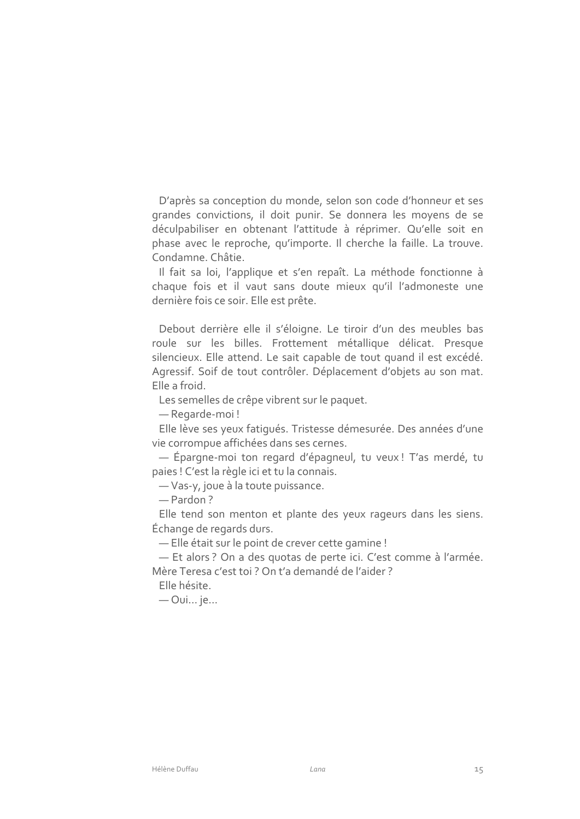D'après sa conception du monde, selon son code d'honneur et ses grandes convictions, il doit punir. Se donnera les moyens de se déculpabiliser en obtenant l'attitude à réprimer. Qu'elle soit en phase avec le reproche, qu'importe. Il cherche la faille. La trouve. Condamne. Châtie.

Il fait sa loi, l'applique et s'en repaît. La méthode fonctionne à chaque fois et il vaut sans doute mieux qu'il l'admoneste une dernière fois ce soir. Elle est prête.

Debout derrière elle il s'éloigne. Le tiroir d'un des meubles bas roule sur les billes. Frottement métallique délicat. Presque silencieux. Elle attend. Le sait capable de tout quand il est excédé. Agressif. Soif de tout contrôler. Déplacement d'objets au son mat. Elle a froid.

Les semelles de crêpe vibrent sur le paquet.

- Regarde-moi!

Elle lève ses yeux fatiqués. Tristesse démesurée. Des années d'une vie corrompue affichées dans ses cernes.

- Épargne-moi ton regard d'épagneul, tu veux! T'as merdé, tu paies ! C'est la règle ici et tu la connais.

- Vas-y, joue à la toute puissance.

- Pardon?

Elle tend son menton et plante des yeux rageurs dans les siens. Échange de regards durs.

- Elle était sur le point de crever cette gamine !

- Et alors ? On a des quotas de perte ici. C'est comme à l'armée. Mère Teresa c'est toi? On t'a demandé de l'aider?

Elle hésite.

— Oui... je...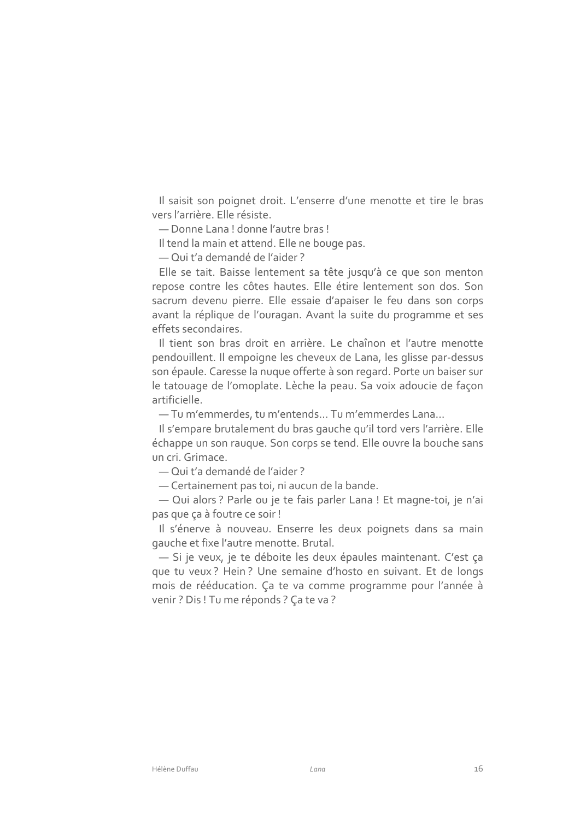Il saisit son poignet droit. L'enserre d'une menotte et tire le bras vers l'arrière. Elle résiste.

- Donne Lana! donne l'autre bras!

Il tend la main et attend. Elle ne bouge pas.

- Qui t'a demandé de l'aider?

Elle se tait. Baisse lentement sa tête jusqu'à ce que son menton repose contre les côtes hautes. Elle étire lentement son dos. Son sacrum devenu pierre. Elle essaie d'apaiser le feu dans son corps avant la réplique de l'ouragan. Avant la suite du programme et ses effets secondaires

Il tient son bras droit en arrière. Le chaînon et l'autre menotte pendouillent. Il empoigne les cheveux de Lana, les glisse par-dessus son épaule. Caresse la nuque offerte à son regard. Porte un baiser sur le tatouage de l'omoplate. Lèche la peau. Sa voix adoucie de façon artificielle.

- Tu m'emmerdes, tu m'entends... Tu m'emmerdes Lana...

Il s'empare brutalement du bras gauche qu'il tord vers l'arrière. Elle échappe un son rauque. Son corps se tend. Elle ouvre la bouche sans un cri Grimace

- Qui t'a demandé de l'aider?

- Certainement pas toi, ni aucun de la bande.

- Qui alors ? Parle ou je te fais parler Lana ! Et magne-toi, je n'ai pas que ça à foutre ce soir !

Il s'énerve à nouveau. Enserre les deux poignets dans sa main gauche et fixe l'autre menotte. Brutal.

- Si je veux, je te déboite les deux épaules maintenant. C'est ça que tu veux? Hein? Une semaine d'hosto en suivant. Et de longs mois de rééducation. Ça te va comme programme pour l'année à venir? Dis ! Tu me réponds ? Ça te va ?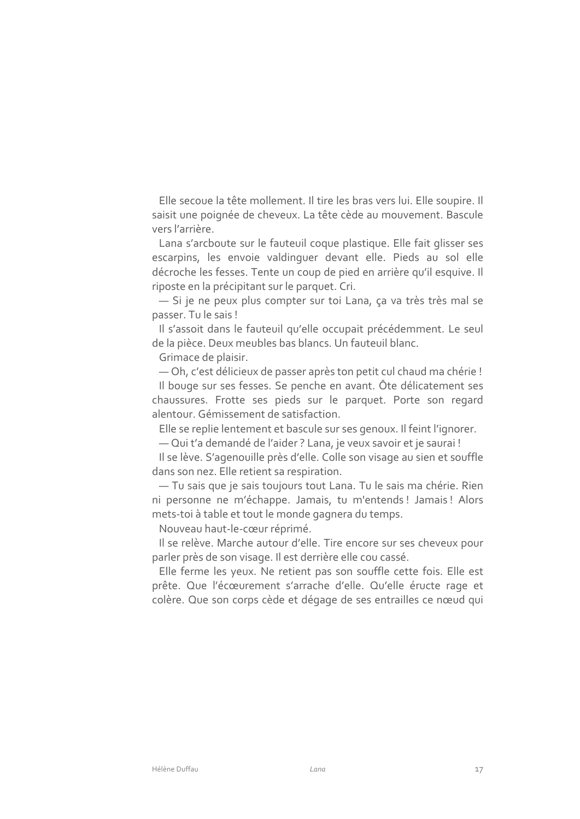Elle secoue la tête mollement. Il tire les bras vers lui. Elle soupire. Il saisit une poignée de cheveux. La tête cède au mouvement. Bascule vers l'arrière.

Lana s'arcboute sur le fauteuil coque plastique. Elle fait glisser ses escarpins, les envoie valdinguer devant elle. Pieds au sol elle décroche les fesses. Tente un coup de pied en arrière qu'il esquive. Il riposte en la précipitant sur le parquet. Cri.

- Si je ne peux plus compter sur toi Lana, ça va très très mal se passer. Tu le sais!

Il s'assoit dans le fauteuil qu'elle occupait précédemment. Le seul de la pièce. Deux meubles bas blancs. Un fauteuil blanc.

Grimace de plaisir.

- Oh, c'est délicieux de passer après ton petit cul chaud ma chérie ! Il bouge sur ses fesses. Se penche en avant. Ôte délicatement ses chaussures. Frotte ses pieds sur le parquet. Porte son regard alentour. Gémissement de satisfaction.

Elle se replie lentement et bascule sur ses genoux. Il feint l'ignorer.

- Qui t'a demandé de l'aider ? Lana, je veux savoir et je saurai !

Il se lève. S'agenouille près d'elle. Colle son visage au sien et souffle dans son nez. Elle retient sa respiration.

- Tu sais que je sais toujours tout Lana. Tu le sais ma chérie. Rien ni personne ne m'échappe. Jamais, tu m'entends ! Jamais ! Alors mets-toi à table et tout le monde gagnera du temps.

Nouveau haut-le-cœur réprimé.

Il se relève. Marche autour d'elle. Tire encore sur ses cheveux pour parler près de son visage. Il est derrière elle cou cassé.

Elle ferme les yeux. Ne retient pas son souffle cette fois. Elle est prête. Que l'écœurement s'arrache d'elle. Qu'elle éructe rage et colère. Que son corps cède et dégage de ses entrailles ce nœud qui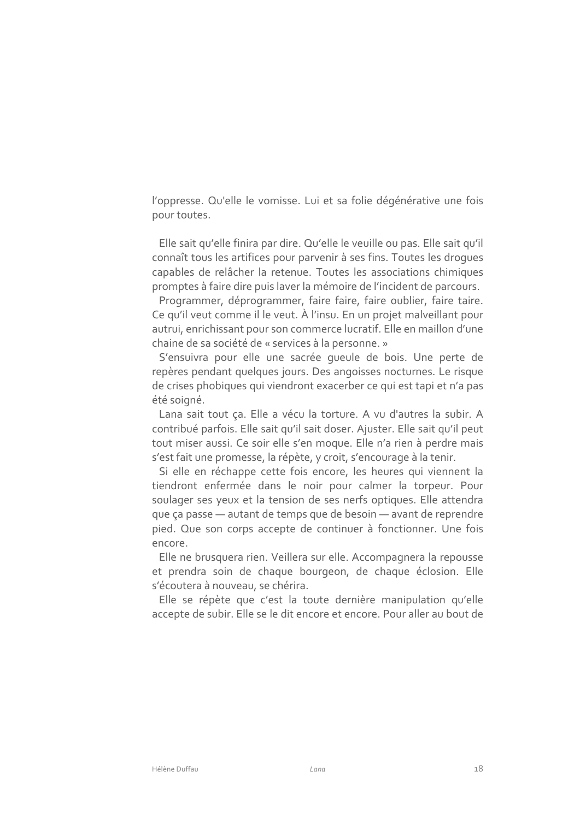l'oppresse. Qu'elle le vomisse. Lui et sa folie dégénérative une fois pour toutes.

Elle sait qu'elle finira par dire. Qu'elle le veuille ou pas. Elle sait qu'il connaît tous les artifices pour parvenir à ses fins. Toutes les droques capables de relâcher la retenue. Toutes les associations chimiques promptes à faire dire puis laver la mémoire de l'incident de parcours.

Programmer, déprogrammer, faire faire, faire oublier, faire taire. Ce qu'il veut comme il le veut. À l'insu. En un projet malveillant pour autrui, enrichissant pour son commerce lucratif. Elle en maillon d'une chaine de sa société de « services à la personne. »

S'ensuivra pour elle une sacrée queule de bois. Une perte de repères pendant quelques jours. Des angoisses nocturnes. Le risque de crises phobiques qui viendront exacerber ce qui est tapi et n'a pas été soigné.

Lana sait tout ça. Elle a vécu la torture. A vu d'autres la subir. A contribué parfois. Elle sait qu'il sait doser. Ajuster. Elle sait qu'il peut tout miser aussi. Ce soir elle s'en moque. Elle n'a rien à perdre mais s'est fait une promesse, la répète, y croit, s'encourage à la tenir.

Si elle en réchappe cette fois encore, les heures qui viennent la tiendront enfermée dans le noir pour calmer la torpeur. Pour soulager ses yeux et la tension de ses nerfs optiques. Elle attendra que ça passe — autant de temps que de besoin — avant de reprendre pied. Que son corps accepte de continuer à fonctionner. Une fois encore.

Elle ne brusquera rien. Veillera sur elle. Accompagnera la repousse et prendra soin de chaque bourgeon, de chaque éclosion. Elle s'écoutera à nouveau, se chérira.

Elle se répète que c'est la toute dernière manipulation qu'elle accepte de subir. Elle se le dit encore et encore. Pour aller au bout de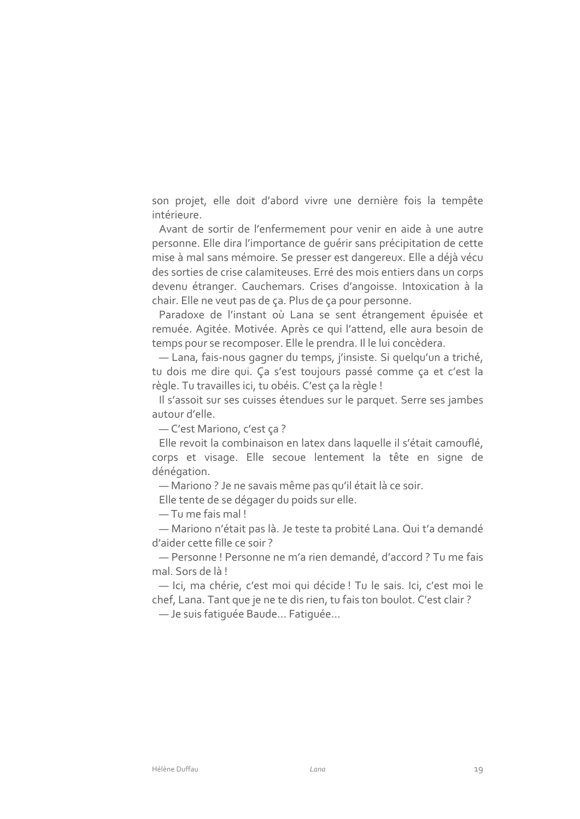son projet, elle doit d'abord vivre une dernière fois la tempête intérieure.

Avant de sortir de l'enfermement pour venir en aide à une autre personne. Elle dira l'importance de quérir sans précipitation de cette mise à mal sans mémoire. Se presser est dangereux. Elle a déjà vécu des sorties de crise calamiteuses. Erré des mois entiers dans un corps devenu étranger. Cauchemars. Crises d'angoisse. Intoxication à la chair. Elle ne veut pas de ça. Plus de ça pour personne.

Paradoxe de l'instant où Lana se sent étrangement épuisée et remuée. Agitée. Motivée. Après ce qui l'attend, elle aura besoin de temps pour se recomposer. Elle le prendra. Il le lui concèdera.

- Lana, fais-nous gagner du temps, j'insiste. Si quelqu'un a triché, tu dois me dire qui. Ça s'est toujours passé comme ça et c'est la règle. Tu travailles ici, tu obéis. C'est ça la règle !

Il s'assoit sur ses cuisses étendues sur le parquet. Serre ses jambes autour d'elle.

- C'est Mariono, c'est ça?

Elle revoit la combinaison en latex dans laquelle il s'était camouflé, corps et visage. Elle secoue lentement la tête en signe de dénégation.

- Mariono? Je ne savais même pas qu'il était là ce soir.

Elle tente de se dégager du poids sur elle.

- Tu me fais mal!

- Mariono n'était pas là. Je teste ta probité Lana. Qui t'a demandé d'aider cette fille ce soir?

- Personne! Personne ne m'a rien demandé, d'accord ? Tu me fais mal. Sors de là!

- Ici, ma chérie, c'est moi qui décide ! Tu le sais. Ici, c'est moi le chef, Lana. Tant que je ne te dis rien, tu fais ton boulot. C'est clair?

- Je suis fatiquée Baude... Fatiquée...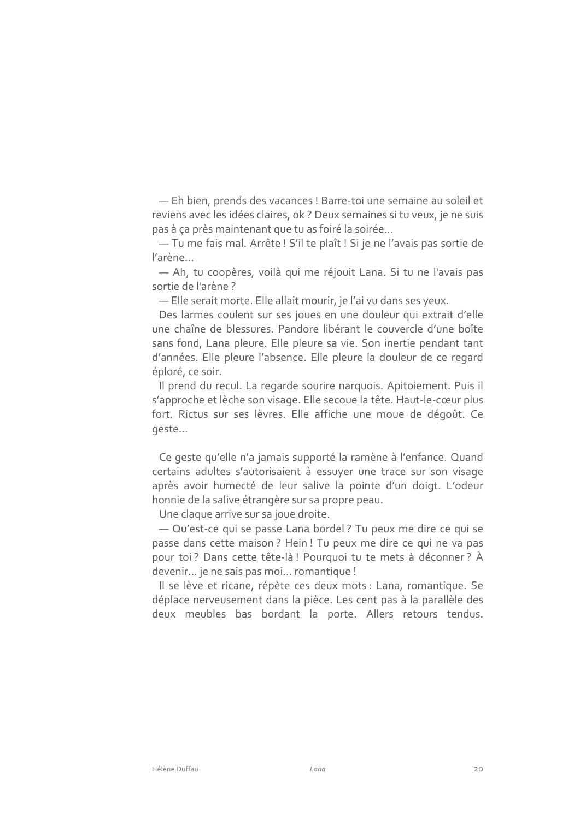- Eh bien, prends des vacances ! Barre-toi une semaine au soleil et reviens avec les idées claires, ok ? Deux semaines si tu veux, je ne suis pas à ça près maintenant que tu as foiré la soirée...

- Tu me fais mal. Arrête ! S'il te plaît ! Si je ne l'avais pas sortie de l'arène...

- Ah, tu coopères, voilà qui me réjouit Lana. Si tu ne l'avais pas sortie de l'arène?

- Elle serait morte. Elle allait mourir, je l'ai vu dans ses yeux.

Des larmes coulent sur ses joues en une douleur qui extrait d'elle une chaîne de blessures. Pandore libérant le couvercle d'une boîte sans fond, Lana pleure. Elle pleure sa vie. Son inertie pendant tant d'années. Elle pleure l'absence. Elle pleure la douleur de ce regard éploré, ce soir.

Il prend du recul. La regarde sourire narquois. Apitoiement. Puis il s'approche et lèche son visage. Elle secoue la tête. Haut-le-cœur plus fort. Rictus sur ses lèvres. Elle affiche une moue de dégoût. Ce geste...

Ce geste qu'elle n'a jamais supporté la ramène à l'enfance. Quand certains adultes s'autorisaient à essuyer une trace sur son visage après avoir humecté de leur salive la pointe d'un doigt. L'odeur honnie de la salive étrangère sur sa propre peau.

Une claque arrive sur sa joue droite.

- Qu'est-ce qui se passe Lana bordel? Tu peux me dire ce qui se passe dans cette maison? Hein! Tu peux me dire ce qui ne va pas pour toi? Dans cette tête-là! Pourquoi tu te mets à déconner? À devenir... je ne sais pas moi... romantique !

Il se lève et ricane, répète ces deux mots : Lana, romantique. Se déplace nerveusement dans la pièce. Les cent pas à la parallèle des deux meubles bas bordant la porte. Allers retours tendus.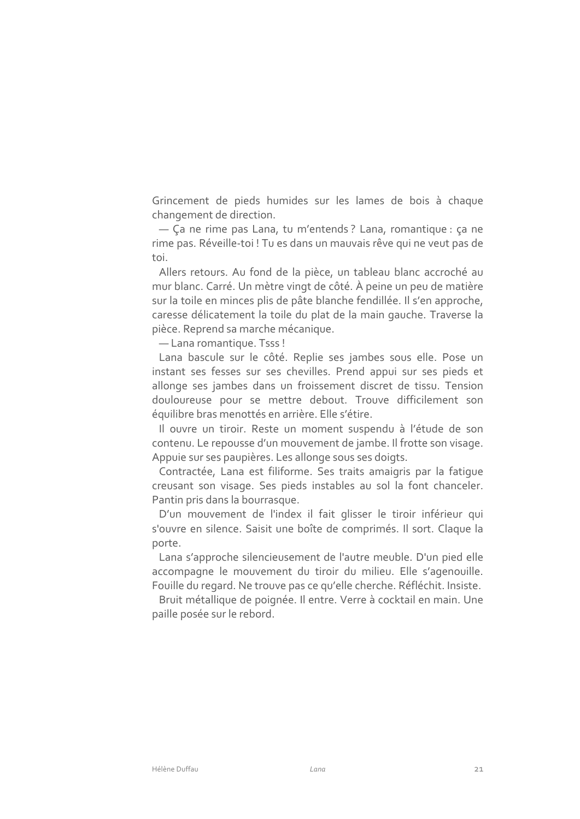Grincement de pieds humides sur les lames de bois à chaque changement de direction.

- Ça ne rime pas Lana, tu m'entends ? Lana, romantique : ça ne rime pas. Réveille-toi ! Tu es dans un mauvais rêve qui ne veut pas de toi.

Allers retours. Au fond de la pièce, un tableau blanc accroché au mur blanc. Carré. Un mètre vingt de côté. À peine un peu de matière sur la toile en minces plis de pâte blanche fendillée. Il s'en approche, caresse délicatement la toile du plat de la main gauche. Traverse la pièce. Reprend sa marche mécanique.

- Lana romantique. Tsss!

Lana bascule sur le côté. Replie ses jambes sous elle. Pose un instant ses fesses sur ses chevilles. Prend appui sur ses pieds et allonge ses jambes dans un froissement discret de tissu. Tension douloureuse pour se mettre debout. Trouve difficilement son équilibre bras menottés en arrière. Elle s'étire.

Il ouvre un tiroir. Reste un moment suspendu à l'étude de son contenu. Le repousse d'un mouvement de jambe. Il frotte son visage. Appuie sur ses paupières. Les allonge sous ses doigts.

Contractée, Lana est filiforme. Ses traits amaigris par la fatique creusant son visage. Ses pieds instables au sol la font chanceler. Pantin pris dans la bourrasque.

D'un mouvement de l'index il fait glisser le tiroir inférieur qui s'ouvre en silence. Saisit une boîte de comprimés. Il sort. Claque la porte.

Lana s'approche silencieusement de l'autre meuble. D'un pied elle accompagne le mouvement du tiroir du milieu. Elle s'agenouille. Fouille du regard. Ne trouve pas ce qu'elle cherche. Réfléchit. Insiste.

Bruit métallique de poignée. Il entre. Verre à cocktail en main. Une paille posée sur le rebord.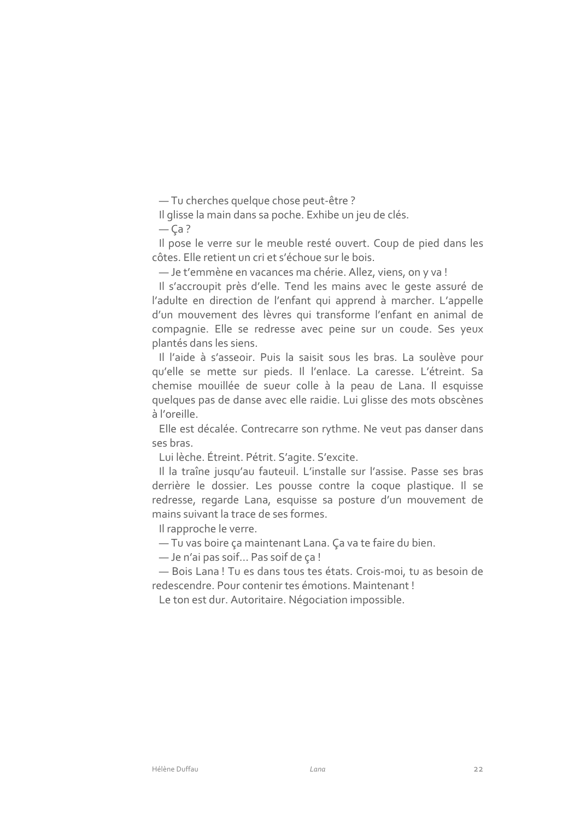- Tu cherches quelque chose peut-être?

Il glisse la main dans sa poche. Exhibe un jeu de clés.

 $-Ca?$ 

Il pose le verre sur le meuble resté ouvert. Coup de pied dans les côtes. Elle retient un cri et s'échoue sur le bois.

- Je t'emmène en vacances ma chérie. Allez, viens, on y va !

Il s'accroupit près d'elle. Tend les mains avec le geste assuré de l'adulte en direction de l'enfant qui apprend à marcher. L'appelle d'un mouvement des lèvres qui transforme l'enfant en animal de compagnie. Elle se redresse avec peine sur un coude. Ses yeux plantés dans les siens.

Il l'aide à s'asseoir. Puis la saisit sous les bras. La soulève pour qu'elle se mette sur pieds. Il l'enlace. La caresse. L'étreint. Sa chemise mouillée de sueur colle à la peau de Lana. Il esquisse quelques pas de danse avec elle raidie. Lui glisse des mots obscènes à l'oreille.

Elle est décalée. Contrecarre son rythme. Ne veut pas danser dans ses bras.

Lui lèche. Étreint. Pétrit. S'agite. S'excite.

Il la traîne jusqu'au fauteuil. L'installe sur l'assise. Passe ses bras derrière le dossier. Les pousse contre la coque plastique. Il se redresse, regarde Lana, esquisse sa posture d'un mouvement de mains suivant la trace de ses formes.

Il rapproche le verre.

- Tu vas boire ça maintenant Lana. Ça va te faire du bien.

- Je n'ai pas soif... Pas soif de ça!

- Bois Lana! Tu es dans tous tes états. Crois-moi, tu as besoin de redescendre. Pour contenir tes émotions. Maintenant!

Le ton est dur. Autoritaire. Négociation impossible.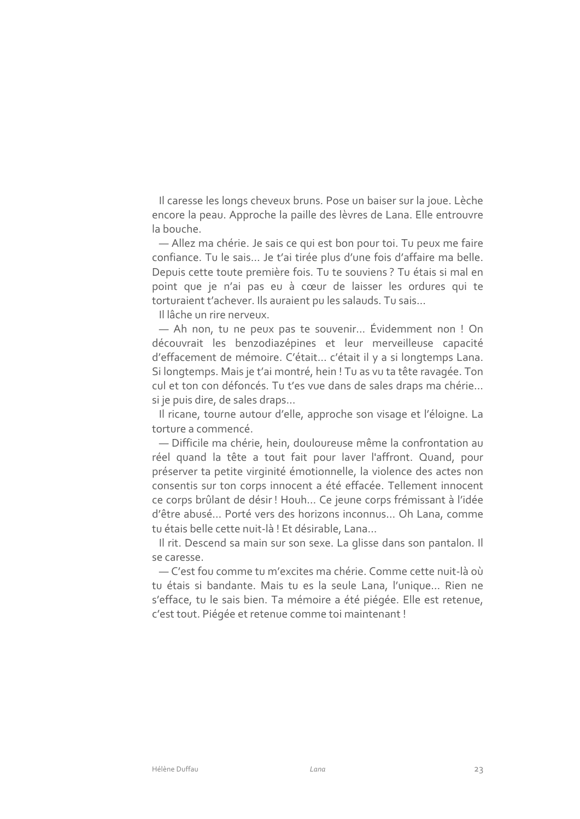Il caresse les longs cheveux bruns. Pose un baiser sur la joue. Lèche encore la peau. Approche la paille des lèvres de Lana. Elle entrouvre la bouche.

- Allez ma chérie. Je sais ce qui est bon pour toi. Tu peux me faire confiance. Tu le sais... Je t'ai tirée plus d'une fois d'affaire ma belle. Depuis cette toute première fois. Tu te souviens ? Tu étais si mal en point que je n'ai pas eu à cœur de laisser les ordures qui te torturaient t'achever. Ils auraient pu les salauds. Tu sais...

Il lâche un rire nerveux.

- Ah non, tu ne peux pas te souvenir... Évidemment non ! On découvrait les benzodiazépines et leur merveilleuse capacité d'effacement de mémoire. C'était... c'était il y a si longtemps Lana. Si longtemps. Mais je t'ai montré, hein ! Tu as vu ta tête ravagée. Ton cul et ton con défoncés. Tu t'es vue dans de sales draps ma chérie... si je puis dire, de sales draps...

Il ricane, tourne autour d'elle, approche son visage et l'éloigne. La torture a commencé.

- Difficile ma chérie, hein, douloureuse même la confrontation au réel quand la tête a tout fait pour laver l'affront. Quand, pour préserver ta petite virginité émotionnelle, la violence des actes non consentis sur ton corps innocent a été effacée. Tellement innocent ce corps brûlant de désir ! Houh... Ce jeune corps frémissant à l'idée d'être abusé... Porté vers des horizons inconnus... Oh Lana, comme tu étais belle cette nuit-là! Et désirable, Lana...

Il rit. Descend sa main sur son sexe. La glisse dans son pantalon. Il se caresse.

— C'est fou comme tu m'excites ma chérie. Comme cette nuit-là où tu étais si bandante. Mais tu es la seule Lana, l'unique... Rien ne s'efface, tu le sais bien. Ta mémoire a été piégée. Elle est retenue, c'est tout. Piégée et retenue comme toi maintenant !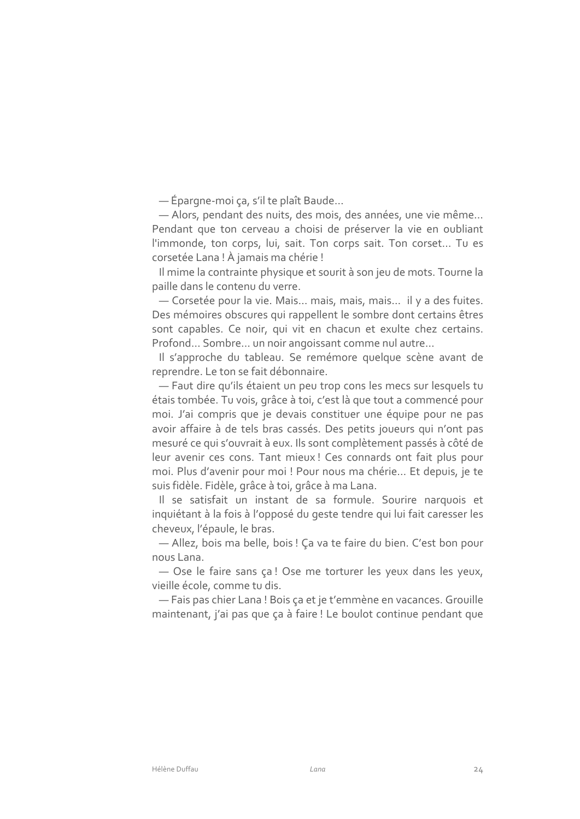- Épargne-moi ça, s'il te plaît Baude...

- Alors, pendant des nuits, des mois, des années, une vie même... Pendant que ton cerveau a choisi de préserver la vie en oubliant l'immonde, ton corps, lui, sait. Ton corps sait. Ton corset... Tu es corsetée Lana! À jamais ma chérie!

Il mime la contrainte physique et sourit à son jeu de mots. Tourne la paille dans le contenu du verre.

- Corsetée pour la vie. Mais... mais, mais, mais... il y a des fuites. Des mémoires obscures qui rappellent le sombre dont certains êtres sont capables. Ce noir, qui vit en chacun et exulte chez certains. Profond... Sombre... un noir angoissant comme nul autre...

Il s'approche du tableau. Se remémore quelque scène avant de reprendre. Le ton se fait débonnaire.

- Faut dire qu'ils étaient un peu trop cons les mecs sur lesquels tu étais tombée. Tu vois, grâce à toi, c'est là que tout a commencé pour moi. J'ai compris que je devais constituer une équipe pour ne pas avoir affaire à de tels bras cassés. Des petits joueurs qui n'ont pas mesuré ce qui s'ouvrait à eux. Ils sont complètement passés à côté de leur avenir ces cons. Tant mieux! Ces connards ont fait plus pour moi. Plus d'avenir pour moi ! Pour nous ma chérie... Et depuis, je te suis fidèle. Fidèle, grâce à toi, grâce à ma Lana.

Il se satisfait un instant de sa formule. Sourire narquois et inquiétant à la fois à l'opposé du geste tendre qui lui fait caresser les cheveux, l'épaule, le bras.

- Allez, bois ma belle, bois! Ça va te faire du bien. C'est bon pour nous Lana.

- Ose le faire sans ça! Ose me torturer les yeux dans les yeux, vieille école, comme tu dis.

- Fais pas chier Lana! Bois ça et je t'emmène en vacances. Grouille maintenant, j'ai pas que ça à faire ! Le boulot continue pendant que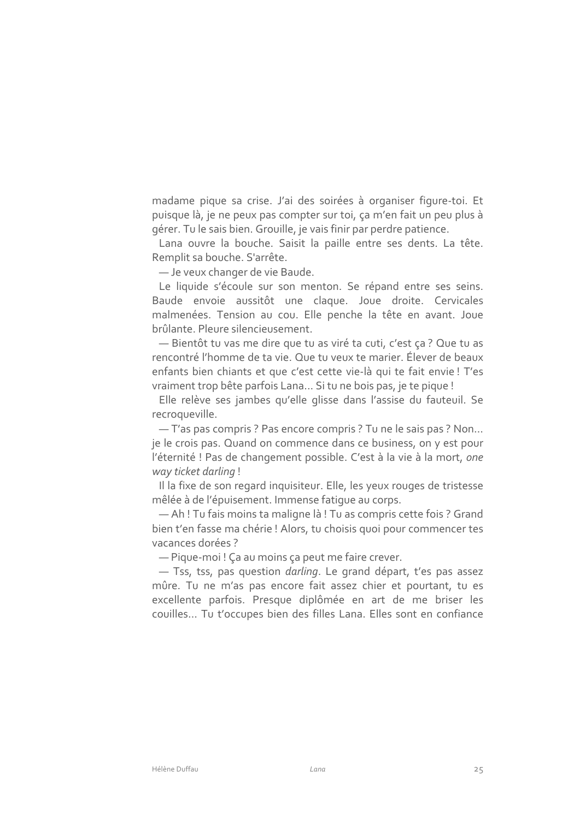madame pique sa crise. J'ai des soirées à organiser figure-toi. Et puisque là, je ne peux pas compter sur toi, ça m'en fait un peu plus à gérer. Tu le sais bien. Grouille, je vais finir par perdre patience.

Lana ouvre la bouche. Saisit la paille entre ses dents. La tête. Remplit sa bouche. S'arrête.

- Je veux changer de vie Baude.

Le liquide s'écoule sur son menton. Se répand entre ses seins. Baude envoie aussitôt une claque. Joue droite. Cervicales malmenées. Tension au cou. Elle penche la tête en avant. Joue brûlante. Pleure silencieusement.

- Bientôt tu vas me dire que tu as viré ta cuti, c'est ça ? Que tu as rencontré l'homme de ta vie. Que tu veux te marier. Élever de beaux enfants bien chiants et que c'est cette vie-là qui te fait envie ! T'es vraiment trop bête parfois Lana... Si tu ne bois pas, je te pique !

Elle relève ses jambes qu'elle glisse dans l'assise du fauteuil. Se recroqueville.

-T'as pas compris ? Pas encore compris ? Tu ne le sais pas ? Non... je le crois pas. Quand on commence dans ce business, on y est pour l'éternité ! Pas de changement possible. C'est à la vie à la mort, one way ticket darling!

Il la fixe de son regard inquisiteur. Elle, les yeux rouges de tristesse mêlée à de l'épuisement. Immense fatique au corps.

- Ah! Tu fais moins ta maligne là! Tu as compris cette fois ? Grand bien t'en fasse ma chérie ! Alors, tu choisis quoi pour commencer tes vacances dorées ?

- Pique-moi ! Ça au moins ça peut me faire crever.

- Tss, tss, pas question darling. Le grand départ, t'es pas assez mûre. Tu ne m'as pas encore fait assez chier et pourtant, tu es excellente parfois. Presque diplômée en art de me briser les couilles... Tu t'occupes bien des filles Lana. Elles sont en confiance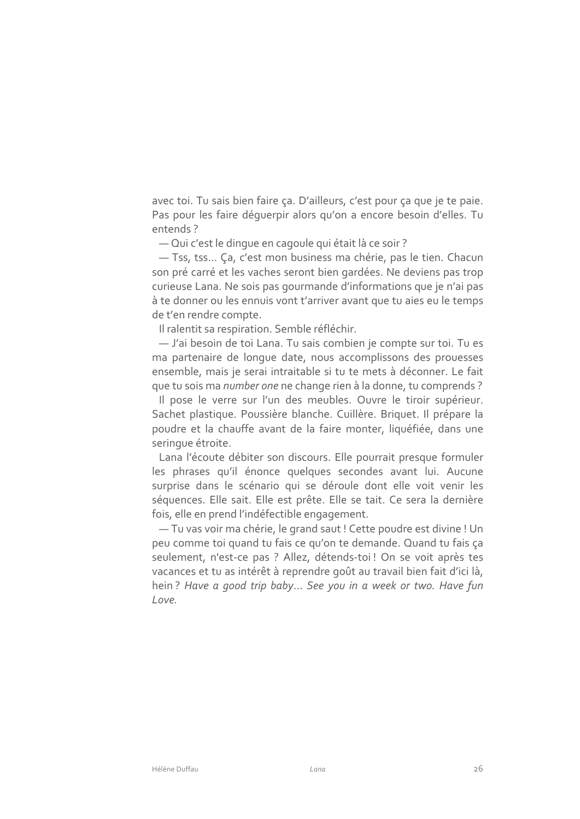avec toi. Tu sais bien faire ça. D'ailleurs, c'est pour ça que je te paie. Pas pour les faire déquerpir alors qu'on a encore besoin d'elles. Tu entends?

- Qui c'est le dinque en cagoule qui était là ce soir?

- Tss, tss... Ça, c'est mon business ma chérie, pas le tien. Chacun son pré carré et les vaches seront bien gardées. Ne deviens pas trop curieuse Lana. Ne sois pas gourmande d'informations que je n'ai pas à te donner ou les ennuis vont t'arriver avant que tu aies eu le temps de t'en rendre compte.

Il ralentit sa respiration. Semble réfléchir.

- J'ai besoin de toi Lana. Tu sais combien je compte sur toi. Tu es ma partenaire de lonque date, nous accomplissons des prouesses ensemble, mais je serai intraitable si tu te mets à déconner. Le fait que tu sois ma *number one* ne change rien à la donne, tu comprends ?

Il pose le verre sur l'un des meubles. Ouvre le tiroir supérieur. Sachet plastique. Poussière blanche. Cuillère. Briquet. Il prépare la poudre et la chauffe avant de la faire monter, liquéfiée, dans une seringue étroite.

Lana l'écoute débiter son discours. Elle pourrait presque formuler les phrases qu'il énonce quelques secondes avant lui. Aucune surprise dans le scénario qui se déroule dont elle voit venir les séquences. Elle sait. Elle est prête. Elle se tait. Ce sera la dernière fois, elle en prend l'indéfectible engagement.

- Tu vas voir ma chérie, le grand saut ! Cette poudre est divine ! Un peu comme toi quand tu fais ce qu'on te demande. Quand tu fais ça seulement, n'est-ce pas ? Allez, détends-toi ! On se voit après tes vacances et tu as intérêt à reprendre goût au travail bien fait d'ici là, hein? Have a good trip baby... See you in a week or two. Have fun Love.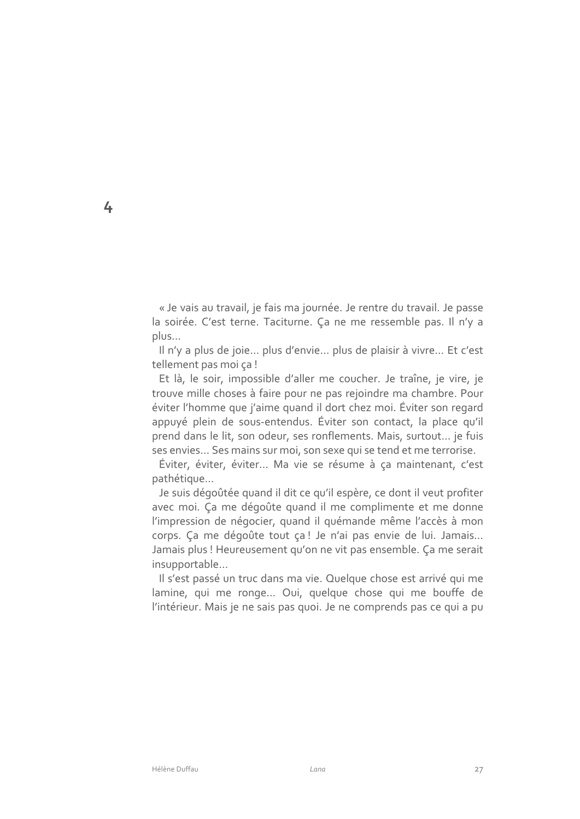« Je vais au travail, je fais ma journée. Je rentre du travail. Je passe la soirée. C'est terne. Taciturne. Ça ne me ressemble pas. Il n'y a  $plus...$ 

Il n'y a plus de joie... plus d'envie... plus de plaisir à vivre... Et c'est tellement pas moi ça!

Et là, le soir, impossible d'aller me coucher. Je traîne, je vire, je trouve mille choses à faire pour ne pas rejoindre ma chambre. Pour éviter l'homme que j'aime quand il dort chez moi. Éviter son regard appuyé plein de sous-entendus. Éviter son contact, la place qu'il prend dans le lit, son odeur, ses ronflements. Mais, surtout... je fuis ses envies... Ses mains sur moi, son sexe qui se tend et me terrorise.

Éviter, éviter, éviter... Ma vie se résume à ça maintenant, c'est pathétique...

Je suis dégoûtée quand il dit ce qu'il espère, ce dont il veut profiter avec moi. Ça me dégoûte quand il me complimente et me donne l'impression de négocier, quand il quémande même l'accès à mon corps. Ça me dégoûte tout ça! Je n'ai pas envie de lui. Jamais... Jamais plus ! Heureusement qu'on ne vit pas ensemble. Ça me serait insupportable...

Il s'est passé un truc dans ma vie. Quelque chose est arrivé qui me lamine, qui me ronge... Oui, quelque chose qui me bouffe de l'intérieur. Mais je ne sais pas quoi. Je ne comprends pas ce qui a pu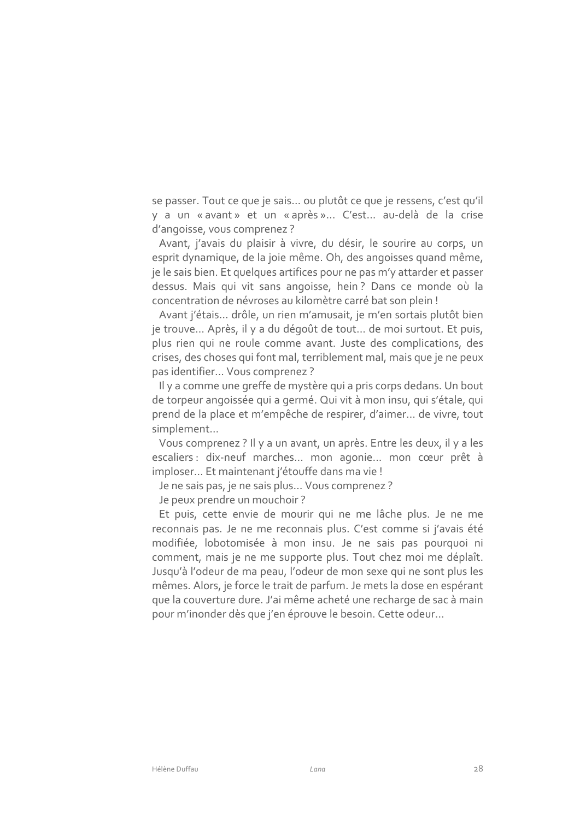se passer. Tout ce que je sais... ou plutôt ce que je ressens, c'est qu'il y a un « avant » et un « après »... C'est... au-delà de la crise d'angoisse, vous comprenez ?

Avant, j'avais du plaisir à vivre, du désir, le sourire au corps, un esprit dynamique, de la joie même. Oh, des angoisses quand même, je le sais bien. Et quelques artifices pour ne pas m'y attarder et passer dessus. Mais qui vit sans angoisse, hein? Dans ce monde où la concentration de névroses au kilomètre carré bat son plein !

Avant j'étais... drôle, un rien m'amusait, je m'en sortais plutôt bien je trouve... Après, il y a du dégoût de tout... de moi surtout. Et puis, plus rien qui ne roule comme avant. Juste des complications, des crises, des choses qui font mal, terriblement mal, mais que je ne peux pas identifier... Vous comprenez?

Il y a comme une greffe de mystère qui a pris corps dedans. Un bout de torpeur angoissée qui a germé. Qui vit à mon insu, qui s'étale, qui prend de la place et m'empêche de respirer, d'aimer... de vivre, tout simplement...

Vous comprenez ? Il y a un avant, un après. Entre les deux, il y a les escaliers : dix-neuf marches... mon agonie... mon cœur prêt à imploser... Et maintenant j'étouffe dans ma vie !

Je ne sais pas, je ne sais plus... Vous comprenez ?

Je peux prendre un mouchoir?

Et puis, cette envie de mourir qui ne me lâche plus. Je ne me reconnais pas. Je ne me reconnais plus. C'est comme si j'avais été modifiée, lobotomisée à mon insu. Je ne sais pas pourquoi ni comment, mais je ne me supporte plus. Tout chez moi me déplaît. Jusqu'à l'odeur de ma peau, l'odeur de mon sexe qui ne sont plus les mêmes. Alors, je force le trait de parfum. Je mets la dose en espérant que la couverture dure. J'ai même acheté une recharge de sac à main pour m'inonder dès que j'en éprouve le besoin. Cette odeur...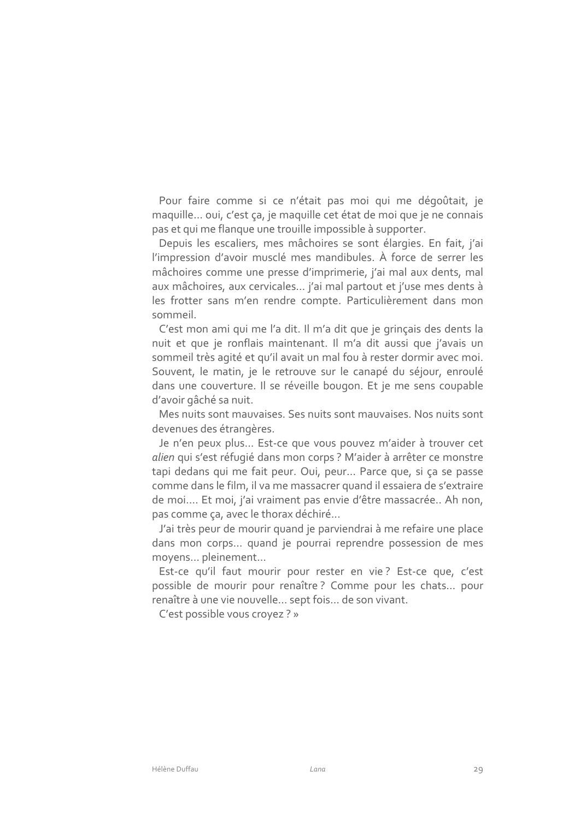Pour faire comme si ce n'était pas moi qui me dégoûtait, je maquille... oui, c'est ça, je maquille cet état de moi que je ne connais pas et qui me flanque une trouille impossible à supporter.

Depuis les escaliers, mes mâchoires se sont élargies. En fait, j'ai l'impression d'avoir musclé mes mandibules. À force de serrer les mâchoires comme une presse d'imprimerie, j'ai mal aux dents, mal aux mâchoires, aux cervicales... j'ai mal partout et j'use mes dents à les frotter sans m'en rendre compte. Particulièrement dans mon sommeil.

C'est mon ami qui me l'a dit. Il m'a dit que je grinçais des dents la nuit et que je ronflais maintenant. Il m'a dit aussi que j'avais un sommeil très agité et qu'il avait un mal fou à rester dormir avec moi. Souvent, le matin, je le retrouve sur le canapé du séjour, enroulé dans une couverture. Il se réveille bougon. Et je me sens coupable d'avoir gâché sa nuit.

Mes nuits sont mauvaises. Ses nuits sont mauvaises. Nos nuits sont devenues des étrangères.

Je n'en peux plus... Est-ce que vous pouvez m'aider à trouver cet alien qui s'est réfugié dans mon corps ? M'aider à arrêter ce monstre tapi dedans qui me fait peur. Oui, peur... Parce que, si ça se passe comme dans le film, il va me massacrer quand il essaiera de s'extraire de moi.... Et moi, j'ai vraiment pas envie d'être massacrée.. Ah non, pas comme ça, avec le thorax déchiré...

J'ai très peur de mourir quand je parviendrai à me refaire une place dans mon corps... quand je pourrai reprendre possession de mes moyens... pleinement...

Est-ce qu'il faut mourir pour rester en vie? Est-ce que, c'est possible de mourir pour renaître? Comme pour les chats... pour renaître à une vie nouvelle... sept fois... de son vivant.

C'est possible vous croyez ? »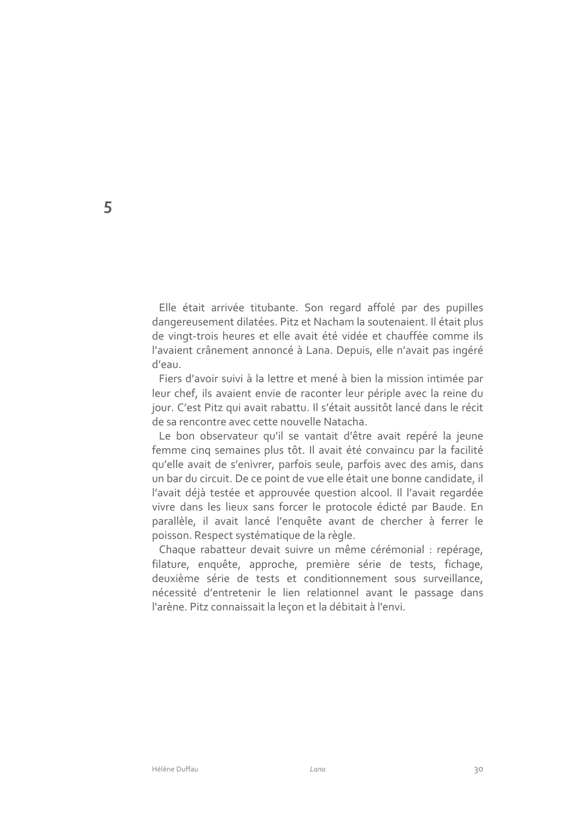Elle était arrivée titubante. Son regard affolé par des pupilles dangereusement dilatées. Pitz et Nacham la soutenaient. Il était plus de vingt-trois heures et elle avait été vidée et chauffée comme ils l'avaient crânement annoncé à Lana. Depuis, elle n'avait pas ingéré d'eau.

Fiers d'avoir suivi à la lettre et mené à bien la mission intimée par leur chef, ils avaient envie de raconter leur périple avec la reine du jour. C'est Pitz qui avait rabattu. Il s'était aussitôt lancé dans le récit de sa rencontre avec cette nouvelle Natacha.

Le bon observateur qu'il se vantait d'être avait repéré la jeune femme cinq semaines plus tôt. Il avait été convaincu par la facilité qu'elle avait de s'enivrer, parfois seule, parfois avec des amis, dans un bar du circuit. De ce point de vue elle était une bonne candidate, il l'avait déjà testée et approuvée question alcool. Il l'avait regardée vivre dans les lieux sans forcer le protocole édicté par Baude. En parallèle, il avait lancé l'enquête avant de chercher à ferrer le poisson. Respect systématique de la règle.

Chaque rabatteur devait suivre un même cérémonial : repérage, filature, enquête, approche, première série de tests, fichage, deuxième série de tests et conditionnement sous surveillance, nécessité d'entretenir le lien relationnel avant le passage dans l'arène. Pitz connaissait la leçon et la débitait à l'envi.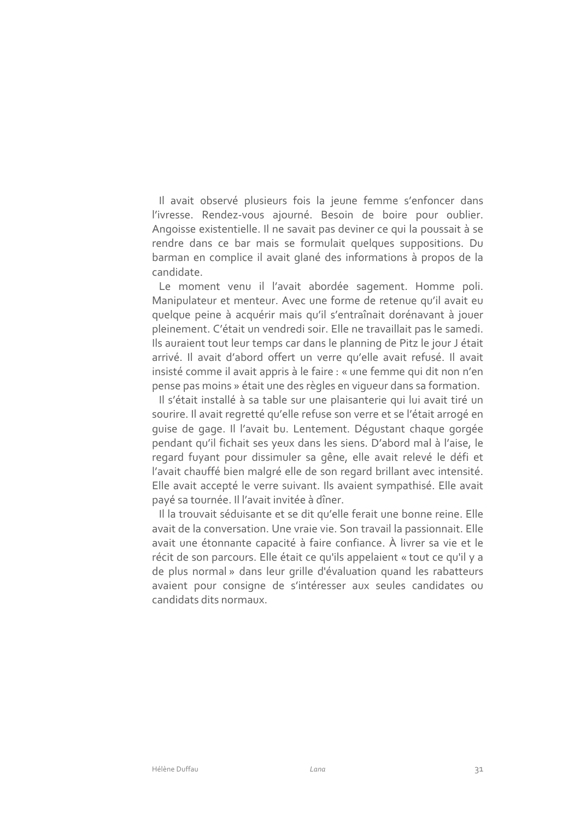Il avait observé plusieurs fois la jeune femme s'enfoncer dans l'ivresse. Rendez-vous ajourné. Besoin de boire pour oublier. Angoisse existentielle. Il ne savait pas deviner ce qui la poussait à se rendre dans ce bar mais se formulait quelques suppositions. Du barman en complice il avait glané des informations à propos de la candidate.

Le moment venu il l'avait abordée sagement. Homme poli. Manipulateur et menteur. Avec une forme de retenue qu'il avait eu quelque peine à acquérir mais qu'il s'entraînait dorénavant à jouer pleinement. C'était un vendredi soir. Elle ne travaillait pas le samedi. Ils auraient tout leur temps car dans le planning de Pitz le jour J était arrivé. Il avait d'abord offert un verre qu'elle avait refusé. Il avait insisté comme il avait appris à le faire : « une femme qui dit non n'en pense pas moins » était une des règles en viqueur dans sa formation.

Il s'était installé à sa table sur une plaisanterie qui lui avait tiré un sourire. Il avait regretté qu'elle refuse son verre et se l'était arrogé en quise de gage. Il l'avait bu. Lentement. Déqustant chaque gorgée pendant qu'il fichait ses yeux dans les siens. D'abord mal à l'aise, le regard fuyant pour dissimuler sa gêne, elle avait relevé le défi et l'avait chauffé bien malgré elle de son regard brillant avec intensité. Elle avait accepté le verre suivant. Ils avaient sympathisé. Elle avait payé sa tournée. Il l'avait invitée à dîner.

Il la trouvait séduisante et se dit qu'elle ferait une bonne reine. Elle avait de la conversation. Une vraie vie. Son travail la passionnait. Elle avait une étonnante capacité à faire confiance. À livrer sa vie et le récit de son parcours. Elle était ce qu'ils appelaient « tout ce qu'il y a de plus normal » dans leur grille d'évaluation quand les rabatteurs avaient pour consigne de s'intéresser aux seules candidates ou candidats dits normaux.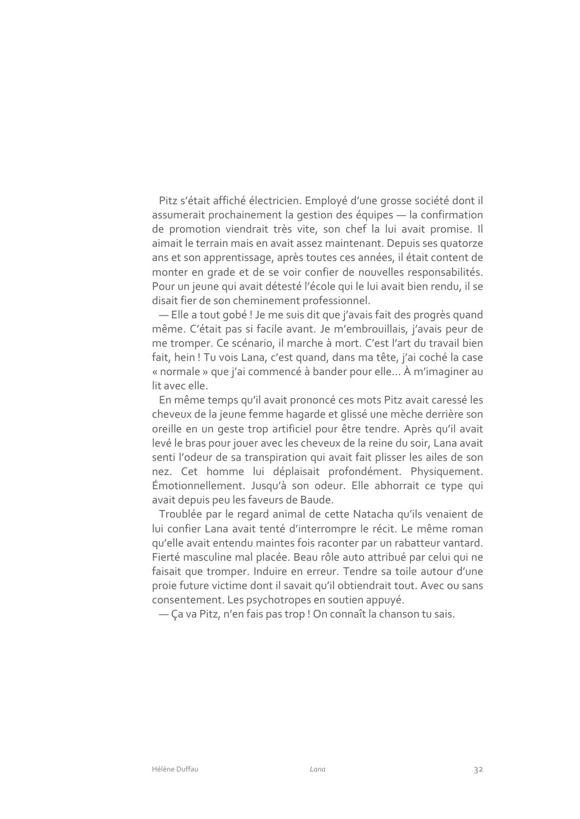Pitz s'était affiché électricien. Employé d'une grosse société dont il assumerait prochainement la gestion des équipes - la confirmation de promotion viendrait très vite, son chef la lui avait promise. Il aimait le terrain mais en avait assez maintenant. Depuis ses quatorze ans et son apprentissage, après toutes ces années, il était content de monter en grade et de se voir confier de nouvelles responsabilités. Pour un jeune qui avait détesté l'école qui le lui avait bien rendu, il se disait fier de son cheminement professionnel.

- Elle a tout gobé ! Je me suis dit que j'avais fait des progrès quand même. C'était pas si facile avant. Je m'embrouillais, j'avais peur de me tromper. Ce scénario, il marche à mort. C'est l'art du travail bien fait, hein ! Tu vois Lana, c'est quand, dans ma tête, j'ai coché la case « normale » que j'ai commencé à bander pour elle... À m'imaginer au lit avec elle.

En même temps qu'il avait prononcé ces mots Pitz avait caressé les cheveux de la jeune femme hagarde et glissé une mèche derrière son oreille en un geste trop artificiel pour être tendre. Après qu'il avait levé le bras pour jouer avec les cheveux de la reine du soir, Lana avait senti l'odeur de sa transpiration qui avait fait plisser les ailes de son nez. Cet homme lui déplaisait profondément. Physiquement. Émotionnellement. Jusqu'à son odeur. Elle abhorrait ce type qui avait depuis peu les faveurs de Baude.

Troublée par le regard animal de cette Natacha qu'ils venaient de lui confier Lana avait tenté d'interrompre le récit. Le même roman qu'elle avait entendu maintes fois raconter par un rabatteur vantard. Fierté masculine mal placée. Beau rôle auto attribué par celui qui ne faisait que tromper. Induire en erreur. Tendre sa toile autour d'une proie future victime dont il savait qu'il obtiendrait tout. Avec ou sans consentement. Les psychotropes en soutien appuyé.

- Ca va Pitz, n'en fais pas trop ! On connaît la chanson tu sais.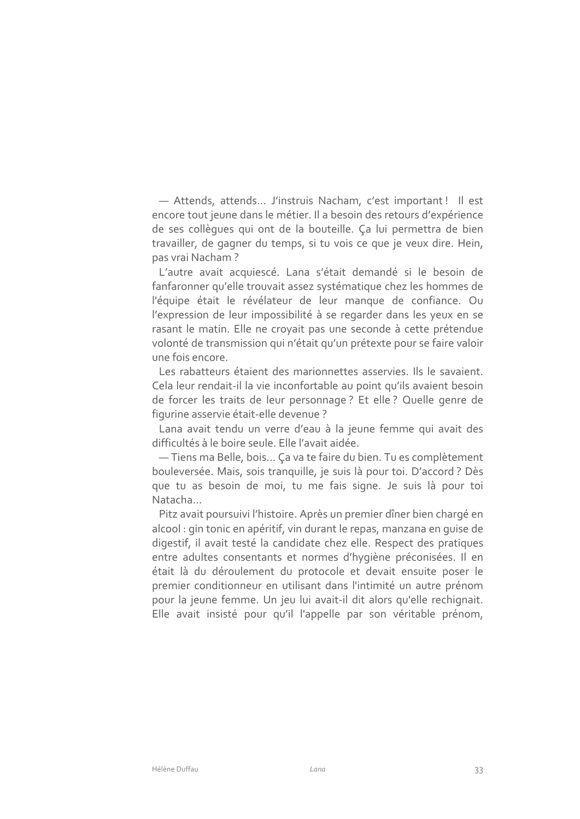- Attends, attends... J'instruis Nacham, c'est important! Il est encore tout jeune dans le métier. Il a besoin des retours d'expérience de ses collègues qui ont de la bouteille. Ca lui permettra de bien travailler, de gagner du temps, si tu vois ce que je veux dire. Hein, pas vrai Nacham?

L'autre avait acquiescé. Lana s'était demandé si le besoin de fanfaronner qu'elle trouvait assez systématique chez les hommes de l'équipe était le révélateur de leur manque de confiance. Ou l'expression de leur impossibilité à se regarder dans les yeux en se rasant le matin. Elle ne croyait pas une seconde à cette prétendue volonté de transmission qui n'était qu'un prétexte pour se faire valoir une fois encore.

Les rabatteurs étaient des marionnettes asservies. Ils le savaient. Cela leur rendait-il la vie inconfortable au point qu'ils avaient besoin de forcer les traits de leur personnage ? Et elle ? Quelle genre de figurine asservie était-elle devenue ?

Lana avait tendu un verre d'eau à la jeune femme qui avait des difficultés à le boire seule. Elle l'avait aidée.

- Tiens ma Belle, bois... Ça va te faire du bien. Tu es complètement bouleversée. Mais, sois tranquille, je suis là pour toi. D'accord ? Dès que tu as besoin de moi, tu me fais signe. Je suis là pour toi Natacha...

Pitz avait poursuivi l'histoire. Après un premier dîner bien chargé en alcool : gin tonic en apéritif, vin durant le repas, manzana en quise de digestif, il avait testé la candidate chez elle. Respect des pratiques entre adultes consentants et normes d'hygiène préconisées. Il en était là du déroulement du protocole et devait ensuite poser le premier conditionneur en utilisant dans l'intimité un autre prénom pour la jeune femme. Un jeu lui avait-il dit alors qu'elle rechignait. Elle avait insisté pour qu'il l'appelle par son véritable prénom,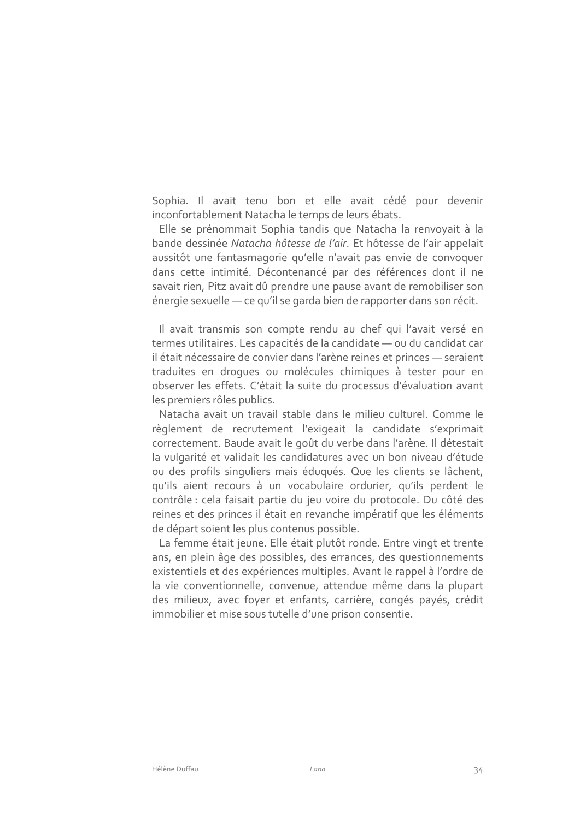Sophia. Il avait tenu bon et elle avait cédé pour devenir inconfortablement Natacha le temps de leurs ébats.

Elle se prénommait Sophia tandis que Natacha la renvoyait à la bande dessinée Natacha hôtesse de l'air. Et hôtesse de l'air appelait aussitôt une fantasmagorie qu'elle n'avait pas envie de convoquer dans cette intimité. Décontenancé par des références dont il ne savait rien, Pitz avait dû prendre une pause avant de remobiliser son énergie sexuelle — ce qu'il se garda bien de rapporter dans son récit.

Il avait transmis son compte rendu au chef qui l'avait versé en termes utilitaires. Les capacités de la candidate — ou du candidat car il était nécessaire de convier dans l'arène reines et princes — seraient traduites en droques ou molécules chimiques à tester pour en observer les effets. C'était la suite du processus d'évaluation avant les premiers rôles publics.

Natacha avait un travail stable dans le milieu culturel. Comme le règlement de recrutement l'exigeait la candidate s'exprimait correctement. Baude avait le goût du verbe dans l'arène. Il détestait la vulgarité et validait les candidatures avec un bon niveau d'étude ou des profils singuliers mais éduqués. Que les clients se lâchent, qu'ils aient recours à un vocabulaire ordurier, qu'ils perdent le contrôle : cela faisait partie du jeu voire du protocole. Du côté des reines et des princes il était en revanche impératif que les éléments de départ soient les plus contenus possible.

La femme était jeune. Elle était plutôt ronde. Entre vingt et trente ans, en plein âge des possibles, des errances, des questionnements existentiels et des expériences multiples. Avant le rappel à l'ordre de la vie conventionnelle, convenue, attendue même dans la plupart des milieux, avec foyer et enfants, carrière, congés payés, crédit immobilier et mise sous tutelle d'une prison consentie.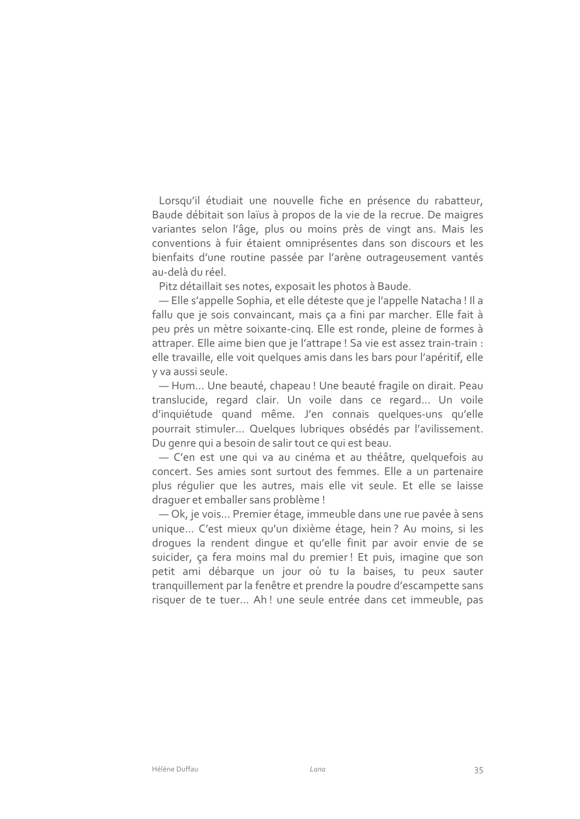Lorsqu'il étudiait une nouvelle fiche en présence du rabatteur, Baude débitait son laïus à propos de la vie de la recrue. De maigres variantes selon l'âge, plus ou moins près de vingt ans. Mais les conventions à fuir étaient omniprésentes dans son discours et les bienfaits d'une routine passée par l'arène outrageusement vantés au-delà du réel.

Pitz détaillait ses notes, exposait les photos à Baude.

- Elle s'appelle Sophia, et elle déteste que je l'appelle Natacha ! Il a fallu que je sois convaincant, mais ça a fini par marcher. Elle fait à peu près un mètre soixante-cing. Elle est ronde, pleine de formes à attraper. Elle aime bien que je l'attrape ! Sa vie est assez train-train : elle travaille, elle voit quelques amis dans les bars pour l'apéritif, elle y va aussi seule.

- Hum... Une beauté, chapeau! Une beauté fragile on dirait. Peau translucide, regard clair. Un voile dans ce regard... Un voile d'inquiétude quand même. J'en connais quelques-uns qu'elle pourrait stimuler... Quelques lubriques obsédés par l'avilissement. Du genre qui a besoin de salir tout ce qui est beau.

- C'en est une qui va au cinéma et au théâtre, quelquefois au concert. Ses amies sont surtout des femmes. Elle a un partenaire plus régulier que les autres, mais elle vit seule. Et elle se laisse draquer et emballer sans problème !

-Ok, je vois... Premier étage, immeuble dans une rue pavée à sens unique... C'est mieux qu'un dixième étage, hein? Au moins, si les droques la rendent dinque et qu'elle finit par avoir envie de se suicider, ça fera moins mal du premier! Et puis, imagine que son petit ami débarque un jour où tu la baises, tu peux sauter tranquillement par la fenêtre et prendre la poudre d'escampette sans risquer de te tuer... Ah! une seule entrée dans cet immeuble, pas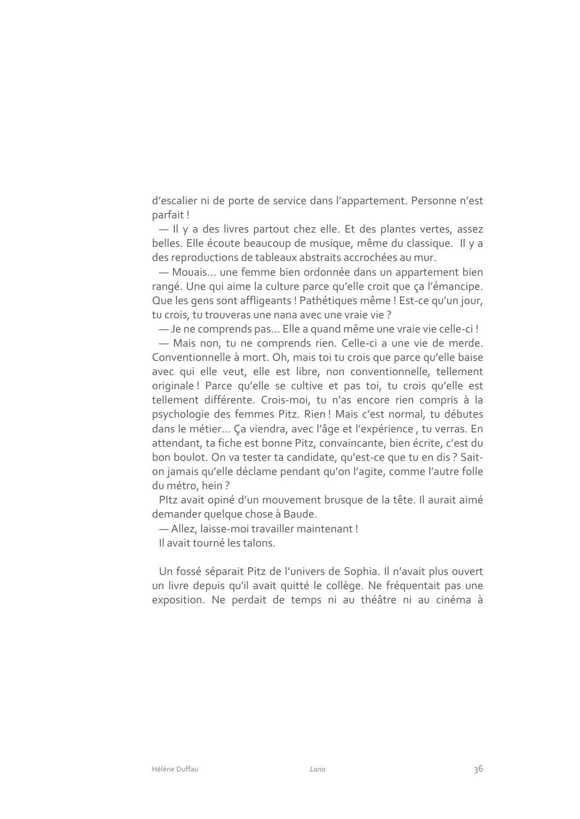d'escalier ni de porte de service dans l'appartement. Personne n'est parfait!

- Il y a des livres partout chez elle. Et des plantes vertes, assez belles. Elle écoute beaucoup de musique, même du classique. Il y a des reproductions de tableaux abstraits accrochées au mur.

- Mouais... une femme bien ordonnée dans un appartement bien rangé. Une qui aime la culture parce qu'elle croit que ça l'émancipe. Que les gens sont affligeants ! Pathétiques même ! Est-ce qu'un jour, tu crois, tu trouveras une nana avec une vraie vie?

- Je ne comprends pas... Elle a quand même une vraie vie celle-ci!

- Mais non, tu ne comprends rien. Celle-ci a une vie de merde. Conventionnelle à mort. Oh, mais toi tu crois que parce qu'elle baise avec qui elle veut, elle est libre, non conventionnelle, tellement originale! Parce qu'elle se cultive et pas toi, tu crois qu'elle est tellement différente. Crois-moi, tu n'as encore rien compris à la psychologie des femmes Pitz. Rien! Mais c'est normal, tu débutes dans le métier... Ça viendra, avec l'âge et l'expérience, tu verras. En attendant, ta fiche est bonne Pitz, convaincante, bien écrite, c'est du bon boulot. On va tester ta candidate, qu'est-ce que tu en dis ? Saiton jamais qu'elle déclame pendant qu'on l'agite, comme l'autre folle du métro, hein?

Pltz avait opiné d'un mouvement brusque de la tête. Il aurait aimé demander quelque chose à Baude.

- Allez, laisse-moi travailler maintenant!

Il avait tourné les talons.

Un fossé séparait Pitz de l'univers de Sophia. Il n'avait plus ouvert un livre depuis qu'il avait quitté le collège. Ne fréquentait pas une exposition. Ne perdait de temps ni au théâtre ni au cinéma à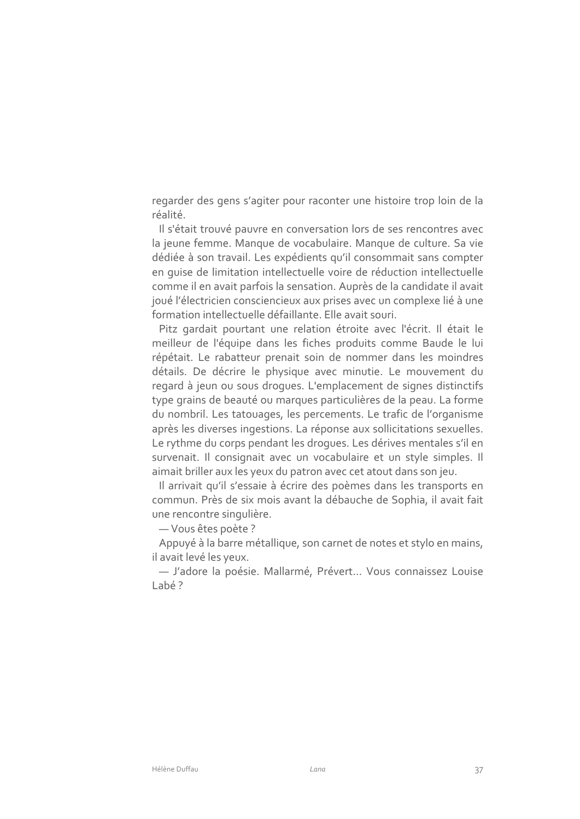regarder des gens s'agiter pour raconter une histoire trop loin de la réalité.

Il s'était trouvé pauvre en conversation lors de ses rencontres avec la jeune femme. Manque de vocabulaire. Manque de culture. Sa vie dédiée à son travail. Les expédients qu'il consommait sans compter en quise de limitation intellectuelle voire de réduction intellectuelle comme il en avait parfois la sensation. Auprès de la candidate il avait joué l'électricien consciencieux aux prises avec un complexe lié à une formation intellectuelle défaillante. Elle avait souri.

Pitz gardait pourtant une relation étroite avec l'écrit. Il était le meilleur de l'équipe dans les fiches produits comme Baude le lui répétait. Le rabatteur prenait soin de nommer dans les moindres détails. De décrire le physique avec minutie. Le mouvement du regard à jeun ou sous drogues. L'emplacement de signes distinctifs type grains de beauté ou marques particulières de la peau. La forme du nombril. Les tatouages, les percements. Le trafic de l'organisme après les diverses ingestions. La réponse aux sollicitations sexuelles. Le rythme du corps pendant les droques. Les dérives mentales s'il en survenait. Il consignait avec un vocabulaire et un style simples. Il aimait briller aux les yeux du patron avec cet atout dans son jeu.

Il arrivait qu'il s'essaie à écrire des poèmes dans les transports en commun. Près de six mois avant la débauche de Sophia, il avait fait une rencontre singulière.

- Vous êtes poète ?

Appuyé à la barre métallique, son carnet de notes et stylo en mains, il avait levé les yeux.

- J'adore la poésie. Mallarmé, Prévert... Vous connaissez Louise  $lab42$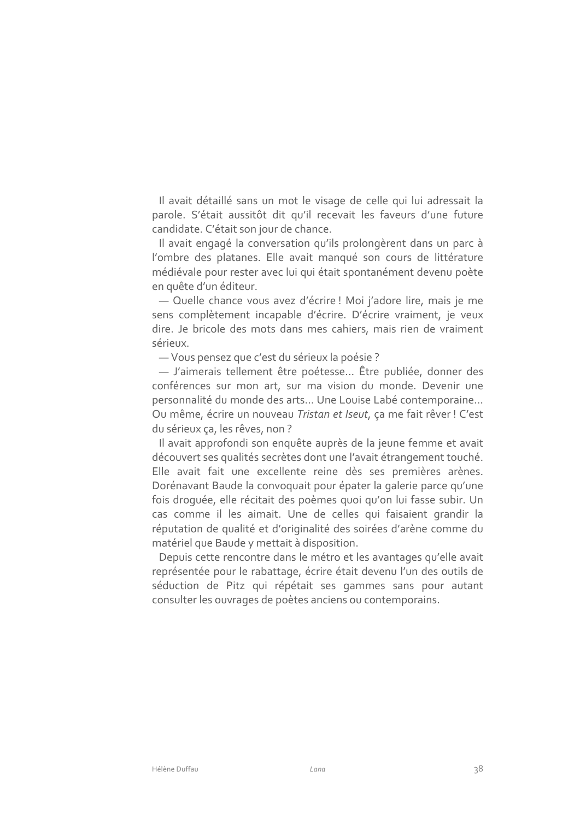Il avait détaillé sans un mot le visage de celle qui lui adressait la parole. S'était aussitôt dit qu'il recevait les faveurs d'une future candidate. C'était son jour de chance.

Il avait engagé la conversation qu'ils prolongèrent dans un parc à l'ombre des platanes. Elle avait manqué son cours de littérature médiévale pour rester avec lui qui était spontanément devenu poète en quête d'un éditeur.

- Quelle chance vous avez d'écrire ! Moi j'adore lire, mais je me sens complètement incapable d'écrire. D'écrire vraiment, je veux dire. Je bricole des mots dans mes cahiers, mais rien de vraiment sérieux.

- Vous pensez que c'est du sérieux la poésie ?

- J'aimerais tellement être poétesse... Être publiée, donner des conférences sur mon art, sur ma vision du monde. Devenir une personnalité du monde des arts... Une Louise Labé contemporaine... Ou même, écrire un nouveau Tristan et Iseut, ça me fait rêver ! C'est du sérieux ça, les rêves, non ?

Il avait approfondi son enquête auprès de la jeune femme et avait découvert ses qualités secrètes dont une l'avait étrangement touché. Elle avait fait une excellente reine dès ses premières arènes. Dorénavant Baude la convoquait pour épater la galerie parce qu'une fois droquée, elle récitait des poèmes quoi qu'on lui fasse subir. Un cas comme il les aimait. Une de celles qui faisaient grandir la réputation de qualité et d'originalité des soirées d'arène comme du matériel que Baude y mettait à disposition.

Depuis cette rencontre dans le métro et les avantages qu'elle avait représentée pour le rabattage, écrire était devenu l'un des outils de séduction de Pitz qui répétait ses gammes sans pour autant consulter les ouvrages de poètes anciens ou contemporains.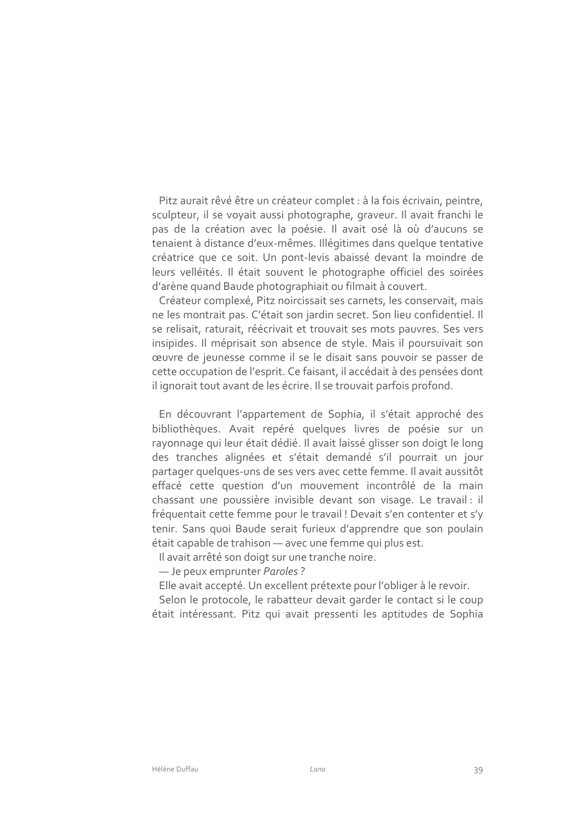Pitz aurait rêvé être un créateur complet : à la fois écrivain, peintre, sculpteur, il se voyait aussi photographe, graveur. Il avait franchi le pas de la création avec la poésie. Il avait osé là où d'aucuns se tenaient à distance d'eux-mêmes. Illégitimes dans quelque tentative créatrice que ce soit. Un pont-levis abaissé devant la moindre de leurs velléités. Il était souvent le photographe officiel des soirées d'arène quand Baude photographiait ou filmait à couvert.

Créateur complexé, Pitz noircissait ses carnets, les conservait, mais ne les montrait pas. C'était son jardin secret. Son lieu confidentiel. Il se relisait, raturait, réécrivait et trouvait ses mots pauvres. Ses vers insipides. Il méprisait son absence de style. Mais il poursuivait son œuvre de jeunesse comme il se le disait sans pouvoir se passer de cette occupation de l'esprit. Ce faisant, il accédait à des pensées dont il ignorait tout avant de les écrire. Il se trouvait parfois profond.

En découvrant l'appartement de Sophia, il s'était approché des bibliothèques. Avait repéré quelques livres de poésie sur un rayonnage qui leur était dédié. Il avait laissé glisser son doigt le long des tranches alignées et s'était demandé s'il pourrait un jour partager quelques-uns de ses vers avec cette femme. Il avait aussitôt effacé cette question d'un mouvement incontrôlé de la main chassant une poussière invisible devant son visage. Le travail : il fréquentait cette femme pour le travail ! Devait s'en contenter et s'y tenir. Sans quoi Baude serait furieux d'apprendre que son poulain était capable de trahison - avec une femme qui plus est.

Il avait arrêté son doigt sur une tranche noire.

- Je peux emprunter Paroles?

Elle avait accepté. Un excellent prétexte pour l'obliger à le revoir.

Selon le protocole, le rabatteur devait garder le contact si le coup était intéressant. Pitz qui avait pressenti les aptitudes de Sophia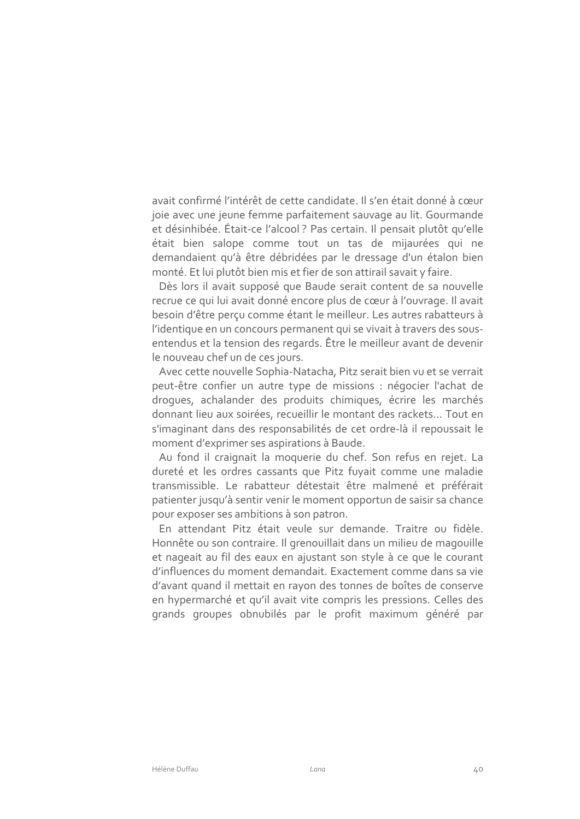avait confirmé l'intérêt de cette candidate. Il s'en était donné à cœur joie avec une jeune femme parfaitement sauvage au lit. Gourmande et désinhibée. Était-ce l'alcool ? Pas certain. Il pensait plutôt qu'elle était bien salope comme tout un tas de mijaurées qui ne demandaient qu'à être débridées par le dressage d'un étalon bien monté. Et lui plutôt bien mis et fier de son attirail savait y faire.

Dès lors il avait supposé que Baude serait content de sa nouvelle recrue ce qui lui avait donné encore plus de cœur à l'ouvrage. Il avait besoin d'être perçu comme étant le meilleur. Les autres rabatteurs à l'identique en un concours permanent qui se vivait à travers des sousentendus et la tension des regards. Être le meilleur avant de devenir le nouveau chef un de ces jours.

Avec cette nouvelle Sophia-Natacha, Pitz serait bien vu et se verrait peut-être confier un autre type de missions : négocier l'achat de droques, achalander des produits chimiques, écrire les marchés donnant lieu aux soirées, recueillir le montant des rackets... Tout en s'imaginant dans des responsabilités de cet ordre-là il repoussait le moment d'exprimer ses aspirations à Baude.

Au fond il craignait la moquerie du chef. Son refus en rejet. La dureté et les ordres cassants que Pitz fuyait comme une maladie transmissible. Le rabatteur détestait être malmené et préférait patienter jusqu'à sentir venir le moment opportun de saisir sa chance pour exposer ses ambitions à son patron.

En attendant Pitz était veule sur demande. Traitre ou fidèle. Honnête ou son contraire. Il grenouillait dans un milieu de magouille et nageait au fil des eaux en ajustant son style à ce que le courant d'influences du moment demandait. Exactement comme dans sa vie d'avant quand il mettait en rayon des tonnes de boîtes de conserve en hypermarché et qu'il avait vite compris les pressions. Celles des grands groupes obnubilés par le profit maximum généré par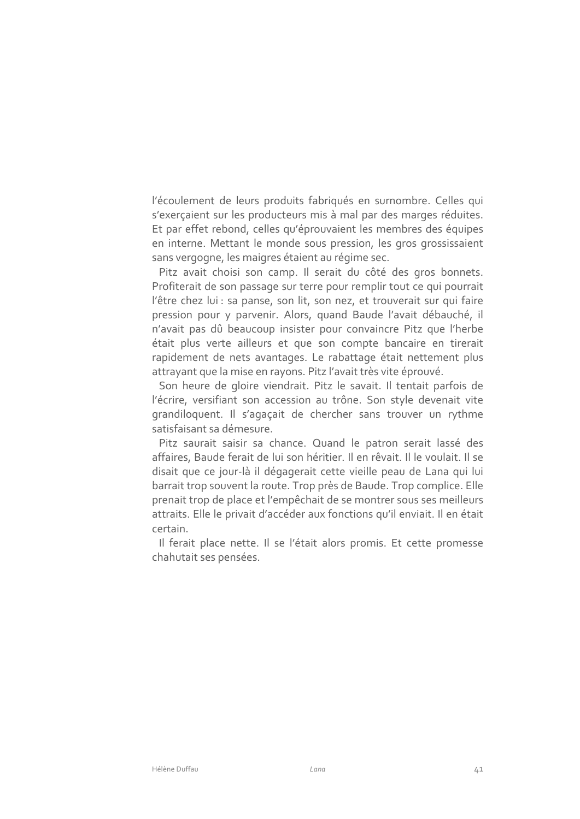l'écoulement de leurs produits fabriqués en surnombre. Celles qui s'exerçaient sur les producteurs mis à mal par des marges réduites. Et par effet rebond, celles qu'éprouvaient les membres des équipes en interne. Mettant le monde sous pression, les gros grossissaient sans vergogne, les maigres étaient au régime sec.

Pitz avait choisi son camp. Il serait du côté des gros bonnets. Profiterait de son passage sur terre pour remplir tout ce qui pourrait l'être chez lui : sa panse, son lit, son nez, et trouverait sur qui faire pression pour y parvenir. Alors, quand Baude l'avait débauché, il n'avait pas dû beaucoup insister pour convaincre Pitz que l'herbe était plus verte ailleurs et que son compte bancaire en tirerait rapidement de nets avantages. Le rabattage était nettement plus attrayant que la mise en rayons. Pitz l'avait très vite éprouvé.

Son heure de gloire viendrait. Pitz le savait. Il tentait parfois de l'écrire, versifiant son accession au trône. Son style devenait vite grandiloquent. Il s'agaçait de chercher sans trouver un rythme satisfaisant sa démesure.

Pitz saurait saisir sa chance. Quand le patron serait lassé des affaires, Baude ferait de lui son héritier. Il en rêvait. Il le voulait. Il se disait que ce jour-là il dégagerait cette vieille peau de Lana qui lui barrait trop souvent la route. Trop près de Baude. Trop complice. Elle prenait trop de place et l'empêchait de se montrer sous ses meilleurs attraits. Elle le privait d'accéder aux fonctions qu'il enviait. Il en était certain.

Il ferait place nette. Il se l'était alors promis. Et cette promesse chahutait ses pensées.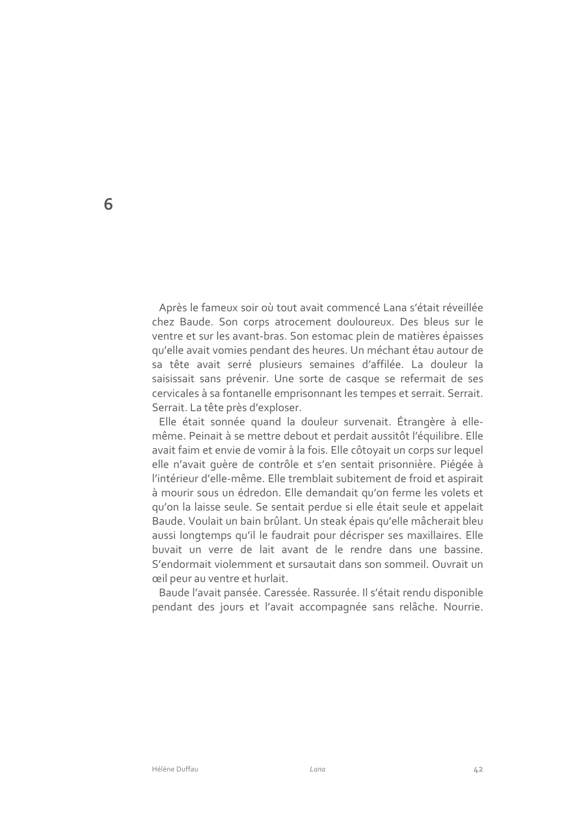Après le fameux soir où tout avait commencé Lana s'était réveillée chez Baude. Son corps atrocement douloureux. Des bleus sur le ventre et sur les avant-bras. Son estomac plein de matières épaisses qu'elle avait vomies pendant des heures. Un méchant étau autour de sa tête avait serré plusieurs semaines d'affilée. La douleur la saisissait sans prévenir. Une sorte de casque se refermait de ses cervicales à sa fontanelle emprisonnant les tempes et serrait. Serrait. Serrait. La tête près d'exploser.

Elle était sonnée quand la douleur survenait. Étrangère à ellemême. Peinait à se mettre debout et perdait aussitôt l'équilibre. Elle avait faim et envie de vomir à la fois. Elle côtoyait un corps sur lequel elle n'avait quère de contrôle et s'en sentait prisonnière. Piégée à l'intérieur d'elle-même. Elle tremblait subitement de froid et aspirait à mourir sous un édredon. Elle demandait qu'on ferme les volets et qu'on la laisse seule. Se sentait perdue si elle était seule et appelait Baude. Voulait un bain brûlant. Un steak épais qu'elle mâcherait bleu aussi longtemps qu'il le faudrait pour décrisper ses maxillaires. Elle buvait un verre de lait avant de le rendre dans une bassine. S'endormait violemment et sursautait dans son sommeil. Ouvrait un ceil peur au ventre et hurlait.

Baude l'avait pansée. Caressée. Rassurée. Il s'était rendu disponible pendant des jours et l'avait accompagnée sans relâche. Nourrie.

6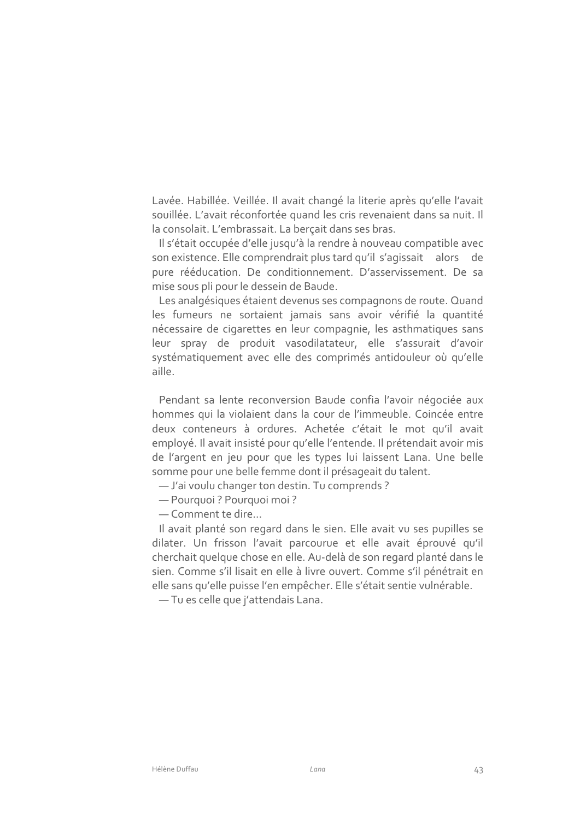Lavée. Habillée. Veillée. Il avait changé la literie après qu'elle l'avait souillée. L'avait réconfortée quand les cris revenaient dans sa nuit. Il la consolait. L'embrassait. La bercait dans ses bras.

Il s'était occupée d'elle jusqu'à la rendre à nouveau compatible avec son existence. Elle comprendrait plus tard qu'il s'agissait alors de pure rééducation. De conditionnement. D'asservissement. De sa mise sous pli pour le dessein de Baude.

Les analgésiques étaient devenus ses compagnons de route. Quand les fumeurs ne sortaient jamais sans avoir vérifié la quantité nécessaire de cigarettes en leur compagnie, les asthmatiques sans leur spray de produit vasodilatateur, elle s'assurait d'avoir systématiquement avec elle des comprimés antidouleur où qu'elle aille.

Pendant sa lente reconversion Baude confia l'avoir négociée aux hommes qui la violaient dans la cour de l'immeuble. Coincée entre deux conteneurs à ordures. Achetée c'était le mot qu'il avait employé. Il avait insisté pour qu'elle l'entende. Il prétendait avoir mis de l'argent en jeu pour que les types lui laissent Lana. Une belle somme pour une belle femme dont il présageait du talent.

- J'ai voulu changer ton destin. Tu comprends?
- Pourquoi ? Pourquoi moi?
- Comment te dire...

Il avait planté son regard dans le sien. Elle avait vu ses pupilles se dilater. Un frisson l'avait parcourue et elle avait éprouvé qu'il cherchait quelque chose en elle. Au-delà de son regard planté dans le sien. Comme s'il lisait en elle à livre ouvert. Comme s'il pénétrait en elle sans qu'elle puisse l'en empêcher. Elle s'était sentie vulnérable.

-Tu es celle que j'attendais Lana.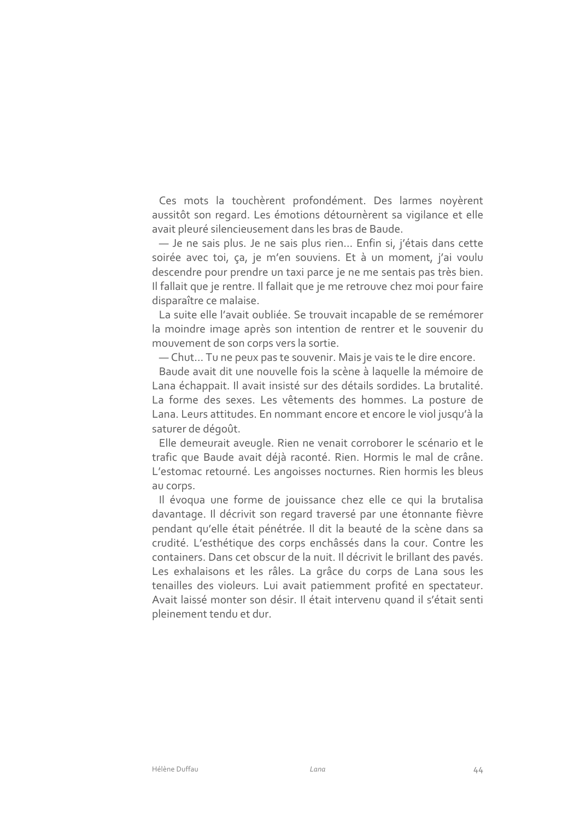Ces mots la touchèrent profondément. Des larmes noyèrent aussitôt son regard. Les émotions détournèrent sa vigilance et elle avait pleuré silencieusement dans les bras de Baude.

- Je ne sais plus. Je ne sais plus rien... Enfin si, j'étais dans cette soirée avec toi, ça, je m'en souviens. Et à un moment, j'ai voulu descendre pour prendre un taxi parce je ne me sentais pas très bien. Il fallait que je rentre. Il fallait que je me retrouve chez moi pour faire disparaître ce malaise.

La suite elle l'avait oubliée. Se trouvait incapable de se remémorer la moindre image après son intention de rentrer et le souvenir du mouvement de son corps vers la sortie.

- Chut... Tu ne peux pas te souvenir. Mais je vais te le dire encore.

Baude avait dit une nouvelle fois la scène à laquelle la mémoire de Lana échappait. Il avait insisté sur des détails sordides. La brutalité. La forme des sexes. Les vêtements des hommes. La posture de Lana. Leurs attitudes. En nommant encore et encore le viol jusqu'à la saturer de dégoût.

Elle demeurait aveugle. Rien ne venait corroborer le scénario et le trafic que Baude avait déjà raconté. Rien. Hormis le mal de crâne. L'estomac retourné. Les angoisses nocturnes. Rien hormis les bleus au corps.

Il évoqua une forme de jouissance chez elle ce qui la brutalisa davantage. Il décrivit son regard traversé par une étonnante fièvre pendant qu'elle était pénétrée. Il dit la beauté de la scène dans sa crudité. L'esthétique des corps enchâssés dans la cour. Contre les containers. Dans cet obscur de la nuit. Il décrivit le brillant des pavés. Les exhalaisons et les râles. La grâce du corps de Lana sous les tenailles des violeurs. Lui avait patiemment profité en spectateur. Avait laissé monter son désir. Il était intervenu quand il s'était senti pleinement tendu et dur.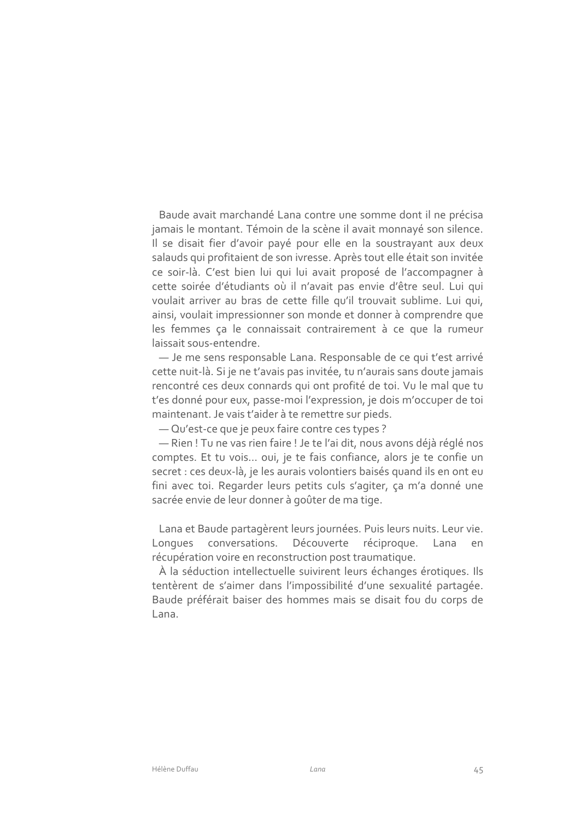Baude avait marchandé Lana contre une somme dont il ne précisa jamais le montant. Témoin de la scène il avait monnayé son silence. Il se disait fier d'avoir payé pour elle en la soustrayant aux deux salauds qui profitaient de son ivresse. Après tout elle était son invitée ce soir-là. C'est bien lui qui lui avait proposé de l'accompagner à cette soirée d'étudiants où il n'avait pas envie d'être seul. Lui qui voulait arriver au bras de cette fille qu'il trouvait sublime. Lui qui, ainsi, voulait impressionner son monde et donner à comprendre que les femmes ça le connaissait contrairement à ce que la rumeur laissait sous-entendre.

- Je me sens responsable Lana. Responsable de ce qui t'est arrivé cette nuit-là. Si je ne t'avais pas invitée, tu n'aurais sans doute jamais rencontré ces deux connards qui ont profité de toi. Vu le mal que tu t'es donné pour eux, passe-moi l'expression, je dois m'occuper de toi maintenant. Je vais t'aider à te remettre sur pieds.

- Qu'est-ce que je peux faire contre ces types ?

- Rien ! Tu ne vas rien faire ! Je te l'ai dit, nous avons déjà réglé nos comptes. Et tu vois... oui, je te fais confiance, alors je te confie un secret : ces deux-là, je les aurais volontiers baisés quand ils en ont eu fini avec toi. Regarder leurs petits culs s'agiter, ça m'a donné une sacrée envie de leur donner à goûter de ma tige.

Lana et Baude partagèrent leurs journées. Puis leurs nuits. Leur vie. conversations. Découverte réciproque. Longues Lana en récupération voire en reconstruction post traumatique.

À la séduction intellectuelle suivirent leurs échanges érotiques. Ils tentèrent de s'aimer dans l'impossibilité d'une sexualité partagée. Baude préférait baiser des hommes mais se disait fou du corps de l ana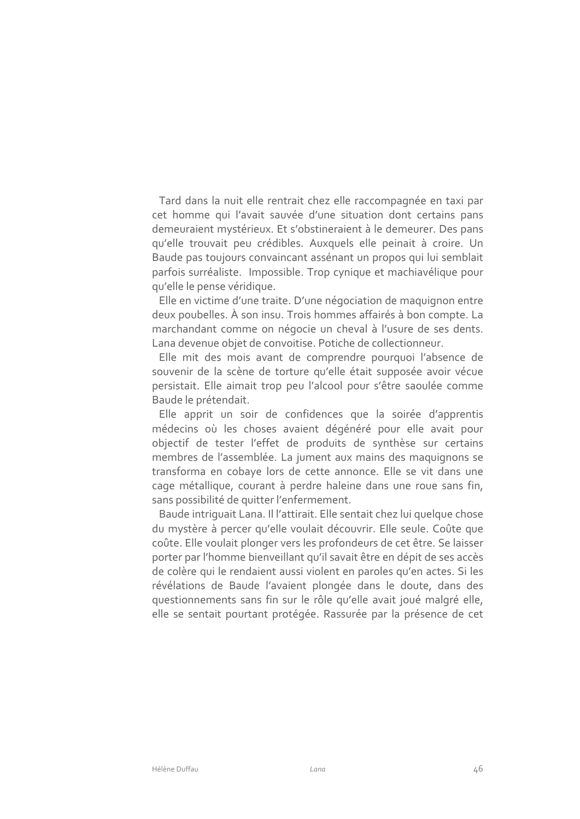Tard dans la nuit elle rentrait chez elle raccompagnée en taxi par cet homme qui l'avait sauvée d'une situation dont certains pans demeuraient mystérieux. Et s'obstineraient à le demeurer. Des pans qu'elle trouvait peu crédibles. Auxquels elle peinait à croire. Un Baude pas toujours convaincant assénant un propos qui lui semblait parfois surréaliste. Impossible. Trop cynique et machiavélique pour qu'elle le pense véridique.

Elle en victime d'une traite. D'une négociation de maquignon entre deux poubelles. À son insu. Trois hommes affairés à bon compte. La marchandant comme on négocie un cheval à l'usure de ses dents. Lana devenue objet de convoitise. Potiche de collectionneur.

Elle mit des mois avant de comprendre pourquoi l'absence de souvenir de la scène de torture qu'elle était supposée avoir vécue persistait. Elle aimait trop peu l'alcool pour s'être saoulée comme Baude le prétendait.

Elle apprit un soir de confidences que la soirée d'apprentis médecins où les choses avaient dégénéré pour elle avait pour objectif de tester l'effet de produits de synthèse sur certains membres de l'assemblée. La jument aux mains des maquignons se transforma en cobaye lors de cette annonce. Elle se vit dans une cage métallique, courant à perdre haleine dans une roue sans fin, sans possibilité de quitter l'enfermement.

Baude intriquait Lana. Il l'attirait. Elle sentait chez lui quelque chose du mystère à percer qu'elle voulait découvrir. Elle seule. Coûte que coûte. Elle voulait plonger vers les profondeurs de cet être. Se laisser porter par l'homme bienveillant qu'il savait être en dépit de ses accès de colère qui le rendaient aussi violent en paroles qu'en actes. Si les révélations de Baude l'avaient plongée dans le doute, dans des questionnements sans fin sur le rôle qu'elle avait joué malgré elle, elle se sentait pourtant protégée. Rassurée par la présence de cet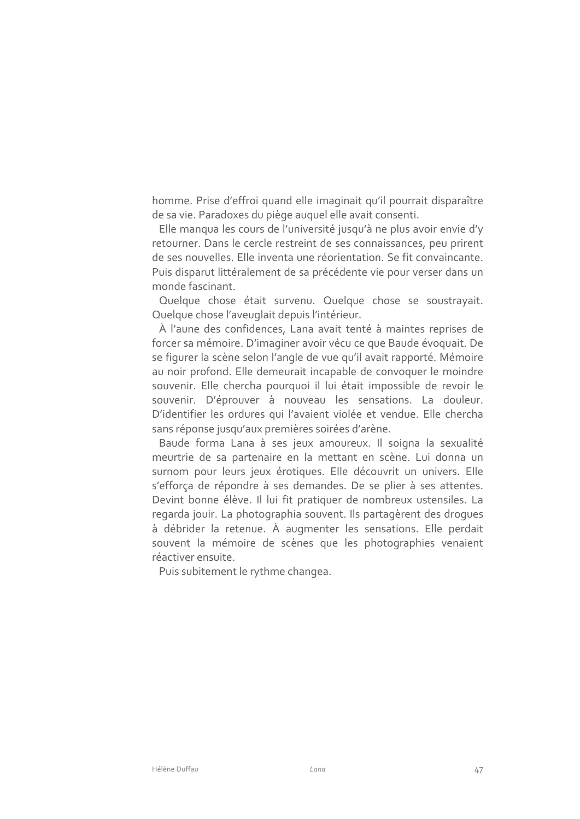homme. Prise d'effroi quand elle imaginait qu'il pourrait disparaître de sa vie. Paradoxes du piège auquel elle avait consenti.

Elle manqua les cours de l'université jusqu'à ne plus avoir envie d'y retourner. Dans le cercle restreint de ses connaissances, peu prirent de ses nouvelles. Elle inventa une réorientation. Se fit convaincante. Puis disparut littéralement de sa précédente vie pour verser dans un monde fascinant.

Quelque chose était survenu. Quelque chose se soustrayait. Quelque chose l'aveuglait depuis l'intérieur.

À l'aune des confidences, Lana avait tenté à maintes reprises de forcer sa mémoire. D'imaginer avoir vécu ce que Baude évoquait. De se figurer la scène selon l'angle de vue qu'il avait rapporté. Mémoire au noir profond. Elle demeurait incapable de convoquer le moindre souvenir. Elle chercha pourquoi il lui était impossible de revoir le souvenir. D'éprouver à nouveau les sensations. La douleur. D'identifier les ordures qui l'avaient violée et vendue. Elle chercha sans réponse jusqu'aux premières soirées d'arène.

Baude forma Lana à ses jeux amoureux. Il soigna la sexualité meurtrie de sa partenaire en la mettant en scène. Lui donna un surnom pour leurs jeux érotiques. Elle découvrit un univers. Elle s'efforca de répondre à ses demandes. De se plier à ses attentes. Devint bonne élève. Il lui fit pratiquer de nombreux ustensiles. La regarda jouir. La photographia souvent. Ils partagèrent des droques à débrider la retenue. À augmenter les sensations. Elle perdait souvent la mémoire de scènes que les photographies venaient réactiver ensuite.

Puis subitement le rythme changea.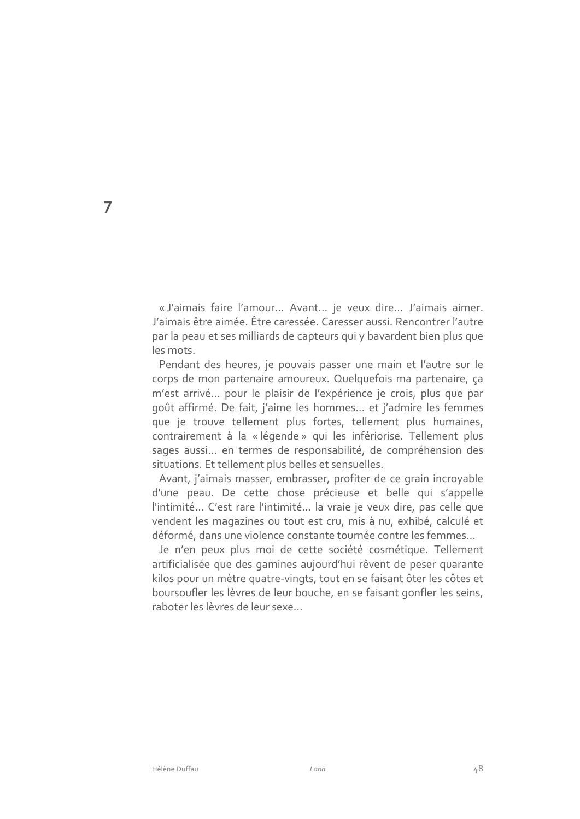« J'aimais faire l'amour... Avant... je veux dire... J'aimais aimer. J'aimais être aimée. Être caressée. Caresser aussi. Rencontrer l'autre par la peau et ses milliards de capteurs qui y bavardent bien plus que les mots.

Pendant des heures, je pouvais passer une main et l'autre sur le corps de mon partenaire amoureux. Quelquefois ma partenaire, ça m'est arrivé... pour le plaisir de l'expérience je crois, plus que par goût affirmé. De fait, j'aime les hommes... et j'admire les femmes que je trouve tellement plus fortes, tellement plus humaines, contrairement à la « légende » qui les infériorise. Tellement plus sages aussi... en termes de responsabilité, de compréhension des situations. Et tellement plus belles et sensuelles.

Avant, j'aimais masser, embrasser, profiter de ce grain incroyable d'une peau. De cette chose précieuse et belle qui s'appelle l'intimité... C'est rare l'intimité... la vraie je veux dire, pas celle que vendent les magazines ou tout est cru, mis à nu, exhibé, calculé et déformé, dans une violence constante tournée contre les femmes...

Je n'en peux plus moi de cette société cosmétique. Tellement artificialisée que des gamines aujourd'hui rêvent de peser quarante kilos pour un mètre quatre-vingts, tout en se faisant ôter les côtes et boursoufler les lèvres de leur bouche, en se faisant gonfler les seins, raboter les lèvres de leur sexe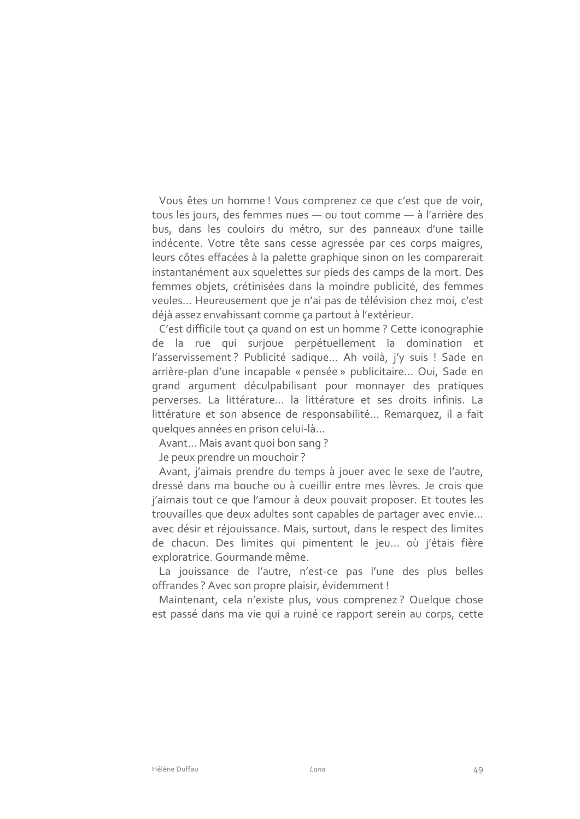Vous êtes un homme ! Vous comprenez ce que c'est que de voir, tous les jours, des femmes nues - ou tout comme - à l'arrière des bus, dans les couloirs du métro, sur des panneaux d'une taille indécente. Votre tête sans cesse agressée par ces corps maigres, leurs côtes effacées à la palette graphique sinon on les comparerait instantanément aux squelettes sur pieds des camps de la mort. Des femmes objets, crétinisées dans la moindre publicité, des femmes veules... Heureusement que je n'ai pas de télévision chez moi, c'est déjà assez envahissant comme ça partout à l'extérieur.

C'est difficile tout ça quand on est un homme ? Cette iconographie de la rue qui surjoue perpétuellement la domination et l'asservissement ? Publicité sadique... Ah voilà, i'v suis ! Sade en arrière-plan d'une incapable « pensée » publicitaire ... Oui, Sade en grand argument déculpabilisant pour monnayer des pratiques perverses. La littérature... la littérature et ses droits infinis. La littérature et son absence de responsabilité... Remarquez, il a fait quelques années en prison celui-là...

Avant... Mais avant quoi bon sang?

Je peux prendre un mouchoir?

Avant, j'aimais prendre du temps à jouer avec le sexe de l'autre, dressé dans ma bouche ou à cueillir entre mes lèvres. Je crois que j'aimais tout ce que l'amour à deux pouvait proposer. Et toutes les trouvailles que deux adultes sont capables de partager avec envie... avec désir et réjouissance. Mais, surtout, dans le respect des limites de chacun. Des limites qui pimentent le jeu... où j'étais fière exploratrice. Gourmande même.

La jouissance de l'autre, n'est-ce pas l'une des plus belles offrandes ? Avec son propre plaisir, évidemment !

Maintenant, cela n'existe plus, vous comprenez? Quelque chose est passé dans ma vie qui a ruiné ce rapport serein au corps, cette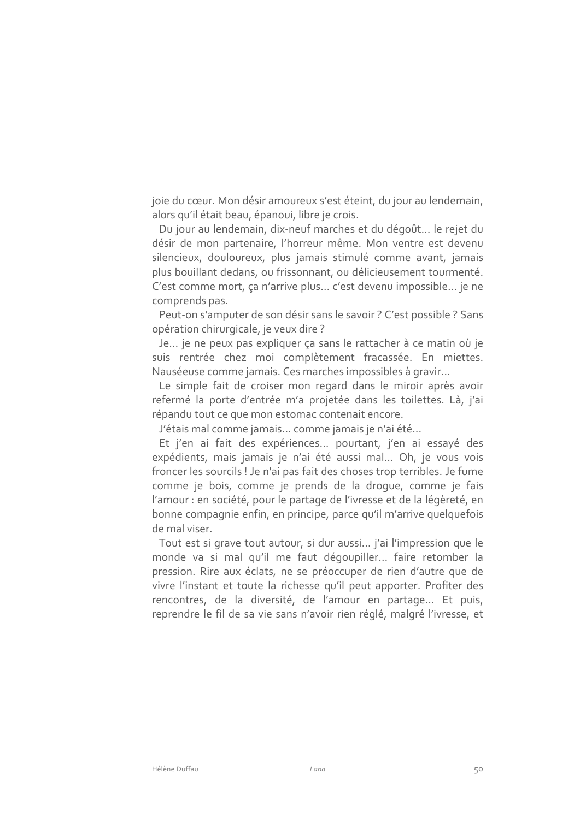joie du cœur. Mon désir amoureux s'est éteint, du jour au lendemain, alors qu'il était beau, épanoui, libre je crois.

Du jour au lendemain, dix-neuf marches et du dégoût... le rejet du désir de mon partenaire, l'horreur même. Mon ventre est devenu silencieux, douloureux, plus jamais stimulé comme avant, jamais plus bouillant dedans, ou frissonnant, ou délicieusement tourmenté. C'est comme mort, ça n'arrive plus... c'est devenu impossible... je ne comprends pas.

Peut-on s'amputer de son désir sans le savoir ? C'est possible ? Sans opération chirurgicale, je veux dire ?

Je... je ne peux pas expliquer ça sans le rattacher à ce matin où je suis rentrée chez moi complètement fracassée. En miettes. Nauséeuse comme jamais. Ces marches impossibles à gravir...

Le simple fait de croiser mon regard dans le miroir après avoir refermé la porte d'entrée m'a projetée dans les toilettes. Là, j'ai répandu tout ce que mon estomac contenait encore.

J'étais mal comme jamais... comme jamais je n'ai été...

Et j'en ai fait des expériences... pourtant, j'en ai essayé des expédients, mais jamais je n'ai été aussi mal... Oh, je vous vois froncer les sourcils ! Je n'ai pas fait des choses trop terribles. Je fume comme je bois, comme je prends de la droque, comme je fais l'amour : en société, pour le partage de l'ivresse et de la légèreté, en bonne compagnie enfin, en principe, parce qu'il m'arrive quelquefois de mal viser.

Tout est si grave tout autour, si dur aussi... j'ai l'impression que le monde va si mal qu'il me faut dégoupiller... faire retomber la pression. Rire aux éclats, ne se préoccuper de rien d'autre que de vivre l'instant et toute la richesse qu'il peut apporter. Profiter des rencontres, de la diversité, de l'amour en partage... Et puis, reprendre le fil de sa vie sans n'avoir rien réglé, malgré l'ivresse, et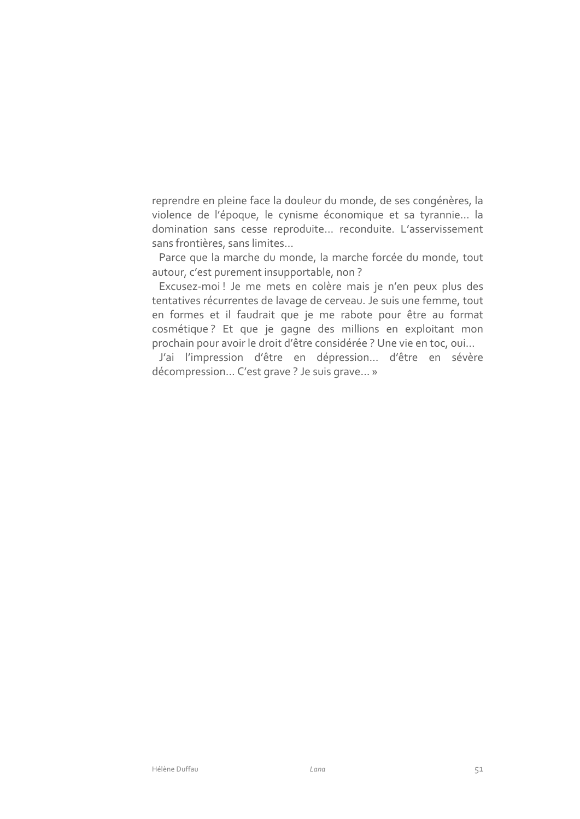reprendre en pleine face la douleur du monde, de ses congénères, la violence de l'époque, le cynisme économique et sa tyrannie... la domination sans cesse reproduite... reconduite. L'asservissement sans frontières, sans limites...

Parce que la marche du monde, la marche forcée du monde, tout autour, c'est purement insupportable, non?

Excusez-moi! Je me mets en colère mais je n'en peux plus des tentatives récurrentes de lavage de cerveau. Je suis une femme, tout en formes et il faudrait que je me rabote pour être au format cosmétique? Et que je gagne des millions en exploitant mon prochain pour avoir le droit d'être considérée ? Une vie en toc, oui...

J'ai l'impression d'être en dépression... d'être en sévère décompression... C'est grave ? Je suis grave... »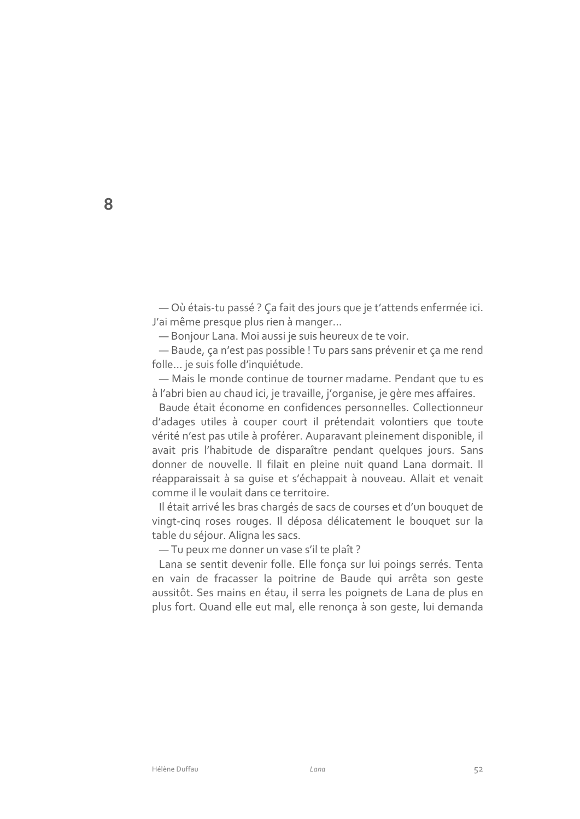- Où étais-tu passé ? Ça fait des jours que je t'attends enfermée ici. J'ai même presque plus rien à manger...

- Bonjour Lana. Moi aussi je suis heureux de te voir.

- Baude, ça n'est pas possible ! Tu pars sans prévenir et ça me rend folle ... je suis folle d'inquiétude.

- Mais le monde continue de tourner madame. Pendant que tu es à l'abri bien au chaud ici, je travaille, j'organise, je gère mes affaires.

Baude était économe en confidences personnelles. Collectionneur d'adages utiles à couper court il prétendait volontiers que toute vérité n'est pas utile à proférer. Auparavant pleinement disponible, il avait pris l'habitude de disparaître pendant quelques jours. Sans donner de nouvelle. Il filait en pleine nuit quand Lana dormait. Il réapparaissait à sa quise et s'échappait à nouveau. Allait et venait comme il le voulait dans ce territoire.

Il était arrivé les bras chargés de sacs de courses et d'un bouquet de vingt-cinq roses rouges. Il déposa délicatement le bouquet sur la table du séjour. Aligna les sacs.

- Tu peux me donner un vase s'il te plaît ?

Lana se sentit devenir folle. Elle fonça sur lui poings serrés. Tenta en vain de fracasser la poitrine de Baude qui arrêta son geste aussitôt. Ses mains en étau, il serra les poignets de Lana de plus en plus fort. Quand elle eut mal, elle renonça à son geste, lui demanda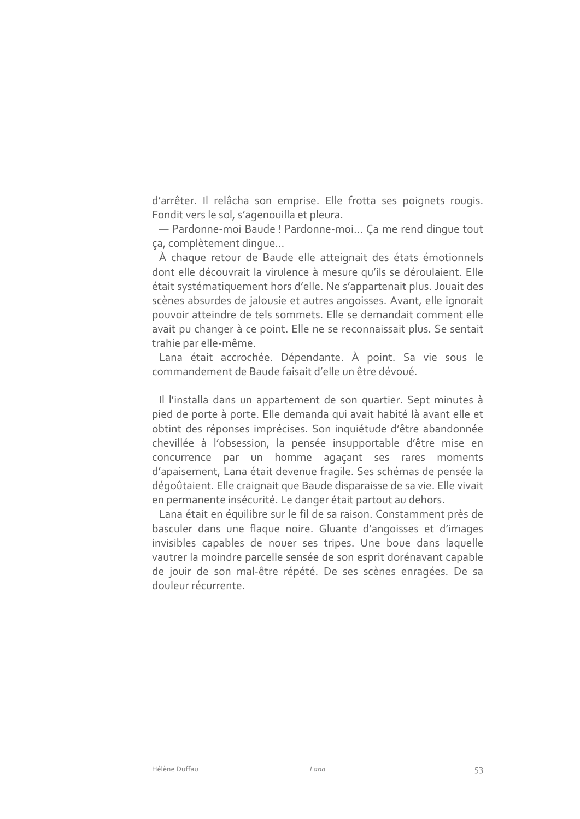d'arrêter. Il relâcha son emprise. Elle frotta ses poignets rougis. Fondit vers le sol, s'agenouilla et pleura.

- Pardonne-moi Baude! Pardonne-moi... Ça me rend dinque tout ça, complètement dinque...

À chaque retour de Baude elle atteignait des états émotionnels dont elle découvrait la virulence à mesure qu'ils se déroulaient. Elle était systématiquement hors d'elle. Ne s'appartenait plus. Jouait des scènes absurdes de jalousie et autres angoisses. Avant, elle ignorait pouvoir atteindre de tels sommets. Elle se demandait comment elle avait pu changer à ce point. Elle ne se reconnaissait plus. Se sentait trahie par elle-même.

Lana était accrochée. Dépendante. À point. Sa vie sous le commandement de Baude faisait d'elle un être dévoué.

Il l'installa dans un appartement de son quartier. Sept minutes à pied de porte à porte. Elle demanda qui avait habité là avant elle et obtint des réponses imprécises. Son inquiétude d'être abandonnée chevillée à l'obsession, la pensée insupportable d'être mise en concurrence par un homme agaçant ses rares moments d'apaisement, Lana était devenue fragile. Ses schémas de pensée la dégoûtaient. Elle craignait que Baude disparaisse de sa vie. Elle vivait en permanente insécurité. Le danger était partout au dehors.

Lana était en équilibre sur le fil de sa raison. Constamment près de basculer dans une flague noire. Gluante d'angoisses et d'images invisibles capables de nouer ses tripes. Une boue dans laquelle vautrer la moindre parcelle sensée de son esprit dorénavant capable de jouir de son mal-être répété. De ses scènes enragées. De sa douleur récurrente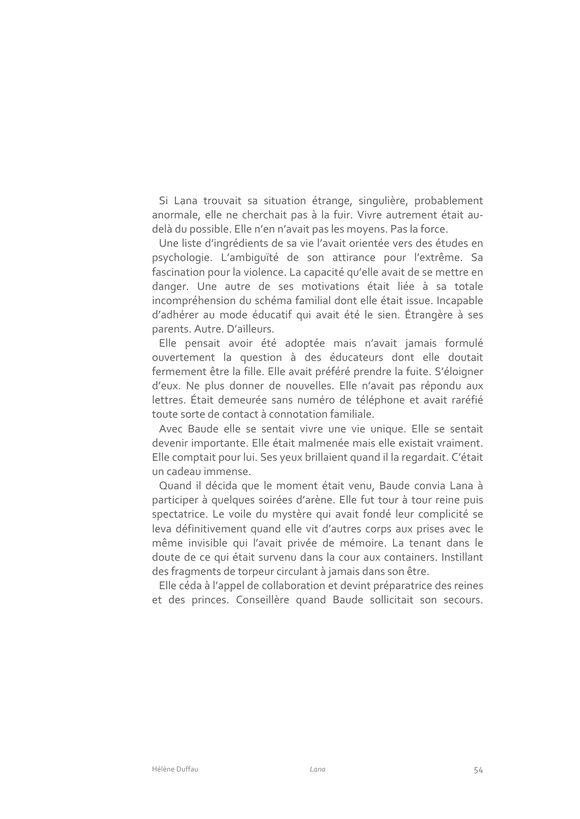Si Lana trouvait sa situation étrange, singulière, probablement anormale, elle ne cherchait pas à la fuir. Vivre autrement était audelà du possible. Elle n'en n'avait pas les moyens. Pas la force.

Une liste d'ingrédients de sa vie l'avait orientée vers des études en psychologie. L'ambiquïté de son attirance pour l'extrême. Sa fascination pour la violence. La capacité qu'elle avait de se mettre en danger. Une autre de ses motivations était liée à sa totale incompréhension du schéma familial dont elle était issue. Incapable d'adhérer au mode éducatif qui avait été le sien. Étrangère à ses parents. Autre. D'ailleurs.

Elle pensait avoir été adoptée mais n'avait jamais formulé ouvertement la question à des éducateurs dont elle doutait fermement être la fille. Elle avait préféré prendre la fuite. S'éloigner d'eux. Ne plus donner de nouvelles. Elle n'avait pas répondu aux lettres. Était demeurée sans numéro de téléphone et avait raréfié toute sorte de contact à connotation familiale.

Avec Baude elle se sentait vivre une vie unique. Elle se sentait devenir importante. Elle était malmenée mais elle existait vraiment. Elle comptait pour lui. Ses yeux brillaient quand il la regardait. C'était un cadeau immense.

Quand il décida que le moment était venu, Baude convia Lana à participer à quelques soirées d'arène. Elle fut tour à tour reine puis spectatrice. Le voile du mystère qui avait fondé leur complicité se leva définitivement quand elle vit d'autres corps aux prises avec le même invisible qui l'avait privée de mémoire. La tenant dans le doute de ce qui était survenu dans la cour aux containers. Instillant des fragments de torpeur circulant à jamais dans son être.

Elle céda à l'appel de collaboration et devint préparatrice des reines et des princes. Conseillère quand Baude sollicitait son secours.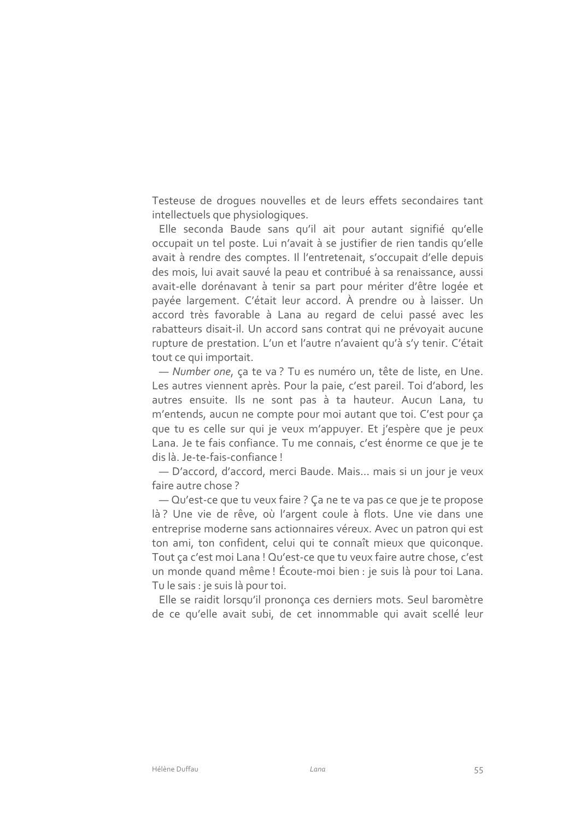Testeuse de droques nouvelles et de leurs effets secondaires tant intellectuels que physiologiques.

Elle seconda Baude sans qu'il ait pour autant signifié qu'elle occupait un tel poste. Lui n'avait à se justifier de rien tandis qu'elle avait à rendre des comptes. Il l'entretenait, s'occupait d'elle depuis des mois, lui avait sauvé la peau et contribué à sa renaissance, aussi avait-elle dorénavant à tenir sa part pour mériter d'être logée et payée largement. C'était leur accord. À prendre ou à laisser. Un accord très favorable à Lana au regard de celui passé avec les rabatteurs disait-il. Un accord sans contrat qui ne prévoyait aucune rupture de prestation. L'un et l'autre n'avaient qu'à s'y tenir. C'était tout ce qui importait.

- Number one, ça te va? Tu es numéro un, tête de liste, en Une. Les autres viennent après. Pour la paie, c'est pareil. Toi d'abord, les autres ensuite. Ils ne sont pas à ta hauteur. Aucun Lana, tu m'entends, aucun ne compte pour moi autant que toi. C'est pour ça que tu es celle sur qui je veux m'appuyer. Et j'espère que je peux Lana. Je te fais confiance. Tu me connais, c'est énorme ce que je te dis là. Je-te-fais-confiance!

- D'accord, d'accord, merci Baude. Mais... mais si un jour je veux faire autre chose?

- Qu'est-ce que tu veux faire ? Ça ne te va pas ce que je te propose là? Une vie de rêve, où l'argent coule à flots. Une vie dans une entreprise moderne sans actionnaires véreux. Avec un patron qui est ton ami, ton confident, celui qui te connaît mieux que quiconque. Tout ça c'est moi Lana ! Qu'est-ce que tu veux faire autre chose, c'est un monde quand même ! Écoute-moi bien : je suis là pour toi Lana. Tu le sais : je suis là pour toi.

Elle se raidit lorsqu'il prononça ces derniers mots. Seul baromètre de ce qu'elle avait subi, de cet innommable qui avait scellé leur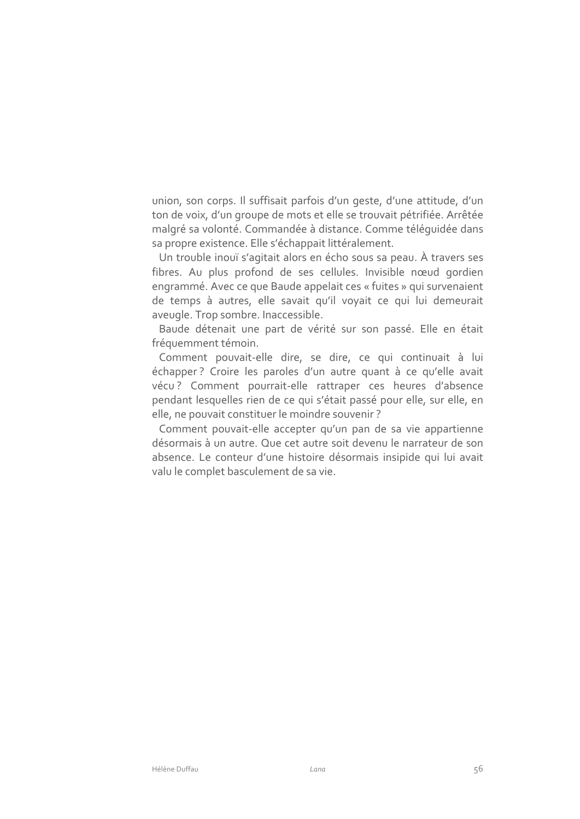union, son corps. Il suffisait parfois d'un geste, d'une attitude, d'un ton de voix, d'un groupe de mots et elle se trouvait pétrifiée. Arrêtée malgré sa volonté. Commandée à distance. Comme téléquidée dans sa propre existence. Elle s'échappait littéralement.

Un trouble inouï s'agitait alors en écho sous sa peau. À travers ses fibres. Au plus profond de ses cellules. Invisible nœud gordien engrammé. Avec ce que Baude appelait ces « fuites » qui survenaient de temps à autres, elle savait qu'il voyait ce qui lui demeurait aveugle. Trop sombre. Inaccessible.

Baude détenait une part de vérité sur son passé. Elle en était fréquemment témoin.

Comment pouvait-elle dire, se dire, ce qui continuait à lui échapper? Croire les paroles d'un autre quant à ce qu'elle avait vécu? Comment pourrait-elle rattraper ces heures d'absence pendant lesquelles rien de ce qui s'était passé pour elle, sur elle, en elle, ne pouvait constituer le moindre souvenir?

Comment pouvait-elle accepter qu'un pan de sa vie appartienne désormais à un autre. Que cet autre soit devenu le narrateur de son absence. Le conteur d'une histoire désormais insipide qui lui avait valu le complet basculement de sa vie.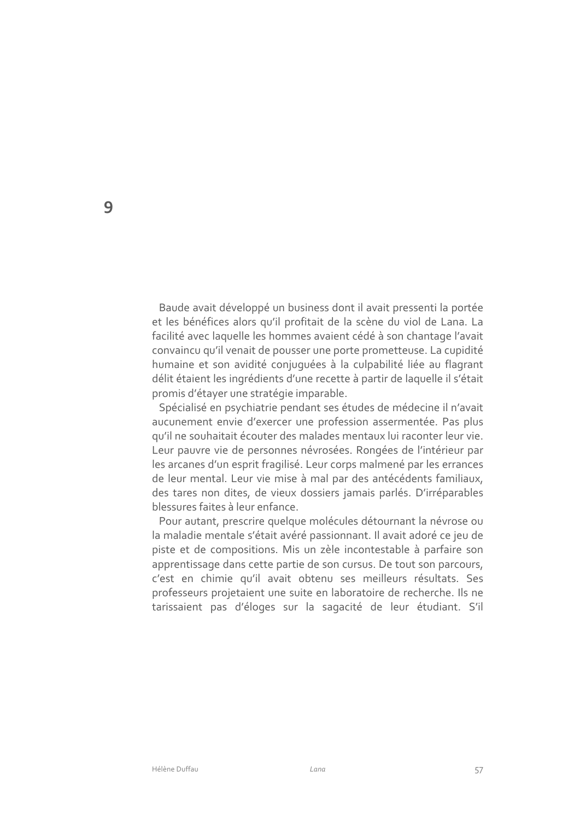Baude avait développé un business dont il avait pressenti la portée et les bénéfices alors qu'il profitait de la scène du viol de Lana. La facilité avec laquelle les hommes avaient cédé à son chantage l'avait convaincu qu'il venait de pousser une porte prometteuse. La cupidité humaine et son avidité conjuguées à la culpabilité liée au flagrant délit étaient les ingrédients d'une recette à partir de laquelle il s'était promis d'étayer une stratégie imparable.

Spécialisé en psychiatrie pendant ses études de médecine il n'avait aucunement envie d'exercer une profession assermentée. Pas plus qu'il ne souhaitait écouter des malades mentaux lui raconter leur vie. Leur pauvre vie de personnes névrosées. Rongées de l'intérieur par les arcanes d'un esprit fragilisé. Leur corps malmené par les errances de leur mental. Leur vie mise à mal par des antécédents familiaux, des tares non dites, de vieux dossiers jamais parlés. D'irréparables blessures faites à leur enfance.

Pour autant, prescrire quelque molécules détournant la névrose ou la maladie mentale s'était avéré passionnant. Il avait adoré ce jeu de piste et de compositions. Mis un zèle incontestable à parfaire son apprentissage dans cette partie de son cursus. De tout son parcours, c'est en chimie qu'il avait obtenu ses meilleurs résultats. Ses professeurs projetaient une suite en laboratoire de recherche. Ils ne tarissaient pas d'éloges sur la sagacité de leur étudiant. S'il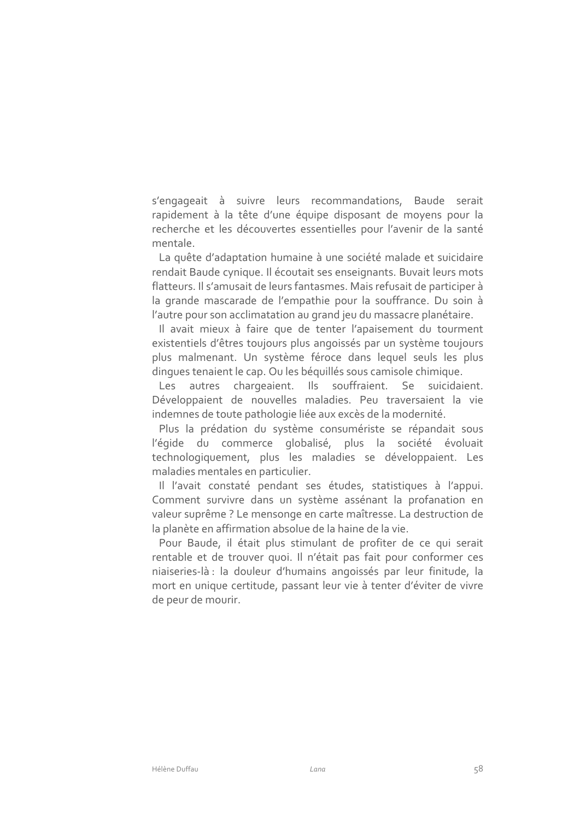s'engageait à suivre leurs recommandations, Baude serait rapidement à la tête d'une équipe disposant de moyens pour la recherche et les découvertes essentielles pour l'avenir de la santé mentale

La quête d'adaptation humaine à une société malade et suicidaire rendait Baude cynique. Il écoutait ses enseignants. Buvait leurs mots flatteurs. Il s'amusait de leurs fantasmes. Mais refusait de participer à la grande mascarade de l'empathie pour la souffrance. Du soin à l'autre pour son acclimatation au grand jeu du massacre planétaire.

Il avait mieux à faire que de tenter l'apaisement du tourment existentiels d'êtres toujours plus angoissés par un système toujours plus malmenant. Un système féroce dans lequel seuls les plus dingues tenaient le cap. Ou les béquillés sous camisole chimique.

autres chargeaient. Ils souffraient. Se suicidaient. Les Développaient de nouvelles maladies. Peu traversaient la vie indemnes de toute pathologie liée aux excès de la modernité.

Plus la prédation du système consumériste se répandait sous l'égide du commerce globalisé, plus la société évoluait technologiquement, plus les maladies se développaient. Les maladies mentales en particulier.

Il l'avait constaté pendant ses études, statistiques à l'appui. Comment survivre dans un système assénant la profanation en valeur suprême ? Le mensonge en carte maîtresse. La destruction de la planète en affirmation absolue de la haine de la vie.

Pour Baude, il était plus stimulant de profiter de ce qui serait rentable et de trouver quoi. Il n'était pas fait pour conformer ces niaiseries-là : la douleur d'humains angoissés par leur finitude, la mort en unique certitude, passant leur vie à tenter d'éviter de vivre de peur de mourir.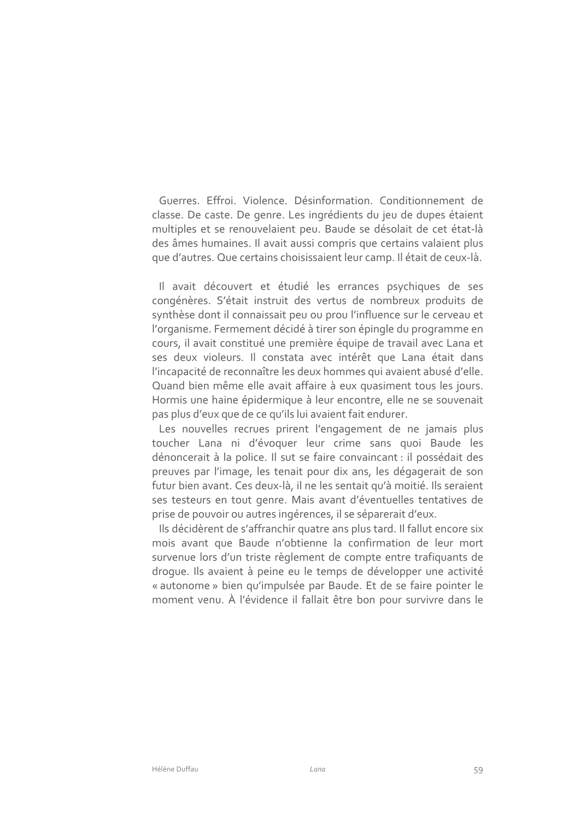Guerres, Effroi, Violence, Désinformation, Conditionnement de classe. De caste. De genre. Les ingrédients du jeu de dupes étaient multiples et se renouvelaient peu. Baude se désolait de cet état-là des âmes humaines. Il avait aussi compris que certains valaient plus que d'autres. Que certains choisissaient leur camp. Il était de ceux-là.

Il avait découvert et étudié les errances psychiques de ses congénères. S'était instruit des vertus de nombreux produits de synthèse dont il connaissait peu ou prou l'influence sur le cerveau et l'organisme. Fermement décidé à tirer son épingle du programme en cours, il avait constitué une première équipe de travail avec Lana et ses deux violeurs. Il constata avec intérêt que Lana était dans l'incapacité de reconnaître les deux hommes qui avaient abusé d'elle. Quand bien même elle avait affaire à eux quasiment tous les jours. Hormis une haine épidermique à leur encontre, elle ne se souvenait pas plus d'eux que de ce qu'ils lui avaient fait endurer.

Les nouvelles recrues prirent l'engagement de ne jamais plus toucher Lana ni d'évoquer leur crime sans quoi Baude les dénoncerait à la police. Il sut se faire convaincant : il possédait des preuves par l'image, les tenait pour dix ans, les dégagerait de son futur bien avant. Ces deux-là, il ne les sentait qu'à moitié. Ils seraient ses testeurs en tout genre. Mais avant d'éventuelles tentatives de prise de pouvoir ou autres ingérences, il se séparerait d'eux.

Ils décidèrent de s'affranchir quatre ans plus tard. Il fallut encore six mois avant que Baude n'obtienne la confirmation de leur mort survenue lors d'un triste règlement de compte entre trafiquants de droque. Ils avaient à peine eu le temps de développer une activité « autonome » bien qu'impulsée par Baude. Et de se faire pointer le moment venu. À l'évidence il fallait être bon pour survivre dans le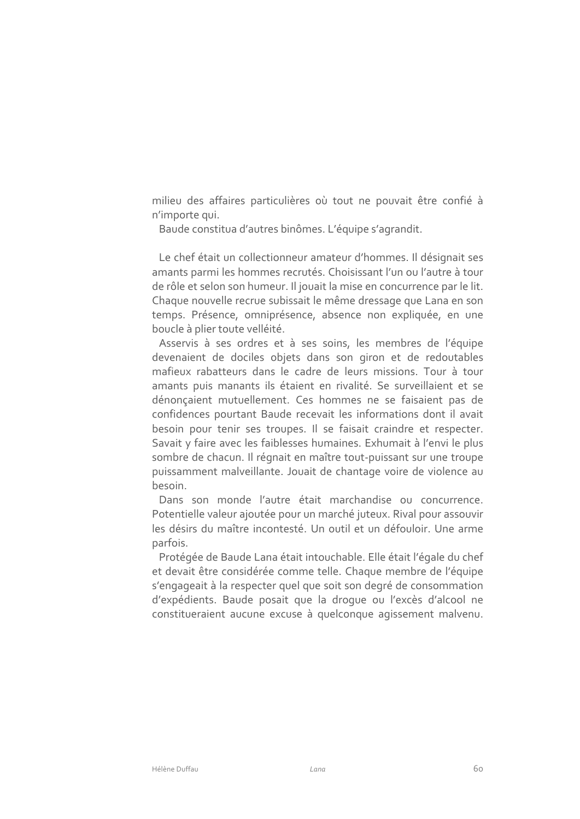milieu des affaires particulières où tout ne pouvait être confié à n'importe qui.

Baude constitua d'autres binômes. L'équipe s'agrandit.

Le chef était un collectionneur amateur d'hommes. Il désignait ses amants parmi les hommes recrutés. Choisissant l'un ou l'autre à tour de rôle et selon son humeur. Il jouait la mise en concurrence par le lit. Chaque nouvelle recrue subissait le même dressage que Lana en son temps. Présence, omniprésence, absence non expliquée, en une boucle à plier toute velléité.

Asservis à ses ordres et à ses soins, les membres de l'équipe devenaient de dociles objets dans son giron et de redoutables mafieux rabatteurs dans le cadre de leurs missions. Tour à tour amants puis manants ils étaient en rivalité. Se surveillaient et se dénonçaient mutuellement. Ces hommes ne se faisaient pas de confidences pourtant Baude recevait les informations dont il avait besoin pour tenir ses troupes. Il se faisait craindre et respecter. Savait y faire avec les faiblesses humaines. Exhumait à l'envi le plus sombre de chacun. Il régnait en maître tout-puissant sur une troupe puissamment malveillante. Jouait de chantage voire de violence au hesoin

Dans son monde l'autre était marchandise ou concurrence. Potentielle valeur ajoutée pour un marché juteux. Rival pour assouvir les désirs du maître incontesté. Un outil et un défouloir. Une arme parfois.

Protégée de Baude Lana était intouchable. Elle était l'égale du chef et devait être considérée comme telle. Chaque membre de l'équipe s'engageait à la respecter quel que soit son degré de consommation d'expédients. Baude posait que la droque ou l'excès d'alcool ne constitueraient aucune excuse à quelconque agissement malvenu.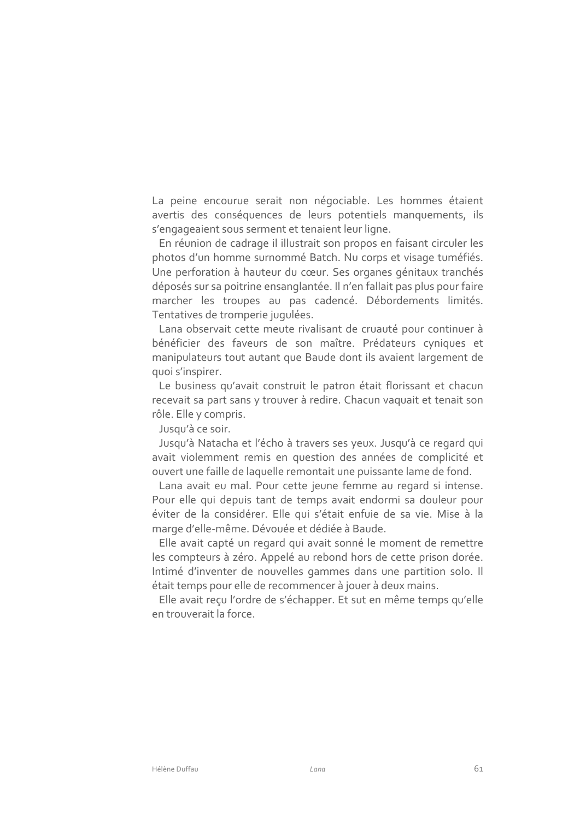La peine encourue serait non négociable. Les hommes étaient avertis des conséquences de leurs potentiels manquements, ils s'engageaient sous serment et tenaient leur ligne.

En réunion de cadrage il illustrait son propos en faisant circuler les photos d'un homme surnommé Batch. Nu corps et visage tuméfiés. Une perforation à hauteur du cœur. Ses organes génitaux tranchés déposés sur sa poitrine ensanglantée. Il n'en fallait pas plus pour faire marcher les troupes au pas cadencé. Débordements limités. Tentatives de tromperie jugulées.

Lana observait cette meute rivalisant de cruauté pour continuer à bénéficier des faveurs de son maître. Prédateurs cyniques et manipulateurs tout autant que Baude dont ils avaient largement de quoi s'inspirer.

Le business qu'avait construit le patron était florissant et chacun recevait sa part sans y trouver à redire. Chacun vaquait et tenait son rôle. Elle y compris.

Jusqu'à ce soir.

Jusqu'à Natacha et l'écho à travers ses yeux. Jusqu'à ce regard qui avait violemment remis en question des années de complicité et ouvert une faille de laquelle remontait une puissante lame de fond.

Lana avait eu mal. Pour cette jeune femme au regard si intense. Pour elle qui depuis tant de temps avait endormi sa douleur pour éviter de la considérer. Elle qui s'était enfuie de sa vie. Mise à la marge d'elle-même. Dévouée et dédiée à Baude.

Elle avait capté un regard qui avait sonné le moment de remettre les compteurs à zéro. Appelé au rebond hors de cette prison dorée. Intimé d'inventer de nouvelles gammes dans une partition solo. Il était temps pour elle de recommencer à jouer à deux mains.

Elle avait reçu l'ordre de s'échapper. Et sut en même temps qu'elle en trouverait la force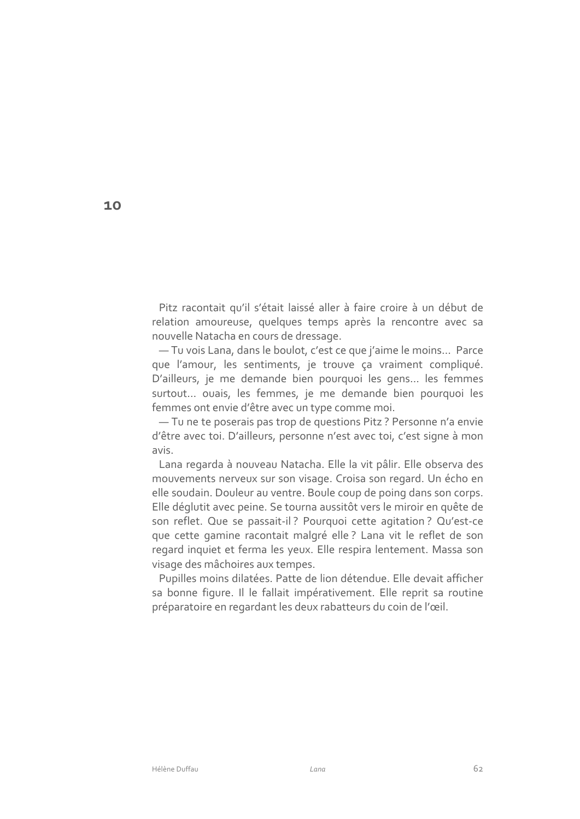Pitz racontait qu'il s'était laissé aller à faire croire à un début de relation amoureuse, quelques temps après la rencontre avec sa nouvelle Natacha en cours de dressage.

- Tu vois Lana, dans le boulot, c'est ce que j'aime le moins... Parce que l'amour, les sentiments, je trouve ça vraiment compliqué. D'ailleurs, je me demande bien pourquoi les gens... les femmes surtout... ouais, les femmes, je me demande bien pourquoi les femmes ont envie d'être avec un type comme moi.

- Tu ne te poserais pas trop de questions Pitz ? Personne n'a envie d'être avec toi. D'ailleurs, personne n'est avec toi, c'est signe à mon avis.

Lana regarda à nouveau Natacha. Elle la vit pâlir. Elle observa des mouvements nerveux sur son visage. Croisa son regard. Un écho en elle soudain. Douleur au ventre. Boule coup de poing dans son corps. Elle déglutit avec peine. Se tourna aussitôt vers le miroir en quête de son reflet. Que se passait-il? Pourquoi cette agitation? Qu'est-ce que cette gamine racontait malgré elle ? Lana vit le reflet de son regard inquiet et ferma les yeux. Elle respira lentement. Massa son visage des mâchoires aux tempes.

Pupilles moins dilatées. Patte de lion détendue. Elle devait afficher sa bonne figure. Il le fallait impérativement. Elle reprit sa routine préparatoire en regardant les deux rabatteurs du coin de l'œil.

10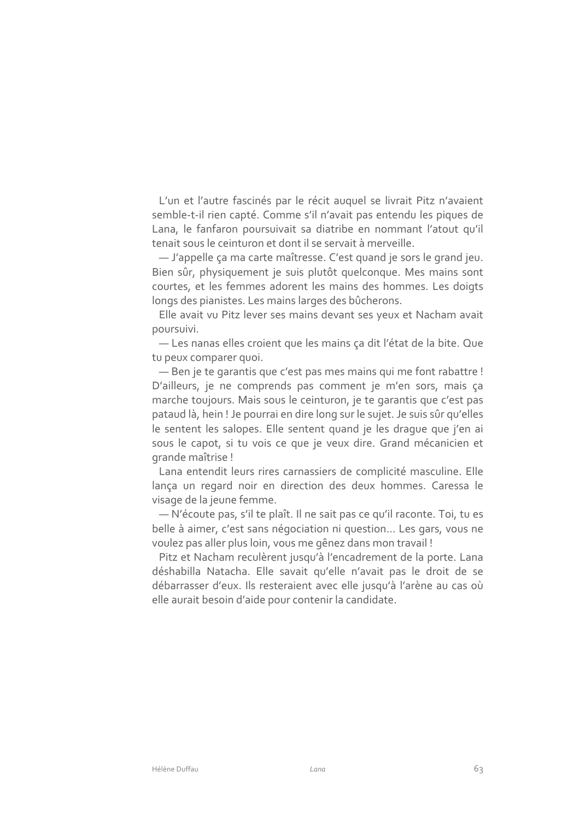L'un et l'autre fascinés par le récit auquel se livrait Pitz n'avaient semble-t-il rien capté. Comme s'il n'avait pas entendu les piques de Lana, le fanfaron poursuivait sa diatribe en nommant l'atout qu'il tenait sous le ceinturon et dont il se servait à merveille.

- J'appelle ça ma carte maîtresse. C'est quand je sors le grand jeu. Bien sûr, physiquement je suis plutôt quelconque. Mes mains sont courtes, et les femmes adorent les mains des hommes. Les doigts longs des pianistes. Les mains larges des bûcherons.

Elle avait vu Pitz lever ses mains devant ses yeux et Nacham avait poursuivi.

- Les nanas elles croient que les mains ça dit l'état de la bite. Que tu peux comparer quoi.

- Ben je te garantis que c'est pas mes mains qui me font rabattre ! D'ailleurs, je ne comprends pas comment je m'en sors, mais ça marche toujours. Mais sous le ceinturon, je te garantis que c'est pas pataud là, hein ! Je pourrai en dire long sur le sujet. Je suis sûr qu'elles le sentent les salopes. Elle sentent quand je les drague que j'en ai sous le capot, si tu vois ce que je veux dire. Grand mécanicien et grande maîtrise !

Lana entendit leurs rires carnassiers de complicité masculine. Elle lança un regard noir en direction des deux hommes. Caressa le visage de la jeune femme.

- N'écoute pas, s'il te plaît. Il ne sait pas ce qu'il raconte. Toi, tu es belle à aimer, c'est sans négociation ni question... Les gars, vous ne voulez pas aller plus loin, vous me gênez dans mon travail !

Pitz et Nacham reculèrent jusqu'à l'encadrement de la porte. Lana déshabilla Natacha. Elle savait qu'elle n'avait pas le droit de se débarrasser d'eux. Ils resteraient avec elle jusqu'à l'arène au cas où elle aurait besoin d'aide pour contenir la candidate.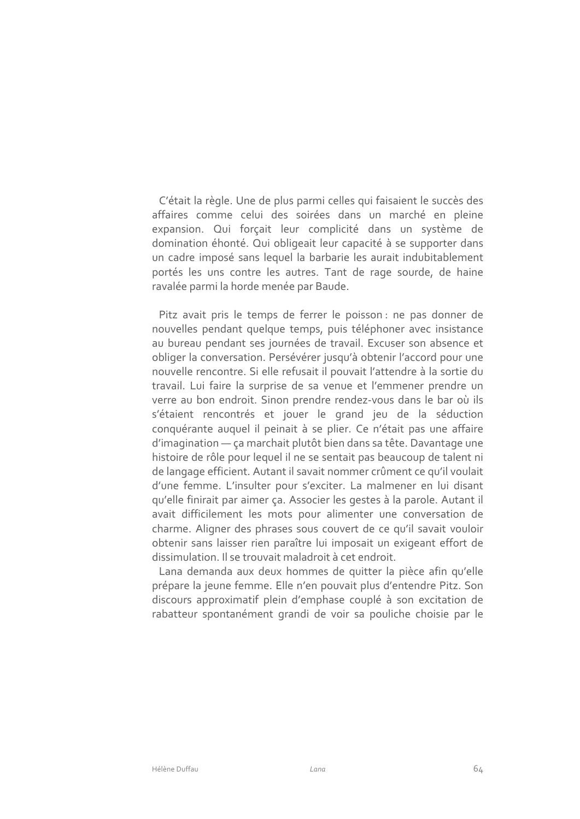C'était la règle. Une de plus parmi celles qui faisaient le succès des affaires comme celui des soirées dans un marché en pleine expansion. Qui forçait leur complicité dans un système de domination éhonté. Qui obligeait leur capacité à se supporter dans un cadre imposé sans lequel la barbarie les aurait indubitablement portés les uns contre les autres. Tant de rage sourde, de haine ravalée parmi la horde menée par Baude.

Pitz avait pris le temps de ferrer le poisson : ne pas donner de nouvelles pendant quelque temps, puis téléphoner avec insistance au bureau pendant ses journées de travail. Excuser son absence et obliger la conversation. Persévérer jusqu'à obtenir l'accord pour une nouvelle rencontre. Si elle refusait il pouvait l'attendre à la sortie du travail. Lui faire la surprise de sa venue et l'emmener prendre un verre au bon endroit. Sinon prendre rendez-vous dans le bar où ils s'étaient rencontrés et jouer le grand jeu de la séduction conquérante auquel il peinait à se plier. Ce n'était pas une affaire d'imagination - ça marchait plutôt bien dans sa tête. Davantage une histoire de rôle pour lequel il ne se sentait pas beaucoup de talent ni de langage efficient. Autant il savait nommer crûment ce qu'il voulait d'une femme. L'insulter pour s'exciter. La malmener en lui disant qu'elle finirait par aimer ça. Associer les gestes à la parole. Autant il avait difficilement les mots pour alimenter une conversation de charme. Aligner des phrases sous couvert de ce qu'il savait vouloir obtenir sans laisser rien paraître lui imposait un exigeant effort de dissimulation. Il se trouvait maladroit à cet endroit.

Lana demanda aux deux hommes de quitter la pièce afin qu'elle prépare la jeune femme. Elle n'en pouvait plus d'entendre Pitz. Son discours approximatif plein d'emphase couplé à son excitation de rabatteur spontanément grandi de voir sa pouliche choisie par le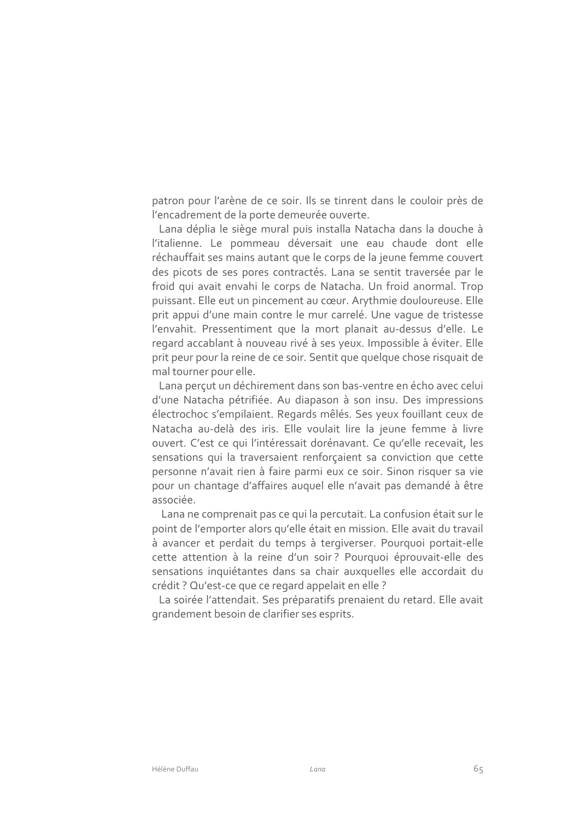patron pour l'arène de ce soir. Ils se tinrent dans le couloir près de l'encadrement de la porte demeurée ouverte.

Lana déplia le siège mural puis installa Natacha dans la douche à l'italienne. Le pommeau déversait une eau chaude dont elle réchauffait ses mains autant que le corps de la jeune femme couvert des picots de ses pores contractés. Lana se sentit traversée par le froid qui avait envahi le corps de Natacha. Un froid anormal. Trop puissant. Elle eut un pincement au cœur. Arythmie douloureuse. Elle prit appui d'une main contre le mur carrelé. Une vaque de tristesse l'envahit. Pressentiment que la mort planait au-dessus d'elle. Le regard accablant à nouveau rivé à ses yeux. Impossible à éviter. Elle prit peur pour la reine de ce soir. Sentit que quelque chose risquait de mal tourner pour elle.

Lana perçut un déchirement dans son bas-ventre en écho avec celui d'une Natacha pétrifiée. Au diapason à son insu. Des impressions électrochoc s'empilaient. Regards mêlés. Ses yeux fouillant ceux de Natacha au-delà des iris. Elle voulait lire la jeune femme à livre ouvert. C'est ce qui l'intéressait dorénavant. Ce qu'elle recevait, les sensations qui la traversaient renforçaient sa conviction que cette personne n'avait rien à faire parmi eux ce soir. Sinon risquer sa vie pour un chantage d'affaires auquel elle n'avait pas demandé à être associée.

Lana ne comprenait pas ce qui la percutait. La confusion était sur le point de l'emporter alors qu'elle était en mission. Elle avait du travail à avancer et perdait du temps à tergiverser. Pourquoi portait-elle cette attention à la reine d'un soir? Pourquoi éprouvait-elle des sensations inquiétantes dans sa chair auxquelles elle accordait du crédit ? Qu'est-ce que ce regard appelait en elle ?

La soirée l'attendait. Ses préparatifs prenaient du retard. Elle avait grandement besoin de clarifier ses esprits.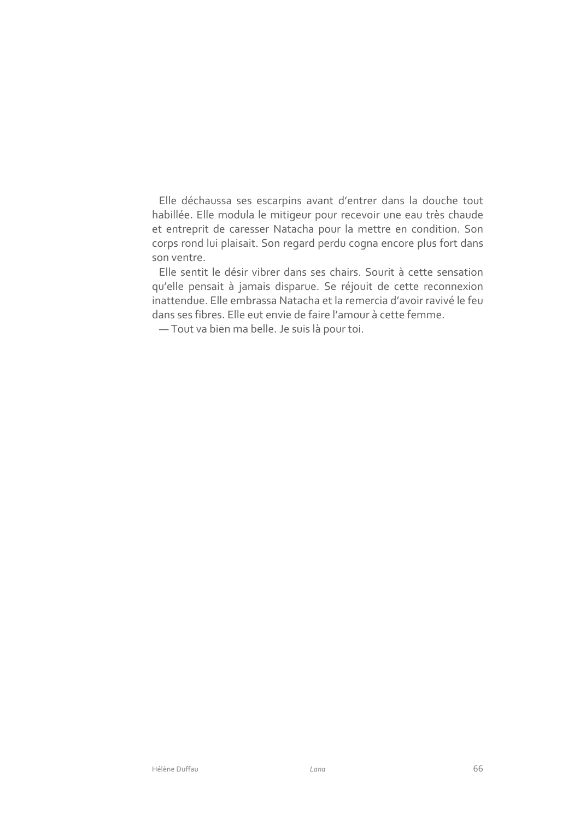Elle déchaussa ses escarpins avant d'entrer dans la douche tout habillée. Elle modula le mitigeur pour recevoir une eau très chaude et entreprit de caresser Natacha pour la mettre en condition. Son corps rond lui plaisait. Son regard perdu cogna encore plus fort dans son ventre.

Elle sentit le désir vibrer dans ses chairs. Sourit à cette sensation qu'elle pensait à jamais disparue. Se réjouit de cette reconnexion inattendue. Elle embrassa Natacha et la remercia d'avoir ravivé le feu dans ses fibres. Elle eut envie de faire l'amour à cette femme.

- Tout va bien ma belle. Je suis là pour toi.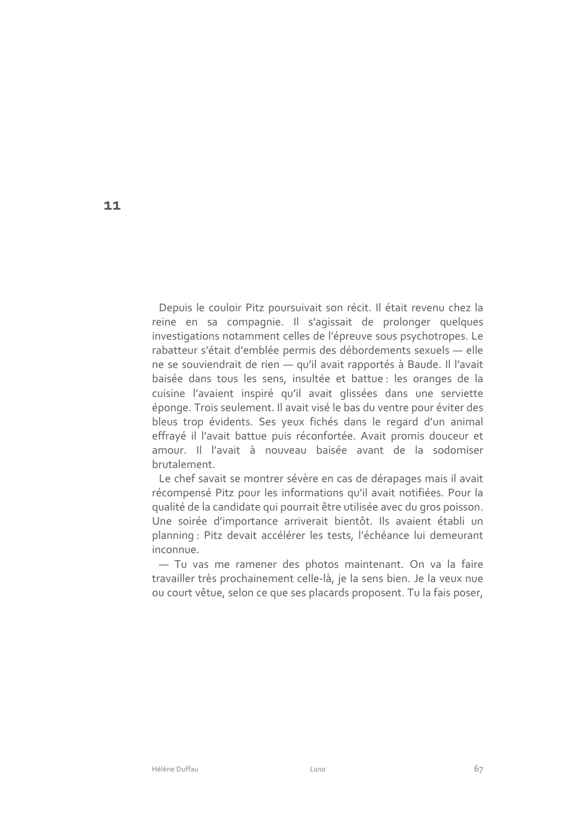Depuis le couloir Pitz poursuivait son récit. Il était revenu chez la reine en sa compagnie. Il s'agissait de prolonger quelques investigations notamment celles de l'épreuve sous psychotropes. Le rabatteur s'était d'emblée permis des débordements sexuels - elle ne se souviendrait de rien - qu'il avait rapportés à Baude. Il l'avait baisée dans tous les sens, insultée et battue : les oranges de la cuisine l'avaient inspiré qu'il avait glissées dans une serviette éponge. Trois seulement. Il avait visé le bas du ventre pour éviter des bleus trop évidents. Ses yeux fichés dans le regard d'un animal effrayé il l'avait battue puis réconfortée. Avait promis douceur et amour. Il l'avait à nouveau baisée avant de la sodomiser brutalement.

Le chef savait se montrer sévère en cas de dérapages mais il avait récompensé Pitz pour les informations qu'il avait notifiées. Pour la qualité de la candidate qui pourrait être utilisée avec du gros poisson. Une soirée d'importance arriverait bientôt. Ils avaient établi un planning : Pitz devait accélérer les tests, l'échéance lui demeurant inconnue

- Tu vas me ramener des photos maintenant. On va la faire travailler très prochainement celle-là, je la sens bien. Je la veux nue ou court vêtue, selon ce que ses placards proposent. Tu la fais poser,

11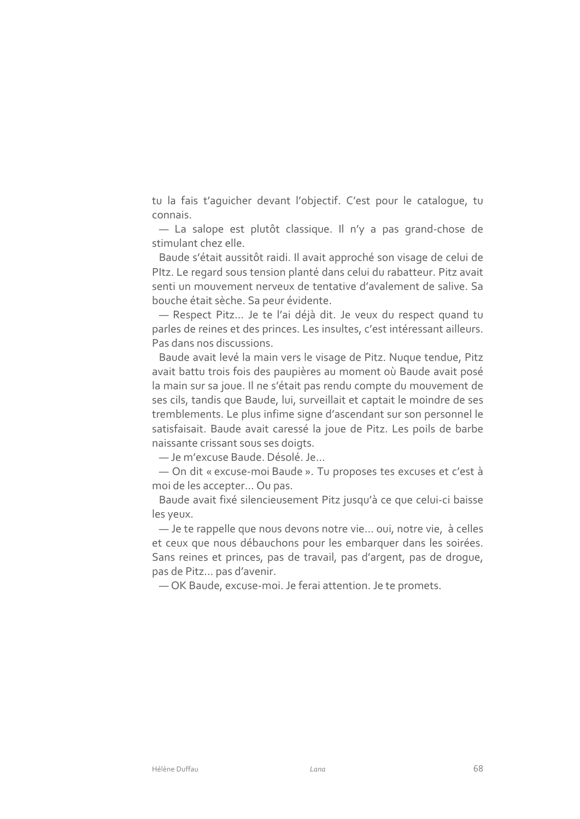tu la fais t'aquicher devant l'objectif. C'est pour le catalogue, tu connais.

- La salope est plutôt classique. Il n'y a pas grand-chose de stimulant chez elle

Baude s'était aussitôt raidi. Il avait approché son visage de celui de Pltz. Le regard sous tension planté dans celui du rabatteur. Pitz avait senti un mouvement nerveux de tentative d'avalement de salive. Sa bouche était sèche. Sa peur évidente.

- Respect Pitz... Je te l'ai déjà dit. Je veux du respect quand tu parles de reines et des princes. Les insultes, c'est intéressant ailleurs. Pas dans nos discussions.

Baude avait levé la main vers le visage de Pitz. Nugue tendue, Pitz avait battu trois fois des paupières au moment où Baude avait posé la main sur sa joue. Il ne s'était pas rendu compte du mouvement de ses cils, tandis que Baude, lui, surveillait et captait le moindre de ses tremblements. Le plus infime signe d'ascendant sur son personnel le satisfaisait. Baude avait caressé la joue de Pitz. Les poils de barbe naissante crissant sous ses doigts.

- Je m'excuse Baude. Désolé. Je...

- On dit « excuse-moi Baude ». Tu proposes tes excuses et c'est à moi de les accepter... Ou pas.

Baude avait fixé silencieusement Pitz jusqu'à ce que celui-ci baisse les yeux.

-Je te rappelle que nous devons notre vie... oui, notre vie, à celles et ceux que nous débauchons pour les embarquer dans les soirées. Sans reines et princes, pas de travail, pas d'argent, pas de drogue, pas de Pitz... pas d'avenir.

-OK Baude, excuse-moi. Je ferai attention. Je te promets.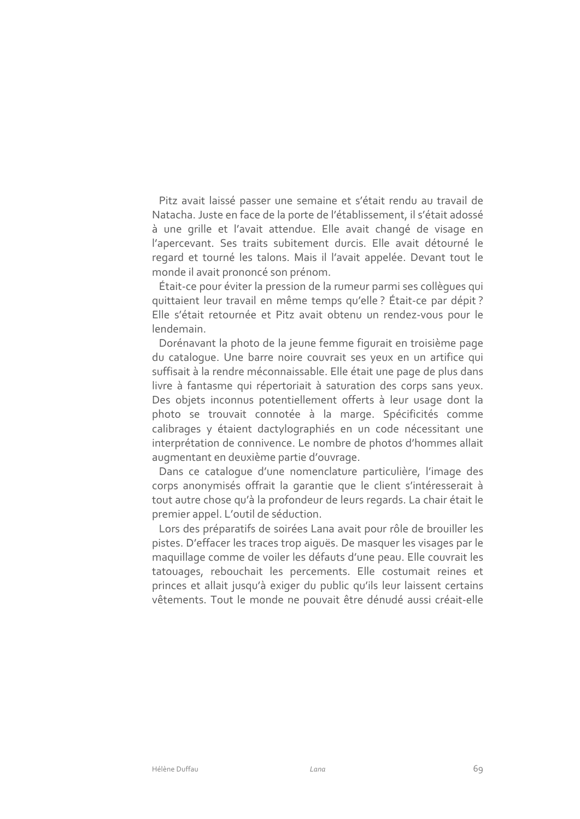Pitz avait laissé passer une semaine et s'était rendu au travail de Natacha. Juste en face de la porte de l'établissement, il s'était adossé à une grille et l'avait attendue. Elle avait changé de visage en l'apercevant. Ses traits subitement durcis. Elle avait détourné le regard et tourné les talons. Mais il l'avait appelée. Devant tout le monde il avait prononcé son prénom.

Était-ce pour éviter la pression de la rumeur parmi ses collègues qui quittaient leur travail en même temps qu'elle ? Était-ce par dépit ? Elle s'était retournée et Pitz avait obtenu un rendez-vous pour le lendemain

Dorénavant la photo de la jeune femme figurait en troisième page du cataloque. Une barre noire couvrait ses yeux en un artifice qui suffisait à la rendre méconnaissable. Elle était une page de plus dans livre à fantasme qui répertoriait à saturation des corps sans yeux. Des objets inconnus potentiellement offerts à leur usage dont la photo se trouvait connotée à la marge. Spécificités comme calibrages y étaient dactylographiés en un code nécessitant une interprétation de connivence. Le nombre de photos d'hommes allait augmentant en deuxième partie d'ouvrage.

Dans ce cataloque d'une nomenclature particulière, l'image des corps anonymisés offrait la garantie que le client s'intéresserait à tout autre chose qu'à la profondeur de leurs regards. La chair était le premier appel. L'outil de séduction.

Lors des préparatifs de soirées Lana avait pour rôle de brouiller les pistes. D'effacer les traces trop aiguës. De masquer les visages par le maquillage comme de voiler les défauts d'une peau. Elle couvrait les tatouages, rebouchait les percements. Elle costumait reines et princes et allait jusqu'à exiger du public qu'ils leur laissent certains vêtements. Tout le monde ne pouvait être dénudé aussi créait-elle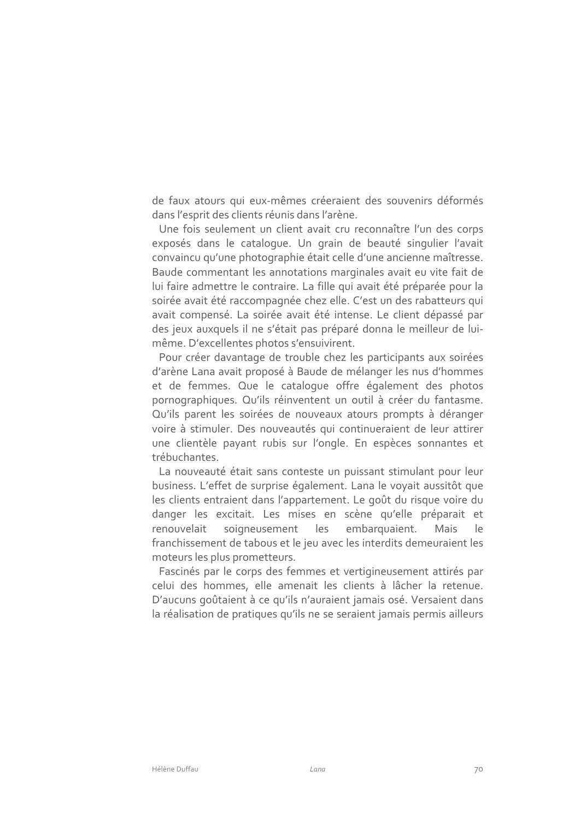de faux atours qui eux-mêmes créeraient des souvenirs déformés dans l'esprit des clients réunis dans l'arène.

Une fois seulement un client avait cru reconnaître l'un des corps exposés dans le cataloque. Un grain de beauté singulier l'avait convaincu qu'une photographie était celle d'une ancienne maîtresse. Baude commentant les annotations marginales avait eu vite fait de lui faire admettre le contraire. La fille qui avait été préparée pour la soirée avait été raccompagnée chez elle. C'est un des rabatteurs qui avait compensé. La soirée avait été intense. Le client dépassé par des jeux auxquels il ne s'était pas préparé donna le meilleur de luimême. D'excellentes photos s'ensuivirent.

Pour créer davantage de trouble chez les participants aux soirées d'arène Lana avait proposé à Baude de mélanger les nus d'hommes et de femmes. Que le cataloque offre également des photos pornographiques. Qu'ils réinventent un outil à créer du fantasme. Qu'ils parent les soirées de nouveaux atours prompts à déranger voire à stimuler. Des nouveautés qui continueraient de leur attirer une clientèle payant rubis sur l'ongle. En espèces sonnantes et trébuchantes

La nouveauté était sans conteste un puissant stimulant pour leur business. L'effet de surprise également. Lana le voyait aussitôt que les clients entraient dans l'appartement. Le goût du risque voire du danger les excitait. Les mises en scène qu'elle préparait et soigneusement  $les$ embarquaient. renouvelait Mais  $| \rho$ franchissement de tabous et le jeu avec les interdits demeuraient les moteurs les plus prometteurs.

Fascinés par le corps des femmes et vertigineusement attirés par celui des hommes, elle amenait les clients à lâcher la retenue. D'aucuns goûtaient à ce qu'ils n'auraient jamais osé. Versaient dans la réalisation de pratiques qu'ils ne se seraient jamais permis ailleurs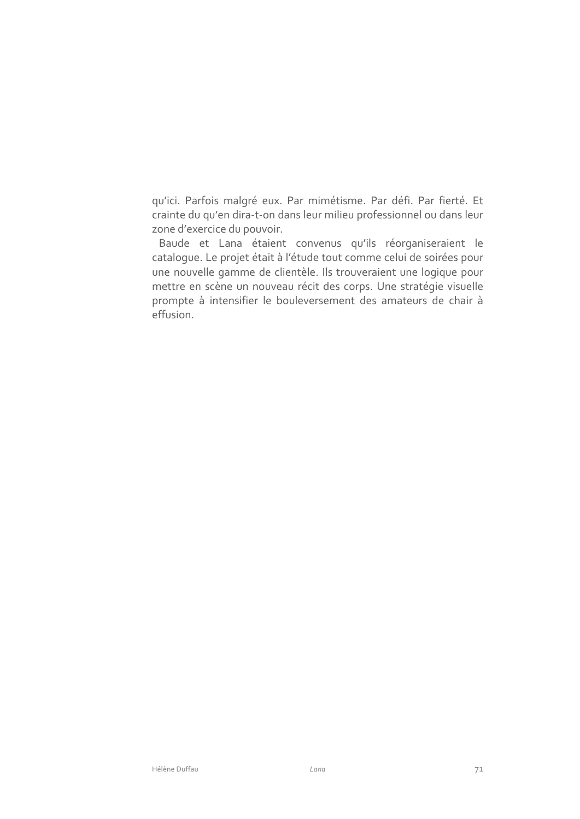qu'ici. Parfois malgré eux. Par mimétisme. Par défi. Par fierté. Et crainte du qu'en dira-t-on dans leur milieu professionnel ou dans leur zone d'exercice du pouvoir.

Baude et Lana étaient convenus qu'ils réorganiseraient le catalogue. Le projet était à l'étude tout comme celui de soirées pour une nouvelle gamme de clientèle. Ils trouveraient une logique pour mettre en scène un nouveau récit des corps. Une stratégie visuelle prompte à intensifier le bouleversement des amateurs de chair à effusion.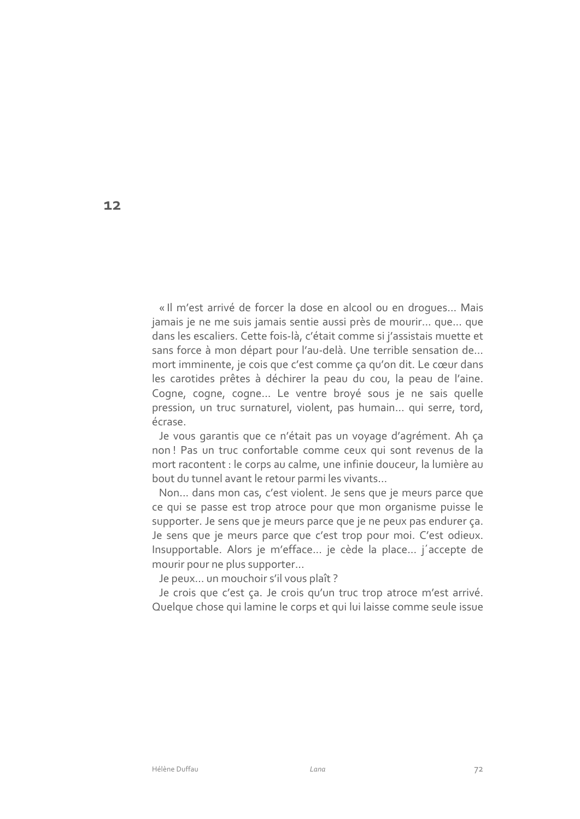« Il m'est arrivé de forcer la dose en alcool ou en droques... Mais jamais je ne me suis jamais sentie aussi près de mourir... que... que dans les escaliers. Cette fois-là, c'était comme si j'assistais muette et sans force à mon départ pour l'au-delà. Une terrible sensation de... mort imminente, je cois que c'est comme ça qu'on dit. Le cœur dans les carotides prêtes à déchirer la peau du cou, la peau de l'aine. Coqne, coqne, coqne... Le ventre broyé sous je ne sais quelle pression, un truc surnaturel, violent, pas humain... qui serre, tord, écrase.

Je vous garantis que ce n'était pas un voyage d'agrément. Ah ça non! Pas un truc confortable comme ceux qui sont revenus de la mort racontent : le corps au calme, une infinie douceur, la lumière au bout du tunnel avant le retour parmi les vivants...

Non... dans mon cas, c'est violent. Je sens que je meurs parce que ce qui se passe est trop atroce pour que mon organisme puisse le supporter. Je sens que je meurs parce que je ne peux pas endurer ça. Je sens que je meurs parce que c'est trop pour moi. C'est odieux. Insupportable. Alors je m'efface... je cède la place... j'accepte de mourir pour ne plus supporter...

Je peux... un mouchoir s'il vous plaît ?

Je crois que c'est ça. Je crois qu'un truc trop atroce m'est arrivé. Quelque chose qui lamine le corps et qui lui laisse comme seule issue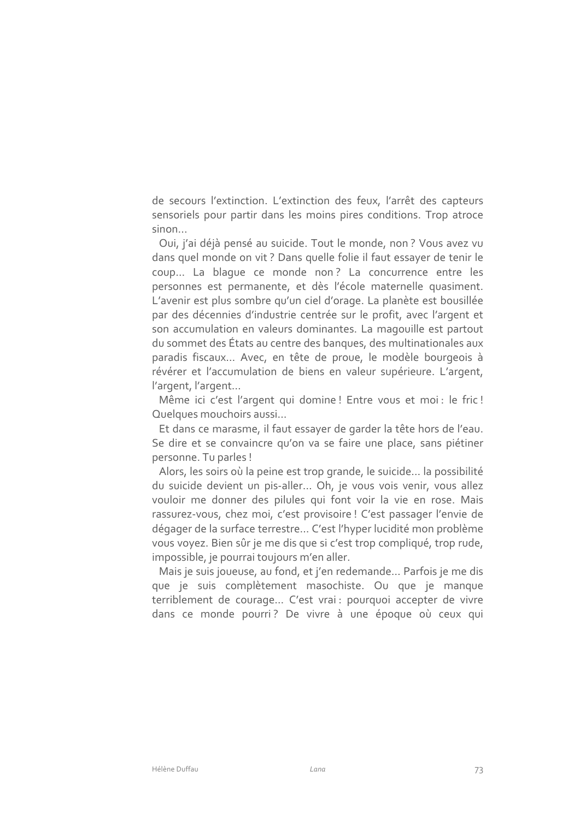de secours l'extinction. L'extinction des feux, l'arrêt des capteurs sensoriels pour partir dans les moins pires conditions. Trop atroce sinon...

Oui, j'ai déjà pensé au suicide. Tout le monde, non? Vous avez vu dans quel monde on vit? Dans quelle folie il faut essayer de tenir le coup... La blaque ce monde non? La concurrence entre les personnes est permanente, et dès l'école maternelle quasiment. L'avenir est plus sombre qu'un ciel d'orage. La planète est bousillée par des décennies d'industrie centrée sur le profit, avec l'argent et son accumulation en valeurs dominantes. La magouille est partout du sommet des États au centre des banques, des multinationales aux paradis fiscaux... Avec, en tête de proue, le modèle bourgeois à révérer et l'accumulation de biens en valeur supérieure. L'argent, l'argent, l'argent...

Même ici c'est l'argent qui domine ! Entre vous et moi : le fric ! Quelques mouchoirs aussi...

Et dans ce marasme, il faut essayer de garder la tête hors de l'eau. Se dire et se convaincre qu'on va se faire une place, sans piétiner personne. Tu parles!

Alors, les soirs où la peine est trop grande, le suicide... la possibilité du suicide devient un pis-aller... Oh, je vous vois venir, vous allez vouloir me donner des pilules qui font voir la vie en rose. Mais rassurez-vous, chez moi, c'est provisoire ! C'est passager l'envie de dégager de la surface terrestre... C'est l'hyper lucidité mon problème vous voyez. Bien sûr je me dis que si c'est trop compliqué, trop rude, impossible, je pourrai toujours m'en aller.

Mais je suis joueuse, au fond, et j'en redemande... Parfois je me dis que je suis complètement masochiste. Ou que je manque terriblement de courage... C'est vrai : pourquoi accepter de vivre dans ce monde pourri? De vivre à une époque où ceux qui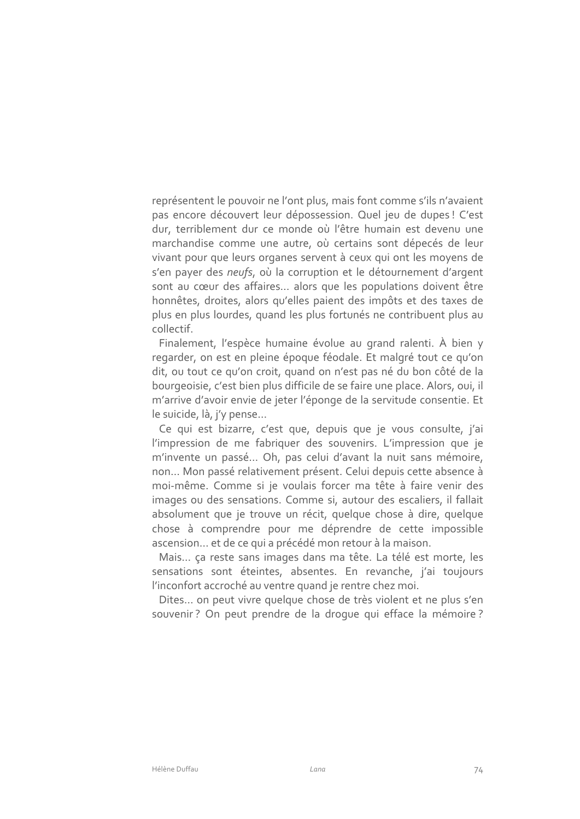représentent le pouvoir ne l'ont plus, mais font comme s'ils n'avaient pas encore découvert leur dépossession. Quel jeu de dupes ! C'est dur, terriblement dur ce monde où l'être humain est devenu une marchandise comme une autre, où certains sont dépecés de leur vivant pour que leurs organes servent à ceux qui ont les moyens de s'en payer des neufs, où la corruption et le détournement d'argent sont au cœur des affaires... alors que les populations doivent être honnêtes, droites, alors qu'elles paient des impôts et des taxes de plus en plus lourdes, quand les plus fortunés ne contribuent plus au collectif

Finalement, l'espèce humaine évolue au grand ralenti. À bien y regarder, on est en pleine époque féodale. Et malgré tout ce qu'on dit, ou tout ce qu'on croit, quand on n'est pas né du bon côté de la bourgeoisie, c'est bien plus difficile de se faire une place. Alors, oui, il m'arrive d'avoir envie de jeter l'éponge de la servitude consentie. Et le suicide, là, j'y pense...

Ce qui est bizarre, c'est que, depuis que je vous consulte, j'ai l'impression de me fabriquer des souvenirs. L'impression que je m'invente un passé... Oh, pas celui d'avant la nuit sans mémoire, non... Mon passé relativement présent. Celui depuis cette absence à moi-même. Comme si je voulais forcer ma tête à faire venir des images ou des sensations. Comme si, autour des escaliers, il fallait absolument que je trouve un récit, quelque chose à dire, quelque chose à comprendre pour me déprendre de cette impossible ascension... et de ce qui a précédé mon retour à la maison.

Mais... ça reste sans images dans ma tête. La télé est morte, les sensations sont éteintes, absentes. En revanche, j'ai toujours l'inconfort accroché au ventre quand je rentre chez moi.

Dites... on peut vivre quelque chose de très violent et ne plus s'en souvenir? On peut prendre de la droque qui efface la mémoire?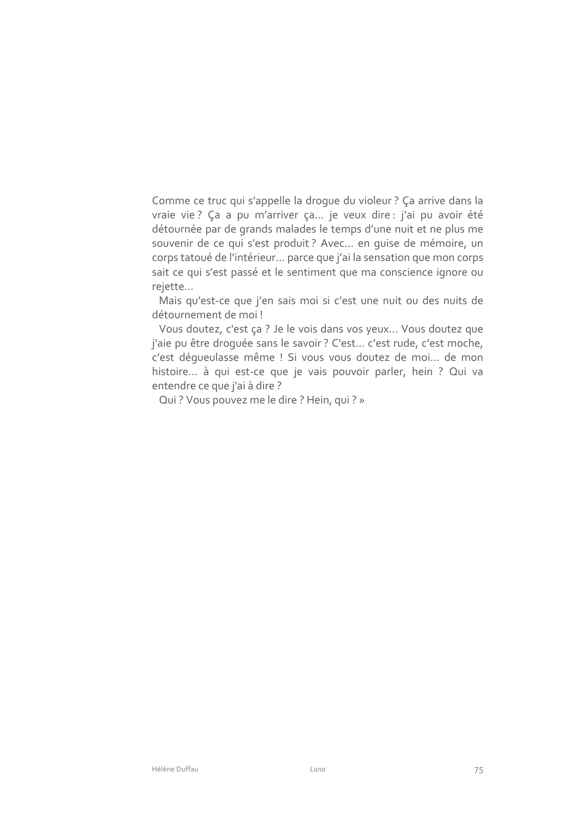Comme ce truc qui s'appelle la droque du violeur ? Ça arrive dans la vraie vie? Ça a pu m'arriver ça ... je veux dire : j'ai pu avoir été détournée par de grands malades le temps d'une nuit et ne plus me souvenir de ce qui s'est produit ? Avec... en quise de mémoire, un corps tatoué de l'intérieur... parce que j'ai la sensation que mon corps sait ce qui s'est passé et le sentiment que ma conscience ignore ou rejette...

Mais qu'est-ce que j'en sais moi si c'est une nuit ou des nuits de détournement de moi!

Vous doutez, c'est ça ? Je le vois dans vos yeux... Vous doutez que j'aie pu être droquée sans le savoir ? C'est... c'est rude, c'est moche, c'est déqueulasse même ! Si vous vous doutez de moi... de mon histoire ... à qui est-ce que je vais pouvoir parler, hein ? Qui va entendre ce que j'ai à dire ?

Qui? Vous pouvez me le dire? Hein, qui? »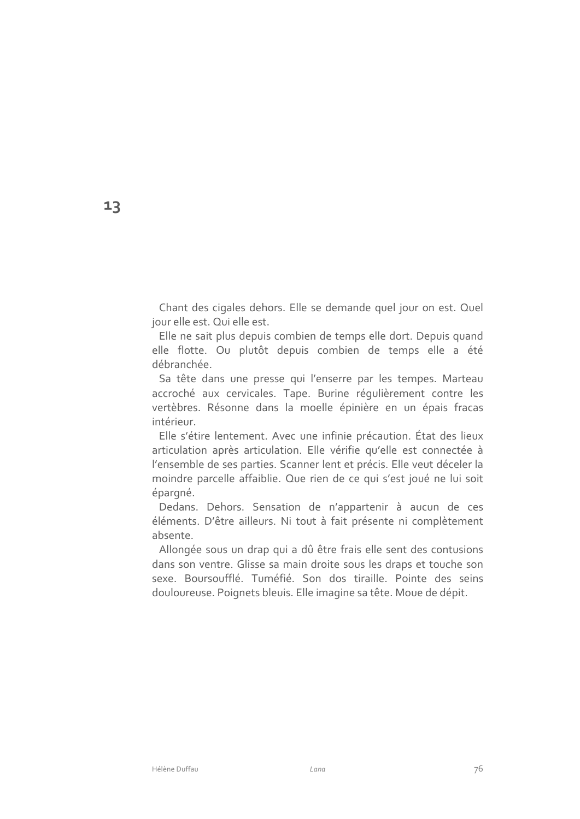Chant des cigales dehors. Elle se demande quel jour on est. Quel jour elle est. Qui elle est.

Elle ne sait plus depuis combien de temps elle dort. Depuis quand elle flotte. Ou plutôt depuis combien de temps elle a été débranchée.

Sa tête dans une presse qui l'enserre par les tempes. Marteau accroché aux cervicales. Tape. Burine régulièrement contre les vertèbres. Résonne dans la moelle épinière en un épais fracas intérieur.

Elle s'étire lentement. Avec une infinie précaution. État des lieux articulation après articulation. Elle vérifie qu'elle est connectée à l'ensemble de ses parties. Scanner lent et précis. Elle veut déceler la moindre parcelle affaiblie. Que rien de ce qui s'est joué ne lui soit épargné.

Dedans. Dehors. Sensation de n'appartenir à aucun de ces éléments. D'être ailleurs. Ni tout à fait présente ni complètement absente.

Allongée sous un drap qui a dû être frais elle sent des contusions dans son ventre. Glisse sa main droite sous les draps et touche son sexe. Boursoufflé. Tuméfié. Son dos tiraille. Pointe des seins douloureuse. Poignets bleuis. Elle imagine sa tête. Moue de dépit.

13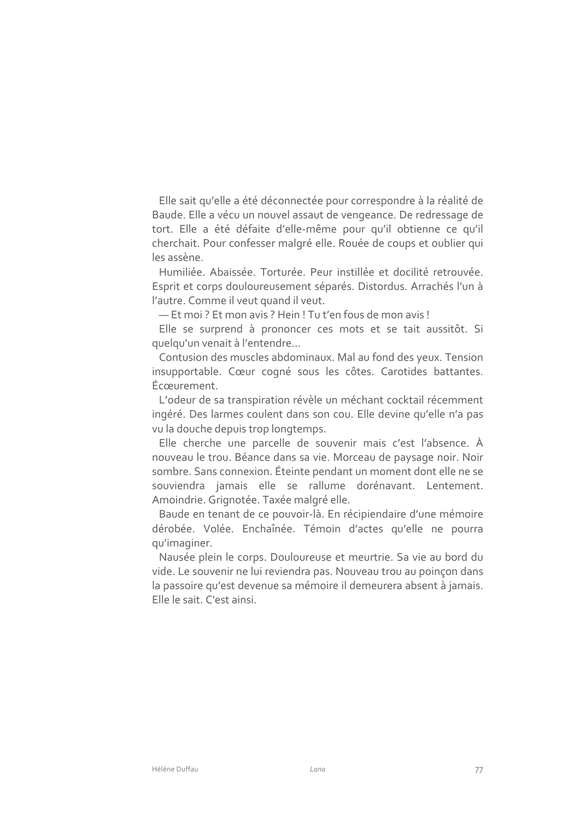Elle sait qu'elle a été déconnectée pour correspondre à la réalité de Baude. Elle a vécu un nouvel assaut de vengeance. De redressage de tort. Elle a été défaite d'elle-même pour qu'il obtienne ce qu'il cherchait. Pour confesser malgré elle. Rouée de coups et oublier qui les assène.

Humiliée, Abaissée, Torturée, Peur instillée et docilité retrouvée. Esprit et corps douloureusement séparés. Distordus. Arrachés l'un à l'autre. Comme il veut quand il veut.

- Et moi ? Et mon avis ? Hein ! Tu t'en fous de mon avis !

Elle se surprend à prononcer ces mots et se tait aussitôt. Si quelqu'un venait à l'entendre...

Contusion des muscles abdominaux. Mal au fond des yeux. Tension insupportable. Cœur cogné sous les côtes. Carotides battantes. Écœurement.

L'odeur de sa transpiration révèle un méchant cocktail récemment ingéré. Des larmes coulent dans son cou. Elle devine qu'elle n'a pas vu la douche depuis trop longtemps.

Elle cherche une parcelle de souvenir mais c'est l'absence. À nouveau le trou. Béance dans sa vie. Morceau de paysage noir. Noir sombre. Sans connexion. Éteinte pendant un moment dont elle ne se souviendra jamais elle se rallume dorénavant. Lentement. Amoindrie. Grignotée. Taxée malgré elle.

Baude en tenant de ce pouvoir-là. En récipiendaire d'une mémoire dérobée. Volée. Enchaînée. Témoin d'actes qu'elle ne pourra qu'imaginer.

Nausée plein le corps. Douloureuse et meurtrie. Sa vie au bord du vide. Le souvenir ne lui reviendra pas. Nouveau trou au poinçon dans la passoire qu'est devenue sa mémoire il demeurera absent à jamais. Elle le sait. C'est ainsi.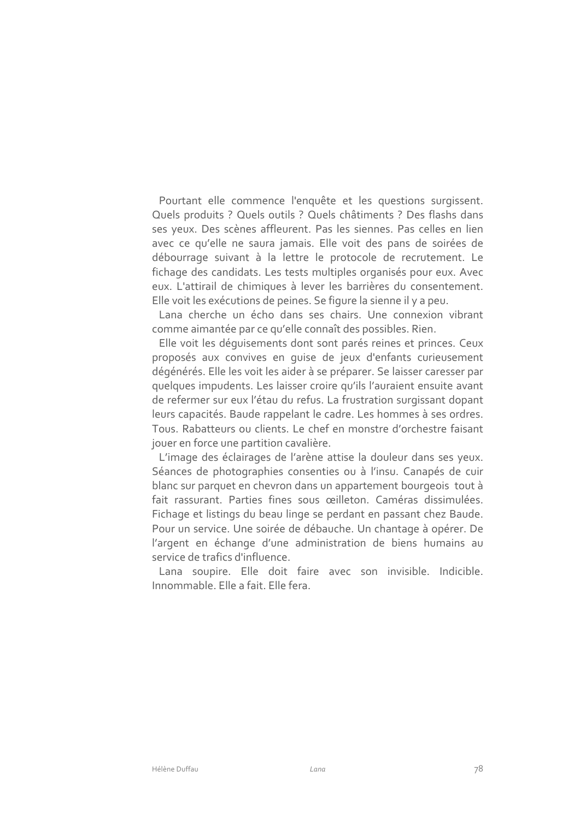Pourtant elle commence l'enquête et les questions surgissent. Quels produits ? Quels outils ? Quels châtiments ? Des flashs dans ses yeux. Des scènes affleurent. Pas les siennes. Pas celles en lien avec ce qu'elle ne saura jamais. Elle voit des pans de soirées de débourrage suivant à la lettre le protocole de recrutement. Le fichage des candidats. Les tests multiples organisés pour eux. Avec eux. L'attirail de chimiques à lever les barrières du consentement. Elle voit les exécutions de peines. Se figure la sienne il y a peu.

Lana cherche un écho dans ses chairs. Une connexion vibrant comme aimantée par ce qu'elle connaît des possibles. Rien.

Elle voit les déquisements dont sont parés reines et princes. Ceux proposés aux convives en quise de jeux d'enfants curieusement dégénérés. Elle les voit les aider à se préparer. Se laisser caresser par quelques impudents. Les laisser croire qu'ils l'auraient ensuite avant de refermer sur eux l'étau du refus. La frustration surgissant dopant leurs capacités. Baude rappelant le cadre. Les hommes à ses ordres. Tous. Rabatteurs ou clients. Le chef en monstre d'orchestre faisant jouer en force une partition cavalière.

L'image des éclairages de l'arène attise la douleur dans ses yeux. Séances de photographies consenties ou à l'insu. Canapés de cuir blanc sur parquet en chevron dans un appartement bourgeois tout à fait rassurant. Parties fines sous œilleton. Caméras dissimulées. Fichage et listings du beau linge se perdant en passant chez Baude. Pour un service. Une soirée de débauche. Un chantage à opérer. De l'argent en échange d'une administration de biens humains au service de trafics d'influence.

Lana soupire. Elle doit faire avec son invisible. Indicible. Innommable Flle a fait Flle fera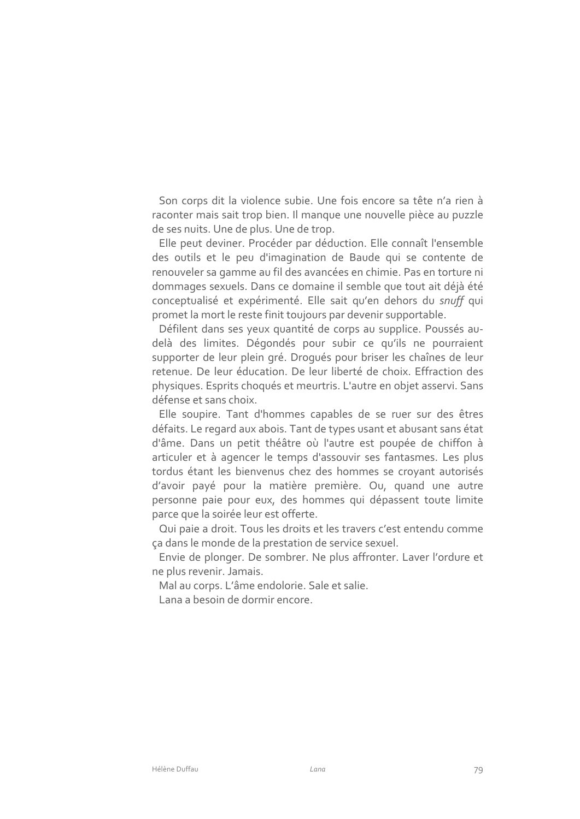Son corps dit la violence subie. Une fois encore sa tête n'a rien à raconter mais sait trop bien. Il manque une nouvelle pièce au puzzle de ses nuits. Une de plus. Une de trop.

Elle peut deviner. Procéder par déduction. Elle connaît l'ensemble des outils et le peu d'imagination de Baude qui se contente de renouveler sa gamme au fil des avancées en chimie. Pas en torture ni dommages sexuels. Dans ce domaine il semble que tout ait déjà été conceptualisé et expérimenté. Elle sait qu'en dehors du snuff qui promet la mort le reste finit toujours par devenir supportable.

Défilent dans ses yeux quantité de corps au supplice. Poussés audelà des limites. Dégondés pour subir ce qu'ils ne pourraient supporter de leur plein gré. Drogués pour briser les chaînes de leur retenue. De leur éducation. De leur liberté de choix. Effraction des physiques. Esprits choqués et meurtris. L'autre en objet asservi. Sans défense et sans choix.

Elle soupire. Tant d'hommes capables de se ruer sur des êtres défaits. Le regard aux abois. Tant de types usant et abusant sans état d'âme. Dans un petit théâtre où l'autre est poupée de chiffon à articuler et à agencer le temps d'assouvir ses fantasmes. Les plus tordus étant les bienvenus chez des hommes se croyant autorisés d'avoir payé pour la matière première. Ou, quand une autre personne paie pour eux, des hommes qui dépassent toute limite parce que la soirée leur est offerte.

Qui paie a droit. Tous les droits et les travers c'est entendu comme ça dans le monde de la prestation de service sexuel.

Envie de plonger. De sombrer. Ne plus affronter. Laver l'ordure et ne plus revenir. Jamais.

Mal au corps. L'âme endolorie. Sale et salie.

Lana a besoin de dormir encore.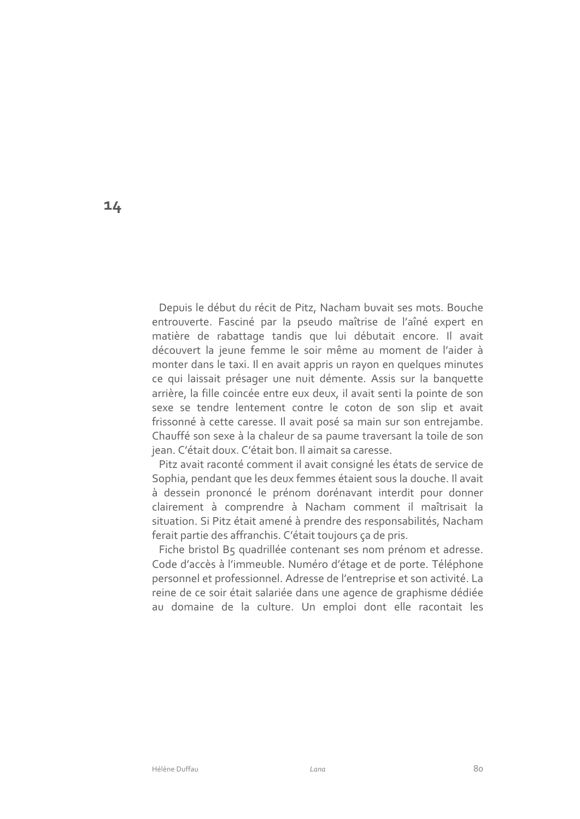Depuis le début du récit de Pitz, Nacham buvait ses mots. Bouche entrouverte. Fasciné par la pseudo maîtrise de l'aîné expert en matière de rabattage tandis que lui débutait encore. Il avait découvert la jeune femme le soir même au moment de l'aider à monter dans le taxi. Il en avait appris un rayon en quelques minutes ce qui laissait présager une nuit démente. Assis sur la banquette arrière, la fille coincée entre eux deux, il avait senti la pointe de son sexe se tendre lentement contre le coton de son slip et avait frissonné à cette caresse. Il avait posé sa main sur son entrejambe. Chauffé son sexe à la chaleur de sa paume traversant la toile de son jean. C'était doux. C'était bon. Il aimait sa caresse.

Pitz avait raconté comment il avait consigné les états de service de Sophia, pendant que les deux femmes étaient sous la douche. Il avait à dessein prononcé le prénom dorénavant interdit pour donner clairement à comprendre à Nacham comment il maîtrisait la situation. Si Pitz était amené à prendre des responsabilités, Nacham ferait partie des affranchis. C'était toujours ça de pris.

Fiche bristol B5 quadrillée contenant ses nom prénom et adresse. Code d'accès à l'immeuble. Numéro d'étage et de porte. Téléphone personnel et professionnel. Adresse de l'entreprise et son activité. La reine de ce soir était salariée dans une agence de graphisme dédiée au domaine de la culture. Un emploi dont elle racontait les

 $14$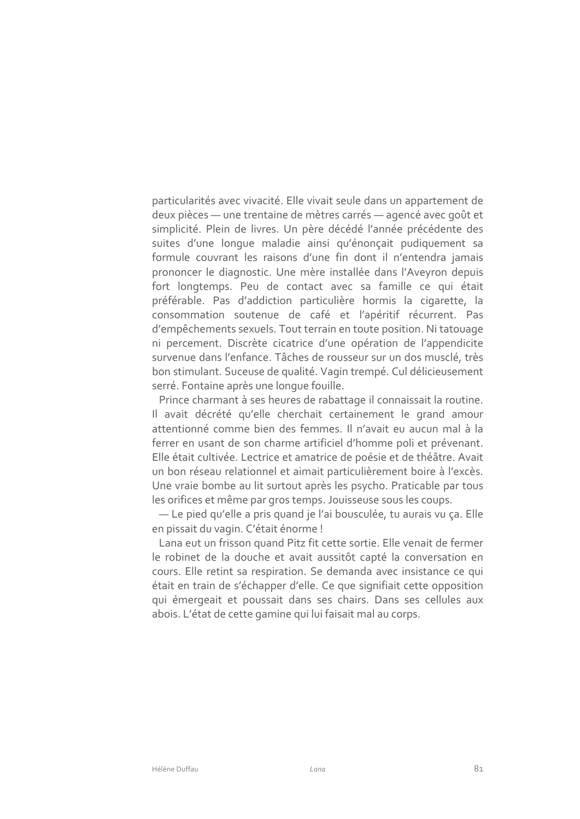particularités avec vivacité. Elle vivait seule dans un appartement de deux pièces - une trentaine de mètres carrés - agencé avec goût et simplicité. Plein de livres. Un père décédé l'année précédente des suites d'une lonque maladie ainsi qu'énonçait pudiquement sa formule couvrant les raisons d'une fin dont il n'entendra jamais prononcer le diagnostic. Une mère installée dans l'Aveyron depuis fort longtemps. Peu de contact avec sa famille ce qui était préférable. Pas d'addiction particulière hormis la cigarette, la consommation soutenue de café et l'apéritif récurrent. Pas d'empêchements sexuels. Tout terrain en toute position. Ni tatouage ni percement. Discrète cicatrice d'une opération de l'appendicite survenue dans l'enfance. Tâches de rousseur sur un dos musclé, très bon stimulant. Suceuse de qualité. Vagin trempé. Cul délicieusement serré. Fontaine après une longue fouille.

Prince charmant à ses heures de rabattage il connaissait la routine. Il avait décrété qu'elle cherchait certainement le grand amour attentionné comme bien des femmes. Il n'avait eu aucun mal à la ferrer en usant de son charme artificiel d'homme poli et prévenant. Elle était cultivée. Lectrice et amatrice de poésie et de théâtre. Avait un bon réseau relationnel et aimait particulièrement boire à l'excès. Une vraie bombe au lit surtout après les psycho. Praticable par tous les orifices et même par gros temps. Jouisseuse sous les coups.

- Le pied qu'elle a pris quand je l'ai bousculée, tu aurais vu ça. Elle en pissait du vagin. C'était énorme !

Lana eut un frisson quand Pitz fit cette sortie. Elle venait de fermer le robinet de la douche et avait aussitôt capté la conversation en cours. Elle retint sa respiration. Se demanda avec insistance ce qui était en train de s'échapper d'elle. Ce que signifiait cette opposition qui émergeait et poussait dans ses chairs. Dans ses cellules aux abois. L'état de cette gamine qui lui faisait mal au corps.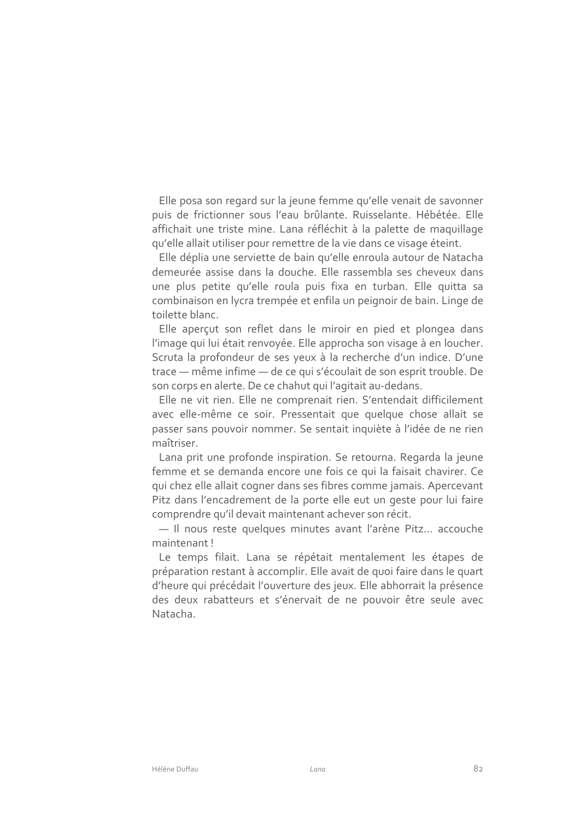Elle posa son regard sur la jeune femme qu'elle venait de savonner puis de frictionner sous l'eau brûlante. Ruisselante. Hébétée. Elle affichait une triste mine. Lana réfléchit à la palette de maquillage qu'elle allait utiliser pour remettre de la vie dans ce visage éteint.

Elle déplia une serviette de bain qu'elle enroula autour de Natacha demeurée assise dans la douche. Elle rassembla ses cheveux dans une plus petite qu'elle roula puis fixa en turban. Elle quitta sa combinaison en lycra trempée et enfila un peignoir de bain. Linge de toilette blanc.

Elle aperçut son reflet dans le miroir en pied et plongea dans l'image qui lui était renvoyée. Elle approcha son visage à en loucher. Scruta la profondeur de ses yeux à la recherche d'un indice. D'une trace - même infime - de ce qui s'écoulait de son esprit trouble. De son corps en alerte. De ce chahut qui l'agitait au-dedans.

Elle ne vit rien. Elle ne comprenait rien. S'entendait difficilement avec elle-même ce soir. Pressentait que quelque chose allait se passer sans pouvoir nommer. Se sentait inquiète à l'idée de ne rien maîtriser.

Lana prit une profonde inspiration. Se retourna. Regarda la jeune femme et se demanda encore une fois ce qui la faisait chavirer. Ce qui chez elle allait cogner dans ses fibres comme jamais. Apercevant Pitz dans l'encadrement de la porte elle eut un geste pour lui faire comprendre qu'il devait maintenant achever son récit.

- Il nous reste quelques minutes avant l'arène Pitz... accouche maintenant!

Le temps filait. Lana se répétait mentalement les étapes de préparation restant à accomplir. Elle avait de quoi faire dans le quart d'heure qui précédait l'ouverture des jeux. Elle abhorrait la présence des deux rabatteurs et s'énervait de ne pouvoir être seule avec Natacha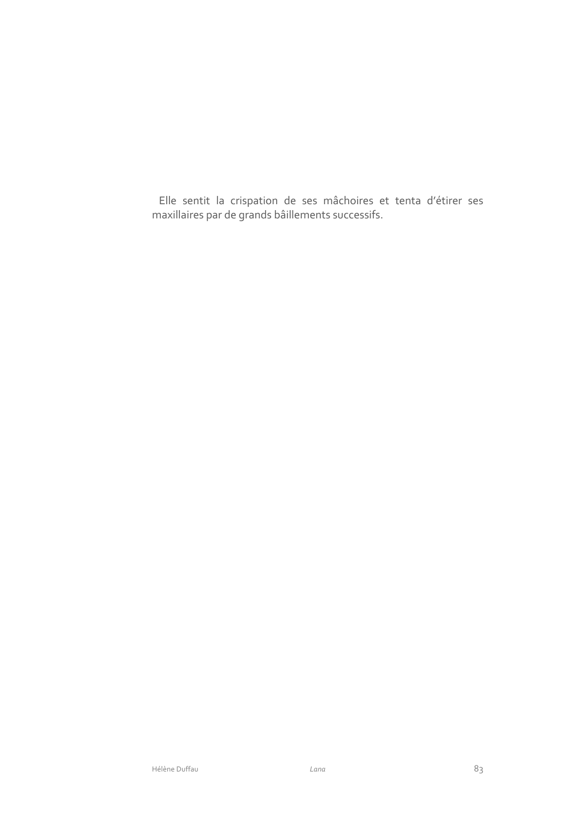Elle sentit la crispation de ses mâchoires et tenta d'étirer ses maxillaires par de grands bâillements successifs.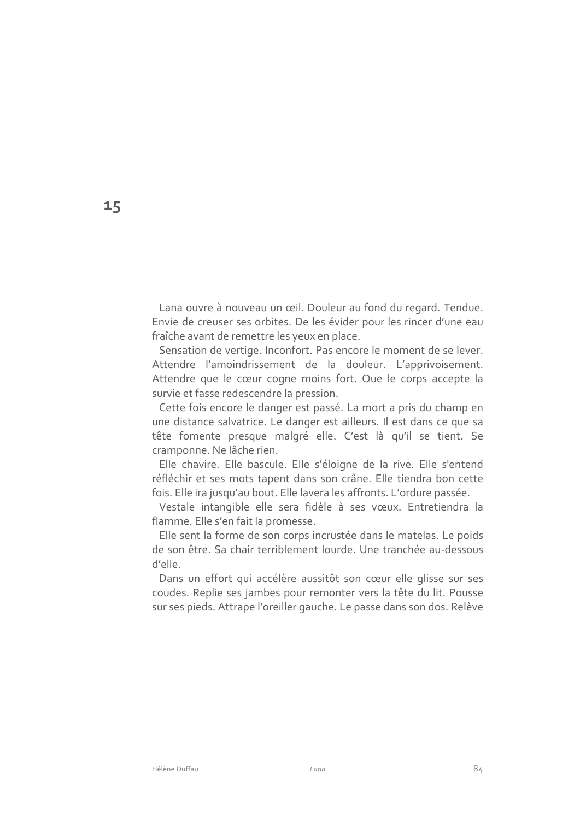Lana ouvre à nouveau un œil. Douleur au fond du regard. Tendue. Envie de creuser ses orbites. De les évider pour les rincer d'une eau fraîche avant de remettre les yeux en place.

Sensation de vertige. Inconfort. Pas encore le moment de se lever. Attendre l'amoindrissement de la douleur. L'apprivoisement. Attendre que le cœur cogne moins fort. Que le corps accepte la survie et fasse redescendre la pression.

Cette fois encore le danger est passé. La mort a pris du champ en une distance salvatrice. Le danger est ailleurs. Il est dans ce que sa tête fomente presque malgré elle. C'est là qu'il se tient. Se cramponne. Ne lâche rien.

Elle chavire. Elle bascule. Elle s'éloigne de la rive. Elle s'entend réfléchir et ses mots tapent dans son crâne. Elle tiendra bon cette fois. Elle ira jusqu'au bout. Elle lavera les affronts. L'ordure passée.

Vestale intangible elle sera fidèle à ses vœux. Entretiendra la flamme. Elle s'en fait la promesse.

Elle sent la forme de son corps incrustée dans le matelas. Le poids de son être. Sa chair terriblement lourde. Une tranchée au-dessous d'elle.

Dans un effort qui accélère aussitôt son cœur elle glisse sur ses coudes. Replie ses jambes pour remonter vers la tête du lit. Pousse sur ses pieds. Attrape l'oreiller gauche. Le passe dans son dos. Relève

15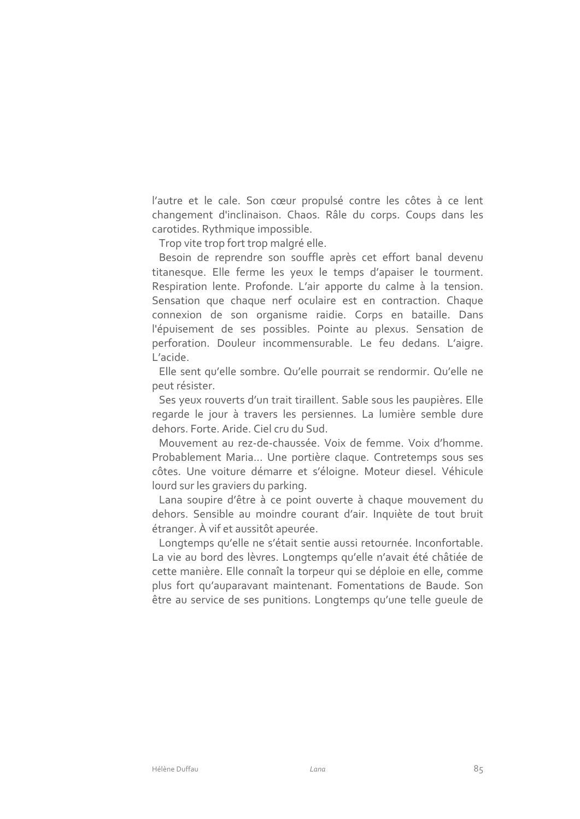l'autre et le cale. Son cœur propulsé contre les côtes à ce lent changement d'inclinaison. Chaos. Râle du corps. Coups dans les carotides. Rythmique impossible.

Trop vite trop fort trop malgré elle.

Besoin de reprendre son souffle après cet effort banal devenu titanesque. Elle ferme les yeux le temps d'apaiser le tourment. Respiration lente. Profonde. L'air apporte du calme à la tension. Sensation que chaque nerf oculaire est en contraction. Chaque connexion de son organisme raidie. Corps en bataille. Dans l'épuisement de ses possibles. Pointe au plexus. Sensation de perforation. Douleur incommensurable. Le feu dedans. L'aigre. L'acide.

Elle sent qu'elle sombre. Qu'elle pourrait se rendormir. Qu'elle ne peut résister.

Ses yeux rouverts d'un trait tiraillent. Sable sous les paupières. Elle regarde le jour à travers les persiennes. La lumière semble dure dehors. Forte. Aride. Ciel cru du Sud.

Mouvement au rez-de-chaussée. Voix de femme. Voix d'homme. Probablement Maria... Une portière claque. Contretemps sous ses côtes. Une voiture démarre et s'éloigne. Moteur diesel. Véhicule lourd sur les graviers du parking.

Lana soupire d'être à ce point ouverte à chaque mouvement du dehors. Sensible au moindre courant d'air. Inquiète de tout bruit étranger. À vif et aussitôt apeurée.

Longtemps qu'elle ne s'était sentie aussi retournée. Inconfortable. La vie au bord des lèvres. Longtemps qu'elle n'avait été châtiée de cette manière. Elle connaît la torpeur qui se déploie en elle, comme plus fort qu'auparavant maintenant. Fomentations de Baude. Son être au service de ses punitions. Longtemps qu'une telle queule de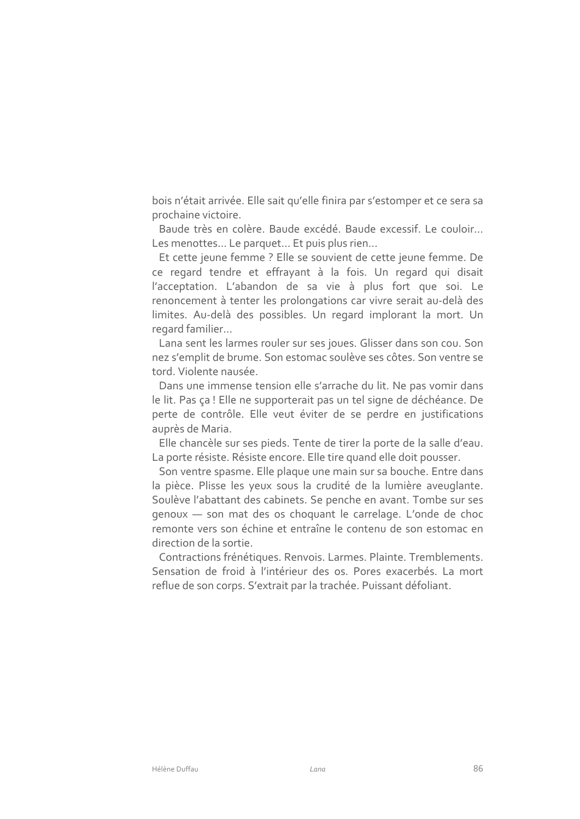bois n'était arrivée. Elle sait qu'elle finira par s'estomper et ce sera sa prochaine victoire.

Baude très en colère. Baude excédé, Baude excessif, Le couloir... Les menottes... Le parquet... Et puis plus rien...

Et cette jeune femme ? Elle se souvient de cette jeune femme. De ce regard tendre et effrayant à la fois. Un regard qui disait l'acceptation. L'abandon de sa vie à plus fort que soi. Le renoncement à tenter les prolongations car vivre serait au-delà des limites. Au-delà des possibles. Un regard implorant la mort. Un regard familier...

Lana sent les larmes rouler sur ses joues. Glisser dans son cou. Son nez s'emplit de brume. Son estomac soulève ses côtes. Son ventre se tord. Violente nausée.

Dans une immense tension elle s'arrache du lit. Ne pas vomir dans le lit. Pas ça ! Elle ne supporterait pas un tel signe de déchéance. De perte de contrôle. Elle veut éviter de se perdre en justifications auprès de Maria.

Elle chancèle sur ses pieds. Tente de tirer la porte de la salle d'eau. La porte résiste. Résiste encore. Elle tire quand elle doit pousser.

Son ventre spasme. Elle plaque une main sur sa bouche. Entre dans la pièce. Plisse les yeux sous la crudité de la lumière aveuglante. Soulève l'abattant des cabinets. Se penche en avant. Tombe sur ses genoux - son mat des os choquant le carrelage. L'onde de choc remonte vers son échine et entraîne le contenu de son estomac en direction de la sortie.

Contractions frénétiques. Renvois. Larmes. Plainte. Tremblements. Sensation de froid à l'intérieur des os. Pores exacerbés. La mort reflue de son corps. S'extrait par la trachée. Puissant défoliant.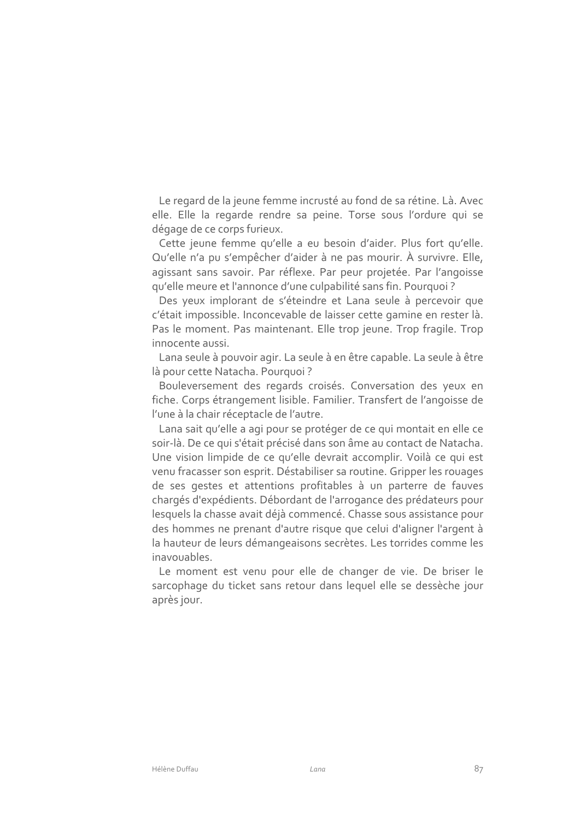Le regard de la jeune femme incrusté au fond de sa rétine. Là. Avec elle. Elle la regarde rendre sa peine. Torse sous l'ordure qui se dégage de ce corps furieux.

Cette jeune femme qu'elle a eu besoin d'aider. Plus fort qu'elle. Qu'elle n'a pu s'empêcher d'aider à ne pas mourir. À survivre. Elle, agissant sans savoir. Par réflexe. Par peur projetée. Par l'angoisse qu'elle meure et l'annonce d'une culpabilité sans fin. Pourquoi ?

Des yeux implorant de s'éteindre et Lana seule à percevoir que c'était impossible. Inconcevable de laisser cette gamine en rester là. Pas le moment. Pas maintenant. Elle trop jeune. Trop fragile. Trop innocente aussi.

Lana seule à pouvoir agir. La seule à en être capable. La seule à être là pour cette Natacha. Pourquoi?

Bouleversement des regards croisés. Conversation des yeux en fiche. Corps étrangement lisible. Familier. Transfert de l'angoisse de l'une à la chair réceptacle de l'autre.

Lana sait qu'elle a agi pour se protéger de ce qui montait en elle ce soir-là. De ce qui s'était précisé dans son âme au contact de Natacha. Une vision limpide de ce qu'elle devrait accomplir. Voilà ce qui est venu fracasser son esprit. Déstabiliser sa routine. Gripper les rouages de ses gestes et attentions profitables à un parterre de fauves chargés d'expédients. Débordant de l'arrogance des prédateurs pour lesquels la chasse avait déjà commencé. Chasse sous assistance pour des hommes ne prenant d'autre risque que celui d'aligner l'argent à la hauteur de leurs démangeaisons secrètes. Les torrides comme les inavouables.

Le moment est venu pour elle de changer de vie. De briser le sarcophage du ticket sans retour dans lequel elle se dessèche jour après jour.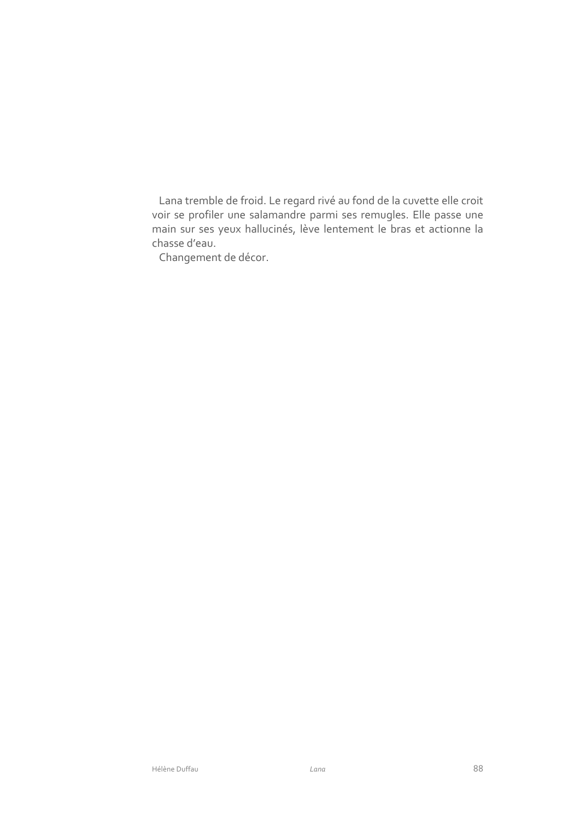Lana tremble de froid. Le regard rivé au fond de la cuvette elle croit voir se profiler une salamandre parmi ses remugles. Elle passe une main sur ses yeux hallucinés, lève lentement le bras et actionne la chasse d'eau.

Changement de décor.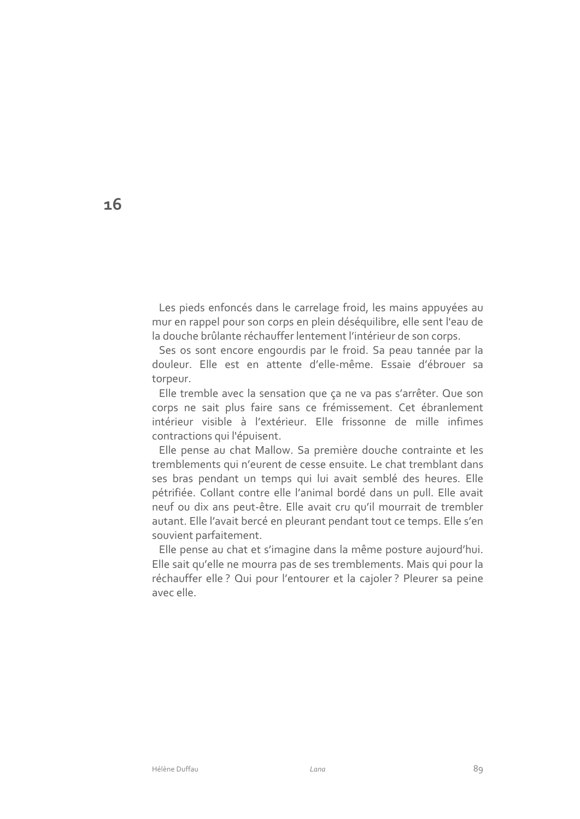Les pieds enfoncés dans le carrelage froid, les mains appuyées au mur en rappel pour son corps en plein déséquilibre, elle sent l'eau de la douche brûlante réchauffer lentement l'intérieur de son corps.

Ses os sont encore engourdis par le froid. Sa peau tannée par la douleur. Elle est en attente d'elle-même. Essaie d'ébrouer sa torpeur.

Elle tremble avec la sensation que ça ne va pas s'arrêter. Que son corps ne sait plus faire sans ce frémissement. Cet ébranlement intérieur visible à l'extérieur. Elle frissonne de mille infimes contractions qui l'épuisent.

Elle pense au chat Mallow. Sa première douche contrainte et les tremblements qui n'eurent de cesse ensuite. Le chat tremblant dans ses bras pendant un temps qui lui avait semblé des heures. Elle pétrifiée. Collant contre elle l'animal bordé dans un pull. Elle avait neuf ou dix ans peut-être. Elle avait cru qu'il mourrait de trembler autant. Elle l'avait bercé en pleurant pendant tout ce temps. Elle s'en souvient parfaitement.

Elle pense au chat et s'imagine dans la même posture aujourd'hui. Elle sait qu'elle ne mourra pas de ses tremblements. Mais qui pour la réchauffer elle ? Qui pour l'entourer et la cajoler ? Pleurer sa peine avec elle.

 $16$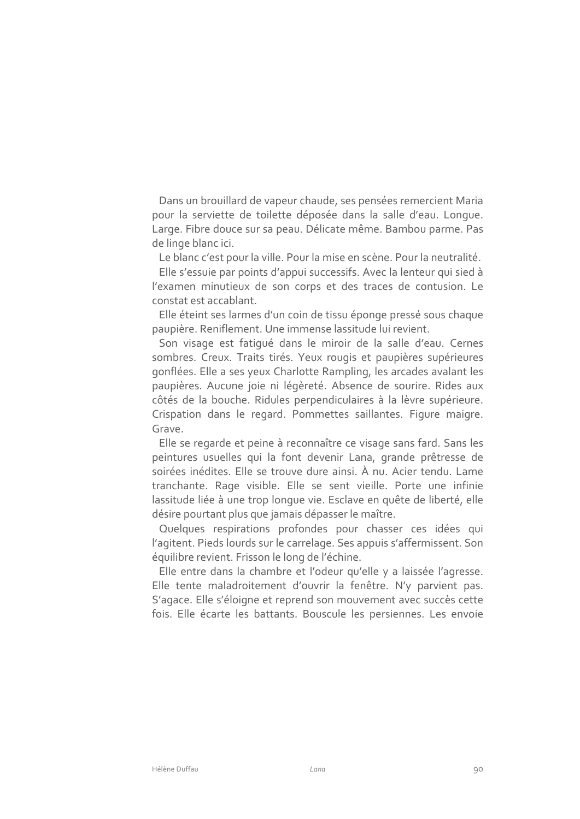Dans un brouillard de vapeur chaude, ses pensées remercient Maria pour la serviette de toilette déposée dans la salle d'eau. Lonque. Large. Fibre douce sur sa peau. Délicate même. Bambou parme. Pas de linge blanc ici.

Le blanc c'est pour la ville. Pour la mise en scène. Pour la neutralité.

Elle s'essuie par points d'appui successifs. Avec la lenteur qui sied à l'examen minutieux de son corps et des traces de contusion. Le constat est accablant.

Elle éteint ses larmes d'un coin de tissu éponge pressé sous chaque paupière. Reniflement. Une immense lassitude lui revient.

Son visage est fatiqué dans le miroir de la salle d'eau. Cernes sombres. Creux. Traits tirés. Yeux rougis et paupières supérieures gonflées. Elle a ses yeux Charlotte Rampling, les arcades avalant les paupières. Aucune joie ni légèreté. Absence de sourire. Rides aux côtés de la bouche. Ridules perpendiculaires à la lèvre supérieure. Crispation dans le regard. Pommettes saillantes. Figure maigre. Grave.

Elle se regarde et peine à reconnaître ce visage sans fard. Sans les peintures usuelles qui la font devenir Lana, grande prêtresse de soirées inédites. Elle se trouve dure ainsi. À nu. Acier tendu. Lame tranchante. Rage visible. Elle se sent vieille. Porte une infinie lassitude liée à une trop lonque vie. Esclave en quête de liberté, elle désire pourtant plus que jamais dépasser le maître.

Quelques respirations profondes pour chasser ces idées qui l'agitent. Pieds lourds sur le carrelage. Ses appuis s'affermissent. Son équilibre revient. Frisson le long de l'échine.

Elle entre dans la chambre et l'odeur qu'elle y a laissée l'agresse. Elle tente maladroitement d'ouvrir la fenêtre. N'y parvient pas. S'agace. Elle s'éloigne et reprend son mouvement avec succès cette fois. Elle écarte les battants. Bouscule les persiennes. Les envoie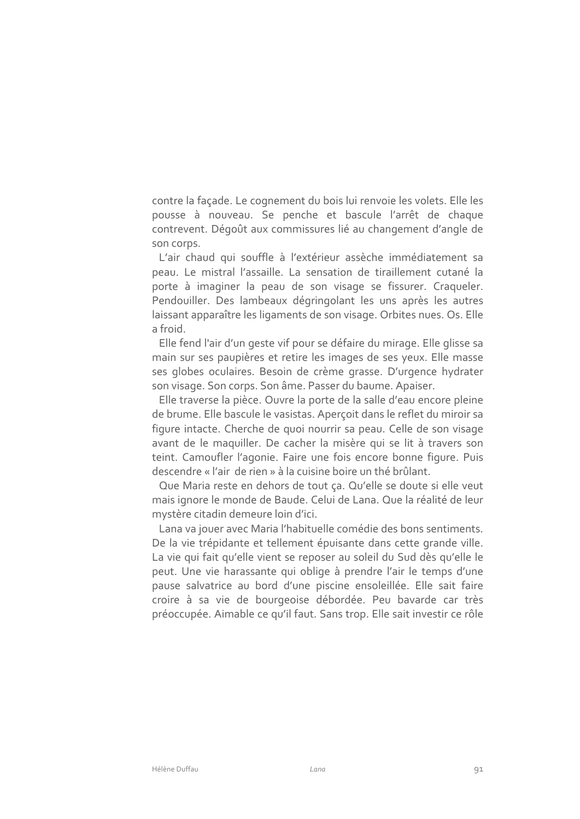contre la façade. Le cognement du bois lui renvoie les volets. Elle les pousse à nouveau. Se penche et bascule l'arrêt de chaque contrevent. Dégoût aux commissures lié au changement d'angle de son corps.

L'air chaud qui souffle à l'extérieur assèche immédiatement sa peau. Le mistral l'assaille. La sensation de tiraillement cutané la porte à imaginer la peau de son visage se fissurer. Craqueler. Pendouiller. Des lambeaux dégringolant les uns après les autres laissant apparaître les ligaments de son visage. Orbites nues. Os. Elle a froid

Elle fend l'air d'un geste vif pour se défaire du mirage. Elle glisse sa main sur ses paupières et retire les images de ses yeux. Elle masse ses globes oculaires. Besoin de crème grasse. D'urgence hydrater son visage. Son corps. Son âme. Passer du baume. Apaiser.

Elle traverse la pièce. Ouvre la porte de la salle d'eau encore pleine de brume. Elle bascule le vasistas. Aperçoit dans le reflet du miroir sa figure intacte. Cherche de quoi nourrir sa peau. Celle de son visage avant de le maquiller. De cacher la misère qui se lit à travers son teint. Camoufler l'agonie. Faire une fois encore bonne figure. Puis descendre « l'air de rien » à la cuisine boire un thé brûlant.

Que Maria reste en dehors de tout ca. Qu'elle se doute si elle veut mais ignore le monde de Baude. Celui de Lana. Que la réalité de leur mystère citadin demeure loin d'ici.

Lana va jouer avec Maria l'habituelle comédie des bons sentiments. De la vie trépidante et tellement épuisante dans cette grande ville. La vie qui fait qu'elle vient se reposer au soleil du Sud dès qu'elle le peut. Une vie harassante qui oblige à prendre l'air le temps d'une pause salvatrice au bord d'une piscine ensoleillée. Elle sait faire croire à sa vie de bourgeoise débordée. Peu bavarde car très préoccupée. Aimable ce qu'il faut. Sans trop. Elle sait investir ce rôle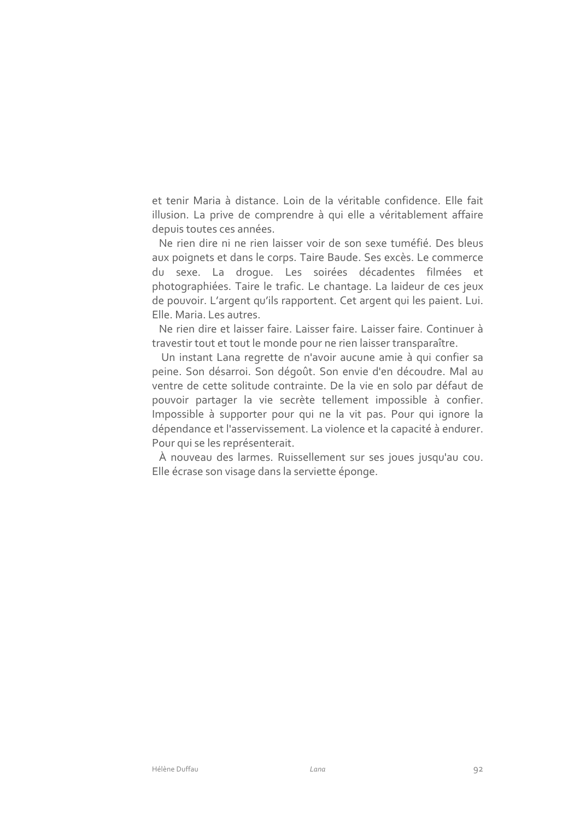et tenir Maria à distance. Loin de la véritable confidence. Elle fait illusion. La prive de comprendre à qui elle a véritablement affaire depuis toutes ces années.

Ne rien dire ni ne rien laisser voir de son sexe tuméfié. Des bleus aux poignets et dans le corps. Taire Baude. Ses excès. Le commerce du sexe. La droque. Les soirées décadentes filmées et photographiées. Taire le trafic. Le chantage. La laideur de ces jeux de pouvoir. L'argent qu'ils rapportent. Cet argent qui les paient. Lui. Elle, Maria, Les autres.

Ne rien dire et laisser faire. Laisser faire. Laisser faire. Continuer à travestir tout et tout le monde pour ne rien laisser transparaître.

Un instant Lana regrette de n'avoir aucune amie à qui confier sa peine. Son désarroi. Son dégoût. Son envie d'en découdre. Mal au ventre de cette solitude contrainte. De la vie en solo par défaut de pouvoir partager la vie secrète tellement impossible à confier. Impossible à supporter pour qui ne la vit pas. Pour qui ignore la dépendance et l'asservissement. La violence et la capacité à endurer. Pour qui se les représenterait.

À nouveau des larmes. Ruissellement sur ses joues jusqu'au cou. Elle écrase son visage dans la serviette éponge.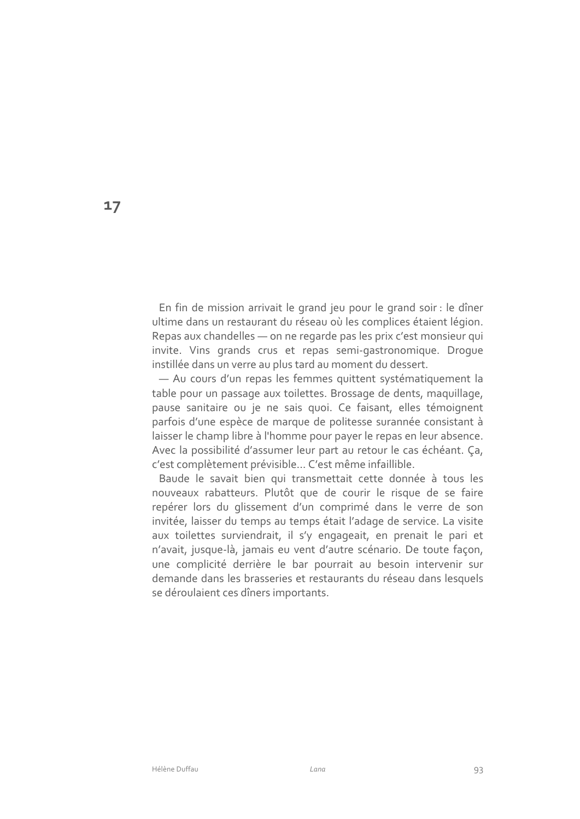En fin de mission arrivait le grand jeu pour le grand soir : le dîner ultime dans un restaurant du réseau où les complices étaient légion. Repas aux chandelles - on ne regarde pas les prix c'est monsieur qui invite. Vins grands crus et repas semi-gastronomique. Droque instillée dans un verre au plus tard au moment du dessert.

- Au cours d'un repas les femmes quittent systématiquement la table pour un passage aux toilettes. Brossage de dents, maguillage, pause sanitaire ou je ne sais quoi. Ce faisant, elles témoignent parfois d'une espèce de marque de politesse surannée consistant à laisser le champ libre à l'homme pour payer le repas en leur absence. Avec la possibilité d'assumer leur part au retour le cas échéant. Ça, c'est complètement prévisible... C'est même infaillible.

Baude le savait bien qui transmettait cette donnée à tous les nouveaux rabatteurs. Plutôt que de courir le risque de se faire repérer lors du glissement d'un comprimé dans le verre de son invitée, laisser du temps au temps était l'adage de service. La visite aux toilettes surviendrait, il s'y engageait, en prenait le pari et n'avait, jusque-là, jamais eu vent d'autre scénario. De toute façon, une complicité derrière le bar pourrait au besoin intervenir sur demande dans les brasseries et restaurants du réseau dans lesquels se déroulaient ces dîners importants.

 $17$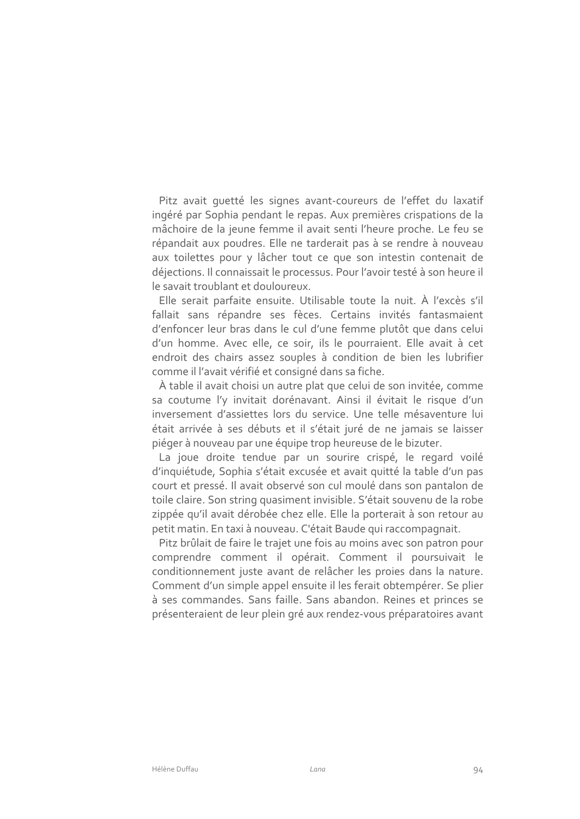Pitz avait quetté les signes avant-coureurs de l'effet du laxatif ingéré par Sophia pendant le repas. Aux premières crispations de la mâchoire de la jeune femme il avait senti l'heure proche. Le feu se répandait aux poudres. Elle ne tarderait pas à se rendre à nouveau aux toilettes pour y lâcher tout ce que son intestin contenait de déjections. Il connaissait le processus. Pour l'avoir testé à son heure il le savait troublant et douloureux.

Elle serait parfaite ensuite. Utilisable toute la nuit. À l'excès s'il fallait sans répandre ses fèces. Certains invités fantasmaient d'enfoncer leur bras dans le cul d'une femme plutôt que dans celui d'un homme. Avec elle, ce soir, ils le pourraient. Elle avait à cet endroit des chairs assez souples à condition de bien les lubrifier comme il l'avait vérifié et consigné dans sa fiche.

À table il avait choisi un autre plat que celui de son invitée, comme sa coutume l'v invitait dorénavant. Ainsi il évitait le risque d'un inversement d'assiettes lors du service. Une telle mésaventure lui était arrivée à ses débuts et il s'était juré de ne jamais se laisser piéger à nouveau par une équipe trop heureuse de le bizuter.

La joue droite tendue par un sourire crispé, le regard voilé d'inquiétude, Sophia s'était excusée et avait quitté la table d'un pas court et pressé. Il avait observé son cul moulé dans son pantalon de toile claire. Son string quasiment invisible. S'était souvenu de la robe zippée qu'il avait dérobée chez elle. Elle la porterait à son retour au petit matin. En taxi à nouveau. C'était Baude qui raccompagnait.

Pitz brûlait de faire le trajet une fois au moins avec son patron pour comprendre comment il opérait. Comment il poursuivait le conditionnement juste avant de relâcher les proies dans la nature. Comment d'un simple appel ensuite il les ferait obtempérer. Se plier à ses commandes. Sans faille. Sans abandon. Reines et princes se présenteraient de leur plein gré aux rendez-vous préparatoires avant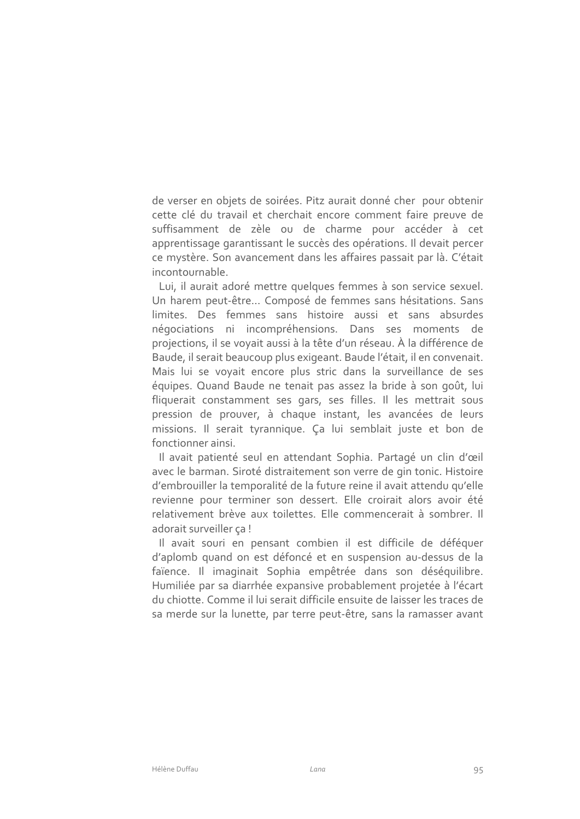de verser en objets de soirées. Pitz aurait donné cher pour obtenir cette clé du travail et cherchait encore comment faire preuve de suffisamment de zèle ou de charme pour accéder à cet apprentissage garantissant le succès des opérations. Il devait percer ce mystère. Son avancement dans les affaires passait par là. C'était incontournable.

Lui, il aurait adoré mettre quelques femmes à son service sexuel. Un harem peut-être... Composé de femmes sans hésitations. Sans limites. Des femmes sans histoire aussi et sans absurdes négociations ni incompréhensions. Dans ses moments de projections, il se voyait aussi à la tête d'un réseau. À la différence de Baude, il serait beaucoup plus exigeant. Baude l'était, il en convenait. Mais lui se voyait encore plus stric dans la surveillance de ses équipes. Quand Baude ne tenait pas assez la bride à son goût, lui fliquerait constamment ses gars, ses filles. Il les mettrait sous pression de prouver, à chaque instant, les avancées de leurs missions. Il serait tyrannique. Ça lui semblait juste et bon de fonctionner ainsi.

Il avait patienté seul en attendant Sophia. Partagé un clin d'œil avec le barman. Siroté distraitement son verre de gin tonic. Histoire d'embrouiller la temporalité de la future reine il avait attendu qu'elle revienne pour terminer son dessert. Elle croirait alors avoir été relativement brève aux toilettes. Elle commencerait à sombrer. Il adorait surveiller ça!

Il avait souri en pensant combien il est difficile de déféquer d'aplomb quand on est défoncé et en suspension au-dessus de la faïence. Il imaginait Sophia empêtrée dans son déséquilibre. Humiliée par sa diarrhée expansive probablement projetée à l'écart du chiotte. Comme il lui serait difficile ensuite de laisser les traces de sa merde sur la lunette, par terre peut-être, sans la ramasser avant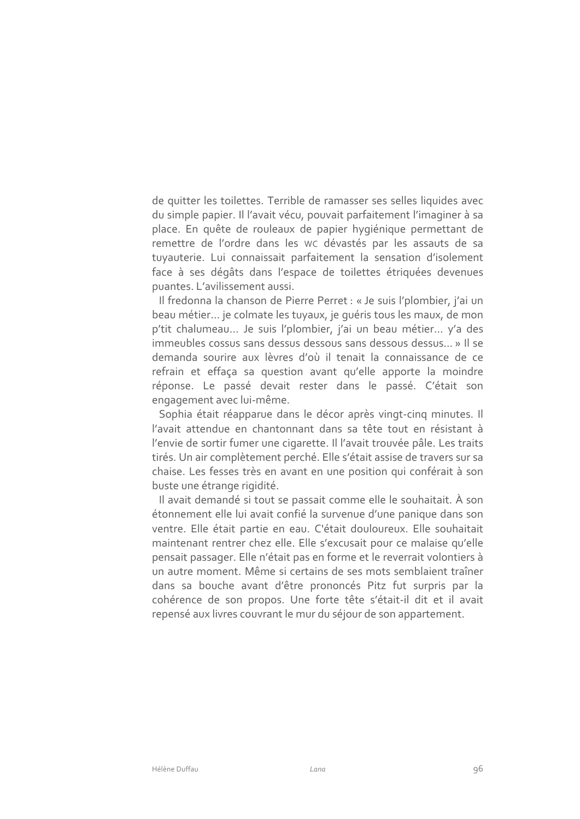de quitter les toilettes. Terrible de ramasser ses selles liquides avec du simple papier. Il l'avait vécu, pouvait parfaitement l'imaginer à sa place. En quête de rouleaux de papier hygiénique permettant de remettre de l'ordre dans les wc dévastés par les assauts de sa tuyauterie. Lui connaissait parfaitement la sensation d'isolement face à ses dégâts dans l'espace de toilettes étriquées devenues puantes. L'avilissement aussi.

Il fredonna la chanson de Pierre Perret : « Je suis l'plombier, j'ai un beau métier... je colmate les tuyaux, je quéris tous les maux, de mon p'tit chalumeau... Je suis l'plombier, j'ai un beau métier... y'a des immeubles cossus sans dessus dessous sans dessous dessus... » Il se demanda sourire aux lèvres d'où il tenait la connaissance de ce refrain et effaça sa question avant qu'elle apporte la moindre réponse. Le passé devait rester dans le passé. C'était son engagement avec lui-même.

Sophia était réapparue dans le décor après vingt-cing minutes. Il l'avait attendue en chantonnant dans sa tête tout en résistant à l'envie de sortir fumer une cigarette. Il l'avait trouvée pâle. Les traits tirés. Un air complètement perché. Elle s'était assise de travers sur sa chaise. Les fesses très en avant en une position qui conférait à son buste une étrange rigidité.

Il avait demandé si tout se passait comme elle le souhaitait. À son étonnement elle lui avait confié la survenue d'une panique dans son ventre. Elle était partie en eau. C'était douloureux. Elle souhaitait maintenant rentrer chez elle. Elle s'excusait pour ce malaise qu'elle pensait passager. Elle n'était pas en forme et le reverrait volontiers à un autre moment. Même si certains de ses mots semblaient traîner dans sa bouche avant d'être prononcés Pitz fut surpris par la cohérence de son propos. Une forte tête s'était-il dit et il avait repensé aux livres couvrant le mur du séjour de son appartement.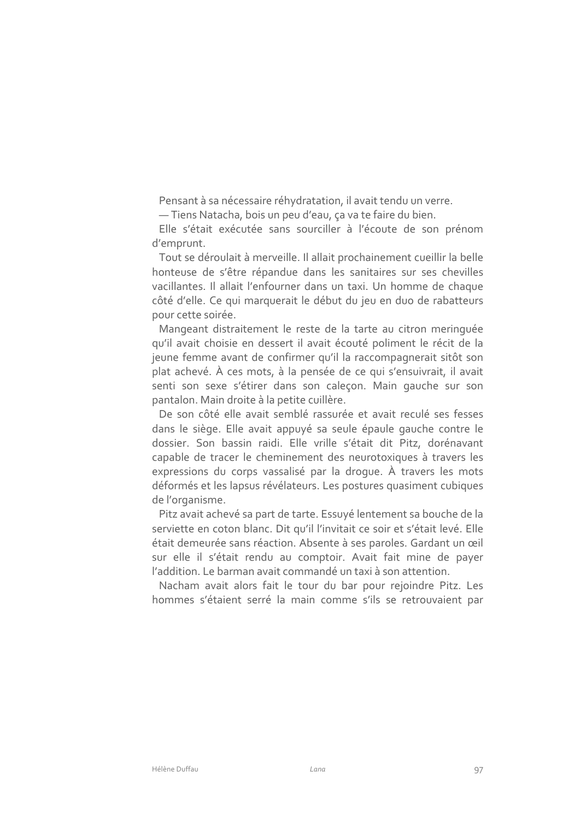Pensant à sa nécessaire réhydratation, il avait tendu un verre.

- Tiens Natacha, bois un peu d'eau, ça va te faire du bien.

Elle s'était exécutée sans sourciller à l'écoute de son prénom d'emprunt.

Tout se déroulait à merveille. Il allait prochainement cueillir la belle honteuse de s'être répandue dans les sanitaires sur ses chevilles vacillantes. Il allait l'enfourner dans un taxi. Un homme de chaque côté d'elle. Ce qui marquerait le début du jeu en duo de rabatteurs pour cette soirée.

Mangeant distraitement le reste de la tarte au citron merinquée qu'il avait choisie en dessert il avait écouté poliment le récit de la jeune femme avant de confirmer qu'il la raccompagnerait sitôt son plat achevé. À ces mots, à la pensée de ce qui s'ensuivrait, il avait senti son sexe s'étirer dans son caleçon. Main gauche sur son pantalon. Main droite à la petite cuillère.

De son côté elle avait semblé rassurée et avait reculé ses fesses dans le siège. Elle avait appuyé sa seule épaule gauche contre le dossier. Son bassin raidi. Elle vrille s'était dit Pitz, dorénavant capable de tracer le cheminement des neurotoxiques à travers les expressions du corps vassalisé par la droque. À travers les mots déformés et les lapsus révélateurs. Les postures quasiment cubiques de l'organisme.

Pitz avait achevé sa part de tarte. Essuyé lentement sa bouche de la serviette en coton blanc. Dit qu'il l'invitait ce soir et s'était levé. Elle était demeurée sans réaction. Absente à ses paroles. Gardant un œil sur elle il s'était rendu au comptoir. Avait fait mine de payer l'addition. Le barman avait commandé un taxi à son attention.

Nacham avait alors fait le tour du bar pour rejoindre Pitz. Les hommes s'étaient serré la main comme s'ils se retrouvaient par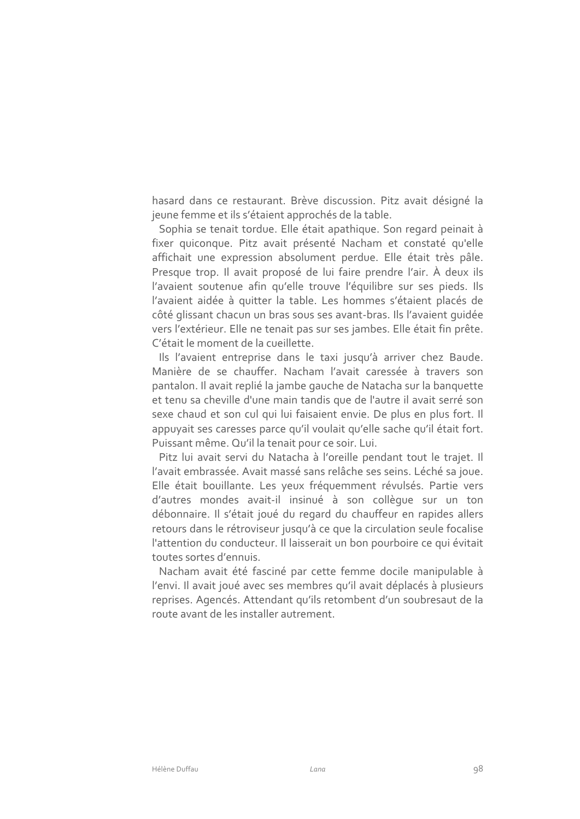hasard dans ce restaurant. Brève discussion. Pitz avait désigné la jeune femme et ils s'étaient approchés de la table.

Sophia se tenait tordue. Elle était apathique. Son regard peinait à fixer quiconque. Pitz avait présenté Nacham et constaté qu'elle affichait une expression absolument perdue. Elle était très pâle. Presque trop. Il avait proposé de lui faire prendre l'air. À deux ils l'avaient soutenue afin qu'elle trouve l'équilibre sur ses pieds. Ils l'avaient aidée à quitter la table. Les hommes s'étaient placés de côté glissant chacun un bras sous ses avant-bras. Ils l'avaient quidée vers l'extérieur. Elle ne tenait pas sur ses jambes. Elle était fin prête. C'était le moment de la cueillette.

Ils l'avaient entreprise dans le taxi jusqu'à arriver chez Baude. Manière de se chauffer. Nacham l'avait caressée à travers son pantalon. Il avait replié la jambe gauche de Natacha sur la banquette et tenu sa cheville d'une main tandis que de l'autre il avait serré son sexe chaud et son cul qui lui faisaient envie. De plus en plus fort. Il appuyait ses caresses parce qu'il voulait qu'elle sache qu'il était fort. Puissant même. Qu'il la tenait pour ce soir. Lui.

Pitz lui avait servi du Natacha à l'oreille pendant tout le trajet. Il l'avait embrassée. Avait massé sans relâche ses seins. Léché sa joue. Elle était bouillante. Les yeux fréquemment révulsés. Partie vers d'autres mondes avait-il insinué à son collèque sur un ton débonnaire. Il s'était joué du regard du chauffeur en rapides allers retours dans le rétroviseur jusqu'à ce que la circulation seule focalise l'attention du conducteur. Il laisserait un bon pourboire ce qui évitait toutes sortes d'ennuis.

Nacham avait été fasciné par cette femme docile manipulable à l'envi. Il avait joué avec ses membres qu'il avait déplacés à plusieurs reprises. Agencés. Attendant qu'ils retombent d'un soubresaut de la route avant de les installer autrement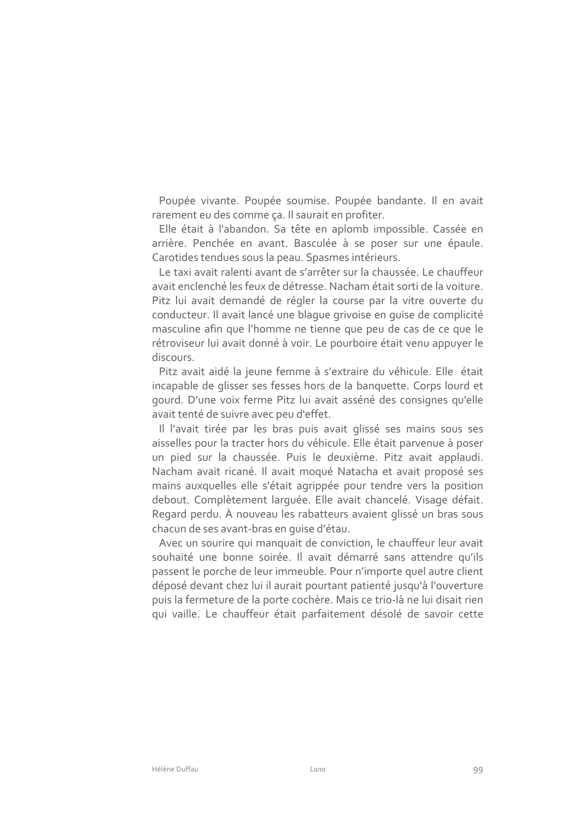Poupée vivante. Poupée soumise. Poupée bandante. Il en avait rarement eu des comme ça. Il saurait en profiter.

Elle était à l'abandon. Sa tête en aplomb impossible. Cassée en arrière. Penchée en avant. Basculée à se poser sur une épaule. Carotides tendues sous la peau. Spasmes intérieurs.

Le taxi avait ralenti avant de s'arrêter sur la chaussée. Le chauffeur avait enclenché les feux de détresse. Nacham était sorti de la voiture. Pitz lui avait demandé de régler la course par la vitre ouverte du conducteur. Il avait lancé une blaque grivoise en quise de complicité masculine afin que l'homme ne tienne que peu de cas de ce que le rétroviseur lui avait donné à voir. Le pourboire était venu appuyer le discours.

Pitz avait aidé la jeune femme à s'extraire du véhicule. Elle était incapable de glisser ses fesses hors de la banquette. Corps lourd et gourd. D'une voix ferme Pitz lui avait asséné des consignes qu'elle avait tenté de suivre avec peu d'effet.

Il l'avait tirée par les bras puis avait glissé ses mains sous ses aisselles pour la tracter hors du véhicule. Elle était parvenue à poser un pied sur la chaussée. Puis le deuxième. Pitz avait applaudi. Nacham avait ricané. Il avait moqué Natacha et avait proposé ses mains auxquelles elle s'était agrippée pour tendre vers la position debout. Complètement larquée. Elle avait chancelé. Visage défait. Regard perdu. À nouveau les rabatteurs avaient glissé un bras sous chacun de ses avant-bras en quise d'étau.

Avec un sourire qui manquait de conviction, le chauffeur leur avait souhaité une bonne soirée. Il avait démarré sans attendre qu'ils passent le porche de leur immeuble. Pour n'importe quel autre client déposé devant chez lui il aurait pourtant patienté jusqu'à l'ouverture puis la fermeture de la porte cochère. Mais ce trio-là ne lui disait rien qui vaille. Le chauffeur était parfaitement désolé de savoir cette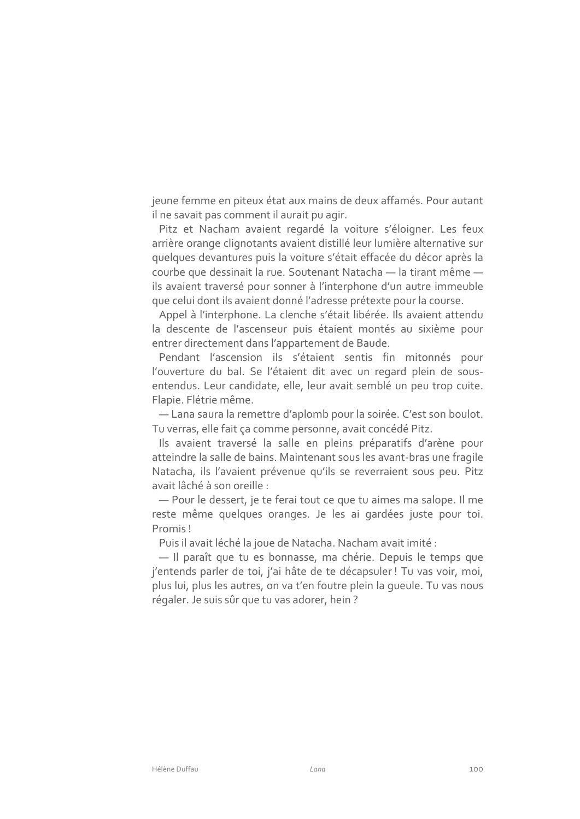jeune femme en piteux état aux mains de deux affamés. Pour autant il ne savait pas comment il aurait pu agir.

Pitz et Nacham avaient regardé la voiture s'éloigner. Les feux arrière orange clignotants avaient distillé leur lumière alternative sur quelques devantures puis la voiture s'était effacée du décor après la courbe que dessinait la rue. Soutenant Natacha - la tirant même ils avaient traversé pour sonner à l'interphone d'un autre immeuble que celui dont ils avaient donné l'adresse prétexte pour la course.

Appel à l'interphone. La clenche s'était libérée. Ils avaient attendu la descente de l'ascenseur puis étaient montés au sixième pour entrer directement dans l'appartement de Baude.

Pendant l'ascension ils s'étaient sentis fin mitonnés pour l'ouverture du bal. Se l'étaient dit avec un regard plein de sousentendus. Leur candidate, elle, leur avait semblé un peu trop cuite. Flapie. Flétrie même.

- Lana saura la remettre d'aplomb pour la soirée. C'est son boulot. Tu verras, elle fait ça comme personne, avait concédé Pitz.

Ils avaient traversé la salle en pleins préparatifs d'arène pour atteindre la salle de bains. Maintenant sous les avant-bras une fragile Natacha, ils l'avaient prévenue qu'ils se reverraient sous peu. Pitz avait lâché à son oreille :

- Pour le dessert, je te ferai tout ce que tu aimes ma salope. Il me reste même quelques oranges. Je les ai gardées juste pour toi. Promis!

Puis il avait léché la joue de Natacha. Nacham avait imité :

- Il paraît que tu es bonnasse, ma chérie. Depuis le temps que j'entends parler de toi, j'ai hâte de te décapsuler ! Tu vas voir, moi, plus lui, plus les autres, on va t'en foutre plein la queule. Tu vas nous régaler. Je suis sûr que tu vas adorer, hein?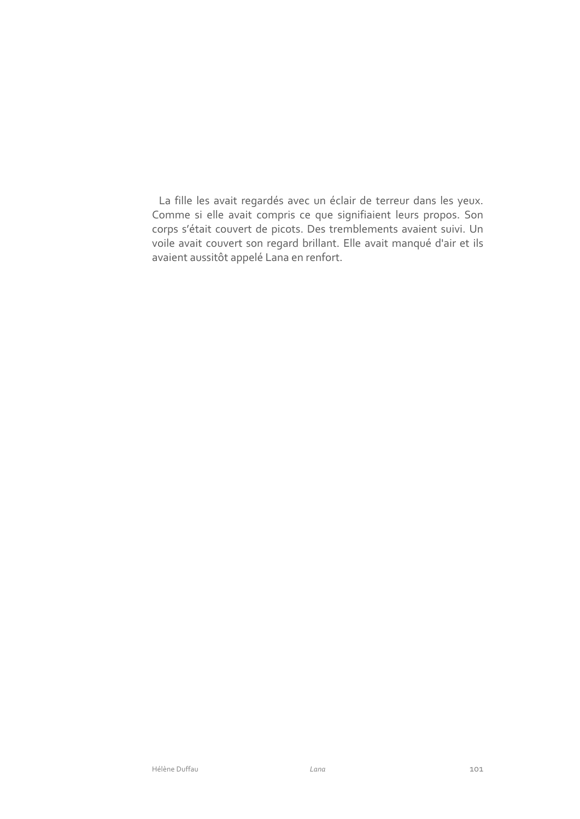La fille les avait regardés avec un éclair de terreur dans les yeux. Comme si elle avait compris ce que signifiaient leurs propos. Son corps s'était couvert de picots. Des tremblements avaient suivi. Un voile avait couvert son regard brillant. Elle avait manqué d'air et ils avaient aussitôt appelé Lana en renfort.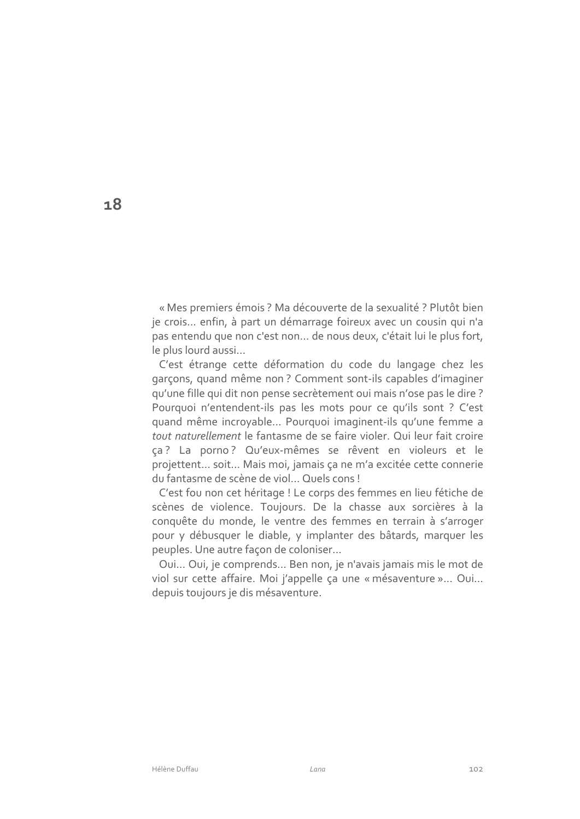« Mes premiers émois ? Ma découverte de la sexualité ? Plutôt bien je crois... enfin, à part un démarrage foireux avec un cousin qui n'a pas entendu que non c'est non... de nous deux, c'était lui le plus fort, le plus lourd aussi...

C'est étrange cette déformation du code du langage chez les garçons, quand même non? Comment sont-ils capables d'imaginer qu'une fille qui dit non pense secrètement oui mais n'ose pas le dire ? Pourquoi n'entendent-ils pas les mots pour ce qu'ils sont ? C'est guand même incroyable... Pourquoi imaginent-ils gu'une femme a tout naturellement le fantasme de se faire violer. Qui leur fait croire ça? La porno? Qu'eux-mêmes se rêvent en violeurs et le projettent... soit... Mais moi, jamais ça ne m'a excitée cette connerie du fantasme de scène de viol... Quels cons!

C'est fou non cet héritage ! Le corps des femmes en lieu fétiche de scènes de violence. Toujours. De la chasse aux sorcières à la conquête du monde, le ventre des femmes en terrain à s'arroger pour y débusquer le diable, y implanter des bâtards, marquer les peuples. Une autre façon de coloniser...

Oui... Oui, je comprends... Ben non, je n'avais jamais mis le mot de viol sur cette affaire. Moi j'appelle ça une « mésaventure »... Oui... depuis toujours je dis mésaventure.

18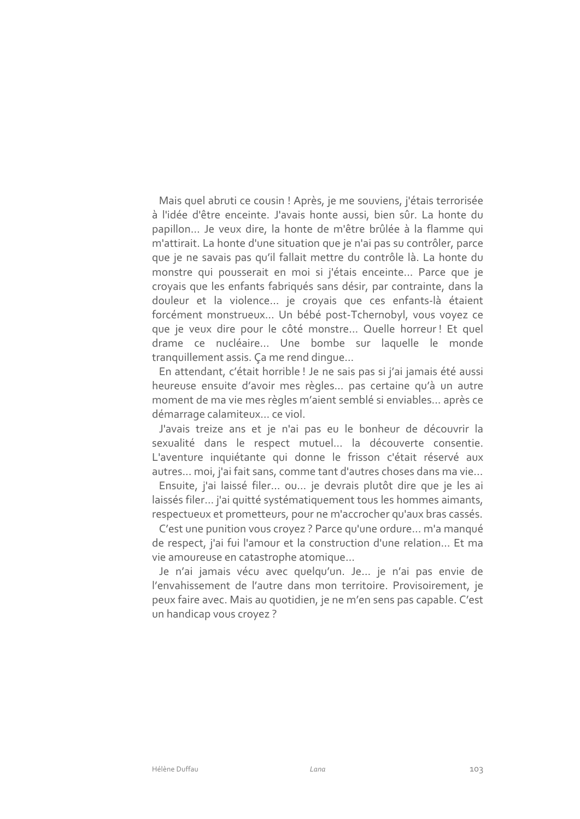Mais quel abruti ce cousin ! Après, je me souviens, j'étais terrorisée à l'idée d'être enceinte. J'avais honte aussi, bien sûr. La honte du papillon... Je veux dire, la honte de m'être brûlée à la flamme qui m'attirait. La honte d'une situation que je n'ai pas su contrôler, parce que je ne savais pas qu'il fallait mettre du contrôle là. La honte du monstre qui pousserait en moi si j'étais enceinte... Parce que je croyais que les enfants fabriqués sans désir, par contrainte, dans la douleur et la violence ... je croyais que ces enfants-là étaient forcément monstrueux... Un bébé post-Tchernobyl, vous voyez ce que je veux dire pour le côté monstre... Quelle horreur! Et quel drame ce nucléaire... Une bombe sur laquelle le monde tranquillement assis. Ça me rend dinque...

En attendant, c'était horrible ! Je ne sais pas si j'ai jamais été aussi heureuse ensuite d'avoir mes règles... pas certaine qu'à un autre moment de ma vie mes règles m'aient semblé si enviables... après ce démarrage calamiteux... ce viol.

J'avais treize ans et je n'ai pas eu le bonheur de découvrir la sexualité dans le respect mutuel... la découverte consentie. L'aventure inquiétante qui donne le frisson c'était réservé aux autres... moi, j'ai fait sans, comme tant d'autres choses dans ma vie...

Ensuite, j'ai laissé filer... ou... je devrais plutôt dire que je les ai laissés filer... j'ai quitté systématiquement tous les hommes aimants, respectueux et prometteurs, pour ne m'accrocher qu'aux bras cassés.

C'est une punition vous croyez ? Parce qu'une ordure... m'a manqué de respect, j'ai fui l'amour et la construction d'une relation... Et ma vie amoureuse en catastrophe atomique...

Je n'ai jamais vécu avec quelqu'un. Je... je n'ai pas envie de l'envahissement de l'autre dans mon territoire. Provisoirement, je peux faire avec. Mais au quotidien, je ne m'en sens pas capable. C'est un handicap vous crovez?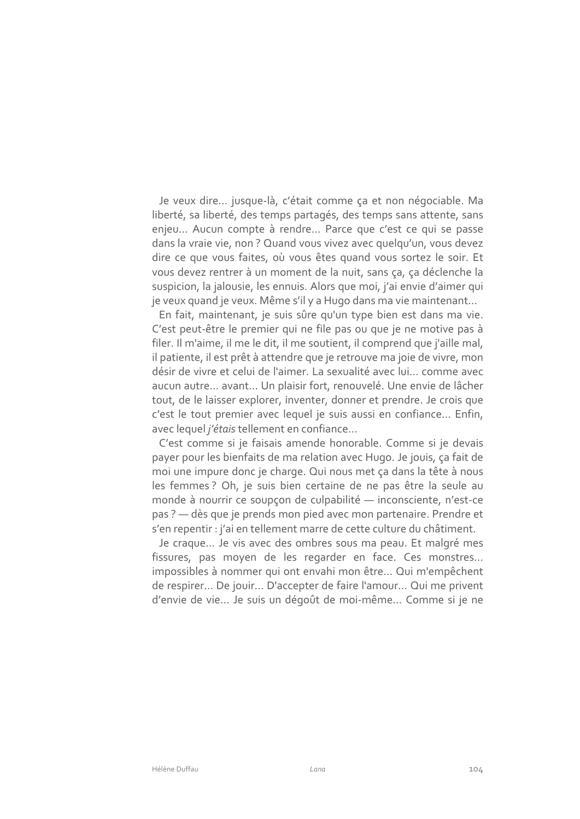Je veux dire... jusque-là, c'était comme ça et non négociable. Ma liberté, sa liberté, des temps partagés, des temps sans attente, sans enjeu... Aucun compte à rendre... Parce que c'est ce qui se passe dans la vraie vie, non? Quand vous vivez avec quelqu'un, vous devez dire ce que vous faites, où vous êtes quand vous sortez le soir. Et vous devez rentrer à un moment de la nuit, sans ca, ca déclenche la suspicion, la jalousie, les ennuis. Alors que moi, j'ai envie d'aimer qui je veux quand je veux. Même s'il y a Hugo dans ma vie maintenant...

En fait, maintenant, je suis sûre qu'un type bien est dans ma vie. C'est peut-être le premier qui ne file pas ou que je ne motive pas à filer. Il m'aime, il me le dit, il me soutient, il comprend que j'aille mal, il patiente, il est prêt à attendre que je retrouve ma joie de vivre, mon désir de vivre et celui de l'aimer. La sexualité avec lui... comme avec aucun autre... avant... Un plaisir fort, renouvelé. Une envie de lâcher tout, de le laisser explorer, inventer, donner et prendre. Je crois que c'est le tout premier avec lequel je suis aussi en confiance... Enfin, avec lequel j'étais tellement en confiance...

C'est comme si je faisais amende honorable. Comme si je devais payer pour les bienfaits de ma relation avec Hugo. Je jouis, ça fait de moi une impure donc je charge. Qui nous met ça dans la tête à nous les femmes ? Oh, je suis bien certaine de ne pas être la seule au monde à nourrir ce soupçon de culpabilité - inconsciente, n'est-ce pas ? - dès que je prends mon pied avec mon partenaire. Prendre et s'en repentir : j'ai en tellement marre de cette culture du châtiment.

Je craque... Je vis avec des ombres sous ma peau. Et malgré mes fissures, pas moyen de les regarder en face. Ces monstres... impossibles à nommer qui ont envahi mon être... Qui m'empêchent de respirer... De jouir... D'accepter de faire l'amour... Qui me privent d'envie de vie... Je suis un dégoût de moi-même... Comme si je ne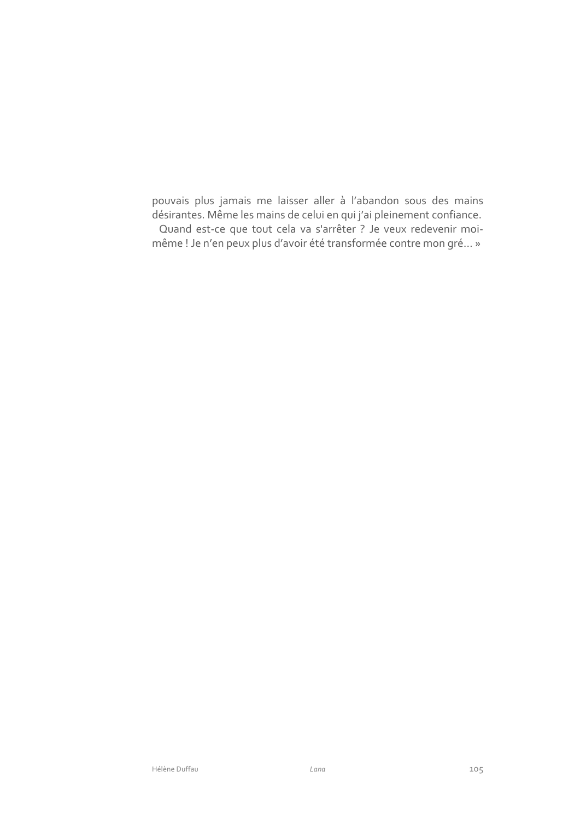pouvais plus jamais me laisser aller à l'abandon sous des mains désirantes. Même les mains de celui en qui j'ai pleinement confiance. Quand est-ce que tout cela va s'arrêter ? Je veux redevenir moimême ! Je n'en peux plus d'avoir été transformée contre mon gré... »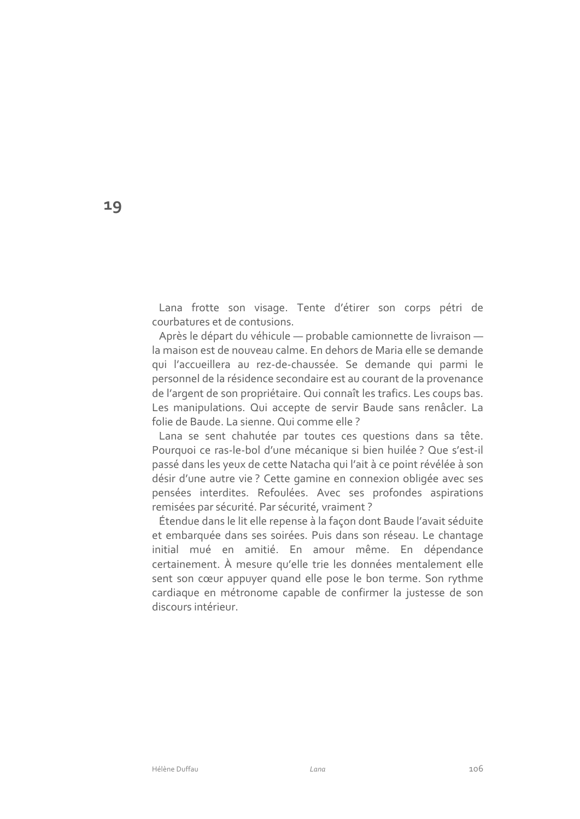Lana frotte son visage. Tente d'étirer son corps pétri de courbatures et de contusions.

Après le départ du véhicule - probable camionnette de livraison la maison est de nouveau calme. En dehors de Maria elle se demande qui l'accueillera au rez-de-chaussée. Se demande qui parmi le personnel de la résidence secondaire est au courant de la provenance de l'argent de son propriétaire. Qui connaît les trafics. Les coups bas. Les manipulations. Qui accepte de servir Baude sans renâcler. La folie de Baude. La sienne. Qui comme elle ?

Lana se sent chahutée par toutes ces questions dans sa tête. Pourquoi ce ras-le-bol d'une mécanique si bien huilée ? Que s'est-il passé dans les yeux de cette Natacha qui l'ait à ce point révélée à son désir d'une autre vie ? Cette gamine en connexion obligée avec ses pensées interdites. Refoulées. Avec ses profondes aspirations remisées par sécurité. Par sécurité, vraiment ?

Étendue dans le lit elle repense à la façon dont Baude l'avait séduite et embarquée dans ses soirées. Puis dans son réseau. Le chantage initial mué en amitié. En amour même. En dépendance certainement. À mesure qu'elle trie les données mentalement elle sent son cœur appuyer quand elle pose le bon terme. Son rythme cardiaque en métronome capable de confirmer la justesse de son discours intérieur

19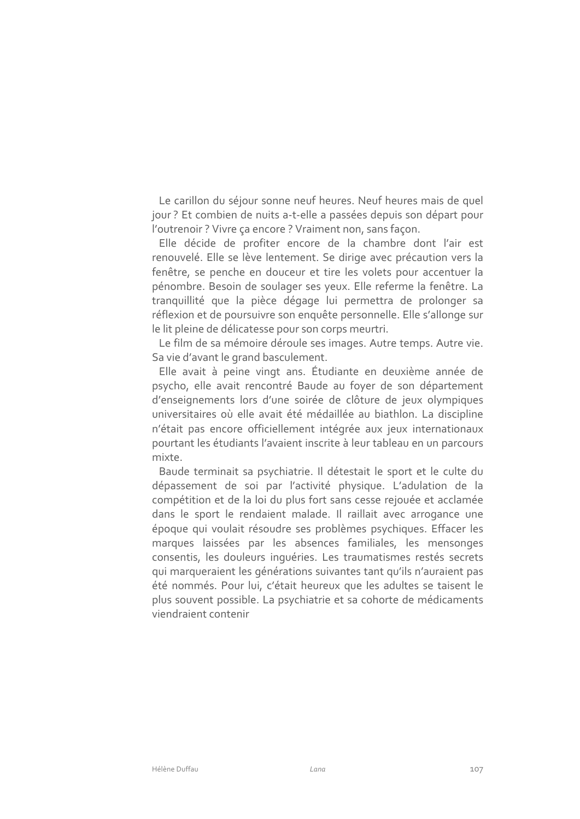Le carillon du séjour sonne neuf heures. Neuf heures mais de quel jour? Et combien de nuits a-t-elle a passées depuis son départ pour l'outrenoir ? Vivre ça encore ? Vraiment non, sans façon.

Elle décide de profiter encore de la chambre dont l'air est renouvelé. Elle se lève lentement. Se dirige avec précaution vers la fenêtre, se penche en douceur et tire les volets pour accentuer la pénombre. Besoin de soulager ses yeux. Elle referme la fenêtre. La tranquillité que la pièce dégage lui permettra de prolonger sa réflexion et de poursuivre son enquête personnelle. Elle s'allonge sur le lit pleine de délicatesse pour son corps meurtri.

Le film de sa mémoire déroule ses images. Autre temps. Autre vie. Sa vie d'avant le grand basculement.

Elle avait à peine vingt ans. Étudiante en deuxième année de psycho, elle avait rencontré Baude au foyer de son département d'enseignements lors d'une soirée de clôture de jeux olympiques universitaires où elle avait été médaillée au biathlon. La discipline n'était pas encore officiellement intégrée aux jeux internationaux pourtant les étudiants l'avaient inscrite à leur tableau en un parcours mixte

Baude terminait sa psychiatrie. Il détestait le sport et le culte du dépassement de soi par l'activité physique. L'adulation de la compétition et de la loi du plus fort sans cesse rejouée et acclamée dans le sport le rendaient malade. Il raillait avec arrogance une époque qui voulait résoudre ses problèmes psychiques. Effacer les marques laissées par les absences familiales, les mensonges consentis, les douleurs inquéries. Les traumatismes restés secrets qui marqueraient les générations suivantes tant qu'ils n'auraient pas été nommés. Pour lui, c'était heureux que les adultes se taisent le plus souvent possible. La psychiatrie et sa cohorte de médicaments viendraient contenir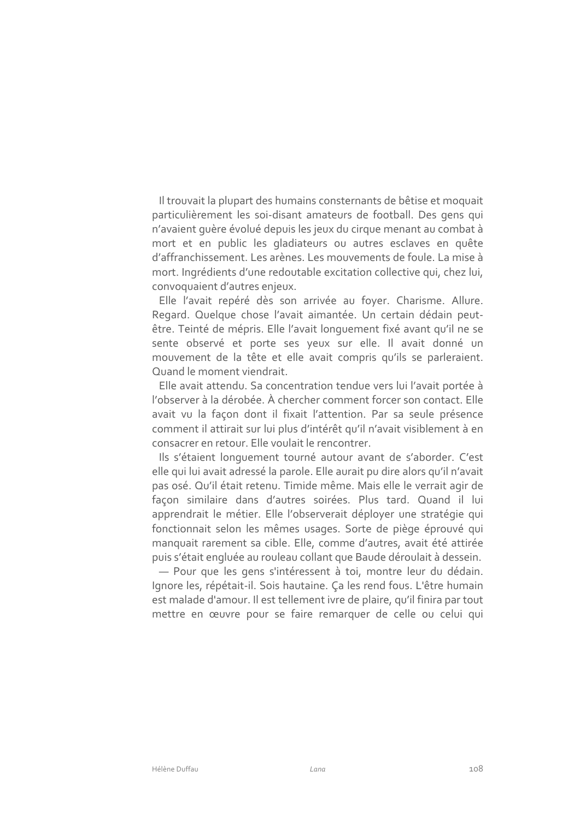Il trouvait la plupart des humains consternants de bêtise et moquait particulièrement les soi-disant amateurs de football. Des gens qui n'avaient quère évolué depuis les jeux du cirque menant au combat à mort et en public les gladiateurs ou autres esclaves en quête d'affranchissement. Les arènes. Les mouvements de foule. La mise à mort. Ingrédients d'une redoutable excitation collective qui, chez lui, convoquaient d'autres enjeux.

Elle l'avait repéré dès son arrivée au foyer. Charisme. Allure. Regard. Quelque chose l'avait aimantée. Un certain dédain peutêtre. Teinté de mépris. Elle l'avait longuement fixé avant qu'il ne se sente observé et porte ses yeux sur elle. Il avait donné un mouvement de la tête et elle avait compris qu'ils se parleraient. Quand le moment viendrait.

Elle avait attendu. Sa concentration tendue vers lui l'avait portée à l'observer à la dérobée. À chercher comment forcer son contact. Elle avait vu la façon dont il fixait l'attention. Par sa seule présence comment il attirait sur lui plus d'intérêt qu'il n'avait visiblement à en consacrer en retour. Elle voulait le rencontrer.

Ils s'étaient longuement tourné autour avant de s'aborder. C'est elle qui lui avait adressé la parole. Elle aurait pu dire alors qu'il n'avait pas osé. Qu'il était retenu. Timide même. Mais elle le verrait agir de façon similaire dans d'autres soirées. Plus tard. Quand il lui apprendrait le métier. Elle l'observerait déployer une stratégie qui fonctionnait selon les mêmes usages. Sorte de piège éprouvé qui manquait rarement sa cible. Elle, comme d'autres, avait été attirée puis s'était engluée au rouleau collant que Baude déroulait à dessein.

- Pour que les gens s'intéressent à toi, montre leur du dédain. Ignore les, répétait-il. Sois hautaine. Ça les rend fous. L'être humain est malade d'amour. Il est tellement ivre de plaire, qu'il finira par tout mettre en œuvre pour se faire remarquer de celle ou celui qui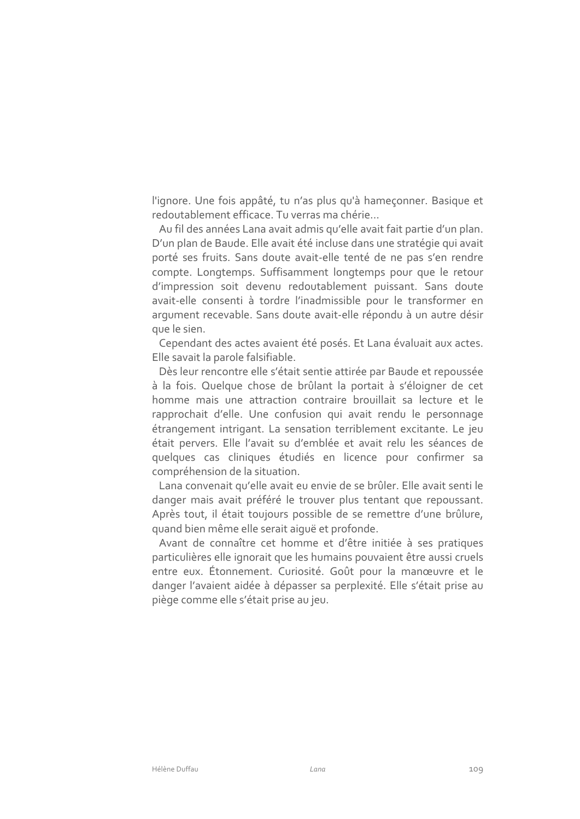l'ignore. Une fois appâté, tu n'as plus qu'à hameçonner. Basique et redoutablement efficace. Tu verras ma chérie...

Au fil des années Lana avait admis qu'elle avait fait partie d'un plan. D'un plan de Baude. Elle avait été incluse dans une stratégie qui avait porté ses fruits. Sans doute avait-elle tenté de ne pas s'en rendre compte. Longtemps. Suffisamment longtemps pour que le retour d'impression soit devenu redoutablement puissant. Sans doute avait-elle consenti à tordre l'inadmissible pour le transformer en arqument recevable. Sans doute avait-elle répondu à un autre désir que le sien.

Cependant des actes avaient été posés. Et Lana évaluait aux actes. Elle savait la parole falsifiable.

Dès leur rencontre elle s'était sentie attirée par Baude et repoussée à la fois. Quelque chose de brûlant la portait à s'éloigner de cet homme mais une attraction contraire brouillait sa lecture et le rapprochait d'elle. Une confusion qui avait rendu le personnage étrangement intrigant. La sensation terriblement excitante. Le jeu était pervers. Elle l'avait su d'emblée et avait relu les séances de quelques cas cliniques étudiés en licence pour confirmer sa compréhension de la situation.

Lana convenait qu'elle avait eu envie de se brûler. Elle avait senti le danger mais avait préféré le trouver plus tentant que repoussant. Après tout, il était toujours possible de se remettre d'une brûlure, quand bien même elle serait aiquë et profonde.

Avant de connaître cet homme et d'être initiée à ses pratiques particulières elle ignorait que les humains pouvaient être aussi cruels entre eux. Étonnement. Curiosité. Goût pour la manœuvre et le danger l'avaient aidée à dépasser sa perplexité. Elle s'était prise au piège comme elle s'était prise au jeu.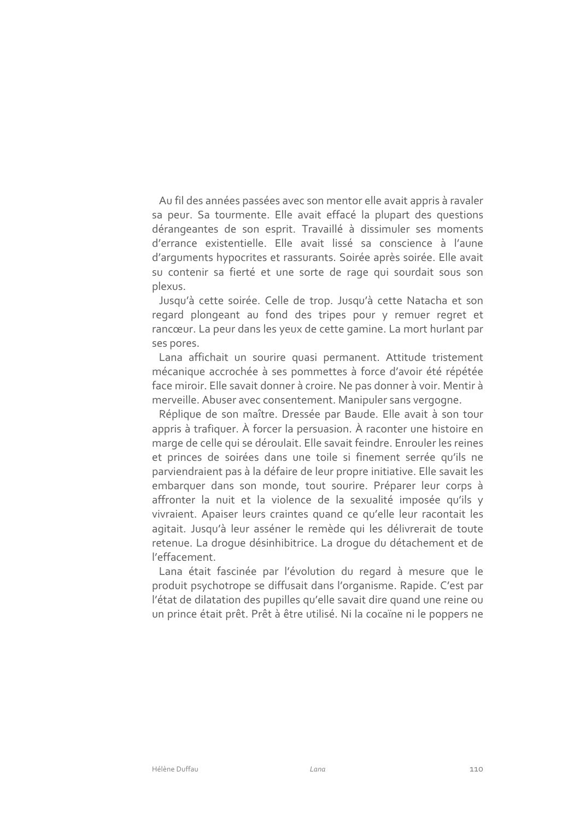Au fil des années passées avec son mentor elle avait appris à ravaler sa peur. Sa tourmente. Elle avait effacé la plupart des questions dérangeantes de son esprit. Travaillé à dissimuler ses moments d'errance existentielle. Elle avait lissé sa conscience à l'aune d'arguments hypocrites et rassurants. Soirée après soirée. Elle avait su contenir sa fierté et une sorte de rage qui sourdait sous son plexus.

Jusqu'à cette soirée. Celle de trop. Jusqu'à cette Natacha et son regard plongeant au fond des tripes pour y remuer regret et rancœur. La peur dans les yeux de cette gamine. La mort hurlant par ses pores.

Lana affichait un sourire quasi permanent. Attitude tristement mécanique accrochée à ses pommettes à force d'avoir été répétée face miroir. Elle savait donner à croire. Ne pas donner à voir. Mentir à merveille. Abuser avec consentement. Manipuler sans vergogne.

Réplique de son maître. Dressée par Baude. Elle avait à son tour appris à trafiquer. À forcer la persuasion. À raconter une histoire en marge de celle qui se déroulait. Elle savait feindre. Enrouler les reines et princes de soirées dans une toile si finement serrée qu'ils ne parviendraient pas à la défaire de leur propre initiative. Elle savait les embarquer dans son monde, tout sourire. Préparer leur corps à affronter la nuit et la violence de la sexualité imposée qu'ils y vivraient. Apaiser leurs craintes quand ce qu'elle leur racontait les agitait. Jusqu'à leur asséner le remède qui les délivrerait de toute retenue. La droque désinhibitrice. La droque du détachement et de l'effacement.

Lana était fascinée par l'évolution du regard à mesure que le produit psychotrope se diffusait dans l'organisme. Rapide. C'est par l'état de dilatation des pupilles qu'elle savait dire quand une reine ou un prince était prêt. Prêt à être utilisé. Ni la cocaïne ni le poppers ne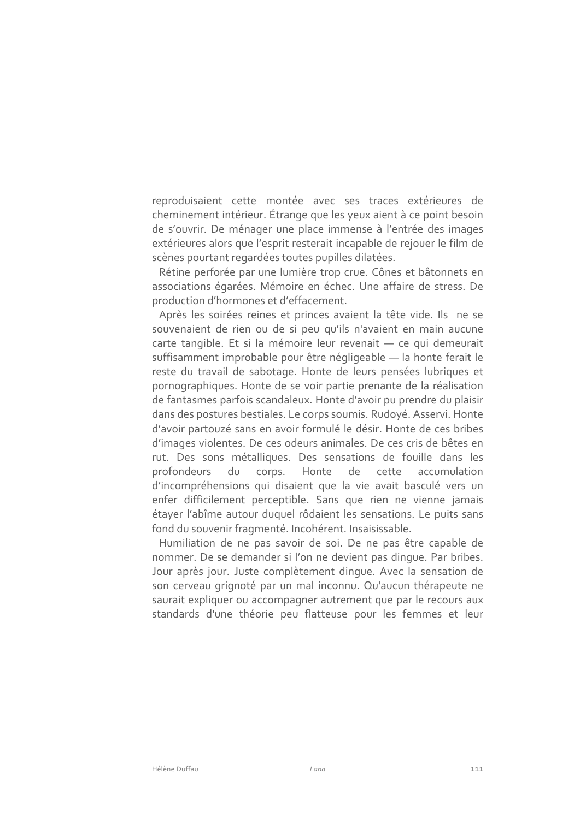reproduisaient cette montée avec ses traces extérieures de cheminement intérieur. Étrange que les yeux aient à ce point besoin de s'ouvrir. De ménager une place immense à l'entrée des images extérieures alors que l'esprit resterait incapable de rejouer le film de scènes pourtant regardées toutes pupilles dilatées.

Rétine perforée par une lumière trop crue. Cônes et bâtonnets en associations égarées. Mémoire en échec. Une affaire de stress. De production d'hormones et d'effacement.

Après les soirées reines et princes avaient la tête vide. Ils ne se souvenaient de rien ou de si peu qu'ils n'avaient en main aucune carte tangible. Et si la mémoire leur revenait - ce qui demeurait suffisamment improbable pour être négligeable - la honte ferait le reste du travail de sabotage. Honte de leurs pensées lubriques et pornographiques. Honte de se voir partie prenante de la réalisation de fantasmes parfois scandaleux. Honte d'avoir pu prendre du plaisir dans des postures bestiales. Le corps soumis. Rudoyé. Asservi. Honte d'avoir partouzé sans en avoir formulé le désir. Honte de ces bribes d'images violentes. De ces odeurs animales. De ces cris de bêtes en rut. Des sons métalliques. Des sensations de fouille dans les profondeurs du corps. Honte de cette accumulation d'incompréhensions qui disaient que la vie avait basculé vers un enfer difficilement perceptible. Sans que rien ne vienne jamais étayer l'abîme autour duquel rôdaient les sensations. Le puits sans fond du souvenir fragmenté. Incohérent. Insaisissable.

Humiliation de ne pas savoir de soi. De ne pas être capable de nommer. De se demander si l'on ne devient pas dinque. Par bribes. Jour après jour. Juste complètement dinque. Avec la sensation de son cerveau grignoté par un mal inconnu. Qu'aucun thérapeute ne saurait expliquer ou accompagner autrement que par le recours aux standards d'une théorie peu flatteuse pour les femmes et leur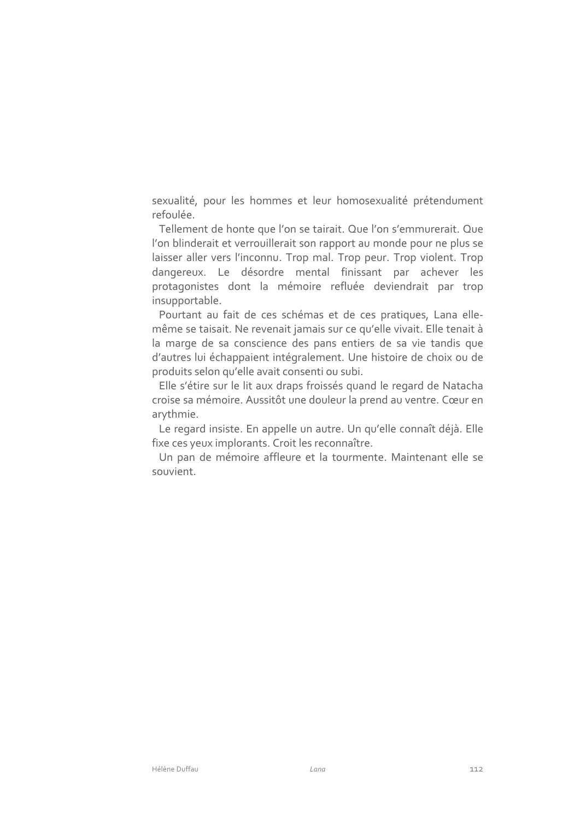sexualité, pour les hommes et leur homosexualité prétendument refoulée.

Tellement de honte que l'on se tairait. Que l'on s'emmurerait. Que l'on blinderait et verrouillerait son rapport au monde pour ne plus se laisser aller vers l'inconnu. Trop mal. Trop peur. Trop violent. Trop dangereux. Le désordre mental finissant par achever les protagonistes dont la mémoire refluée deviendrait par trop insupportable.

Pourtant au fait de ces schémas et de ces pratiques, Lana ellemême se taisait. Ne revenait jamais sur ce qu'elle vivait. Elle tenait à la marge de sa conscience des pans entiers de sa vie tandis que d'autres lui échappaient intégralement. Une histoire de choix ou de produits selon qu'elle avait consenti ou subi.

Elle s'étire sur le lit aux draps froissés quand le regard de Natacha croise sa mémoire. Aussitôt une douleur la prend au ventre. Cœur en arythmie.

Le regard insiste. En appelle un autre. Un qu'elle connaît déjà. Elle fixe ces yeux implorants. Croit les reconnaître.

Un pan de mémoire affleure et la tourmente. Maintenant elle se souvient.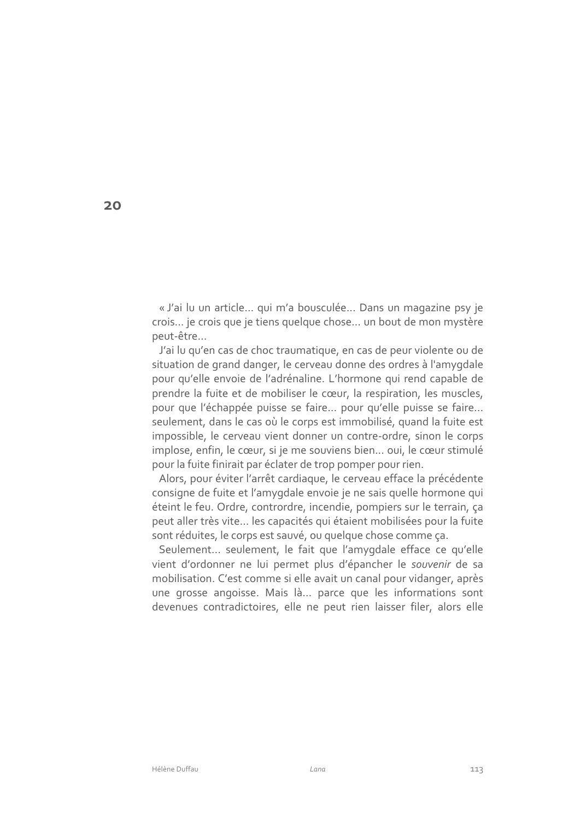« J'ai lu un article... qui m'a bousculée... Dans un magazine psy je crois... je crois que je tiens quelque chose... un bout de mon mystère peut-être...

J'ai lu qu'en cas de choc traumatique, en cas de peur violente ou de situation de grand danger, le cerveau donne des ordres à l'amygdale pour qu'elle envoie de l'adrénaline. L'hormone qui rend capable de prendre la fuite et de mobiliser le cœur, la respiration, les muscles, pour que l'échappée puisse se faire... pour qu'elle puisse se faire... seulement, dans le cas où le corps est immobilisé, quand la fuite est impossible, le cerveau vient donner un contre-ordre, sinon le corps implose, enfin, le cœur, si je me souviens bien... oui, le cœur stimulé pour la fuite finirait par éclater de trop pomper pour rien.

Alors, pour éviter l'arrêt cardiaque, le cerveau efface la précédente consigne de fuite et l'amygdale envoie je ne sais quelle hormone qui éteint le feu. Ordre, contrordre, incendie, pompiers sur le terrain, ça peut aller très vite... les capacités qui étaient mobilisées pour la fuite sont réduites, le corps est sauvé, ou quelque chose comme ça.

Seulement... seulement, le fait que l'amygdale efface ce qu'elle vient d'ordonner ne lui permet plus d'épancher le souvenir de sa mobilisation. C'est comme si elle avait un canal pour vidanger, après une grosse angoisse. Mais là... parce que les informations sont devenues contradictoires, elle ne peut rien laisser filer, alors elle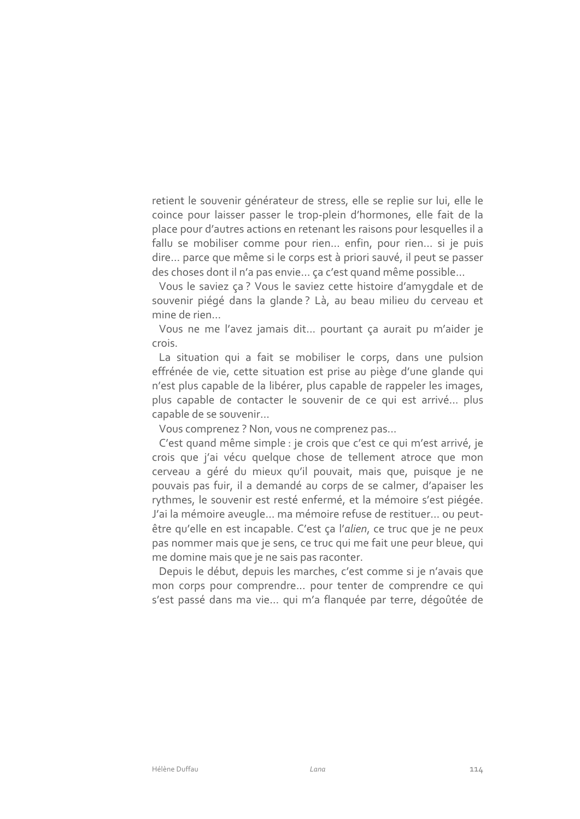retient le souvenir générateur de stress, elle se replie sur lui, elle le coince pour laisser passer le trop-plein d'hormones, elle fait de la place pour d'autres actions en retenant les raisons pour lesquelles il a fallu se mobiliser comme pour rien... enfin, pour rien... si je puis dire... parce que même si le corps est à priori sauvé, il peut se passer des choses dont il n'a pas envie... ça c'est quand même possible...

Vous le saviez ça? Vous le saviez cette histoire d'amygdale et de souvenir piégé dans la glande? Là, au beau milieu du cerveau et mine de rien...

Vous ne me l'avez jamais dit... pourtant ça aurait pu m'aider je crois.

La situation qui a fait se mobiliser le corps, dans une pulsion effrénée de vie, cette situation est prise au piège d'une glande qui n'est plus capable de la libérer, plus capable de rappeler les images, plus capable de contacter le souvenir de ce qui est arrivé... plus capable de se souvenir...

Vous comprenez ? Non, vous ne comprenez pas...

C'est quand même simple : je crois que c'est ce qui m'est arrivé, je crois que j'ai vécu quelque chose de tellement atroce que mon cerveau a géré du mieux qu'il pouvait, mais que, puisque je ne pouvais pas fuir, il a demandé au corps de se calmer, d'apaiser les rythmes, le souvenir est resté enfermé, et la mémoire s'est piégée. J'ai la mémoire aveugle... ma mémoire refuse de restituer... ou peutêtre qu'elle en est incapable. C'est ça l'alien, ce truc que je ne peux pas nommer mais que je sens, ce truc qui me fait une peur bleue, qui me domine mais que je ne sais pas raconter.

Depuis le début, depuis les marches, c'est comme si je n'avais que mon corps pour comprendre... pour tenter de comprendre ce qui s'est passé dans ma vie... qui m'a flanquée par terre, dégoûtée de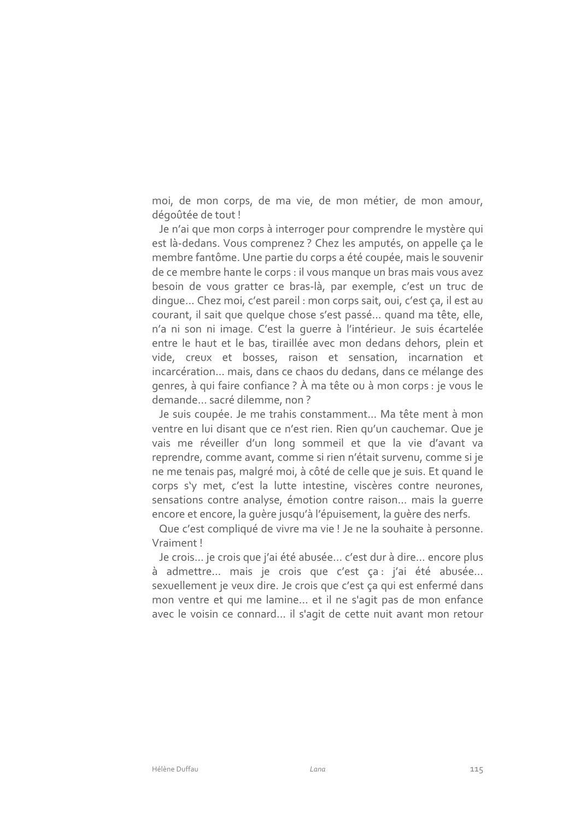moi, de mon corps, de ma vie, de mon métier, de mon amour, dégoûtée de tout!

Je n'ai que mon corps à interroger pour comprendre le mystère qui est là-dedans. Vous comprenez ? Chez les amputés, on appelle ça le membre fantôme. Une partie du corps a été coupée, mais le souvenir de ce membre hante le corps : il vous manque un bras mais vous avez besoin de vous gratter ce bras-là, par exemple, c'est un truc de dingue... Chez moi, c'est pareil : mon corps sait, oui, c'est ça, il est au courant, il sait que quelque chose s'est passé... quand ma tête, elle, n'a ni son ni image. C'est la querre à l'intérieur. Je suis écartelée entre le haut et le bas, tiraillée avec mon dedans dehors, plein et vide, creux et bosses, raison et sensation, incarnation et incarcération... mais, dans ce chaos du dedans, dans ce mélange des genres, à qui faire confiance ? À ma tête ou à mon corps : je vous le demande... sacré dilemme, non ?

Je suis coupée. Je me trahis constamment... Ma tête ment à mon ventre en lui disant que ce n'est rien. Rien qu'un cauchemar. Que je vais me réveiller d'un long sommeil et que la vie d'avant va reprendre, comme avant, comme si rien n'était survenu, comme si je ne me tenais pas, malgré moi, à côté de celle que je suis. Et quand le corps s'y met, c'est la lutte intestine, viscères contre neurones, sensations contre analyse, émotion contre raison... mais la querre encore et encore, la quère jusqu'à l'épuisement, la quère des nerfs.

Que c'est compliqué de vivre ma vie ! Je ne la souhaite à personne. Vraiment!

Je crois... je crois que j'ai été abusée... c'est dur à dire... encore plus à admettre... mais je crois que c'est ça : j'ai été abusée... sexuellement je veux dire. Je crois que c'est ça qui est enfermé dans mon ventre et qui me lamine... et il ne s'agit pas de mon enfance avec le voisin ce connard... il s'agit de cette nuit avant mon retour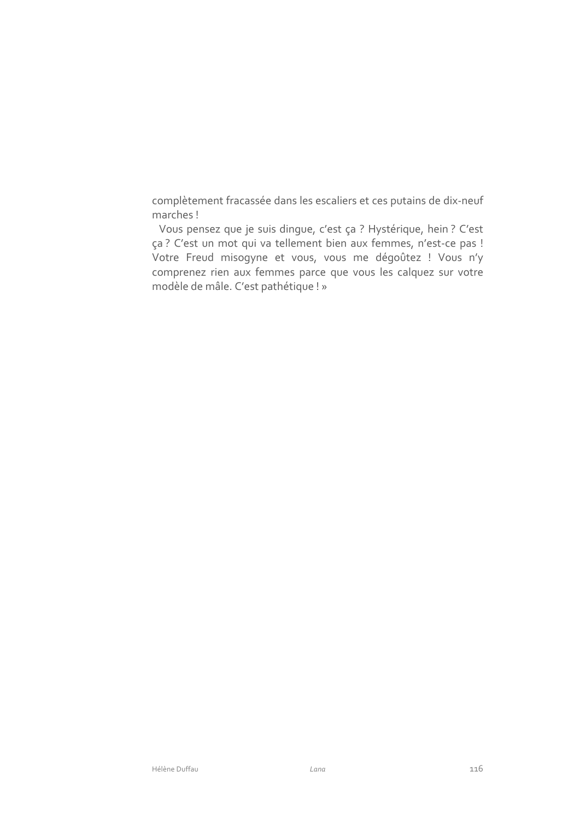complètement fracassée dans les escaliers et ces putains de dix-neuf marches!

Vous pensez que je suis dingue, c'est ça ? Hystérique, hein ? C'est ça ? C'est un mot qui va tellement bien aux femmes, n'est-ce pas ! Votre Freud misogyne et vous, vous me dégoûtez ! Vous n'y comprenez rien aux femmes parce que vous les calquez sur votre modèle de mâle. C'est pathétique ! »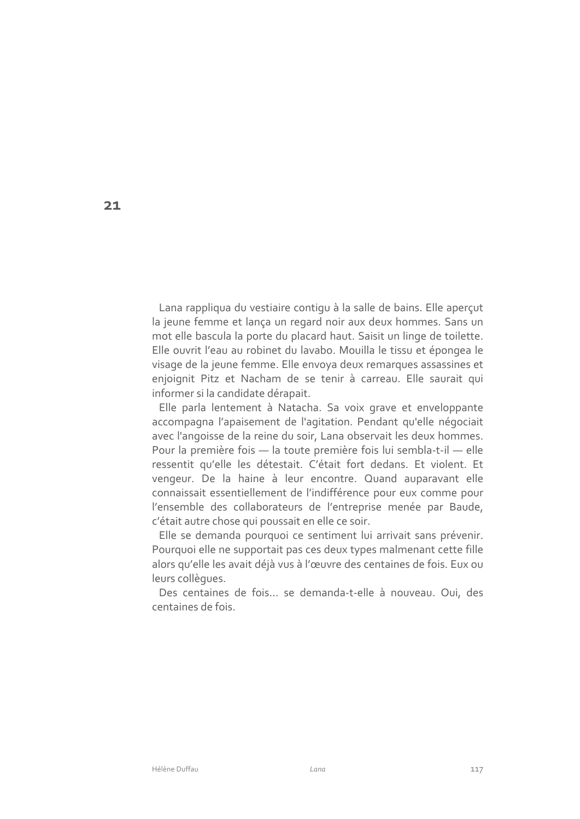Lana rappliqua du vestiaire contiqu à la salle de bains. Elle aperçut la jeune femme et lança un regard noir aux deux hommes. Sans un mot elle bascula la porte du placard haut. Saisit un linge de toilette. Elle ouvrit l'eau au robinet du lavabo. Mouilla le tissu et épongea le visage de la jeune femme. Elle envoya deux remarques assassines et enjoignit Pitz et Nacham de se tenir à carreau. Elle saurait qui informer si la candidate dérapait.

Elle parla lentement à Natacha. Sa voix grave et enveloppante accompagna l'apaisement de l'agitation. Pendant qu'elle négociait avec l'angoisse de la reine du soir, Lana observait les deux hommes. Pour la première fois - la toute première fois lui sembla-t-il - elle ressentit qu'elle les détestait. C'était fort dedans. Et violent. Et vengeur. De la haine à leur encontre. Quand auparavant elle connaissait essentiellement de l'indifférence pour eux comme pour l'ensemble des collaborateurs de l'entreprise menée par Baude, c'était autre chose qui poussait en elle ce soir.

Elle se demanda pourquoi ce sentiment lui arrivait sans prévenir. Pourquoi elle ne supportait pas ces deux types malmenant cette fille alors qu'elle les avait déjà vus à l'œuvre des centaines de fois. Eux ou leurs collègues.

Des centaines de fois... se demanda-t-elle à nouveau. Oui, des centaines de fois

 $21$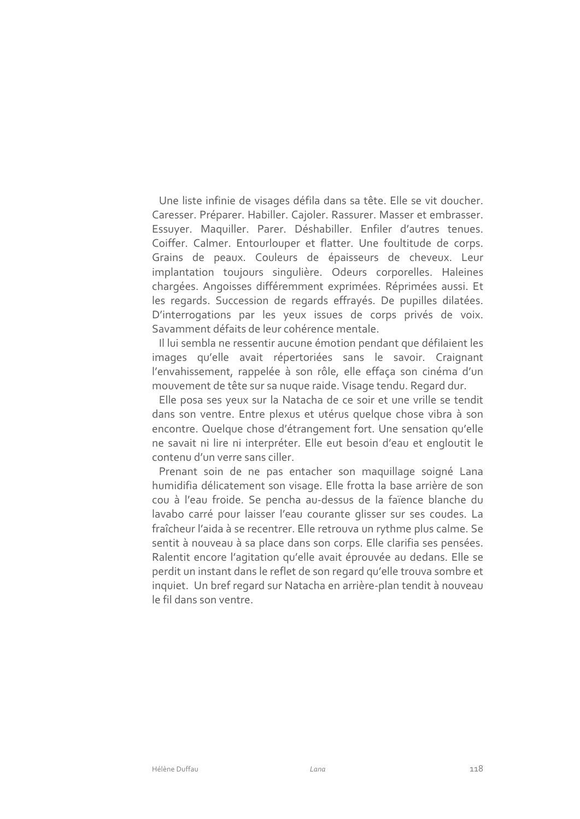Une liste infinie de visages défila dans sa tête. Elle se vit doucher. Caresser. Préparer. Habiller. Cajoler. Rassurer. Masser et embrasser. Essuyer. Maquiller. Parer. Déshabiller. Enfiler d'autres tenues. Coiffer. Calmer. Entourlouper et flatter. Une foultitude de corps. Grains de peaux. Couleurs de épaisseurs de cheveux. Leur implantation toujours singulière. Odeurs corporelles. Haleines chargées. Angoisses différemment exprimées. Réprimées aussi. Et les regards. Succession de regards effrayés. De pupilles dilatées. D'interrogations par les yeux issues de corps privés de voix. Savamment défaits de leur cohérence mentale.

Il lui sembla ne ressentir aucune émotion pendant que défilaient les images qu'elle avait répertoriées sans le savoir. Craignant l'envahissement, rappelée à son rôle, elle effaça son cinéma d'un mouvement de tête sur sa nuque raide. Visage tendu. Regard dur.

Elle posa ses yeux sur la Natacha de ce soir et une vrille se tendit dans son ventre. Entre plexus et utérus quelque chose vibra à son encontre. Quelque chose d'étrangement fort. Une sensation qu'elle ne savait ni lire ni interpréter. Elle eut besoin d'eau et engloutit le contenu d'un verre sans ciller.

Prenant soin de ne pas entacher son maquillage soigné Lana humidifia délicatement son visage. Elle frotta la base arrière de son cou à l'eau froide. Se pencha au-dessus de la faïence blanche du lavabo carré pour laisser l'eau courante glisser sur ses coudes. La fraîcheur l'aida à se recentrer. Elle retrouva un rythme plus calme. Se sentit à nouveau à sa place dans son corps. Elle clarifia ses pensées. Ralentit encore l'agitation qu'elle avait éprouvée au dedans. Elle se perdit un instant dans le reflet de son regard qu'elle trouva sombre et inquiet. Un bref regard sur Natacha en arrière-plan tendit à nouveau le fil dans son ventre.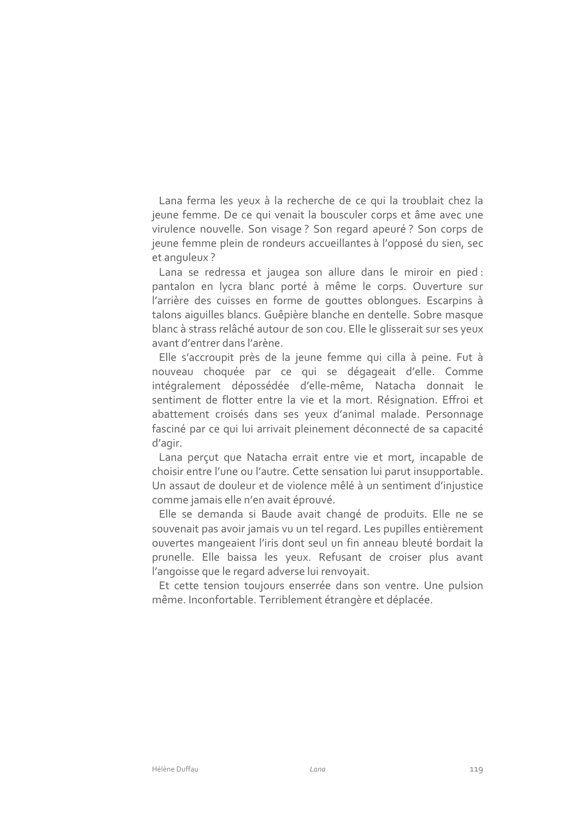Lana ferma les yeux à la recherche de ce qui la troublait chez la jeune femme. De ce qui venait la bousculer corps et âme avec une virulence nouvelle. Son visage? Son regard apeuré? Son corps de jeune femme plein de rondeurs accueillantes à l'opposé du sien, sec et anguleux?

Lana se redressa et jaugea son allure dans le miroir en pied : pantalon en lycra blanc porté à même le corps. Ouverture sur l'arrière des cuisses en forme de gouttes oblongues. Escarpins à talons aiguilles blancs. Guêpière blanche en dentelle. Sobre masque blanc à strass relâché autour de son cou. Elle le glisserait sur ses yeux avant d'entrer dans l'arène.

Elle s'accroupit près de la jeune femme qui cilla à peine. Fut à nouveau choquée par ce qui se dégageait d'elle. Comme intégralement dépossédée d'elle-même, Natacha donnait le sentiment de flotter entre la vie et la mort. Résignation. Effroi et abattement croisés dans ses yeux d'animal malade. Personnage fasciné par ce qui lui arrivait pleinement déconnecté de sa capacité d'agir.

Lana perçut que Natacha errait entre vie et mort, incapable de choisir entre l'une ou l'autre. Cette sensation lui parut insupportable. Un assaut de douleur et de violence mêlé à un sentiment d'injustice comme jamais elle n'en avait éprouvé.

Elle se demanda si Baude avait changé de produits. Elle ne se souvenait pas avoir jamais vu un tel regard. Les pupilles entièrement ouvertes mangeaient l'iris dont seul un fin anneau bleuté bordait la prunelle. Elle baissa les yeux. Refusant de croiser plus avant l'angoisse que le regard adverse lui renvoyait.

Et cette tension toujours enserrée dans son ventre. Une pulsion même. Inconfortable. Terriblement étrangère et déplacée.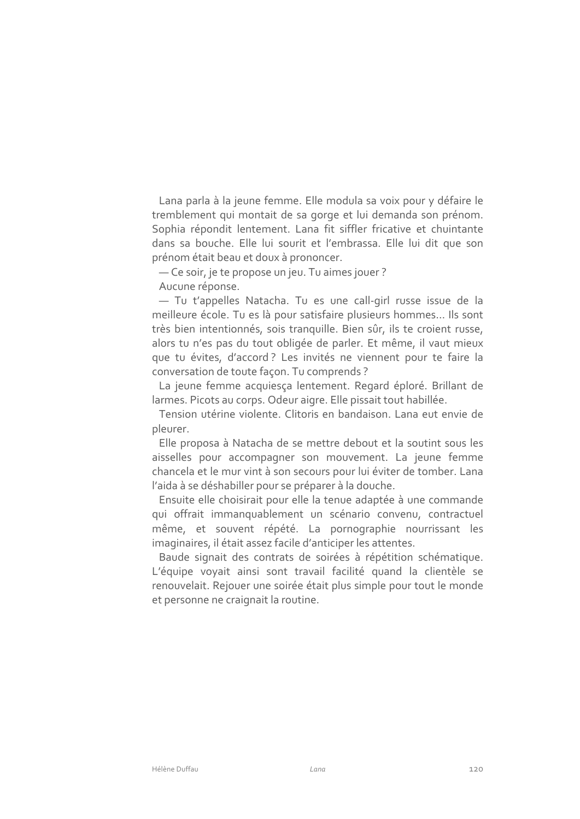Lana parla à la jeune femme. Elle modula sa voix pour y défaire le tremblement qui montait de sa gorge et lui demanda son prénom. Sophia répondit lentement. Lana fit siffler fricative et chuintante dans sa bouche. Elle lui sourit et l'embrassa. Elle lui dit que son prénom était beau et doux à prononcer.

- Ce soir, je te propose un jeu. Tu aimes jouer?

Aucune réponse.

- Tu t'appelles Natacha. Tu es une call-girl russe issue de la meilleure école. Tu es là pour satisfaire plusieurs hommes... Ils sont très bien intentionnés, sois tranquille. Bien sûr, ils te croient russe, alors tu n'es pas du tout obligée de parler. Et même, il vaut mieux que tu évites, d'accord? Les invités ne viennent pour te faire la conversation de toute façon. Tu comprends?

La jeune femme acquiesça lentement. Regard éploré. Brillant de larmes. Picots au corps. Odeur aigre. Elle pissait tout habillée.

Tension utérine violente. Clitoris en bandaison. Lana eut envie de pleurer.

Elle proposa à Natacha de se mettre debout et la soutint sous les aisselles pour accompagner son mouvement. La jeune femme chancela et le mur vint à son secours pour lui éviter de tomber. Lana l'aida à se déshabiller pour se préparer à la douche.

Ensuite elle choisirait pour elle la tenue adaptée à une commande qui offrait immanquablement un scénario convenu, contractuel même, et souvent répété. La pornographie nourrissant les imaginaires, il était assez facile d'anticiper les attentes.

Baude signait des contrats de soirées à répétition schématique. L'équipe voyait ainsi sont travail facilité quand la clientèle se renouvelait. Rejouer une soirée était plus simple pour tout le monde et personne ne craignait la routine.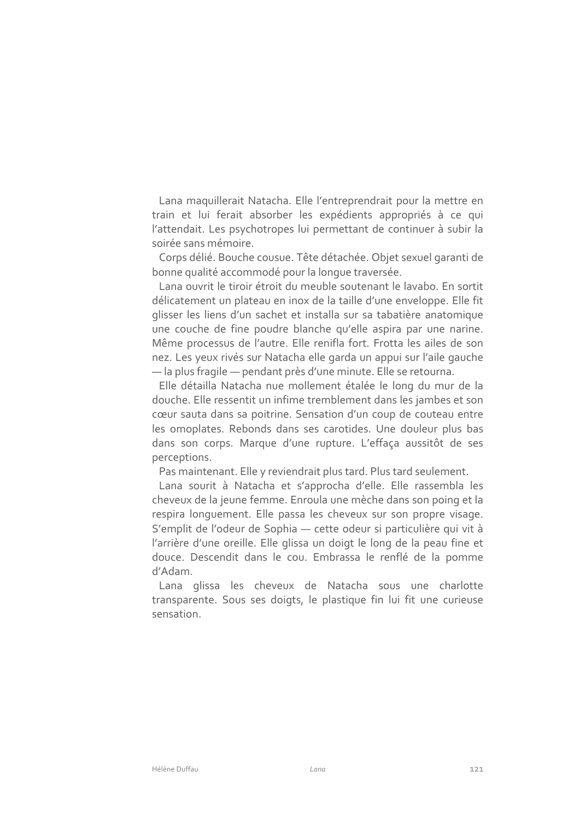Lana maquillerait Natacha. Elle l'entreprendrait pour la mettre en train et lui ferait absorber les expédients appropriés à ce qui l'attendait. Les psychotropes lui permettant de continuer à subir la soirée sans mémoire

Corps délié. Bouche cousue. Tête détachée. Objet sexuel garanti de bonne qualité accommodé pour la lonque traversée.

Lana ouvrit le tiroir étroit du meuble soutenant le lavabo. En sortit délicatement un plateau en inox de la taille d'une enveloppe. Elle fit glisser les liens d'un sachet et installa sur sa tabatière anatomique une couche de fine poudre blanche qu'elle aspira par une narine. Même processus de l'autre. Elle renifla fort. Frotta les ailes de son nez. Les yeux rivés sur Natacha elle garda un appui sur l'aile gauche - la plus fragile - pendant près d'une minute. Elle se retourna.

Elle détailla Natacha nue mollement étalée le long du mur de la douche. Elle ressentit un infime tremblement dans les jambes et son cœur sauta dans sa poitrine. Sensation d'un coup de couteau entre les omoplates. Rebonds dans ses carotides. Une douleur plus bas dans son corps. Marque d'une rupture. L'effaça aussitôt de ses perceptions.

Pas maintenant. Elle y reviendrait plus tard. Plus tard seulement.

Lana sourit à Natacha et s'approcha d'elle. Elle rassembla les cheveux de la jeune femme. Enroula une mèche dans son poing et la respira longuement. Elle passa les cheveux sur son propre visage. S'emplit de l'odeur de Sophia - cette odeur si particulière qui vit à l'arrière d'une oreille. Elle glissa un doigt le long de la peau fine et douce. Descendit dans le cou. Embrassa le renflé de la pomme d'Adam

Lana glissa les cheveux de Natacha sous une charlotte transparente. Sous ses doigts, le plastique fin lui fit une curieuse sensation.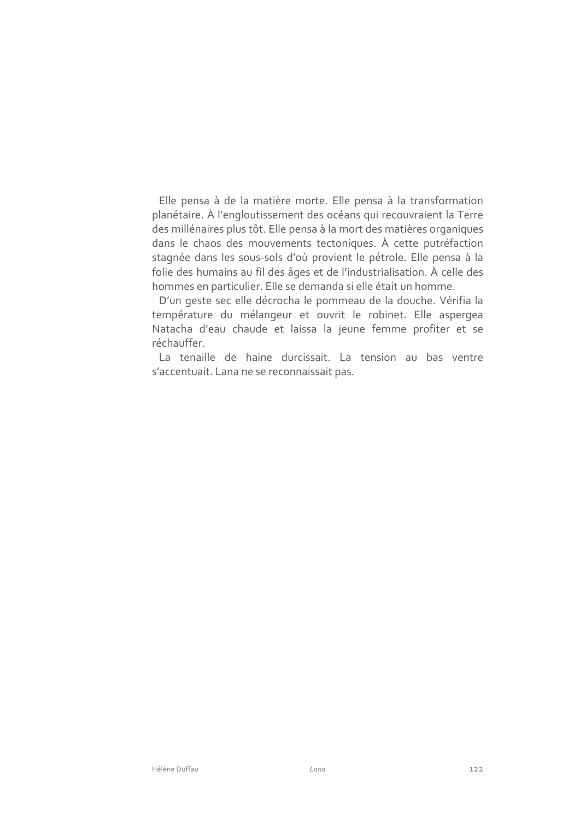Elle pensa à de la matière morte. Elle pensa à la transformation planétaire. À l'engloutissement des océans qui recouvraient la Terre des millénaires plus tôt. Elle pensa à la mort des matières organiques dans le chaos des mouvements tectoniques. À cette putréfaction stagnée dans les sous-sols d'où provient le pétrole. Elle pensa à la folie des humains au fil des âges et de l'industrialisation. À celle des hommes en particulier. Elle se demanda si elle était un homme.

D'un geste sec elle décrocha le pommeau de la douche. Vérifia la température du mélangeur et ouvrit le robinet. Elle aspergea Natacha d'eau chaude et laissa la jeune femme profiter et se réchauffer.

La tenaille de haine durcissait. La tension au bas ventre s'accentuait. Lana ne se reconnaissait pas.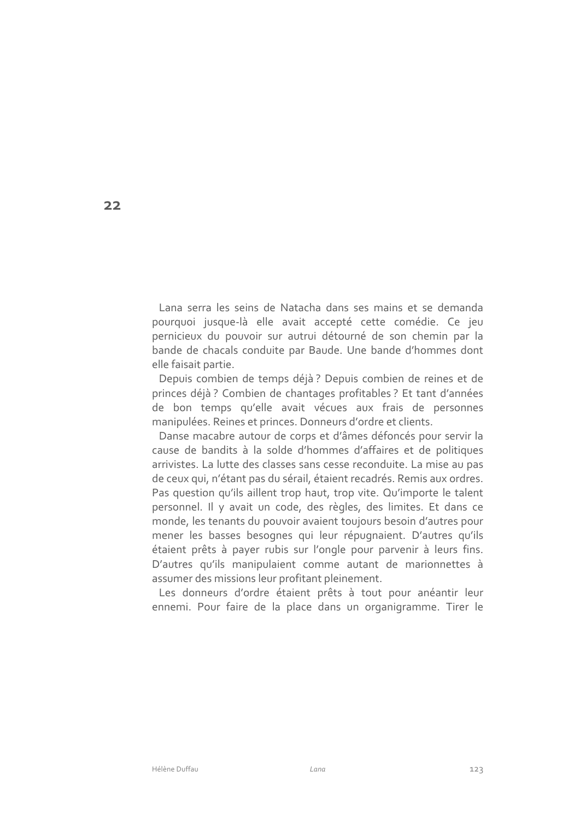Lana serra les seins de Natacha dans ses mains et se demanda pourquoi jusque-là elle avait accepté cette comédie. Ce jeu pernicieux du pouvoir sur autrui détourné de son chemin par la bande de chacals conduite par Baude. Une bande d'hommes dont elle faisait partie.

Depuis combien de temps déjà ? Depuis combien de reines et de princes déjà? Combien de chantages profitables? Et tant d'années de bon temps qu'elle avait vécues aux frais de personnes manipulées. Reines et princes. Donneurs d'ordre et clients.

Danse macabre autour de corps et d'âmes défoncés pour servir la cause de bandits à la solde d'hommes d'affaires et de politiques arrivistes. La lutte des classes sans cesse reconduite. La mise au pas de ceux qui, n'étant pas du sérail, étaient recadrés. Remis aux ordres. Pas question qu'ils aillent trop haut, trop vite. Qu'importe le talent personnel. Il y avait un code, des règles, des limites. Et dans ce monde, les tenants du pouvoir avaient toujours besoin d'autres pour mener les basses besognes qui leur répugnaient. D'autres qu'ils étaient prêts à payer rubis sur l'ongle pour parvenir à leurs fins. D'autres qu'ils manipulaient comme autant de marionnettes à assumer des missions leur profitant pleinement.

Les donneurs d'ordre étaient prêts à tout pour anéantir leur ennemi. Pour faire de la place dans un organigramme. Tirer le

 $22$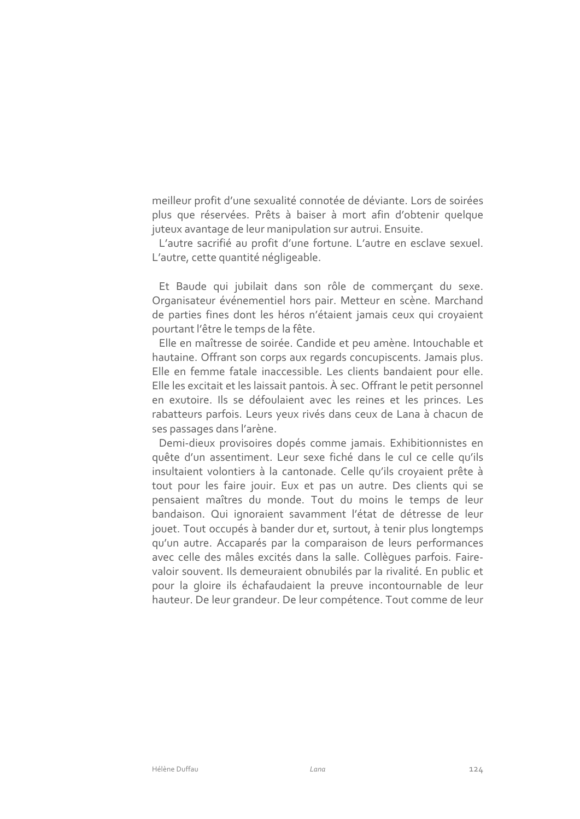meilleur profit d'une sexualité connotée de déviante. Lors de soirées plus que réservées. Prêts à baiser à mort afin d'obtenir quelque juteux avantage de leur manipulation sur autrui. Ensuite.

L'autre sacrifié au profit d'une fortune. L'autre en esclave sexuel. L'autre, cette quantité négligeable.

Et Baude qui jubilait dans son rôle de commerçant du sexe. Organisateur événementiel hors pair. Metteur en scène. Marchand de parties fines dont les héros n'étaient jamais ceux qui croyaient pourtant l'être le temps de la fête.

Elle en maîtresse de soirée. Candide et peu amène. Intouchable et hautaine. Offrant son corps aux regards concupiscents. Jamais plus. Elle en femme fatale inaccessible. Les clients bandaient pour elle. Elle les excitait et les laissait pantois. À sec. Offrant le petit personnel en exutoire. Ils se défoulaient avec les reines et les princes. Les rabatteurs parfois. Leurs yeux rivés dans ceux de Lana à chacun de ses passages dans l'arène.

Demi-dieux provisoires dopés comme jamais. Exhibitionnistes en quête d'un assentiment. Leur sexe fiché dans le cul ce celle qu'ils insultaient volontiers à la cantonade. Celle qu'ils croyaient prête à tout pour les faire jouir. Eux et pas un autre. Des clients qui se pensaient maîtres du monde. Tout du moins le temps de leur bandaison. Qui ignoraient savamment l'état de détresse de leur jouet. Tout occupés à bander dur et, surtout, à tenir plus longtemps qu'un autre. Accaparés par la comparaison de leurs performances avec celle des mâles excités dans la salle. Collègues parfois. Fairevaloir souvent. Ils demeuraient obnubilés par la rivalité. En public et pour la gloire ils échafaudaient la preuve incontournable de leur hauteur. De leur grandeur. De leur compétence. Tout comme de leur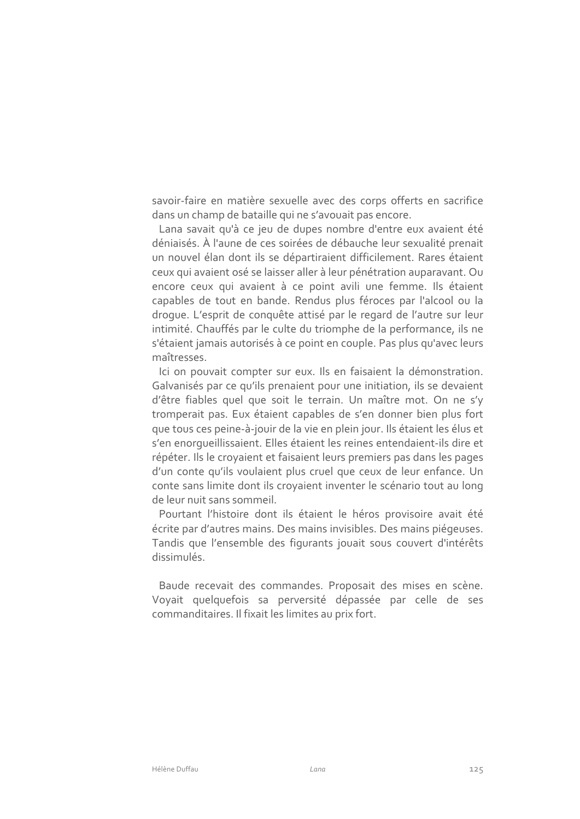savoir-faire en matière sexuelle avec des corps offerts en sacrifice dans un champ de bataille qui ne s'avouait pas encore.

Lana savait qu'à ce jeu de dupes nombre d'entre eux avaient été déniaisés. À l'aune de ces soirées de débauche leur sexualité prenait un nouvel élan dont ils se départiraient difficilement. Rares étaient ceux qui avaient osé se laisser aller à leur pénétration auparavant. Ou encore ceux qui avaient à ce point avili une femme. Ils étaient capables de tout en bande. Rendus plus féroces par l'alcool ou la droque. L'esprit de conquête attisé par le regard de l'autre sur leur intimité. Chauffés par le culte du triomphe de la performance, ils ne s'étaient jamais autorisés à ce point en couple. Pas plus qu'avec leurs maîtresses.

Ici on pouvait compter sur eux. Ils en faisaient la démonstration. Galvanisés par ce qu'ils prenaient pour une initiation, ils se devaient d'être fiables quel que soit le terrain. Un maître mot. On ne s'y tromperait pas. Eux étaient capables de s'en donner bien plus fort que tous ces peine-à-jouir de la vie en plein jour. Ils étaient les élus et s'en enorqueillissaient. Elles étaient les reines entendaient-ils dire et répéter. Ils le croyaient et faisaient leurs premiers pas dans les pages d'un conte qu'ils voulaient plus cruel que ceux de leur enfance. Un conte sans limite dont ils crovaient inventer le scénario tout au long de leur nuit sans sommeil.

Pourtant l'histoire dont ils étaient le héros provisoire avait été écrite par d'autres mains. Des mains invisibles. Des mains piégeuses. Tandis que l'ensemble des figurants jouait sous couvert d'intérêts dissimulés.

Baude recevait des commandes. Proposait des mises en scène. Voyait quelquefois sa perversité dépassée par celle de ses commanditaires. Il fixait les limites au prix fort.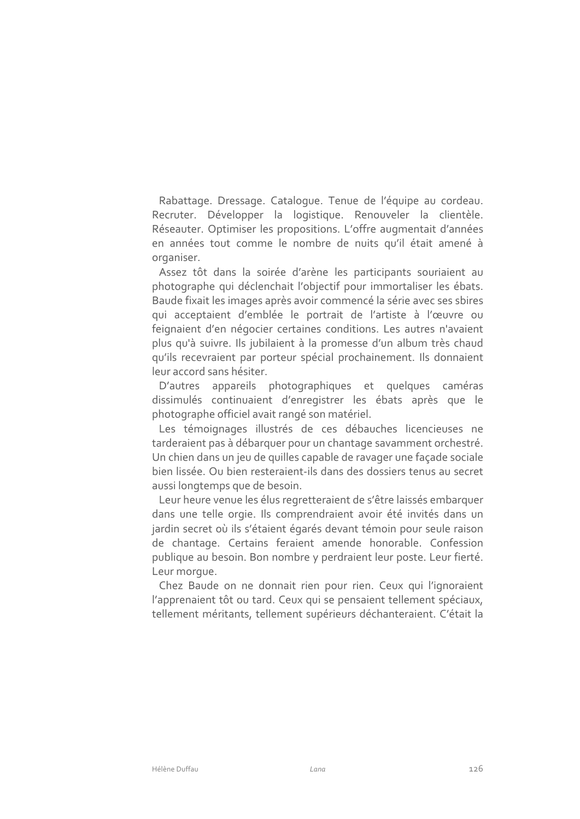Rabattage. Dressage. Catalogue. Tenue de l'équipe au cordeau. Recruter. Développer la logistique. Renouveler la clientèle. Réseauter. Optimiser les propositions. L'offre augmentait d'années en années tout comme le nombre de nuits qu'il était amené à organiser.

Assez tôt dans la soirée d'arène les participants souriaient au photographe qui déclenchait l'objectif pour immortaliser les ébats. Baude fixait les images après avoir commencé la série avec ses sbires qui acceptaient d'emblée le portrait de l'artiste à l'œuvre ou feignaient d'en négocier certaines conditions. Les autres n'avaient plus qu'à suivre. Ils jubilaient à la promesse d'un album très chaud qu'ils recevraient par porteur spécial prochainement. Ils donnaient leur accord sans hésiter.

D'autres appareils photographiques et quelques caméras dissimulés continuaient d'enregistrer les ébats après que le photographe officiel avait rangé son matériel.

Les témoignages illustrés de ces débauches licencieuses ne tarderaient pas à débarquer pour un chantage savamment orchestré. Un chien dans un jeu de quilles capable de ravager une façade sociale bien lissée. Ou bien resteraient-ils dans des dossiers tenus au secret aussi longtemps que de besoin.

Leur heure venue les élus regretteraient de s'être laissés embarquer dans une telle orgie. Ils comprendraient avoir été invités dans un jardin secret où ils s'étaient égarés devant témoin pour seule raison de chantage. Certains feraient amende honorable. Confession publique au besoin. Bon nombre y perdraient leur poste. Leur fierté. Leur morque.

Chez Baude on ne donnait rien pour rien. Ceux qui l'ignoraient l'apprenaient tôt ou tard. Ceux qui se pensaient tellement spéciaux, tellement méritants, tellement supérieurs déchanteraient. C'était la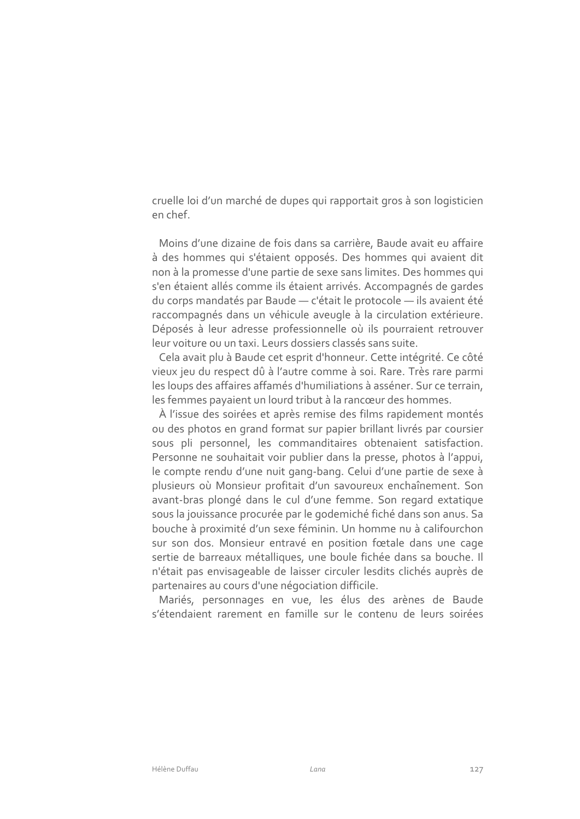cruelle loi d'un marché de dupes qui rapportait gros à son logisticien en chef

Moins d'une dizaine de fois dans sa carrière, Baude avait eu affaire à des hommes qui s'étaient opposés. Des hommes qui avaient dit non à la promesse d'une partie de sexe sans limites. Des hommes qui s'en étaient allés comme ils étaient arrivés. Accompagnés de gardes du corps mandatés par Baude - c'était le protocole - ils avaient été raccompagnés dans un véhicule aveugle à la circulation extérieure. Déposés à leur adresse professionnelle où ils pourraient retrouver leur voiture ou un taxi. Leurs dossiers classés sans suite.

Cela avait plu à Baude cet esprit d'honneur. Cette intégrité. Ce côté vieux jeu du respect dû à l'autre comme à soi. Rare. Très rare parmi les loups des affaires affamés d'humiliations à asséner. Sur ce terrain, les femmes payaient un lourd tribut à la rancœur des hommes.

À l'issue des soirées et après remise des films rapidement montés ou des photos en grand format sur papier brillant livrés par coursier sous pli personnel, les commanditaires obtenaient satisfaction. Personne ne souhaitait voir publier dans la presse, photos à l'appui, le compte rendu d'une nuit gang-bang. Celui d'une partie de sexe à plusieurs où Monsieur profitait d'un savoureux enchaînement. Son avant-bras plongé dans le cul d'une femme. Son regard extatique sous la jouissance procurée par le godemiché fiché dans son anus. Sa bouche à proximité d'un sexe féminin. Un homme nu à califourchon sur son dos. Monsieur entravé en position fœtale dans une cage sertie de barreaux métalliques, une boule fichée dans sa bouche. Il n'était pas envisageable de laisser circuler lesdits clichés auprès de partenaires au cours d'une négociation difficile.

Mariés, personnages en vue, les élus des arènes de Baude s'étendaient rarement en famille sur le contenu de leurs soirées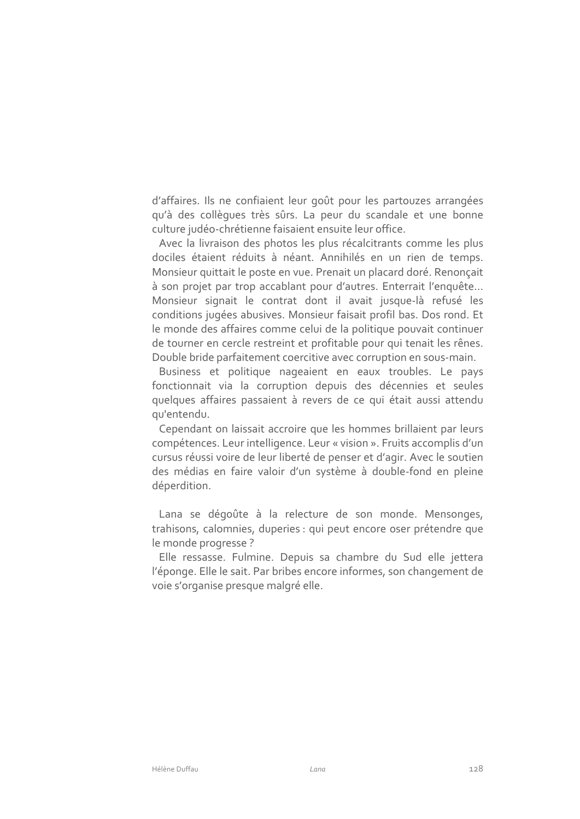d'affaires. Ils ne confiaient leur goût pour les partouzes arrangées qu'à des collèques très sûrs. La peur du scandale et une bonne culture judéo-chrétienne faisaient ensuite leur office.

Avec la livraison des photos les plus récalcitrants comme les plus dociles étaient réduits à néant. Annihilés en un rien de temps. Monsieur quittait le poste en vue. Prenait un placard doré. Renoncait à son projet par trop accablant pour d'autres. Enterrait l'enquête... Monsieur signait le contrat dont il avait jusque-là refusé les conditions jugées abusives. Monsieur faisait profil bas. Dos rond. Et le monde des affaires comme celui de la politique pouvait continuer de tourner en cercle restreint et profitable pour qui tenait les rênes. Double bride parfaitement coercitive avec corruption en sous-main.

Business et politique nageaient en eaux troubles. Le pays fonctionnait via la corruption depuis des décennies et seules quelques affaires passaient à revers de ce qui était aussi attendu gu'entendu.

Cependant on laissait accroire que les hommes brillaient par leurs compétences. Leur intelligence. Leur « vision ». Fruits accomplis d'un cursus réussi voire de leur liberté de penser et d'agir. Avec le soutien des médias en faire valoir d'un système à double-fond en pleine déperdition.

Lana se dégoûte à la relecture de son monde. Mensonges, trahisons, calomnies, duperies : qui peut encore oser prétendre que le monde progresse ?

Elle ressasse. Fulmine. Depuis sa chambre du Sud elle jettera l'éponge. Elle le sait. Par bribes encore informes, son changement de voie s'organise presque malgré elle.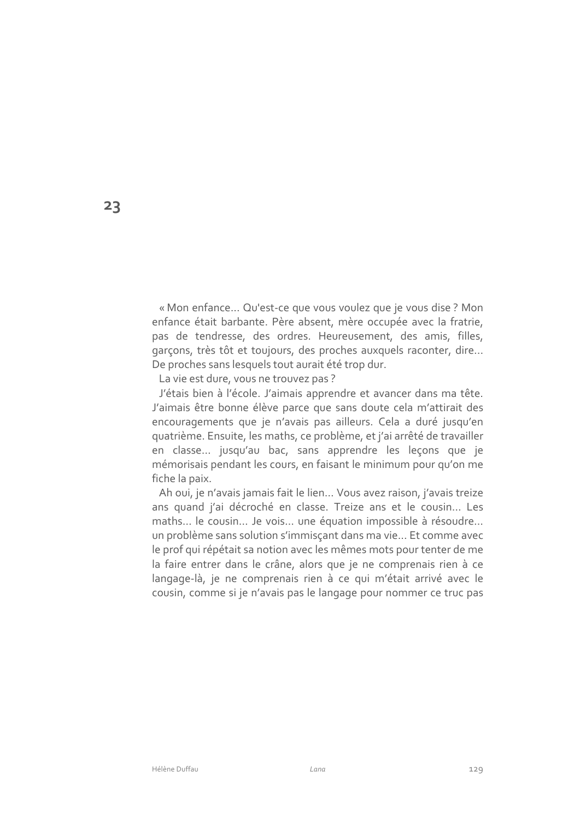« Mon enfance... Qu'est-ce que vous voulez que je vous dise ? Mon enfance était barbante. Père absent, mère occupée avec la fratrie, pas de tendresse, des ordres. Heureusement, des amis, filles, garçons, très tôt et toujours, des proches auxquels raconter, dire... De proches sans lesquels tout aurait été trop dur.

La vie est dure, vous ne trouvez pas?

J'étais bien à l'école. J'aimais apprendre et avancer dans ma tête. J'aimais être bonne élève parce que sans doute cela m'attirait des encouragements que je n'avais pas ailleurs. Cela a duré jusqu'en quatrième. Ensuite, les maths, ce problème, et j'ai arrêté de travailler en classe... jusqu'au bac, sans apprendre les leçons que je mémorisais pendant les cours, en faisant le minimum pour qu'on me fiche la paix.

Ah oui, je n'avais jamais fait le lien... Vous avez raison, j'avais treize ans quand j'ai décroché en classe. Treize ans et le cousin... Les maths... le cousin... Je vois... une équation impossible à résoudre... un problème sans solution s'immisçant dans ma vie... Et comme avec le prof qui répétait sa notion avec les mêmes mots pour tenter de me la faire entrer dans le crâne, alors que je ne comprenais rien à ce langage-là, je ne comprenais rien à ce qui m'était arrivé avec le cousin, comme si je n'avais pas le langage pour nommer ce truc pas

23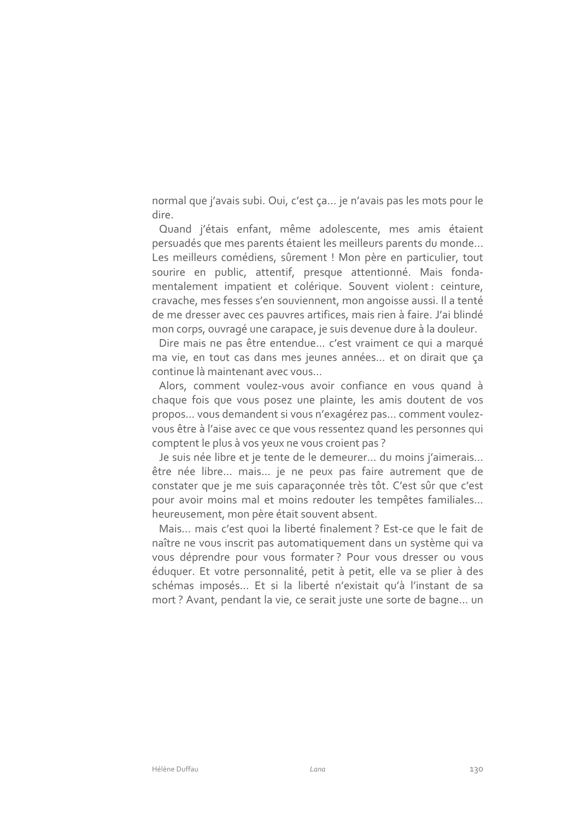normal que j'avais subi. Qui, c'est ça... je n'avais pas les mots pour le dire.

Quand j'étais enfant, même adolescente, mes amis étaient persuadés que mes parents étaient les meilleurs parents du monde... Les meilleurs comédiens, sûrement ! Mon père en particulier, tout sourire en public, attentif, presque attentionné. Mais fondamentalement impatient et colérique. Souvent violent : ceinture, cravache, mes fesses s'en souviennent, mon angoisse aussi. Il a tenté de me dresser avec ces pauvres artifices, mais rien à faire. J'ai blindé mon corps, ouvragé une carapace, je suis devenue dure à la douleur.

Dire mais ne pas être entendue... c'est vraiment ce qui a marqué ma vie, en tout cas dans mes jeunes années... et on dirait que ca continue là maintenant avec vous...

Alors, comment voulez-vous avoir confiance en vous quand à chaque fois que vous posez une plainte, les amis doutent de vos propos... vous demandent si vous n'exagérez pas... comment voulezvous être à l'aise avec ce que vous ressentez quand les personnes qui comptent le plus à vos yeux ne vous croient pas ?

Je suis née libre et je tente de le demeurer... du moins j'aimerais... être née libre... mais... je ne peux pas faire autrement que de constater que je me suis caparaçonnée très tôt. C'est sûr que c'est pour avoir moins mal et moins redouter les tempêtes familiales... heureusement, mon père était souvent absent.

Mais... mais c'est quoi la liberté finalement ? Est-ce que le fait de naître ne vous inscrit pas automatiquement dans un système qui va vous déprendre pour vous formater? Pour vous dresser ou vous éduquer. Et votre personnalité, petit à petit, elle va se plier à des schémas imposés... Et si la liberté n'existait qu'à l'instant de sa mort? Avant, pendant la vie, ce serait juste une sorte de bagne... un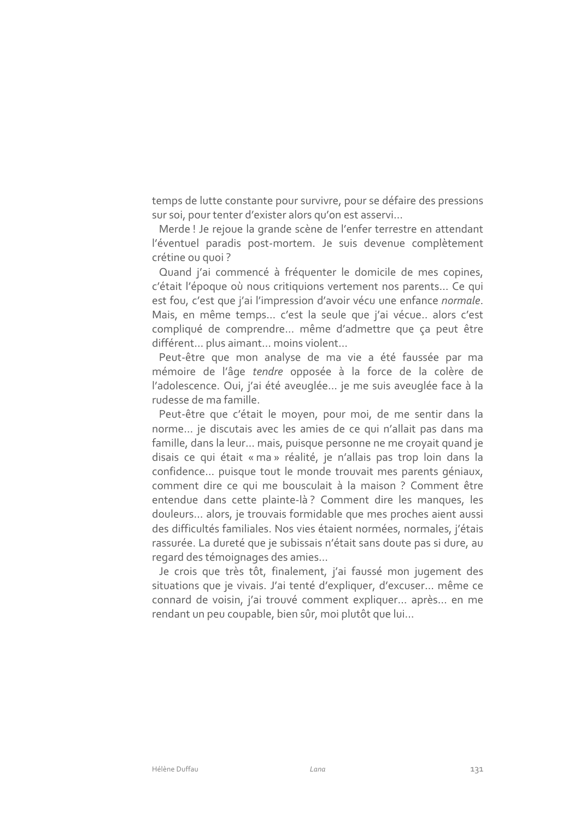temps de lutte constante pour survivre, pour se défaire des pressions sur soi, pour tenter d'exister alors qu'on est asservi...

Merde ! Je rejoue la grande scène de l'enfer terrestre en attendant l'éventuel paradis post-mortem. Je suis devenue complètement crétine ou quoi?

Quand j'ai commencé à fréquenter le domicile de mes copines, c'était l'époque où nous critiquions vertement nos parents... Ce qui est fou, c'est que j'ai l'impression d'avoir vécu une enfance normale. Mais, en même temps... c'est la seule que j'ai vécue.. alors c'est compliqué de comprendre... même d'admettre que ça peut être différent... plus aimant... moins violent...

Peut-être que mon analyse de ma vie a été faussée par ma mémoire de l'âge tendre opposée à la force de la colère de l'adolescence. Qui, j'ai été aveuglée... je me suis aveuglée face à la rudesse de ma famille.

Peut-être que c'était le moyen, pour moi, de me sentir dans la norme... je discutais avec les amies de ce qui n'allait pas dans ma famille, dans la leur... mais, puisque personne ne me croyait quand je disais ce qui était « ma » réalité, je n'allais pas trop loin dans la confidence... puisque tout le monde trouvait mes parents géniaux, comment dire ce qui me bousculait à la maison ? Comment être entendue dans cette plainte-là? Comment dire les manques, les douleurs... alors, je trouvais formidable que mes proches aient aussi des difficultés familiales. Nos vies étaient normées, normales, j'étais rassurée. La dureté que je subissais n'était sans doute pas si dure, au regard des témoignages des amies...

Je crois que très tôt, finalement, j'ai faussé mon jugement des situations que je vivais. J'ai tenté d'expliquer, d'excuser... même ce connard de voisin, j'ai trouvé comment expliquer... après... en me rendant un peu coupable, bien sûr, moi plutôt que lui...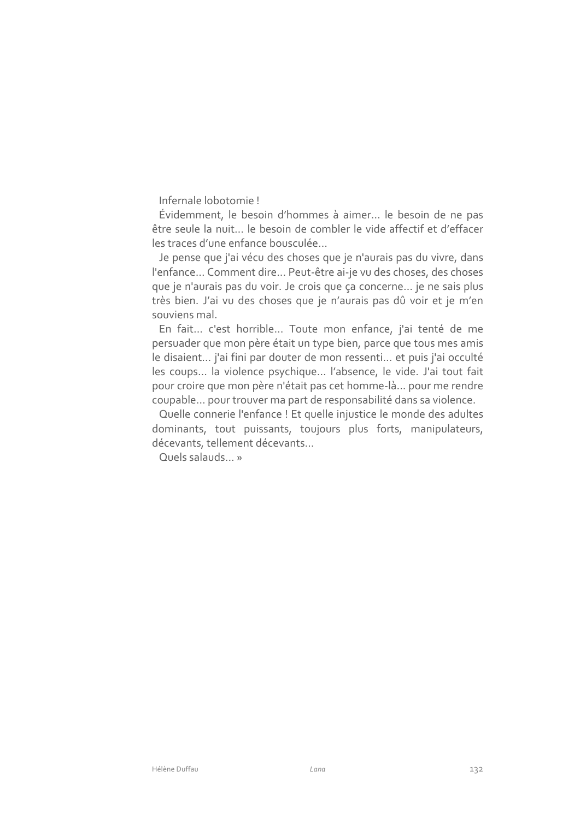Infernale Iobotomie I

Évidemment, le besoin d'hommes à aimer... le besoin de ne pas être seule la nuit... le besoin de combler le vide affectif et d'effacer les traces d'une enfance bousculée

Je pense que j'ai vécu des choses que je n'aurais pas du vivre, dans l'enfance... Comment dire... Peut-être ai-je vu des choses, des choses que je n'aurais pas du voir. Je crois que ça concerne... je ne sais plus très bien. J'ai vu des choses que je n'aurais pas dû voir et je m'en souviens mal.

En fait... c'est horrible... Toute mon enfance, j'ai tenté de me persuader que mon père était un type bien, parce que tous mes amis le disaient... j'ai fini par douter de mon ressenti... et puis j'ai occulté les coups... la violence psychique... l'absence, le vide. J'ai tout fait pour croire que mon père n'était pas cet homme-là... pour me rendre coupable... pour trouver ma part de responsabilité dans sa violence.

Quelle connerie l'enfance ! Et quelle injustice le monde des adultes dominants, tout puissants, toujours plus forts, manipulateurs, décevants, tellement décevants...

Quels salauds »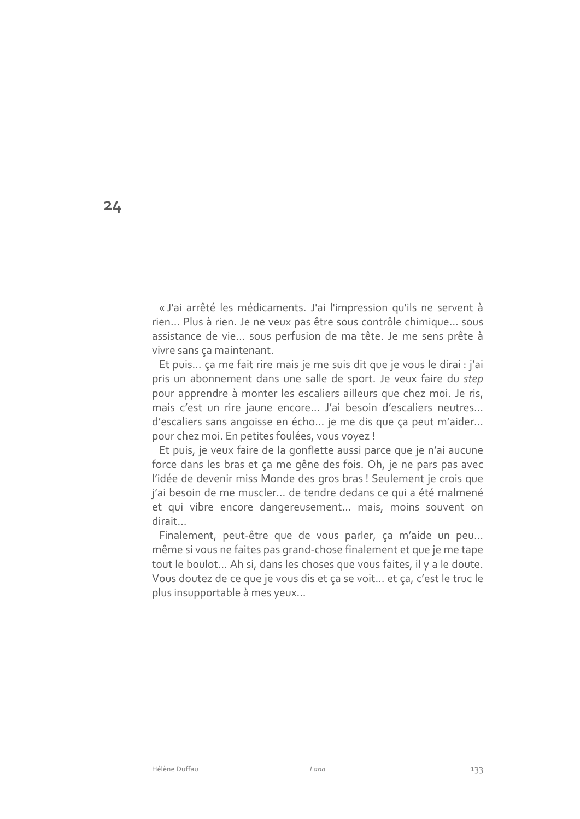« J'ai arrêté les médicaments. J'ai l'impression qu'ils ne servent à rien... Plus à rien. Je ne veux pas être sous contrôle chimique... sous assistance de vie... sous perfusion de ma tête. Je me sens prête à vivre sans ça maintenant.

Et puis... ça me fait rire mais je me suis dit que je vous le dirai : j'ai pris un abonnement dans une salle de sport. Je veux faire du step pour apprendre à monter les escaliers ailleurs que chez moi. Je ris, mais c'est un rire jaune encore... J'ai besoin d'escaliers neutres... d'escaliers sans angoisse en écho... je me dis que ça peut m'aider... pour chez moi. En petites foulées, vous voyez !

Et puis, je veux faire de la gonflette aussi parce que je n'ai aucune force dans les bras et ça me gêne des fois. Oh, je ne pars pas avec l'idée de devenir miss Monde des gros bras ! Seulement je crois que j'ai besoin de me muscler... de tendre dedans ce qui a été malmené et qui vibre encore dangereusement... mais, moins souvent on dirait...

Finalement, peut-être que de vous parler, ça m'aide un peu... même si vous ne faites pas grand-chose finalement et que je me tape tout le boulot... Ah si, dans les choses que vous faites, il y a le doute. Vous doutez de ce que je vous dis et ça se voit... et ça, c'est le truc le plus insupportable à mes yeux...

 $24$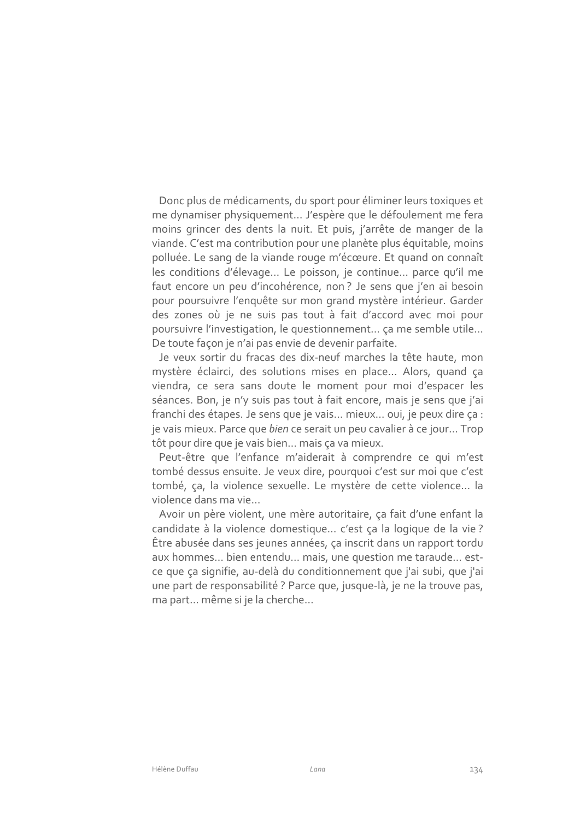Donc plus de médicaments, du sport pour éliminer leurs toxiques et me dynamiser physiquement... J'espère que le défoulement me fera moins grincer des dents la nuit. Et puis, j'arrête de manger de la viande. C'est ma contribution pour une planète plus équitable, moins polluée. Le sang de la viande rouge m'écœure. Et quand on connaît les conditions d'élevage... Le poisson, je continue... parce qu'il me faut encore un peu d'incohérence, non? Je sens que j'en ai besoin pour poursuivre l'enquête sur mon grand mystère intérieur. Garder des zones où je ne suis pas tout à fait d'accord avec moi pour poursuivre l'investigation, le questionnement... ça me semble utile... De toute façon je n'ai pas envie de devenir parfaite.

Je veux sortir du fracas des dix-neuf marches la tête haute, mon mystère éclairci, des solutions mises en place... Alors, quand ça viendra, ce sera sans doute le moment pour moi d'espacer les séances. Bon, je n'y suis pas tout à fait encore, mais je sens que j'ai franchi des étapes. Je sens que je vais... mieux... oui, je peux dire ça : je vais mieux. Parce que bien ce serait un peu cavalier à ce jour... Trop tôt pour dire que je vais bien... mais ça va mieux.

Peut-être que l'enfance m'aiderait à comprendre ce qui m'est tombé dessus ensuite. Je veux dire, pourquoi c'est sur moi que c'est tombé, ça, la violence sexuelle. Le mystère de cette violence... la violence dans ma vie...

Avoir un père violent, une mère autoritaire, ça fait d'une enfant la candidate à la violence domestique... c'est ça la logique de la vie? Être abusée dans ses jeunes années, ça inscrit dans un rapport tordu aux hommes... bien entendu... mais, une question me taraude... estce que ça signifie, au-delà du conditionnement que j'ai subi, que j'ai une part de responsabilité ? Parce que, jusque-là, je ne la trouve pas, ma part... même si je la cherche...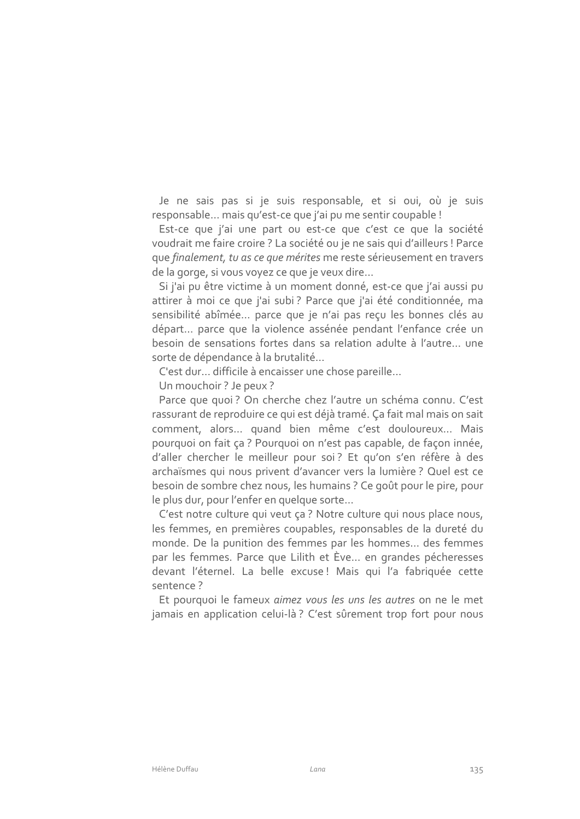Je ne sais pas si je suis responsable, et si oui, où je suis responsable... mais qu'est-ce que j'ai pu me sentir coupable !

Est-ce que j'ai une part ou est-ce que c'est ce que la société voudrait me faire croire ? La société ou je ne sais qui d'ailleurs ! Parce que finalement, tu as ce que mérites me reste sérieusement en travers de la gorge, si vous voyez ce que je veux dire...

Si j'ai pu être victime à un moment donné, est-ce que j'ai aussi pu attirer à moi ce que j'ai subi? Parce que j'ai été conditionnée, ma sensibilité abîmée... parce que je n'ai pas reçu les bonnes clés au départ... parce que la violence assénée pendant l'enfance crée un besoin de sensations fortes dans sa relation adulte à l'autre... une sorte de dépendance à la brutalité...

C'est dur... difficile à encaisser une chose pareille...

Un mouchoir ? Je peux ?

Parce que quoi? On cherche chez l'autre un schéma connu. C'est rassurant de reproduire ce qui est déjà tramé. Ça fait mal mais on sait comment, alors... quand bien même c'est douloureux... Mais pourquoi on fait ça ? Pourquoi on n'est pas capable, de façon innée, d'aller chercher le meilleur pour soi? Et qu'on s'en réfère à des archaïsmes qui nous privent d'avancer vers la lumière ? Quel est ce besoin de sombre chez nous, les humains ? Ce goût pour le pire, pour le plus dur, pour l'enfer en quelque sorte...

C'est notre culture qui veut ça ? Notre culture qui nous place nous, les femmes, en premières coupables, responsables de la dureté du monde. De la punition des femmes par les hommes... des femmes par les femmes. Parce que Lilith et Ève... en grandes pécheresses devant l'éternel. La belle excuse! Mais qui l'a fabriquée cette sentence?

Et pourquoi le fameux aimez vous les uns les autres on ne le met jamais en application celui-là? C'est sûrement trop fort pour nous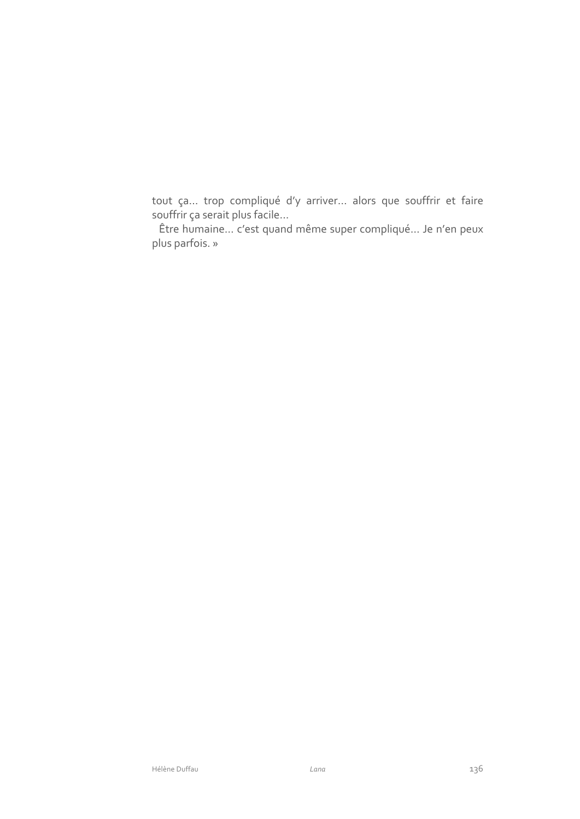tout ça... trop compliqué d'y arriver... alors que souffrir et faire souffrir ça serait plus facile...

Être humaine... c'est quand même super compliqué... Je n'en peux plus parfois. »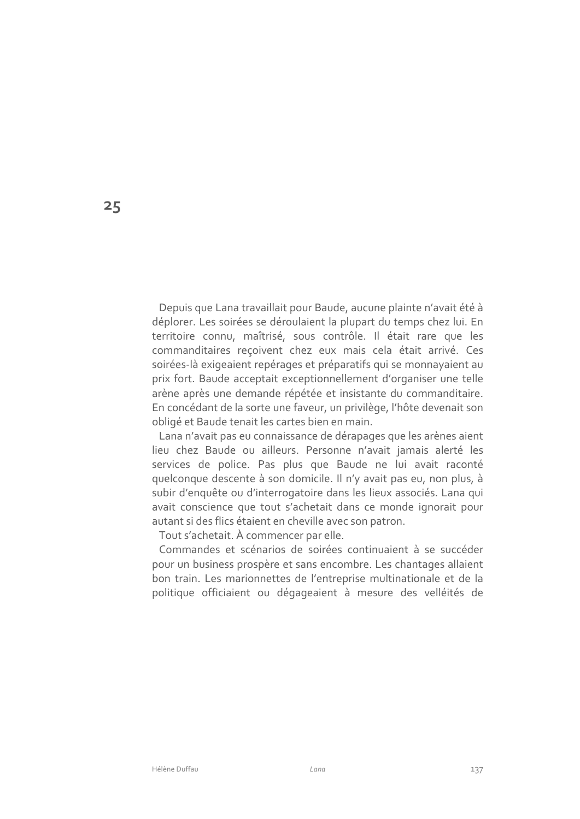Depuis que Lana travaillait pour Baude, aucune plainte n'avait été à déplorer. Les soirées se déroulaient la plupart du temps chez lui. En territoire connu, maîtrisé, sous contrôle. Il était rare que les commanditaires reçoivent chez eux mais cela était arrivé. Ces soirées-là exigeaient repérages et préparatifs qui se monnayaient au prix fort. Baude acceptait exceptionnellement d'organiser une telle arène après une demande répétée et insistante du commanditaire. En concédant de la sorte une faveur, un privilège, l'hôte devenait son obligé et Baude tenait les cartes bien en main.

Lana n'avait pas eu connaissance de dérapages que les arènes aient lieu chez Baude ou ailleurs. Personne n'avait jamais alerté les services de police. Pas plus que Baude ne lui avait raconté quelconque descente à son domicile. Il n'y avait pas eu, non plus, à subir d'enquête ou d'interrogatoire dans les lieux associés. Lana qui avait conscience que tout s'achetait dans ce monde ignorait pour autant si des flics étaient en cheville avec son patron.

Tout s'achetait. À commencer par elle.

Commandes et scénarios de soirées continuaient à se succéder pour un business prospère et sans encombre. Les chantages allaient bon train. Les marionnettes de l'entreprise multinationale et de la politique officiaient ou dégageaient à mesure des velléités de

 $25$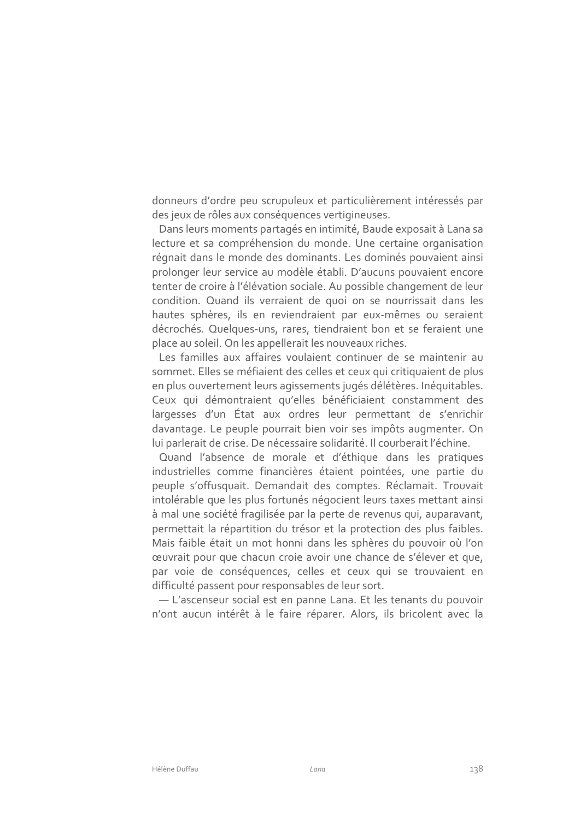donneurs d'ordre peu scrupuleux et particulièrement intéressés par des jeux de rôles aux conséquences vertigineuses.

Dans leurs moments partagés en intimité, Baude exposait à Lana sa lecture et sa compréhension du monde. Une certaine organisation régnait dans le monde des dominants. Les dominés pouvaient ainsi prolonger leur service au modèle établi. D'aucuns pouvaient encore tenter de croire à l'élévation sociale. Au possible changement de leur condition. Quand ils verraient de quoi on se nourrissait dans les hautes sphères, ils en reviendraient par eux-mêmes ou seraient décrochés. Quelques-uns, rares, tiendraient bon et se feraient une place au soleil. On les appellerait les nouveaux riches.

Les familles aux affaires voulaient continuer de se maintenir au sommet. Elles se méfiaient des celles et ceux qui critiquaient de plus en plus ouvertement leurs agissements jugés délétères. Inéquitables. Ceux qui démontraient qu'elles bénéficiaient constamment des largesses d'un État aux ordres leur permettant de s'enrichir davantage. Le peuple pourrait bien voir ses impôts augmenter. On lui parlerait de crise. De nécessaire solidarité. Il courberait l'échine.

Quand l'absence de morale et d'éthique dans les pratiques industrielles comme financières étaient pointées, une partie du peuple s'offusquait. Demandait des comptes. Réclamait. Trouvait intolérable que les plus fortunés négocient leurs taxes mettant ainsi à mal une société fragilisée par la perte de revenus qui, auparavant, permettait la répartition du trésor et la protection des plus faibles. Mais faible était un mot honni dans les sphères du pouvoir où l'on œuvrait pour que chacun croie avoir une chance de s'élever et que, par voie de conséquences, celles et ceux qui se trouvaient en difficulté passent pour responsables de leur sort.

- L'ascenseur social est en panne Lana. Et les tenants du pouvoir n'ont aucun intérêt à le faire réparer. Alors, ils bricolent avec la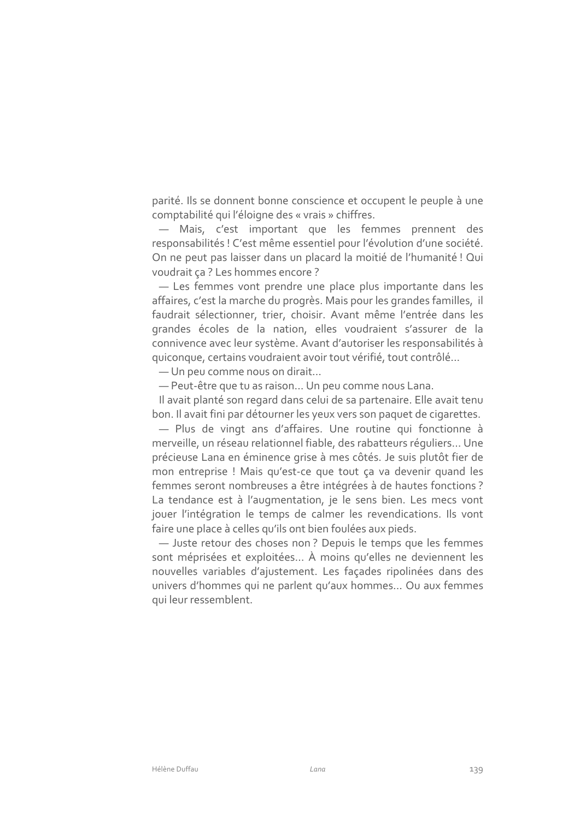parité. Ils se donnent bonne conscience et occupent le peuple à une comptabilité qui l'éloigne des « vrais » chiffres.

- Mais, c'est important que les femmes prennent des responsabilités ! C'est même essentiel pour l'évolution d'une société. On ne peut pas laisser dans un placard la moitié de l'humanité ! Qui voudrait ca? Les hommes encore?

- Les femmes vont prendre une place plus importante dans les affaires, c'est la marche du progrès. Mais pour les grandes familles, il faudrait sélectionner, trier, choisir. Avant même l'entrée dans les grandes écoles de la nation, elles voudraient s'assurer de la connivence avec leur système. Avant d'autoriser les responsabilités à quiconque, certains voudraient avoir tout vérifié, tout contrôlé...

- Un peu comme nous on dirait...

- Peut-être que tu as raison... Un peu comme nous Lana.

Il avait planté son regard dans celui de sa partenaire. Elle avait tenu bon. Il avait fini par détourner les yeux vers son paquet de cigarettes.

- Plus de vingt ans d'affaires. Une routine qui fonctionne à merveille, un réseau relationnel fiable, des rabatteurs réguliers... Une précieuse Lana en éminence grise à mes côtés. Je suis plutôt fier de mon entreprise ! Mais qu'est-ce que tout ça va devenir quand les femmes seront nombreuses a être intégrées à de hautes fonctions ? La tendance est à l'augmentation, je le sens bien. Les mecs vont jouer l'intégration le temps de calmer les revendications. Ils vont faire une place à celles qu'ils ont bien foulées aux pieds.

- Juste retour des choses non? Depuis le temps que les femmes sont méprisées et exploitées... À moins qu'elles ne deviennent les nouvelles variables d'ajustement. Les façades ripolinées dans des univers d'hommes qui ne parlent qu'aux hommes... Ou aux femmes qui leur ressemblent.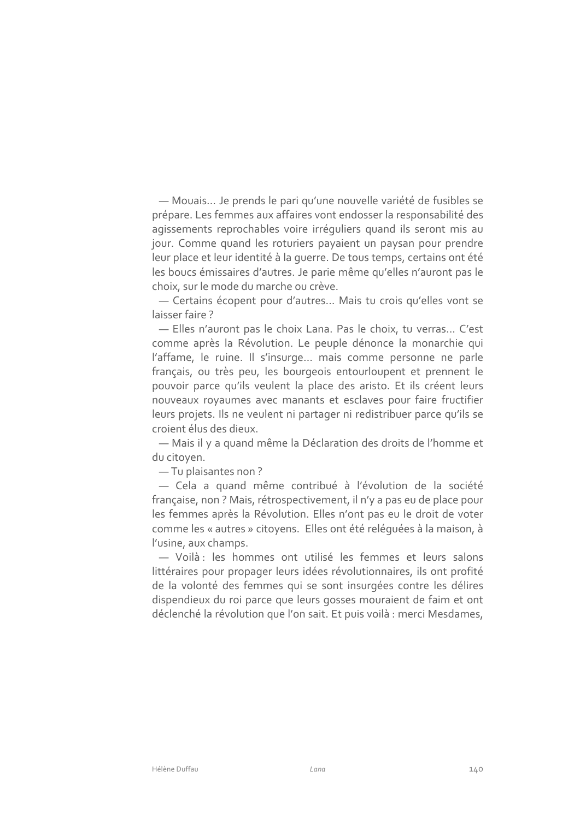- Mouais... Je prends le pari qu'une nouvelle variété de fusibles se prépare. Les femmes aux affaires vont endosser la responsabilité des agissements reprochables voire irréguliers quand ils seront mis au jour. Comme quand les roturiers payaient un paysan pour prendre leur place et leur identité à la querre. De tous temps, certains ont été les boucs émissaires d'autres. Je parie même qu'elles n'auront pas le choix, sur le mode du marche ou crève.

- Certains écopent pour d'autres... Mais tu crois qu'elles vont se laisser faire?

- Elles n'auront pas le choix Lana. Pas le choix, tu verras... C'est comme après la Révolution. Le peuple dénonce la monarchie qui l'affame, le ruine. Il s'insurge... mais comme personne ne parle français, ou très peu, les bourgeois entourloupent et prennent le pouvoir parce qu'ils veulent la place des aristo. Et ils créent leurs nouveaux royaumes avec manants et esclaves pour faire fructifier leurs projets. Ils ne veulent ni partager ni redistribuer parce qu'ils se croient élus des dieux.

- Mais il y a quand même la Déclaration des droits de l'homme et du citoyen.

-Tu plaisantes non?

- Cela a quand même contribué à l'évolution de la société française, non? Mais, rétrospectivement, il n'y a pas eu de place pour les femmes après la Révolution. Elles n'ont pas eu le droit de voter comme les « autres » citoyens. Elles ont été reléquées à la maison, à l'usine, aux champs.

- Voilà : les hommes ont utilisé les femmes et leurs salons littéraires pour propager leurs idées révolutionnaires, ils ont profité de la volonté des femmes qui se sont insurgées contre les délires dispendieux du roi parce que leurs gosses mouraient de faim et ont déclenché la révolution que l'on sait. Et puis voilà : merci Mesdames,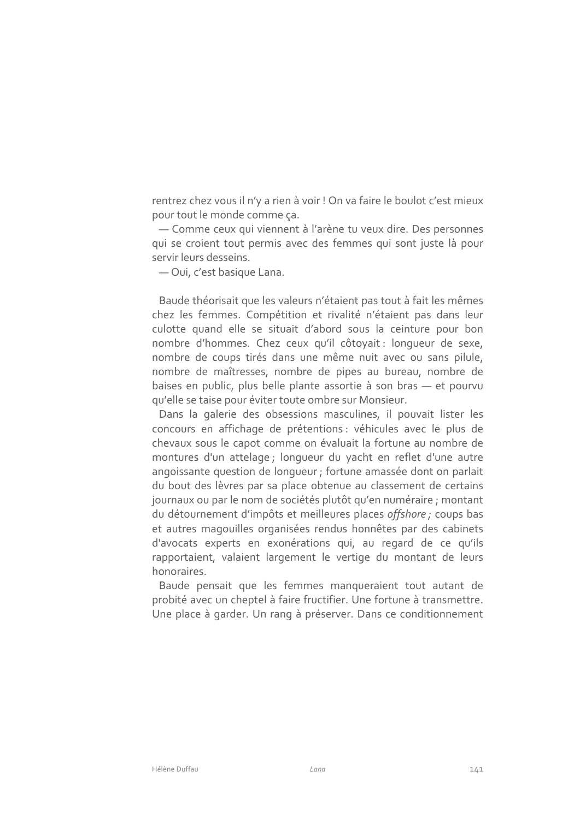rentrez chez vous il n'y a rien à voir ! On va faire le boulot c'est mieux pour tout le monde comme ça.

- Comme ceux qui viennent à l'arène tu veux dire. Des personnes qui se croient tout permis avec des femmes qui sont juste là pour servir leurs desseins.

- Oui, c'est basique Lana.

Baude théorisait que les valeurs n'étaient pas tout à fait les mêmes chez les femmes. Compétition et rivalité n'étaient pas dans leur culotte quand elle se situait d'abord sous la ceinture pour bon nombre d'hommes. Chez ceux qu'il côtoyait : lonqueur de sexe, nombre de coups tirés dans une même nuit avec ou sans pilule, nombre de maîtresses, nombre de pipes au bureau, nombre de baises en public, plus belle plante assortie à son bras - et pourvu qu'elle se taise pour éviter toute ombre sur Monsieur.

Dans la galerie des obsessions masculines, il pouvait lister les concours en affichage de prétentions : véhicules avec le plus de chevaux sous le capot comme on évaluait la fortune au nombre de montures d'un attelage ; longueur du yacht en reflet d'une autre angoissante question de longueur ; fortune amassée dont on parlait du bout des lèvres par sa place obtenue au classement de certains journaux ou par le nom de sociétés plutôt qu'en numéraire ; montant du détournement d'impôts et meilleures places offshore ; coups bas et autres magouilles organisées rendus honnêtes par des cabinets d'avocats experts en exonérations qui, au regard de ce qu'ils rapportaient, valaient largement le vertige du montant de leurs honoraires.

Baude pensait que les femmes manqueraient tout autant de probité avec un cheptel à faire fructifier. Une fortune à transmettre. Une place à garder. Un rang à préserver. Dans ce conditionnement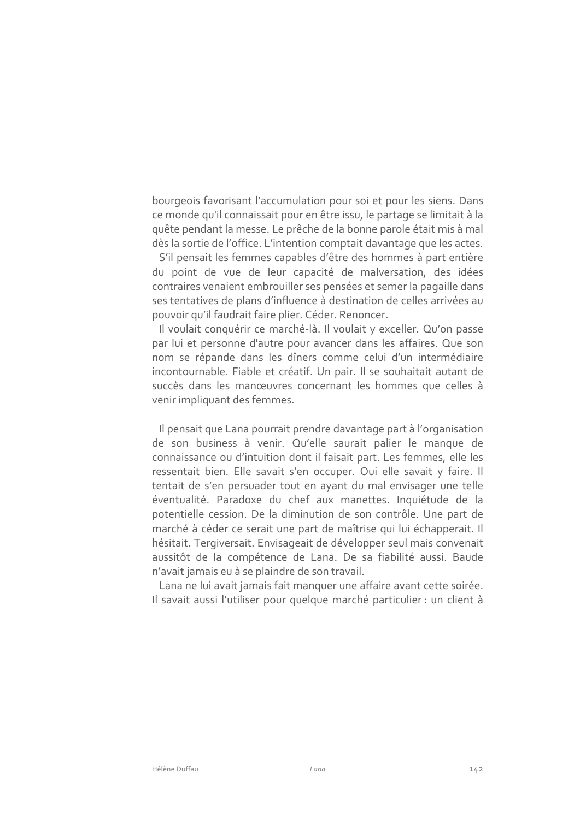bourgeois favorisant l'accumulation pour soi et pour les siens. Dans ce monde qu'il connaissait pour en être issu, le partage se limitait à la quête pendant la messe. Le prêche de la bonne parole était mis à mal dès la sortie de l'office. L'intention comptait davantage que les actes.

S'il pensait les femmes capables d'être des hommes à part entière du point de vue de leur capacité de malversation, des idées contraires venaient embrouiller ses pensées et semer la pagaille dans ses tentatives de plans d'influence à destination de celles arrivées au pouvoir qu'il faudrait faire plier. Céder. Renoncer.

Il voulait conquérir ce marché-là. Il voulait y exceller. Qu'on passe par lui et personne d'autre pour avancer dans les affaires. Que son nom se répande dans les dîners comme celui d'un intermédiaire incontournable. Fiable et créatif. Un pair. Il se souhaitait autant de succès dans les manœuvres concernant les hommes que celles à venir impliquant des femmes.

Il pensait que Lana pourrait prendre davantage part à l'organisation de son business à venir. Qu'elle saurait palier le manque de connaissance ou d'intuition dont il faisait part. Les femmes, elle les ressentait bien. Elle savait s'en occuper. Oui elle savait y faire. Il tentait de s'en persuader tout en ayant du mal envisager une telle éventualité. Paradoxe du chef aux manettes. Inquiétude de la potentielle cession. De la diminution de son contrôle. Une part de marché à céder ce serait une part de maîtrise qui lui échapperait. Il hésitait. Tergiversait. Envisageait de développer seul mais convenait aussitôt de la compétence de Lana. De sa fiabilité aussi. Baude n'avait jamais eu à se plaindre de son travail.

Lana ne lui avait jamais fait manquer une affaire avant cette soirée. Il savait aussi l'utiliser pour quelque marché particulier : un client à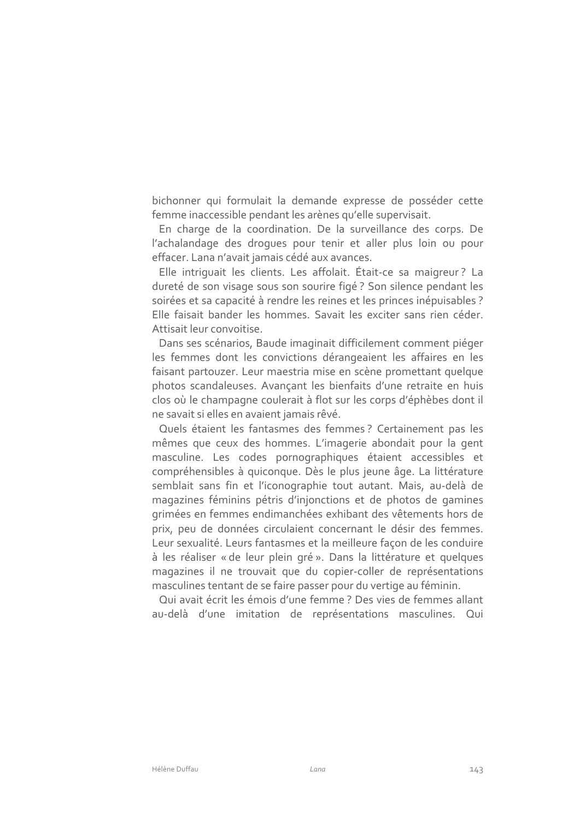bichonner qui formulait la demande expresse de posséder cette femme inaccessible pendant les arènes qu'elle supervisait.

En charge de la coordination. De la surveillance des corps. De l'achalandage des droques pour tenir et aller plus loin ou pour effacer. Lana n'avait jamais cédé aux avances.

Elle intriguait les clients. Les affolait. Était-ce sa maigreur? La dureté de son visage sous son sourire figé ? Son silence pendant les soirées et sa capacité à rendre les reines et les princes inépuisables ? Elle faisait bander les hommes. Savait les exciter sans rien céder. Attisait leur convoitise

Dans ses scénarios, Baude imaginait difficilement comment piéger les femmes dont les convictions dérangeaient les affaires en les faisant partouzer. Leur maestria mise en scène promettant quelque photos scandaleuses. Avançant les bienfaits d'une retraite en huis clos où le champagne coulerait à flot sur les corps d'éphèbes dont il ne savait si elles en avaient jamais rêvé.

Quels étaient les fantasmes des femmes ? Certainement pas les mêmes que ceux des hommes. L'imagerie abondait pour la gent masculine. Les codes pornographiques étaient accessibles et compréhensibles à quiconque. Dès le plus jeune âge. La littérature semblait sans fin et l'iconographie tout autant. Mais, au-delà de magazines féminins pétris d'injonctions et de photos de gamines grimées en femmes endimanchées exhibant des vêtements hors de prix, peu de données circulaient concernant le désir des femmes. Leur sexualité. Leurs fantasmes et la meilleure façon de les conduire à les réaliser « de leur plein gré ». Dans la littérature et quelques magazines il ne trouvait que du copier-coller de représentations masculines tentant de se faire passer pour du vertige au féminin.

Qui avait écrit les émois d'une femme ? Des vies de femmes allant au-delà d'une imitation de représentations masculines. Qui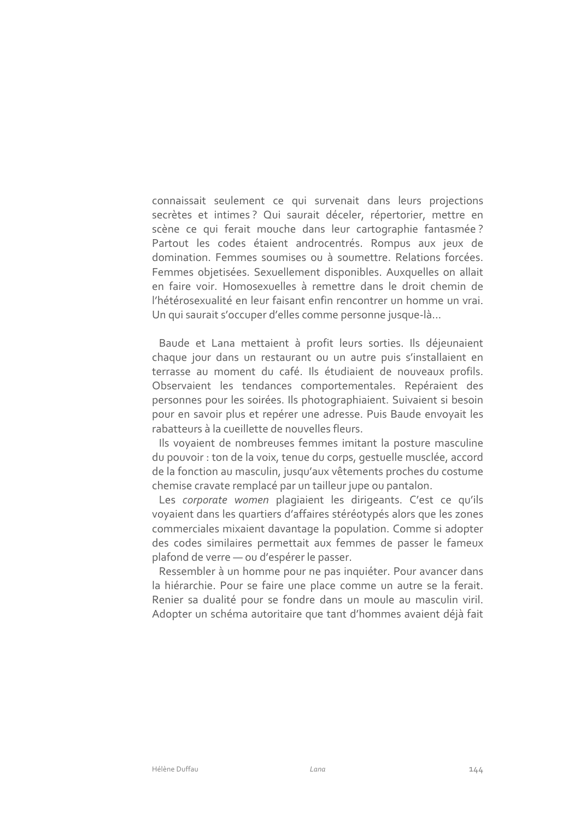connaissait seulement ce qui survenait dans leurs projections secrètes et intimes? Qui saurait déceler, répertorier, mettre en scène ce qui ferait mouche dans leur cartographie fantasmée? Partout les codes étaient androcentrés. Rompus aux jeux de domination. Femmes soumises ou à soumettre. Relations forcées. Femmes objetisées. Sexuellement disponibles. Auxquelles on allait en faire voir. Homosexuelles à remettre dans le droit chemin de l'hétérosexualité en leur faisant enfin rencontrer un homme un vrai. Un qui saurait s'occuper d'elles comme personne jusque-là...

Baude et Lana mettaient à profit leurs sorties. Ils déjeunaient chaque jour dans un restaurant ou un autre puis s'installaient en terrasse au moment du café. Ils étudiaient de nouveaux profils. Observaient les tendances comportementales. Repéraient des personnes pour les soirées. Ils photographiaient. Suivaient si besoin pour en savoir plus et repérer une adresse. Puis Baude envoyait les rabatteurs à la cueillette de nouvelles fleurs.

Ils voyaient de nombreuses femmes imitant la posture masculine du pouvoir : ton de la voix, tenue du corps, gestuelle musclée, accord de la fonction au masculin, jusqu'aux vêtements proches du costume chemise cravate remplacé par un tailleur jupe ou pantalon.

Les corporate women plagiaient les dirigeants. C'est ce qu'ils voyaient dans les quartiers d'affaires stéréotypés alors que les zones commerciales mixaient davantage la population. Comme si adopter des codes similaires permettait aux femmes de passer le fameux plafond de verre - ou d'espérer le passer.

Ressembler à un homme pour ne pas inquiéter. Pour avancer dans la hiérarchie. Pour se faire une place comme un autre se la ferait. Renier sa dualité pour se fondre dans un moule au masculin viril. Adopter un schéma autoritaire que tant d'hommes avaient déjà fait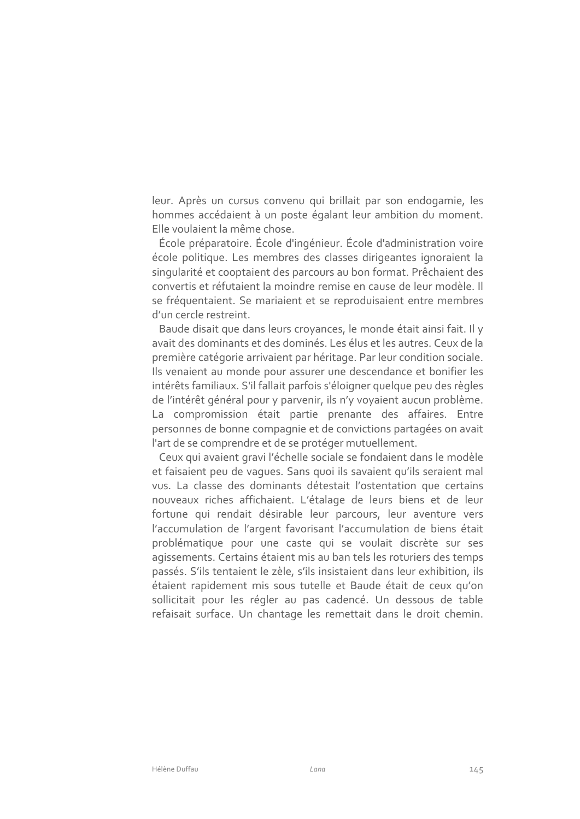leur. Après un cursus convenu qui brillait par son endogamie, les hommes accédaient à un poste égalant leur ambition du moment. Elle voulaient la même chose.

École préparatoire. École d'ingénieur. École d'administration voire école politique. Les membres des classes dirigeantes ignoraient la singularité et cooptaient des parcours au bon format. Prêchaient des convertis et réfutaient la moindre remise en cause de leur modèle. Il se fréquentaient. Se mariaient et se reproduisaient entre membres d'un cercle restreint.

Baude disait que dans leurs croyances, le monde était ainsi fait. Il y avait des dominants et des dominés. Les élus et les autres. Ceux de la première catégorie arrivaient par héritage. Par leur condition sociale. Ils venaient au monde pour assurer une descendance et bonifier les intérêts familiaux. S'il fallait parfois s'éloigner quelque peu des règles de l'intérêt général pour y parvenir, ils n'y voyaient aucun problème. La compromission était partie prenante des affaires. Entre personnes de bonne compagnie et de convictions partagées on avait l'art de se comprendre et de se protéger mutuellement.

Ceux qui avaient gravi l'échelle sociale se fondaient dans le modèle et faisaient peu de vagues. Sans quoi ils savaient qu'ils seraient mal vus. La classe des dominants détestait l'ostentation que certains nouveaux riches affichaient. L'étalage de leurs biens et de leur fortune qui rendait désirable leur parcours, leur aventure vers l'accumulation de l'argent favorisant l'accumulation de biens était problématique pour une caste qui se voulait discrète sur ses agissements. Certains étaient mis au ban tels les roturiers des temps passés. S'ils tentaient le zèle, s'ils insistaient dans leur exhibition, ils étaient rapidement mis sous tutelle et Baude était de ceux qu'on sollicitait pour les régler au pas cadencé. Un dessous de table refaisait surface. Un chantage les remettait dans le droit chemin.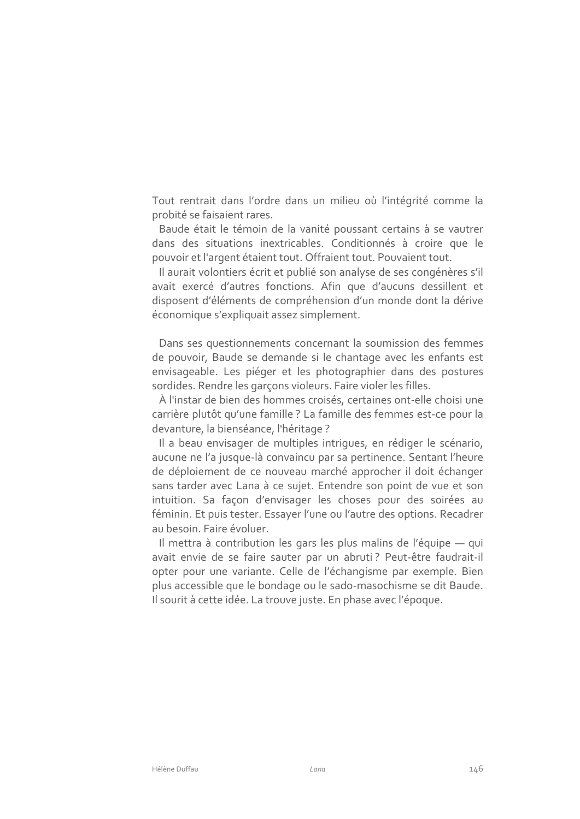Tout rentrait dans l'ordre dans un milieu où l'intégrité comme la probité se faisaient rares.

Baude était le témoin de la vanité poussant certains à se vautrer dans des situations inextricables. Conditionnés à croire que le pouvoir et l'argent étaient tout. Offraient tout. Pouvaient tout.

Il aurait volontiers écrit et publié son analyse de ses congénères s'il avait exercé d'autres fonctions. Afin que d'aucuns dessillent et disposent d'éléments de compréhension d'un monde dont la dérive économique s'expliquait assez simplement.

Dans ses questionnements concernant la soumission des femmes de pouvoir, Baude se demande si le chantage avec les enfants est envisageable. Les piéger et les photographier dans des postures sordides. Rendre les garçons violeurs. Faire violer les filles.

À l'instar de bien des hommes croisés, certaines ont-elle choisi une carrière plutôt qu'une famille ? La famille des femmes est-ce pour la devanture, la bienséance, l'héritage ?

Il a beau envisager de multiples intriques, en rédiger le scénario, aucune ne l'a jusque-là convaincu par sa pertinence. Sentant l'heure de déploiement de ce nouveau marché approcher il doit échanger sans tarder avec Lana à ce sujet. Entendre son point de vue et son intuition. Sa façon d'envisager les choses pour des soirées au féminin. Et puis tester. Essayer l'une ou l'autre des options. Recadrer au besoin. Faire évoluer.

Il mettra à contribution les gars les plus malins de l'équipe — qui avait envie de se faire sauter par un abruti? Peut-être faudrait-il opter pour une variante. Celle de l'échangisme par exemple. Bien plus accessible que le bondage ou le sado-masochisme se dit Baude. Il sourit à cette idée. La trouve juste. En phase avec l'époque.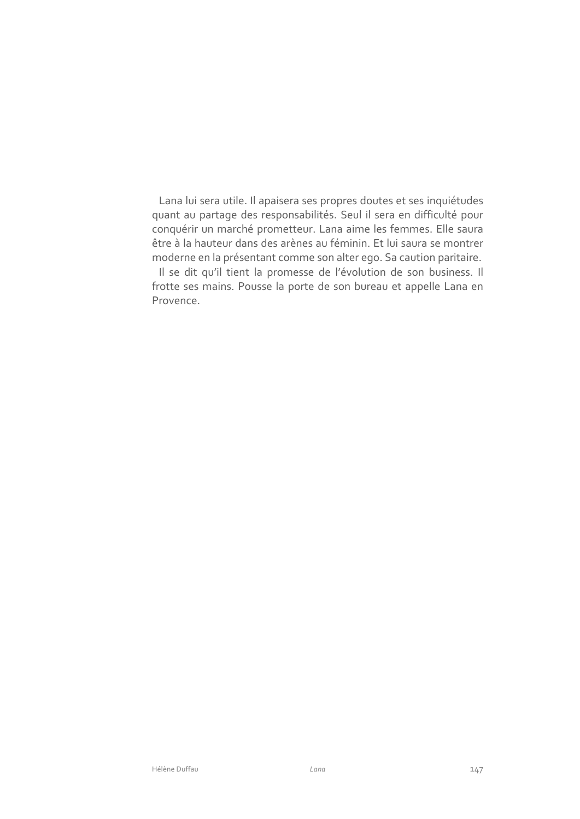Lana lui sera utile. Il apaisera ses propres doutes et ses inquiétudes quant au partage des responsabilités. Seul il sera en difficulté pour conquérir un marché prometteur. Lana aime les femmes. Elle saura être à la hauteur dans des arènes au féminin. Et lui saura se montrer moderne en la présentant comme son alter ego. Sa caution paritaire.

Il se dit qu'il tient la promesse de l'évolution de son business. Il frotte ses mains. Pousse la porte de son bureau et appelle Lana en Provence.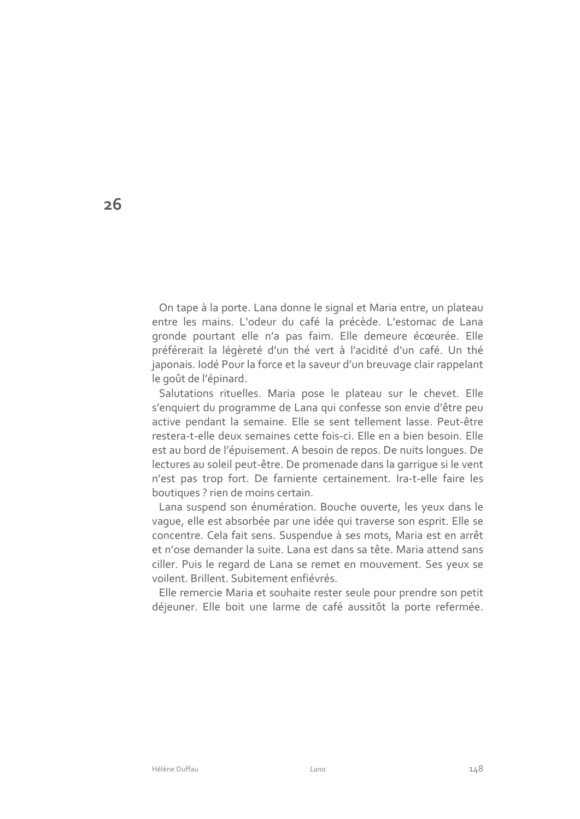On tape à la porte. Lana donne le signal et Maria entre, un plateau entre les mains. L'odeur du café la précède. L'estomac de Lana gronde pourtant elle n'a pas faim. Elle demeure écœurée. Elle préférerait la légèreté d'un thé vert à l'acidité d'un café. Un thé japonais. Iodé Pour la force et la saveur d'un breuvage clair rappelant le goût de l'épinard.

Salutations rituelles. Maria pose le plateau sur le chevet. Elle s'enquiert du programme de Lana qui confesse son envie d'être peu active pendant la semaine. Elle se sent tellement lasse. Peut-être restera-t-elle deux semaines cette fois-ci. Elle en a bien besoin. Elle est au bord de l'épuisement. A besoin de repos. De nuits longues. De lectures au soleil peut-être. De promenade dans la garrique si le vent n'est pas trop fort. De farniente certainement. Ira-t-elle faire les boutiques ? rien de moins certain.

Lana suspend son énumération. Bouche ouverte, les yeux dans le vaque, elle est absorbée par une idée qui traverse son esprit. Elle se concentre. Cela fait sens. Suspendue à ses mots, Maria est en arrêt et n'ose demander la suite. Lana est dans sa tête. Maria attend sans ciller. Puis le regard de Lana se remet en mouvement. Ses yeux se voilent. Brillent. Subitement enfiévrés.

Elle remercie Maria et souhaite rester seule pour prendre son petit déjeuner. Elle boit une larme de café aussitôt la porte refermée.

 $26$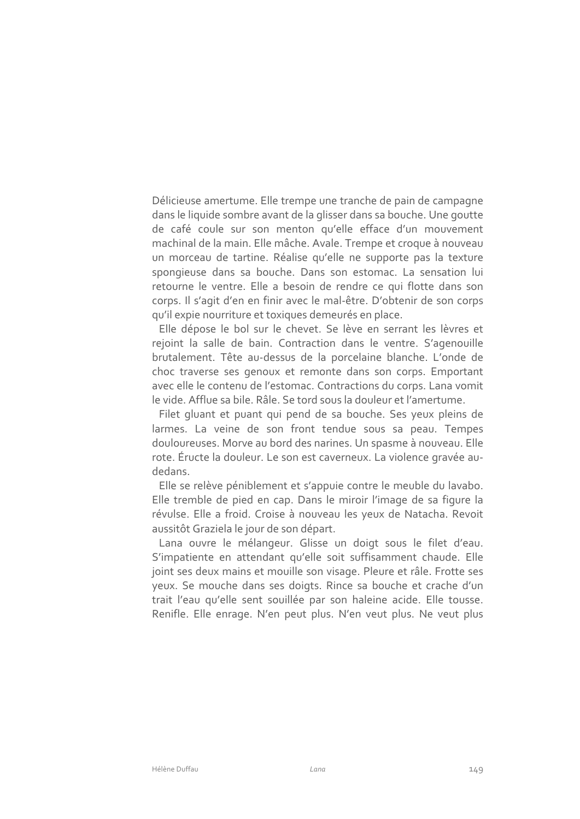Délicieuse amertume. Elle trempe une tranche de pain de campagne dans le liquide sombre avant de la glisser dans sa bouche. Une goutte de café coule sur son menton qu'elle efface d'un mouvement machinal de la main. Elle mâche. Avale. Trempe et croque à nouveau un morceau de tartine. Réalise qu'elle ne supporte pas la texture spongieuse dans sa bouche. Dans son estomac. La sensation lui retourne le ventre. Elle a besoin de rendre ce qui flotte dans son corps. Il s'agit d'en en finir avec le mal-être. D'obtenir de son corps qu'il expie nourriture et toxiques demeurés en place.

Elle dépose le bol sur le chevet. Se lève en serrant les lèvres et rejoint la salle de bain. Contraction dans le ventre. S'agenouille brutalement. Tête au-dessus de la porcelaine blanche. L'onde de choc traverse ses genoux et remonte dans son corps. Emportant avec elle le contenu de l'estomac. Contractions du corps. Lana vomit le vide. Afflue sa bile. Râle. Se tord sous la douleur et l'amertume.

Filet gluant et puant qui pend de sa bouche. Ses yeux pleins de larmes. La veine de son front tendue sous sa peau. Tempes douloureuses. Morve au bord des narines. Un spasme à nouveau. Elle rote. Éructe la douleur. Le son est caverneux. La violence gravée audedans.

Elle se relève péniblement et s'appuie contre le meuble du lavabo. Elle tremble de pied en cap. Dans le miroir l'image de sa figure la révulse. Elle a froid. Croise à nouveau les yeux de Natacha. Revoit aussitôt Graziela le jour de son départ.

Lana ouvre le mélangeur. Glisse un doigt sous le filet d'eau. S'impatiente en attendant qu'elle soit suffisamment chaude. Elle joint ses deux mains et mouille son visage. Pleure et râle. Frotte ses yeux. Se mouche dans ses doigts. Rince sa bouche et crache d'un trait l'eau qu'elle sent souillée par son haleine acide. Elle tousse. Renifle. Elle enrage. N'en peut plus. N'en veut plus. Ne veut plus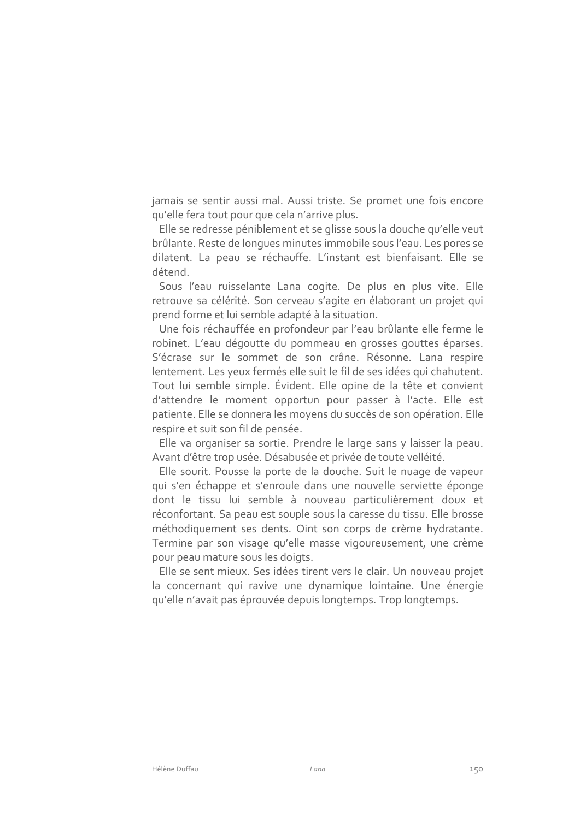jamais se sentir aussi mal. Aussi triste. Se promet une fois encore qu'elle fera tout pour que cela n'arrive plus.

Elle se redresse péniblement et se glisse sous la douche qu'elle veut brûlante. Reste de longues minutes immobile sous l'eau. Les pores se dilatent. La peau se réchauffe. L'instant est bienfaisant. Elle se détend.

Sous l'eau ruisselante Lana cogite. De plus en plus vite. Elle retrouve sa célérité. Son cerveau s'agite en élaborant un projet qui prend forme et lui semble adapté à la situation.

Une fois réchauffée en profondeur par l'eau brûlante elle ferme le robinet. L'eau dégoutte du pommeau en grosses gouttes éparses. S'écrase sur le sommet de son crâne. Résonne. Lana respire lentement. Les yeux fermés elle suit le fil de ses idées qui chahutent. Tout lui semble simple. Évident. Elle opine de la tête et convient d'attendre le moment opportun pour passer à l'acte. Elle est patiente. Elle se donnera les moyens du succès de son opération. Elle respire et suit son fil de pensée.

Elle va organiser sa sortie. Prendre le large sans y laisser la peau. Avant d'être trop usée. Désabusée et privée de toute velléité.

Elle sourit. Pousse la porte de la douche. Suit le nuage de vapeur qui s'en échappe et s'enroule dans une nouvelle serviette éponge dont le tissu lui semble à nouveau particulièrement doux et réconfortant. Sa peau est souple sous la caresse du tissu. Elle brosse méthodiquement ses dents. Oint son corps de crème hydratante. Termine par son visage qu'elle masse vigoureusement, une crème pour peau mature sous les doigts.

Elle se sent mieux. Ses idées tirent vers le clair. Un nouveau projet la concernant qui ravive une dynamique lointaine. Une énergie qu'elle n'avait pas éprouvée depuis longtemps. Trop longtemps.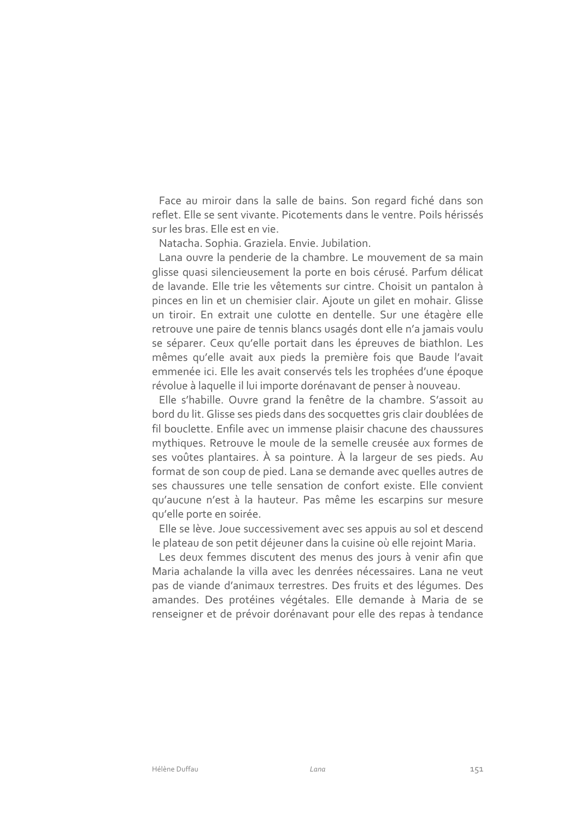Face au miroir dans la salle de bains. Son regard fiché dans son reflet. Elle se sent vivante. Picotements dans le ventre. Poils hérissés sur les bras. Elle est en vie.

Natacha. Sophia. Graziela. Envie. Jubilation.

Lana ouvre la penderie de la chambre. Le mouvement de sa main glisse quasi silencieusement la porte en bois cérusé. Parfum délicat de lavande. Elle trie les vêtements sur cintre. Choisit un pantalon à pinces en lin et un chemisier clair. Ajoute un gilet en mohair. Glisse un tiroir. En extrait une culotte en dentelle. Sur une étagère elle retrouve une paire de tennis blancs usagés dont elle n'a jamais voulu se séparer. Ceux qu'elle portait dans les épreuves de biathlon. Les mêmes qu'elle avait aux pieds la première fois que Baude l'avait emmenée ici. Elle les avait conservés tels les trophées d'une époque révolue à laquelle il lui importe dorénavant de penser à nouveau.

Elle s'habille. Ouvre grand la fenêtre de la chambre. S'assoit au bord du lit. Glisse ses pieds dans des socquettes gris clair doublées de fil bouclette. Enfile avec un immense plaisir chacune des chaussures mythiques. Retrouve le moule de la semelle creusée aux formes de ses voûtes plantaires. À sa pointure. À la largeur de ses pieds. Au format de son coup de pied. Lana se demande avec quelles autres de ses chaussures une telle sensation de confort existe. Elle convient qu'aucune n'est à la hauteur. Pas même les escarpins sur mesure qu'elle porte en soirée.

Elle se lève. Joue successivement avec ses appuis au sol et descend le plateau de son petit déjeuner dans la cuisine où elle rejoint Maria.

Les deux femmes discutent des menus des jours à venir afin que Maria achalande la villa avec les denrées nécessaires. Lana ne veut pas de viande d'animaux terrestres. Des fruits et des léqumes. Des amandes. Des protéines végétales. Elle demande à Maria de se renseigner et de prévoir dorénavant pour elle des repas à tendance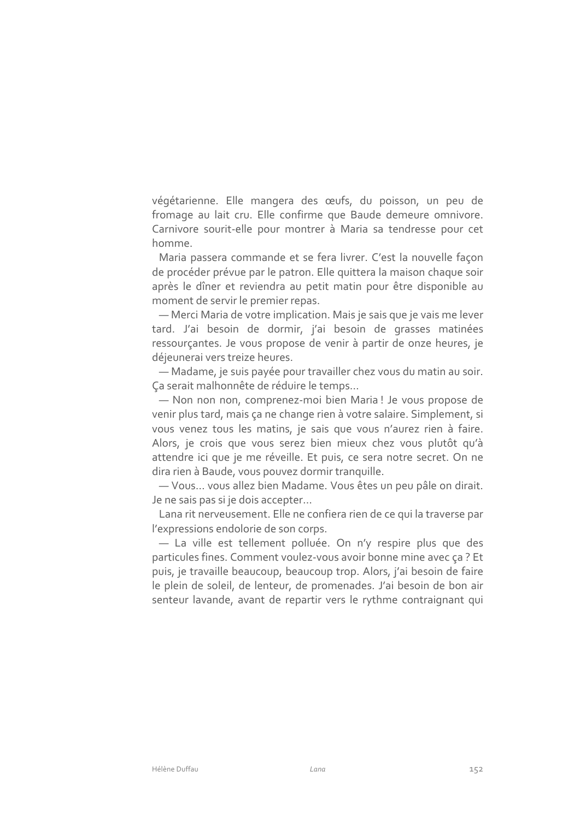végétarienne. Elle mangera des œufs, du poisson, un peu de fromage au lait cru. Elle confirme que Baude demeure omnivore. Carnivore sourit-elle pour montrer à Maria sa tendresse pour cet homme

Maria passera commande et se fera livrer. C'est la nouvelle façon de procéder prévue par le patron. Elle quittera la maison chaque soir après le dîner et reviendra au petit matin pour être disponible au moment de servir le premier repas.

- Merci Maria de votre implication. Mais je sais que je vais me lever tard. J'ai besoin de dormir, j'ai besoin de grasses matinées ressourçantes. Je vous propose de venir à partir de onze heures, je déjeunerai vers treize heures.

- Madame, je suis payée pour travailler chez vous du matin au soir. Ça serait malhonnête de réduire le temps...

- Non non non, comprenez-moi bien Maria! Je vous propose de venir plus tard, mais ça ne change rien à votre salaire. Simplement, si vous venez tous les matins, je sais que vous n'aurez rien à faire. Alors, je crois que vous serez bien mieux chez vous plutôt qu'à attendre ici que je me réveille. Et puis, ce sera notre secret. On ne dira rien à Baude, vous pouvez dormir tranquille.

- Vous... vous allez bien Madame. Vous êtes un peu pâle on dirait. Je ne sais pas si je dois accepter...

Lana rit nerveusement. Elle ne confiera rien de ce qui la traverse par l'expressions endolorie de son corps.

- La ville est tellement polluée. On n'y respire plus que des particules fines. Comment voulez-vous avoir bonne mine avec ça ? Et puis, je travaille beaucoup, beaucoup trop. Alors, j'ai besoin de faire le plein de soleil, de lenteur, de promenades. J'ai besoin de bon air senteur lavande, avant de repartir vers le rythme contraignant qui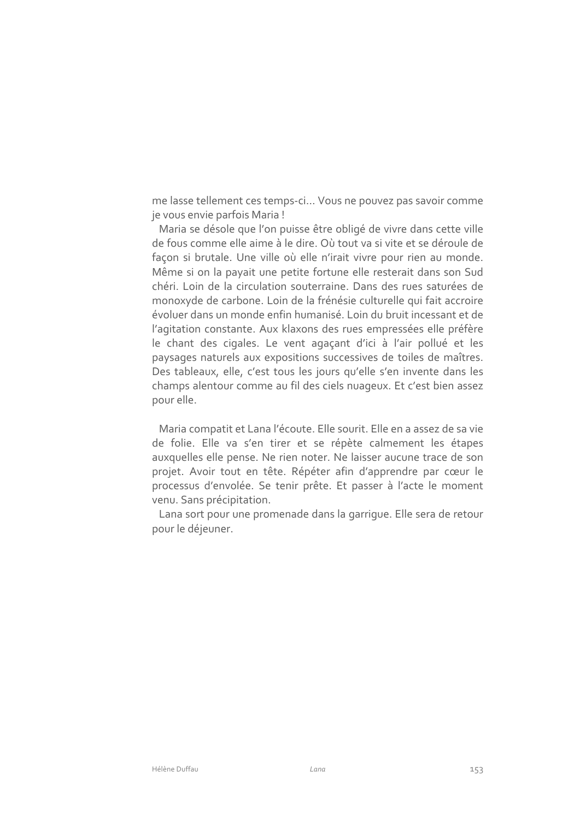me lasse tellement ces temps-ci... Vous ne pouvez pas savoir comme je vous envie parfois Maria!

Maria se désole que l'on puisse être obligé de vivre dans cette ville de fous comme elle aime à le dire. Où tout va si vite et se déroule de façon si brutale. Une ville où elle n'irait vivre pour rien au monde. Même si on la payait une petite fortune elle resterait dans son Sud chéri. Loin de la circulation souterraine. Dans des rues saturées de monoxyde de carbone. Loin de la frénésie culturelle qui fait accroire évoluer dans un monde enfin humanisé. Loin du bruit incessant et de l'agitation constante. Aux klaxons des rues empressées elle préfère le chant des cigales. Le vent agaçant d'ici à l'air pollué et les paysages naturels aux expositions successives de toiles de maîtres. Des tableaux, elle, c'est tous les jours qu'elle s'en invente dans les champs alentour comme au fil des ciels nuageux. Et c'est bien assez pour elle.

Maria compatit et Lana l'écoute. Elle sourit. Elle en a assez de sa vie de folie. Elle va s'en tirer et se répète calmement les étapes auxquelles elle pense. Ne rien noter. Ne laisser aucune trace de son projet. Avoir tout en tête. Répéter afin d'apprendre par cœur le processus d'envolée. Se tenir prête. Et passer à l'acte le moment venu. Sans précipitation.

Lana sort pour une promenade dans la garrique. Elle sera de retour pour le déjeuner.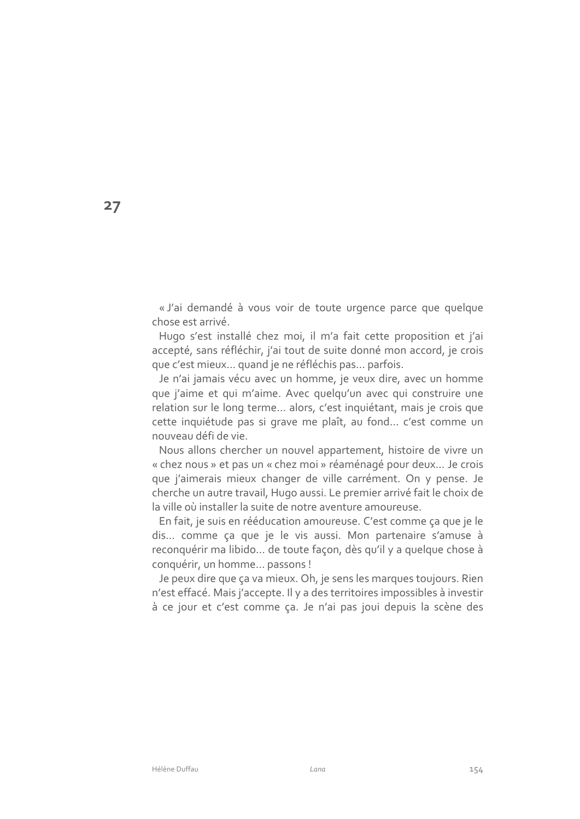« J'ai demandé à vous voir de toute urgence parce que quelque chose est arrivé.

Hugo s'est installé chez moi, il m'a fait cette proposition et j'ai accepté, sans réfléchir, j'ai tout de suite donné mon accord, je crois que c'est mieux... quand je ne réfléchis pas... parfois.

Je n'ai jamais vécu avec un homme, je veux dire, avec un homme que j'aime et qui m'aime. Avec quelqu'un avec qui construire une relation sur le long terme... alors, c'est inquiétant, mais je crois que cette inquiétude pas si grave me plaît, au fond... c'est comme un nouveau défi de vie.

Nous allons chercher un nouvel appartement, histoire de vivre un « chez nous » et pas un « chez moi » réaménagé pour deux... Je crois que j'aimerais mieux changer de ville carrément. On y pense. Je cherche un autre travail, Hugo aussi. Le premier arrivé fait le choix de la ville où installer la suite de notre aventure amoureuse.

En fait, je suis en rééducation amoureuse. C'est comme ça que je le dis... comme ça que je le vis aussi. Mon partenaire s'amuse à reconquérir ma libido... de toute façon, dès qu'il y a quelque chose à conquérir, un homme... passons !

Je peux dire que ça va mieux. Oh, je sens les marques toujours. Rien n'est effacé. Mais j'accepte. Il y a des territoires impossibles à investir à ce jour et c'est comme ça. Je n'ai pas joui depuis la scène des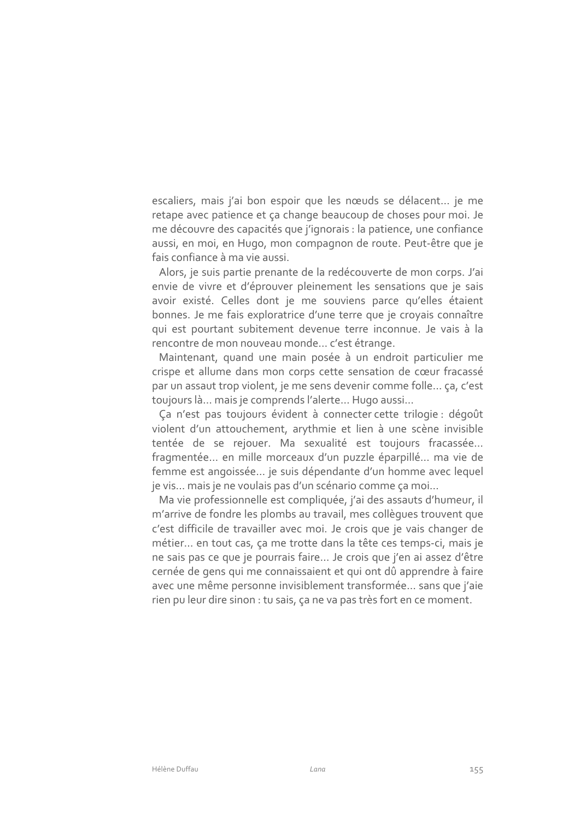escaliers, mais j'ai bon espoir que les nœuds se délacent... je me retape avec patience et ça change beaucoup de choses pour moi. Je me découvre des capacités que j'ignorais : la patience, une confiance aussi, en moi, en Hugo, mon compagnon de route. Peut-être que je fais confiance à ma vie aussi.

Alors, je suis partie prenante de la redécouverte de mon corps. J'ai envie de vivre et d'éprouver pleinement les sensations que je sais avoir existé. Celles dont je me souviens parce qu'elles étaient bonnes. Je me fais exploratrice d'une terre que je croyais connaître qui est pourtant subitement devenue terre inconnue. Je vais à la rencontre de mon nouveau monde... c'est étrange.

Maintenant, quand une main posée à un endroit particulier me crispe et allume dans mon corps cette sensation de cœur fracassé par un assaut trop violent, je me sens devenir comme folle... ça, c'est toujours là... mais je comprends l'alerte... Hugo aussi...

Ça n'est pas toujours évident à connecter cette trilogie : dégoût violent d'un attouchement, arythmie et lien à une scène invisible tentée de se rejouer. Ma sexualité est toujours fracassée... fragmentée... en mille morceaux d'un puzzle éparpillé... ma vie de femme est angoissée... je suis dépendante d'un homme avec lequel je vis... mais je ne voulais pas d'un scénario comme ça moi...

Ma vie professionnelle est compliquée, j'ai des assauts d'humeur, il m'arrive de fondre les plombs au travail, mes collègues trouvent que c'est difficile de travailler avec moi. Je crois que je vais changer de métier... en tout cas, ça me trotte dans la tête ces temps-ci, mais je ne sais pas ce que je pourrais faire... Je crois que j'en ai assez d'être cernée de gens qui me connaissaient et qui ont dû apprendre à faire avec une même personne invisiblement transformée... sans que j'aie rien pu leur dire sinon : tu sais, ça ne va pas très fort en ce moment.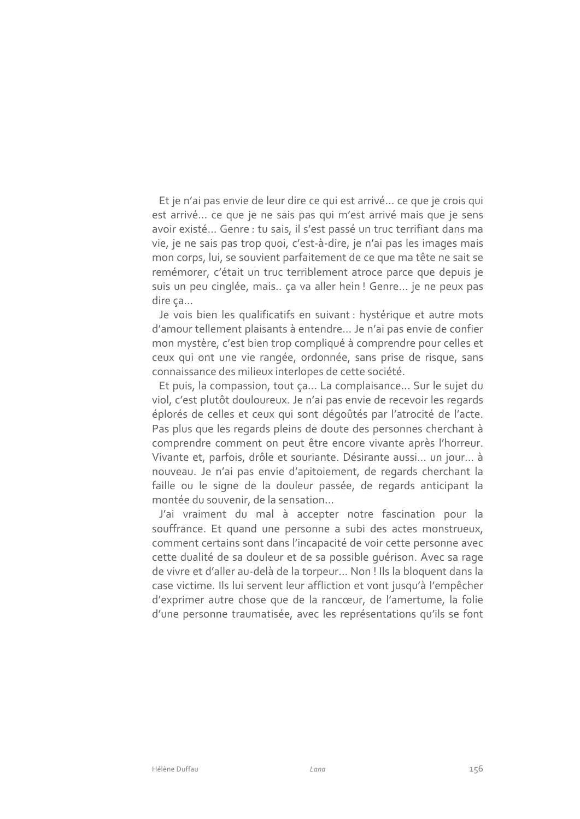Et je n'ai pas envie de leur dire ce qui est arrivé... ce que je crois qui est arrivé... ce que je ne sais pas qui m'est arrivé mais que je sens avoir existé... Genre : tu sais, il s'est passé un truc terrifiant dans ma vie, je ne sais pas trop quoi, c'est-à-dire, je n'ai pas les images mais mon corps, lui, se souvient parfaitement de ce que ma tête ne sait se remémorer, c'était un truc terriblement atroce parce que depuis je suis un peu cinglée, mais.. ça va aller hein ! Genre... je ne peux pas dire ca...

Je vois bien les qualificatifs en suivant : hystérique et autre mots d'amour tellement plaisants à entendre... Je n'ai pas envie de confier mon mystère, c'est bien trop compliqué à comprendre pour celles et ceux qui ont une vie rangée, ordonnée, sans prise de risque, sans connaissance des milieux interlopes de cette société.

Et puis, la compassion, tout ça... La complaisance... Sur le sujet du viol, c'est plutôt douloureux. Je n'ai pas envie de recevoir les regards éplorés de celles et ceux qui sont dégoûtés par l'atrocité de l'acte. Pas plus que les regards pleins de doute des personnes cherchant à comprendre comment on peut être encore vivante après l'horreur. Vivante et, parfois, drôle et souriante. Désirante aussi... un jour... à nouveau. Je n'ai pas envie d'apitoiement, de regards cherchant la faille ou le signe de la douleur passée, de regards anticipant la montée du souvenir, de la sensation...

J'ai vraiment du mal à accepter notre fascination pour la souffrance. Et quand une personne a subi des actes monstrueux, comment certains sont dans l'incapacité de voir cette personne avec cette dualité de sa douleur et de sa possible guérison. Avec sa rage de vivre et d'aller au-delà de la torpeur... Non ! Ils la bloquent dans la case victime. Ils lui servent leur affliction et vont jusqu'à l'empêcher d'exprimer autre chose que de la rancœur, de l'amertume, la folie d'une personne traumatisée, avec les représentations qu'ils se font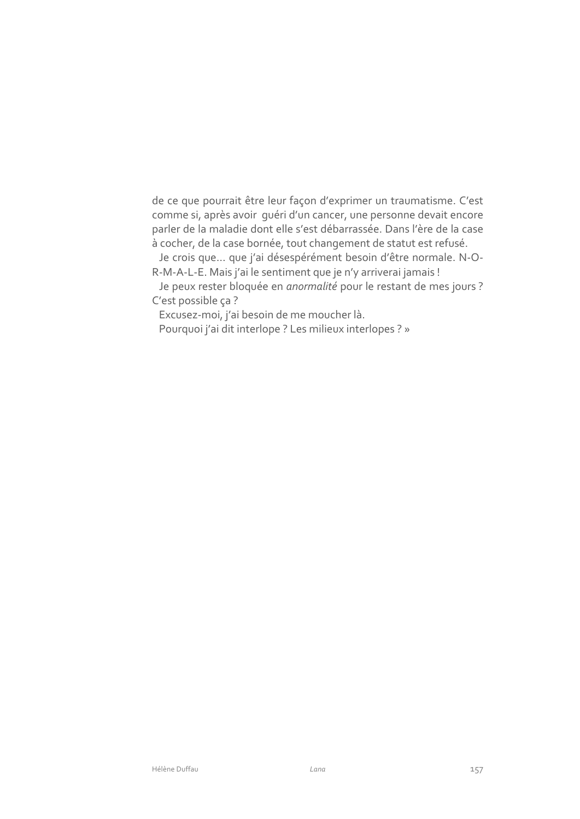de ce que pourrait être leur façon d'exprimer un traumatisme. C'est comme si, après avoir quéri d'un cancer, une personne devait encore parler de la maladie dont elle s'est débarrassée. Dans l'ère de la case à cocher, de la case bornée, tout changement de statut est refusé.

Je crois que... que j'ai désespérément besoin d'être normale. N-O-R-M-A-L-E. Mais j'ai le sentiment que je n'y arriverai jamais !

Je peux rester bloquée en anormalité pour le restant de mes jours ? C'est possible ça?

Excusez-moi, j'ai besoin de me moucher là.

Pourquoi j'ai dit interlope ? Les milieux interlopes ? »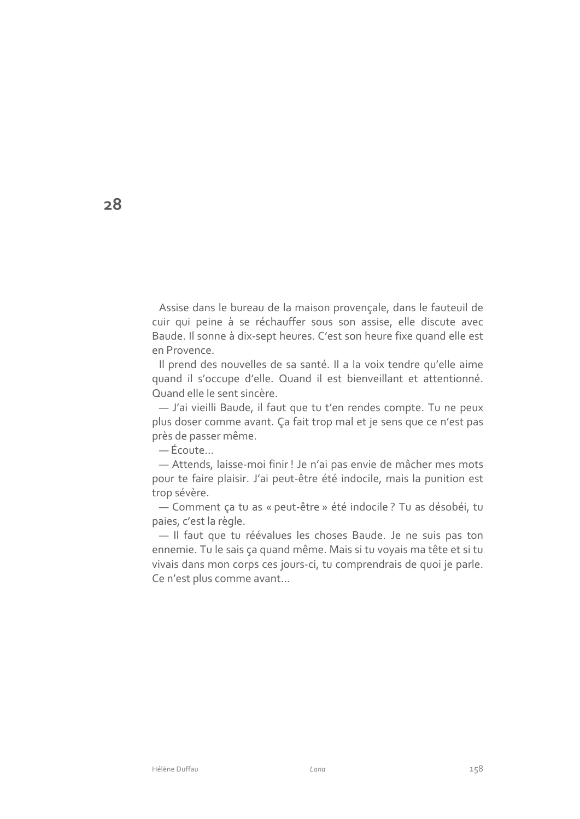Assise dans le bureau de la maison provençale, dans le fauteuil de cuir qui peine à se réchauffer sous son assise, elle discute avec Baude. Il sonne à dix-sept heures. C'est son heure fixe quand elle est en Provence.

Il prend des nouvelles de sa santé. Il a la voix tendre qu'elle aime quand il s'occupe d'elle. Quand il est bienveillant et attentionné. Quand elle le sent sincère.

- J'ai vieilli Baude, il faut que tu t'en rendes compte. Tu ne peux plus doser comme avant. Ça fait trop mal et je sens que ce n'est pas près de passer même.

-Écoute...

- Attends, laisse-moi finir! Je n'ai pas envie de mâcher mes mots pour te faire plaisir. J'ai peut-être été indocile, mais la punition est trop sévère.

- Comment ça tu as « peut-être » été indocile ? Tu as désobéi, tu paies, c'est la règle.

- Il faut que tu réévalues les choses Baude. Je ne suis pas ton ennemie. Tu le sais ça quand même. Mais si tu voyais ma tête et si tu vivais dans mon corps ces jours-ci, tu comprendrais de quoi je parle. Ce n'est plus comme avant...

 $28$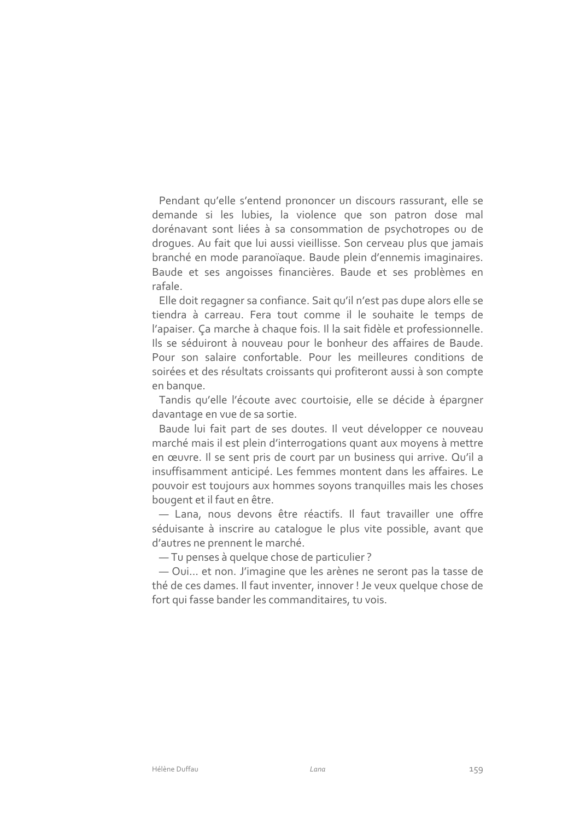Pendant qu'elle s'entend prononcer un discours rassurant, elle se demande si les lubies, la violence que son patron dose mal dorénavant sont liées à sa consommation de psychotropes ou de droques. Au fait que lui aussi vieillisse. Son cerveau plus que jamais branché en mode paranoïaque. Baude plein d'ennemis imaginaires. Baude et ses angoisses financières. Baude et ses problèmes en rafale.

Elle doit regagner sa confiance. Sait qu'il n'est pas dupe alors elle se tiendra à carreau. Fera tout comme il le souhaite le temps de l'apaiser. Ça marche à chaque fois. Il la sait fidèle et professionnelle. Ils se séduiront à nouveau pour le bonheur des affaires de Baude. Pour son salaire confortable. Pour les meilleures conditions de soirées et des résultats croissants qui profiteront aussi à son compte en banque.

Tandis qu'elle l'écoute avec courtoisie, elle se décide à épargner davantage en vue de sa sortie.

Baude lui fait part de ses doutes. Il veut développer ce nouveau marché mais il est plein d'interrogations quant aux moyens à mettre en œuvre. Il se sent pris de court par un business qui arrive. Qu'il a insuffisamment anticipé. Les femmes montent dans les affaires. Le pouvoir est toujours aux hommes soyons tranquilles mais les choses bougent et il faut en être.

- Lana, nous devons être réactifs. Il faut travailler une offre séduisante à inscrire au cataloque le plus vite possible, avant que d'autres ne prennent le marché.

-Tu penses à quelque chose de particulier?

- Oui... et non. J'imagine que les arènes ne seront pas la tasse de thé de ces dames. Il faut inventer, innover ! Je veux quelque chose de fort qui fasse bander les commanditaires, tu vois.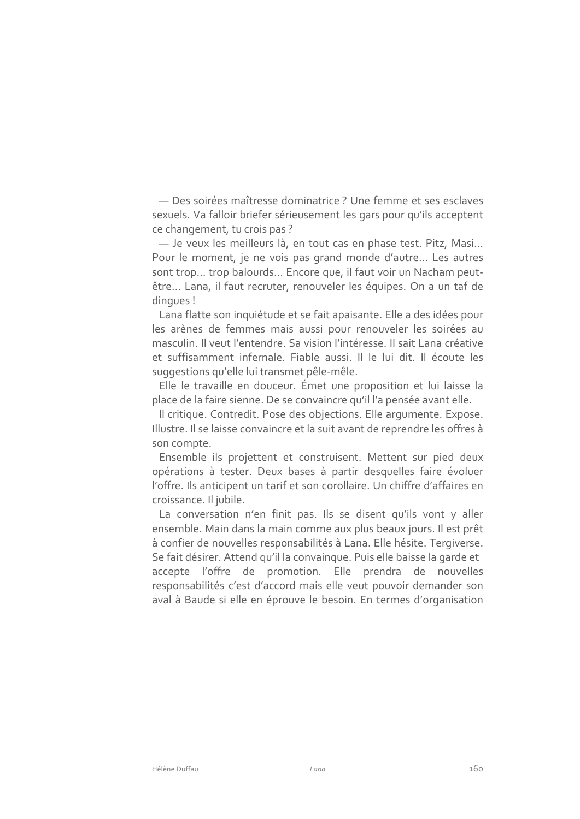- Des soirées maîtresse dominatrice ? Une femme et ses esclaves sexuels. Va falloir briefer sérieusement les gars pour qu'ils acceptent ce changement, tu crois pas?

- Je veux les meilleurs là, en tout cas en phase test. Pitz, Masi... Pour le moment, je ne vois pas grand monde d'autre... Les autres sont trop... trop balourds... Encore que, il faut voir un Nacham peutêtre... Lana, il faut recruter, renouveler les équipes. On a un taf de dingues!

Lana flatte son inquiétude et se fait apaisante. Elle a des idées pour les arènes de femmes mais aussi pour renouveler les soirées au masculin. Il veut l'entendre. Sa vision l'intéresse. Il sait Lana créative et suffisamment infernale. Fiable aussi. Il le lui dit. Il écoute les suggestions qu'elle lui transmet pêle-mêle.

Elle le travaille en douceur. Émet une proposition et lui laisse la place de la faire sienne. De se convaincre qu'il l'a pensée avant elle.

Il critique. Contredit. Pose des objections. Elle argumente. Expose. Illustre. Il se laisse convaincre et la suit avant de reprendre les offres à son compte.

Ensemble ils projettent et construisent. Mettent sur pied deux opérations à tester. Deux bases à partir desquelles faire évoluer l'offre. Ils anticipent un tarif et son corollaire. Un chiffre d'affaires en croissance. Il jubile.

La conversation n'en finit pas. Ils se disent qu'ils vont y aller ensemble. Main dans la main comme aux plus beaux jours. Il est prêt à confier de nouvelles responsabilités à Lana. Elle hésite. Tergiverse. Se fait désirer. Attend qu'il la convainque. Puis elle baisse la garde et accepte l'offre de promotion. Elle prendra de nouvelles responsabilités c'est d'accord mais elle veut pouvoir demander son aval à Baude si elle en éprouve le besoin. En termes d'organisation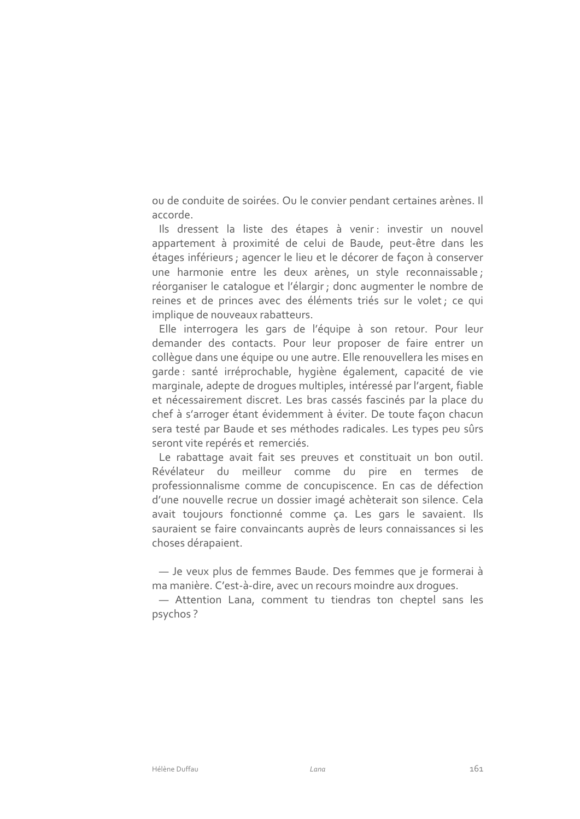ou de conduite de soirées. Ou le convier pendant certaines arènes. Il accorde.

Ils dressent la liste des étapes à venir : investir un nouvel appartement à proximité de celui de Baude, peut-être dans les étages inférieurs ; agencer le lieu et le décorer de façon à conserver une harmonie entre les deux arènes, un style reconnaissable; réorganiser le cataloque et l'élargir ; donc augmenter le nombre de reines et de princes avec des éléments triés sur le volet; ce qui implique de nouveaux rabatteurs.

Elle interrogera les gars de l'équipe à son retour. Pour leur demander des contacts. Pour leur proposer de faire entrer un collègue dans une équipe ou une autre. Elle renouvellera les mises en garde : santé irréprochable, hygiène également, capacité de vie marginale, adepte de droques multiples, intéressé par l'argent, fiable et nécessairement discret. Les bras cassés fascinés par la place du chef à s'arroger étant évidemment à éviter. De toute façon chacun sera testé par Baude et ses méthodes radicales. Les types peu sûrs seront vite repérés et remerciés.

Le rabattage avait fait ses preuves et constituait un bon outil. Révélateur du meilleur comme du pire en termes de professionnalisme comme de concupiscence. En cas de défection d'une nouvelle recrue un dossier imagé achèterait son silence. Cela avait toujours fonctionné comme ça. Les gars le savaient. Ils sauraient se faire convaincants auprès de leurs connaissances si les choses dérapaient.

- Je veux plus de femmes Baude. Des femmes que je formerai à ma manière. C'est-à-dire, avec un recours moindre aux droques.

- Attention Lana, comment tu tiendras ton cheptel sans les psychos?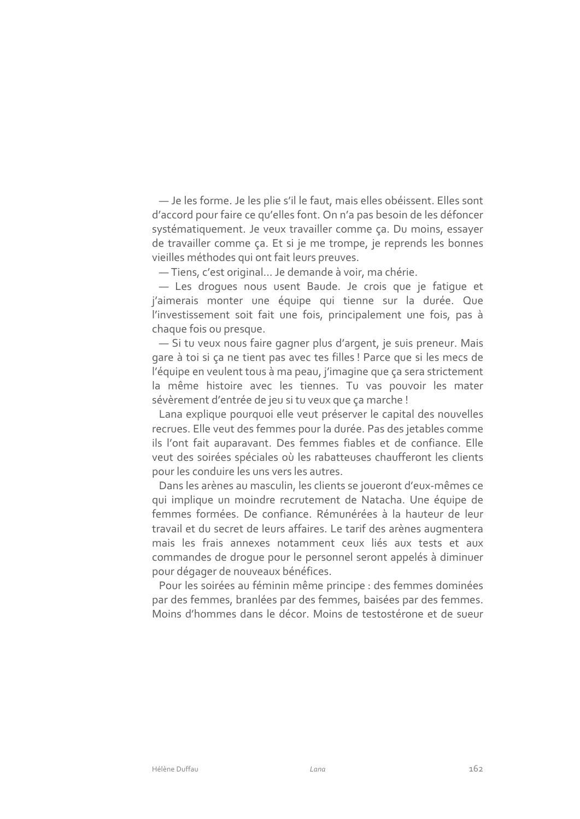- Je les forme. Je les plie s'il le faut, mais elles obéissent. Elles sont d'accord pour faire ce qu'elles font. On n'a pas besoin de les défoncer systématiquement. Je veux travailler comme ça. Du moins, essayer de travailler comme ça. Et si je me trompe, je reprends les bonnes vieilles méthodes qui ont fait leurs preuves.

-Tiens, c'est original... Je demande à voir, ma chérie.

- Les droques nous usent Baude. Je crois que je fatique et j'aimerais monter une équipe qui tienne sur la durée. Que l'investissement soit fait une fois, principalement une fois, pas à chaque fois ou presque.

- Si tu veux nous faire gagner plus d'argent, je suis preneur. Mais gare à toi si ca ne tient pas avec tes filles ! Parce que si les mecs de l'équipe en veulent tous à ma peau, j'imagine que ça sera strictement la même histoire avec les tiennes. Tu vas pouvoir les mater sévèrement d'entrée de jeu si tu veux que ça marche !

Lana explique pourquoi elle veut préserver le capital des nouvelles recrues. Elle veut des femmes pour la durée. Pas des jetables comme ils l'ont fait auparavant. Des femmes fiables et de confiance. Elle veut des soirées spéciales où les rabatteuses chaufferont les clients pour les conduire les uns vers les autres.

Dans les arènes au masculin, les clients se joueront d'eux-mêmes ce qui implique un moindre recrutement de Natacha. Une équipe de femmes formées. De confiance. Rémunérées à la hauteur de leur travail et du secret de leurs affaires. Le tarif des arènes augmentera mais les frais annexes notamment ceux liés aux tests et aux commandes de droque pour le personnel seront appelés à diminuer pour dégager de nouveaux bénéfices.

Pour les soirées au féminin même principe : des femmes dominées par des femmes, branlées par des femmes, baisées par des femmes. Moins d'hommes dans le décor. Moins de testostérone et de sueur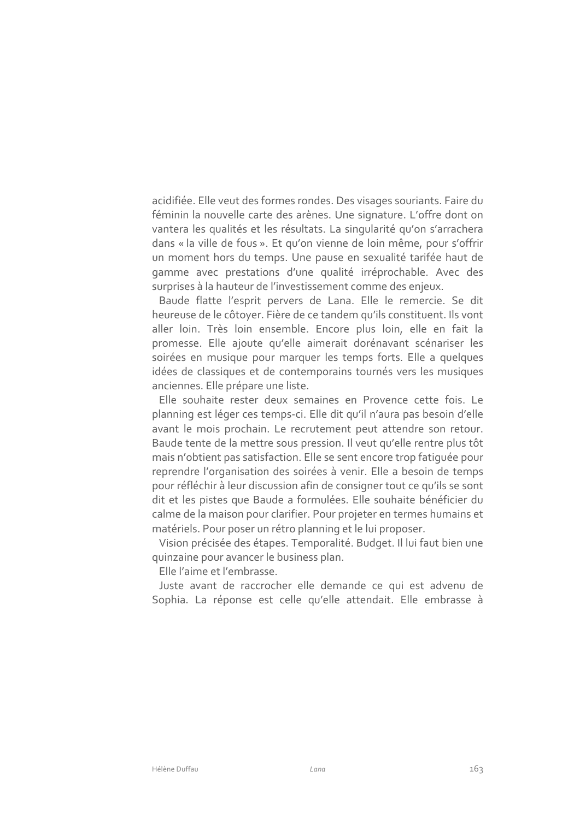acidifiée. Elle veut des formes rondes. Des visages souriants. Faire du féminin la nouvelle carte des arènes. Une signature. L'offre dont on vantera les qualités et les résultats. La singularité qu'on s'arrachera dans « la ville de fous ». Et qu'on vienne de loin même, pour s'offrir un moment hors du temps. Une pause en sexualité tarifée haut de gamme avec prestations d'une qualité irréprochable. Avec des surprises à la hauteur de l'investissement comme des enjeux.

Baude flatte l'esprit pervers de Lana. Elle le remercie. Se dit heureuse de le côtoyer. Fière de ce tandem qu'ils constituent. Ils vont aller loin. Très loin ensemble. Encore plus loin, elle en fait la promesse. Elle ajoute qu'elle aimerait dorénavant scénariser les soirées en musique pour marquer les temps forts. Elle a quelques idées de classiques et de contemporains tournés vers les musiques anciennes. Elle prépare une liste.

Elle souhaite rester deux semaines en Provence cette fois. Le planning est léger ces temps-ci. Elle dit qu'il n'aura pas besoin d'elle avant le mois prochain. Le recrutement peut attendre son retour. Baude tente de la mettre sous pression. Il veut qu'elle rentre plus tôt mais n'obtient pas satisfaction. Elle se sent encore trop fatiquée pour reprendre l'organisation des soirées à venir. Elle a besoin de temps pour réfléchir à leur discussion afin de consigner tout ce qu'ils se sont dit et les pistes que Baude a formulées. Elle souhaite bénéficier du calme de la maison pour clarifier. Pour projeter en termes humains et matériels. Pour poser un rétro planning et le lui proposer.

Vision précisée des étapes. Temporalité. Budget. Il lui faut bien une quinzaine pour avancer le business plan.

Elle l'aime et l'embrasse.

Juste avant de raccrocher elle demande ce qui est advenu de Sophia. La réponse est celle qu'elle attendait. Elle embrasse à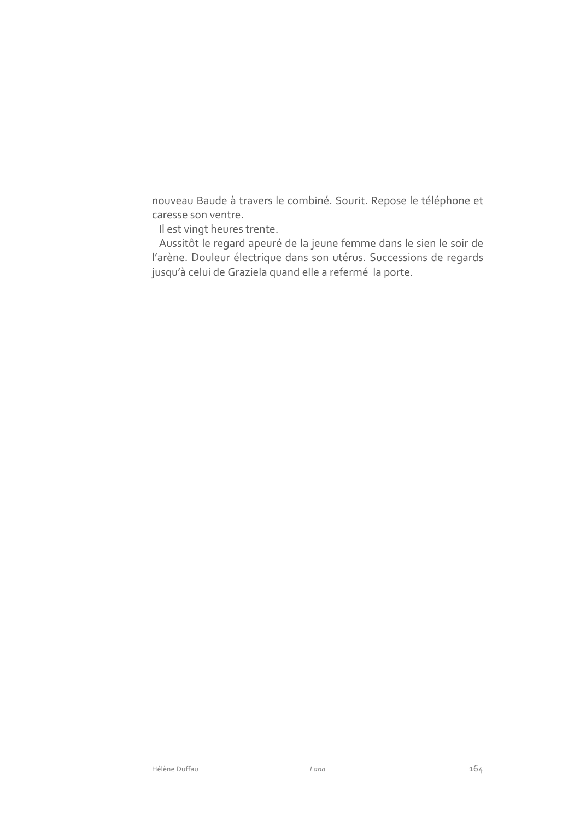nouveau Baude à travers le combiné. Sourit. Repose le téléphone et caresse son ventre.

Il est vingt heures trente.

Aussitôt le regard apeuré de la jeune femme dans le sien le soir de l'arène. Douleur électrique dans son utérus. Successions de regards jusqu'à celui de Graziela quand elle a refermé la porte.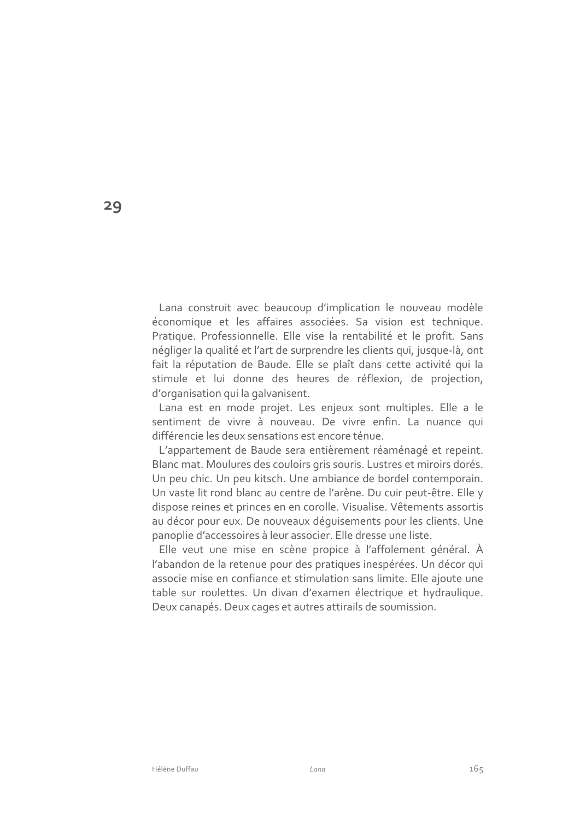Lana construit avec beaucoup d'implication le nouveau modèle économique et les affaires associées. Sa vision est technique. Pratique. Professionnelle. Elle vise la rentabilité et le profit. Sans négliger la qualité et l'art de surprendre les clients qui, jusque-là, ont fait la réputation de Baude. Elle se plaît dans cette activité qui la stimule et lui donne des heures de réflexion, de projection, d'organisation qui la galvanisent.

Lana est en mode projet. Les enjeux sont multiples. Elle a le sentiment de vivre à nouveau. De vivre enfin. La nuance qui différencie les deux sensations est encore ténue.

L'appartement de Baude sera entièrement réaménagé et repeint. Blanc mat. Moulures des couloirs gris souris. Lustres et miroirs dorés. Un peu chic. Un peu kitsch. Une ambiance de bordel contemporain. Un vaste lit rond blanc au centre de l'arène. Du cuir peut-être. Elle y dispose reines et princes en en corolle. Visualise. Vêtements assortis au décor pour eux. De nouveaux déquisements pour les clients. Une panoplie d'accessoires à leur associer. Elle dresse une liste.

Elle veut une mise en scène propice à l'affolement général. À l'abandon de la retenue pour des pratiques inespérées. Un décor qui associe mise en confiance et stimulation sans limite. Elle ajoute une table sur roulettes. Un divan d'examen électrique et hydraulique. Deux canapés. Deux cages et autres attirails de soumission.

29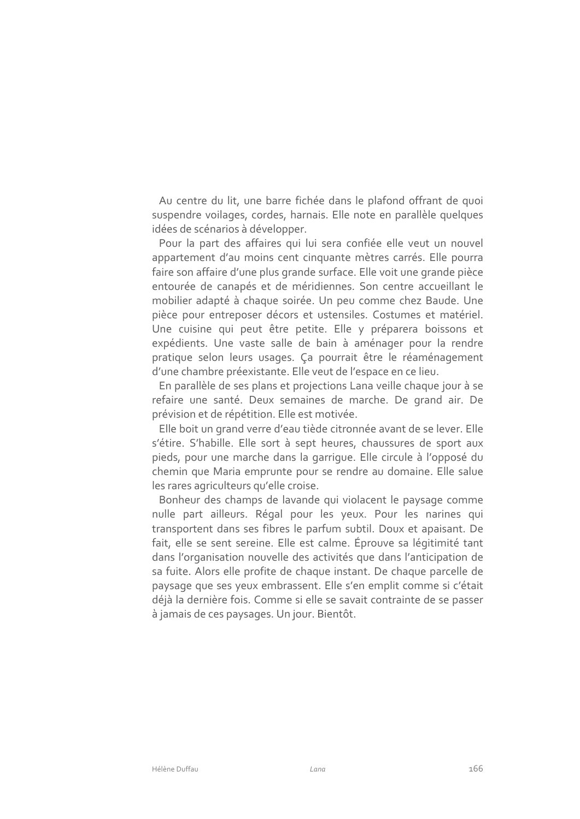Au centre du lit, une barre fichée dans le plafond offrant de quoi suspendre voilages, cordes, harnais. Elle note en parallèle quelques idées de scénarios à développer.

Pour la part des affaires qui lui sera confiée elle veut un nouvel appartement d'au moins cent cinquante mètres carrés. Elle pourra faire son affaire d'une plus grande surface. Elle voit une grande pièce entourée de canapés et de méridiennes. Son centre accueillant le mobilier adapté à chaque soirée. Un peu comme chez Baude. Une pièce pour entreposer décors et ustensiles. Costumes et matériel. Une cuisine qui peut être petite. Elle y préparera boissons et expédients. Une vaste salle de bain à aménager pour la rendre pratique selon leurs usages. Ça pourrait être le réaménagement d'une chambre préexistante. Elle veut de l'espace en ce lieu.

En parallèle de ses plans et projections Lana veille chaque jour à se refaire une santé. Deux semaines de marche. De grand air. De prévision et de répétition. Elle est motivée.

Elle boit un grand verre d'eau tiède citronnée avant de se lever. Elle s'étire. S'habille. Elle sort à sept heures, chaussures de sport aux pieds, pour une marche dans la garrique. Elle circule à l'opposé du chemin que Maria emprunte pour se rendre au domaine. Elle salue les rares agriculteurs qu'elle croise.

Bonheur des champs de lavande qui violacent le paysage comme nulle part ailleurs. Régal pour les yeux. Pour les narines qui transportent dans ses fibres le parfum subtil. Doux et apaisant. De fait, elle se sent sereine. Elle est calme. Éprouve sa légitimité tant dans l'organisation nouvelle des activités que dans l'anticipation de sa fuite. Alors elle profite de chaque instant. De chaque parcelle de paysage que ses yeux embrassent. Elle s'en emplit comme si c'était déjà la dernière fois. Comme si elle se savait contrainte de se passer à jamais de ces paysages. Un jour. Bientôt.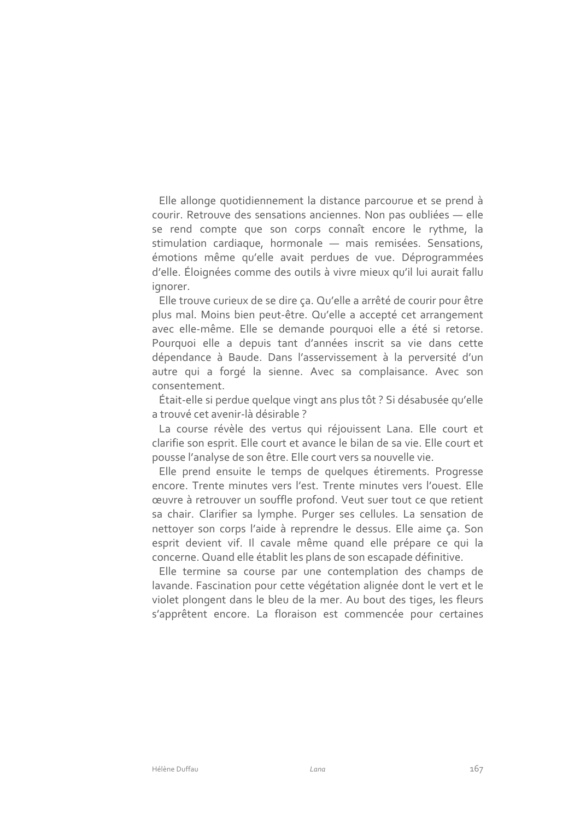Elle allonge quotidiennement la distance parcourue et se prend à courir. Retrouve des sensations anciennes. Non pas oubliées - elle se rend compte que son corps connaît encore le rythme, la stimulation cardiaque, hormonale - mais remisées. Sensations, émotions même qu'elle avait perdues de vue. Déprogrammées d'elle. Éloignées comme des outils à vivre mieux qu'il lui aurait fallu ianorer.

Elle trouve curieux de se dire ça. Qu'elle a arrêté de courir pour être plus mal. Moins bien peut-être. Qu'elle a accepté cet arrangement avec elle-même. Elle se demande pourquoi elle a été si retorse. Pourquoi elle a depuis tant d'années inscrit sa vie dans cette dépendance à Baude. Dans l'asservissement à la perversité d'un autre qui a forgé la sienne. Avec sa complaisance. Avec son consentement.

Était-elle si perdue quelque vingt ans plus tôt ? Si désabusée qu'elle a trouvé cet avenir-là désirable ?

La course révèle des vertus qui réjouissent Lana. Elle court et clarifie son esprit. Elle court et avance le bilan de sa vie. Elle court et pousse l'analyse de son être. Elle court vers sa nouvelle vie.

Elle prend ensuite le temps de quelques étirements. Progresse encore. Trente minutes vers l'est. Trente minutes vers l'ouest. Elle œuvre à retrouver un souffle profond. Veut suer tout ce que retient sa chair. Clarifier sa lymphe. Purger ses cellules. La sensation de nettoyer son corps l'aide à reprendre le dessus. Elle aime ça. Son esprit devient vif. Il cavale même quand elle prépare ce qui la concerne. Quand elle établit les plans de son escapade définitive.

Elle termine sa course par une contemplation des champs de lavande. Fascination pour cette végétation alignée dont le vert et le violet plongent dans le bleu de la mer. Au bout des tiges, les fleurs s'apprêtent encore. La floraison est commencée pour certaines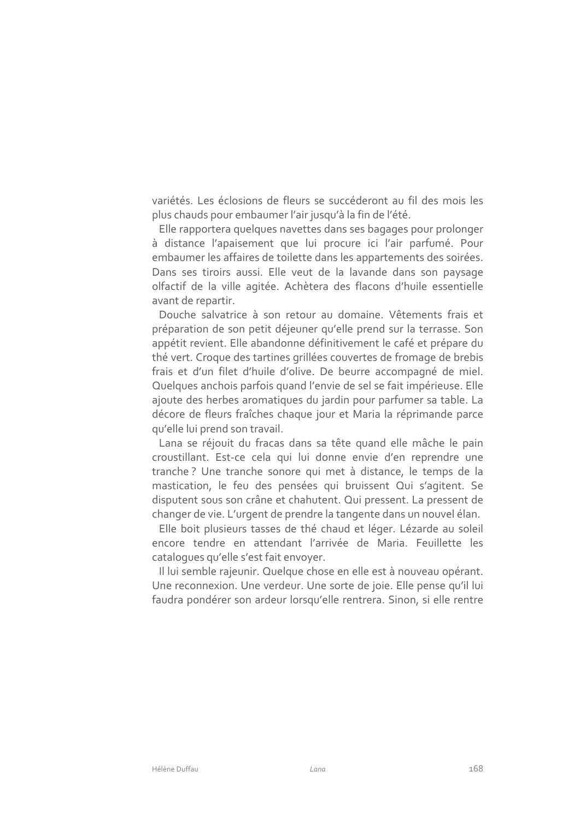variétés. Les éclosions de fleurs se succéderont au fil des mois les plus chauds pour embaumer l'air jusqu'à la fin de l'été.

Elle rapportera quelques navettes dans ses bagages pour prolonger à distance l'apaisement que lui procure ici l'air parfumé. Pour embaumer les affaires de toilette dans les appartements des soirées. Dans ses tiroirs aussi. Elle veut de la lavande dans son paysage olfactif de la ville agitée. Achètera des flacons d'huile essentielle avant de repartir.

Douche salvatrice à son retour au domaine. Vêtements frais et préparation de son petit déjeuner qu'elle prend sur la terrasse. Son appétit revient. Elle abandonne définitivement le café et prépare du thé vert. Croque des tartines grillées couvertes de fromage de brebis frais et d'un filet d'huile d'olive. De beurre accompagné de miel. Quelques anchois parfois quand l'envie de sel se fait impérieuse. Elle ajoute des herbes aromatiques du jardin pour parfumer sa table. La décore de fleurs fraîches chaque jour et Maria la réprimande parce qu'elle lui prend son travail.

Lana se réjouit du fracas dans sa tête quand elle mâche le pain croustillant. Est-ce cela qui lui donne envie d'en reprendre une tranche? Une tranche sonore qui met à distance, le temps de la mastication, le feu des pensées qui bruissent Qui s'agitent. Se disputent sous son crâne et chahutent. Qui pressent. La pressent de changer de vie. L'urgent de prendre la tangente dans un nouvel élan.

Elle boit plusieurs tasses de thé chaud et léger. Lézarde au soleil encore tendre en attendant l'arrivée de Maria. Feuillette les catalogues qu'elle s'est fait envoyer.

Il lui semble rajeunir. Quelque chose en elle est à nouveau opérant. Une reconnexion. Une verdeur. Une sorte de joie. Elle pense qu'il lui faudra pondérer son ardeur lorsqu'elle rentrera. Sinon, si elle rentre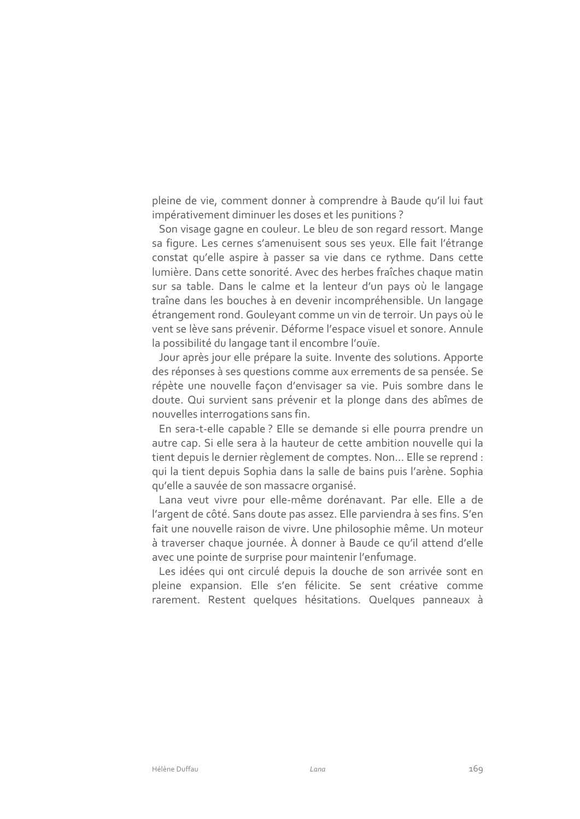pleine de vie, comment donner à comprendre à Baude qu'il lui faut impérativement diminuer les doses et les punitions ?

Son visage gagne en couleur. Le bleu de son regard ressort. Mange sa figure. Les cernes s'amenuisent sous ses yeux. Elle fait l'étrange constat qu'elle aspire à passer sa vie dans ce rythme. Dans cette lumière. Dans cette sonorité. Avec des herbes fraîches chaque matin sur sa table. Dans le calme et la lenteur d'un pays où le langage traîne dans les bouches à en devenir incompréhensible. Un langage étrangement rond. Gouleyant comme un vin de terroir. Un pays où le vent se lève sans prévenir. Déforme l'espace visuel et sonore. Annule la possibilité du langage tant il encombre l'ouïe.

Jour après jour elle prépare la suite. Invente des solutions. Apporte des réponses à ses questions comme aux errements de sa pensée. Se répète une nouvelle façon d'envisager sa vie. Puis sombre dans le doute. Qui survient sans prévenir et la plonge dans des abîmes de nouvelles interrogations sans fin.

En sera-t-elle capable ? Elle se demande si elle pourra prendre un autre cap. Si elle sera à la hauteur de cette ambition nouvelle qui la tient depuis le dernier règlement de comptes. Non... Elle se reprend : qui la tient depuis Sophia dans la salle de bains puis l'arène. Sophia qu'elle a sauvée de son massacre organisé.

Lana veut vivre pour elle-même dorénavant. Par elle. Elle a de l'argent de côté. Sans doute pas assez. Elle parviendra à ses fins. S'en fait une nouvelle raison de vivre. Une philosophie même. Un moteur à traverser chaque journée. À donner à Baude ce qu'il attend d'elle avec une pointe de surprise pour maintenir l'enfumage.

Les idées qui ont circulé depuis la douche de son arrivée sont en pleine expansion. Elle s'en félicite. Se sent créative comme rarement. Restent quelques hésitations. Quelques panneaux à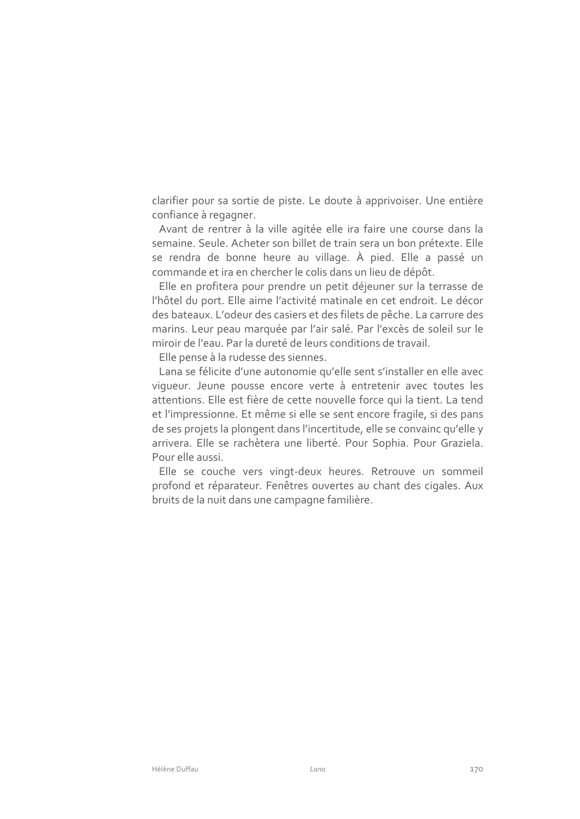clarifier pour sa sortie de piste. Le doute à apprivoiser. Une entière confiance à regagner.

Avant de rentrer à la ville agitée elle ira faire une course dans la semaine. Seule. Acheter son billet de train sera un bon prétexte. Elle se rendra de bonne heure au village. À pied. Elle a passé un commande et ira en chercher le colis dans un lieu de dépôt.

Elle en profitera pour prendre un petit déjeuner sur la terrasse de l'hôtel du port. Elle aime l'activité matinale en cet endroit. Le décor des bateaux. L'odeur des casiers et des filets de pêche. La carrure des marins. Leur peau marquée par l'air salé. Par l'excès de soleil sur le miroir de l'eau. Par la dureté de leurs conditions de travail.

Elle pense à la rudesse des siennes.

Lana se félicite d'une autonomie qu'elle sent s'installer en elle avec viqueur. Jeune pousse encore verte à entretenir avec toutes les attentions. Elle est fière de cette nouvelle force qui la tient. La tend et l'impressionne. Et même si elle se sent encore fragile, si des pans de ses projets la plongent dans l'incertitude, elle se convainc qu'elle y arrivera. Elle se rachètera une liberté. Pour Sophia. Pour Graziela. Pour elle aussi.

Elle se couche vers vingt-deux heures. Retrouve un sommeil profond et réparateur. Fenêtres ouvertes au chant des cigales. Aux bruits de la nuit dans une campagne familière.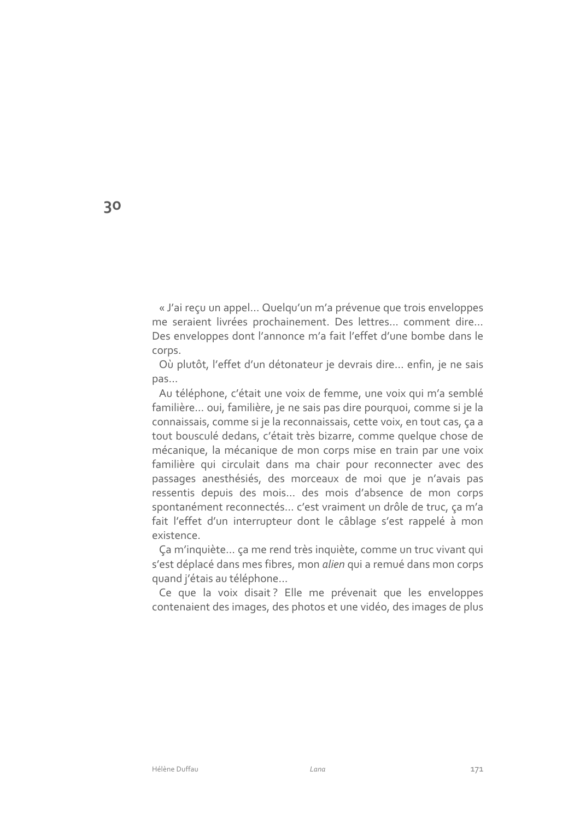« J'ai reçu un appel... Quelqu'un m'a prévenue que trois enveloppes me seraient livrées prochainement. Des lettres... comment dire... Des enveloppes dont l'annonce m'a fait l'effet d'une bombe dans le corps.

Où plutôt, l'effet d'un détonateur je devrais dire... enfin, je ne sais  $pas...$ 

Au téléphone, c'était une voix de femme, une voix qui m'a semblé familière... oui, familière, je ne sais pas dire pourquoi, comme si je la connaissais, comme si je la reconnaissais, cette voix, en tout cas, ça a tout bousculé dedans, c'était très bizarre, comme quelque chose de mécanique, la mécanique de mon corps mise en train par une voix familière qui circulait dans ma chair pour reconnecter avec des passages anesthésiés, des morceaux de moi que je n'avais pas ressentis depuis des mois... des mois d'absence de mon corps spontanément reconnectés... c'est vraiment un drôle de truc, ça m'a fait l'effet d'un interrupteur dont le câblage s'est rappelé à mon existence.

Ça m'inquiète... ça me rend très inquiète, comme un truc vivant qui s'est déplacé dans mes fibres, mon alien qui a remué dans mon corps quand j'étais au téléphone...

Ce que la voix disait? Elle me prévenait que les enveloppes contenaient des images, des photos et une vidéo, des images de plus

30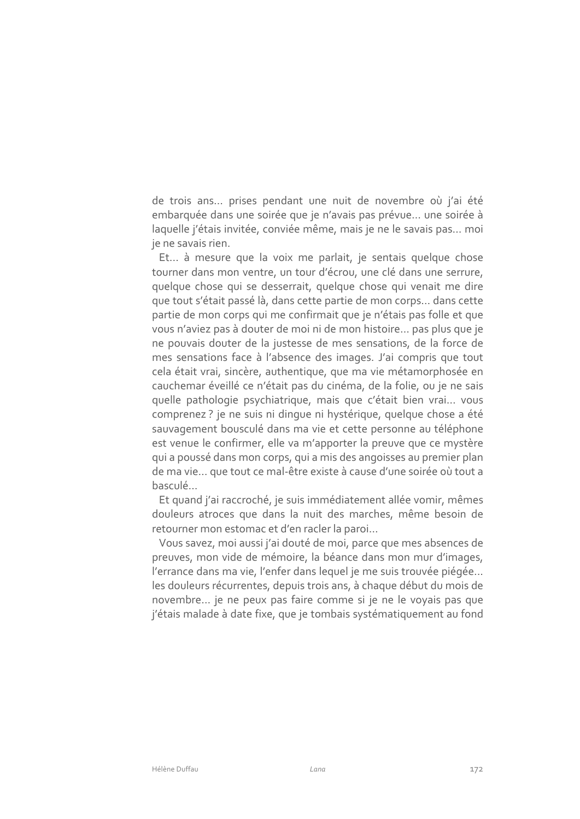de trois ans... prises pendant une nuit de novembre où j'ai été embarquée dans une soirée que je n'avais pas prévue... une soirée à laquelle j'étais invitée, conviée même, mais je ne le savais pas... moi je ne savais rien.

Et... à mesure que la voix me parlait, je sentais quelque chose tourner dans mon ventre, un tour d'écrou, une clé dans une serrure, quelque chose qui se desserrait, quelque chose qui venait me dire que tout s'était passé là, dans cette partie de mon corps... dans cette partie de mon corps qui me confirmait que je n'étais pas folle et que vous n'aviez pas à douter de moi ni de mon histoire... pas plus que je ne pouvais douter de la justesse de mes sensations, de la force de mes sensations face à l'absence des images. J'ai compris que tout cela était vrai, sincère, authentique, que ma vie métamorphosée en cauchemar éveillé ce n'était pas du cinéma, de la folie, ou je ne sais quelle pathologie psychiatrique, mais que c'était bien vrai... vous comprenez ? je ne suis ni dinque ni hystérique, quelque chose a été sauvagement bousculé dans ma vie et cette personne au téléphone est venue le confirmer, elle va m'apporter la preuve que ce mystère qui a poussé dans mon corps, qui a mis des angoisses au premier plan de ma vie... que tout ce mal-être existe à cause d'une soirée où tout a hasculé

Et quand j'ai raccroché, je suis immédiatement allée vomir, mêmes douleurs atroces que dans la nuit des marches, même besoin de retourner mon estomac et d'en racler la paroi...

Vous savez, moi aussi j'ai douté de moi, parce que mes absences de preuves, mon vide de mémoire, la béance dans mon mur d'images, l'errance dans ma vie, l'enfer dans lequel je me suis trouvée piégée... les douleurs récurrentes, depuis trois ans, à chaque début du mois de novembre... je ne peux pas faire comme si je ne le voyais pas que j'étais malade à date fixe, que je tombais systématiquement au fond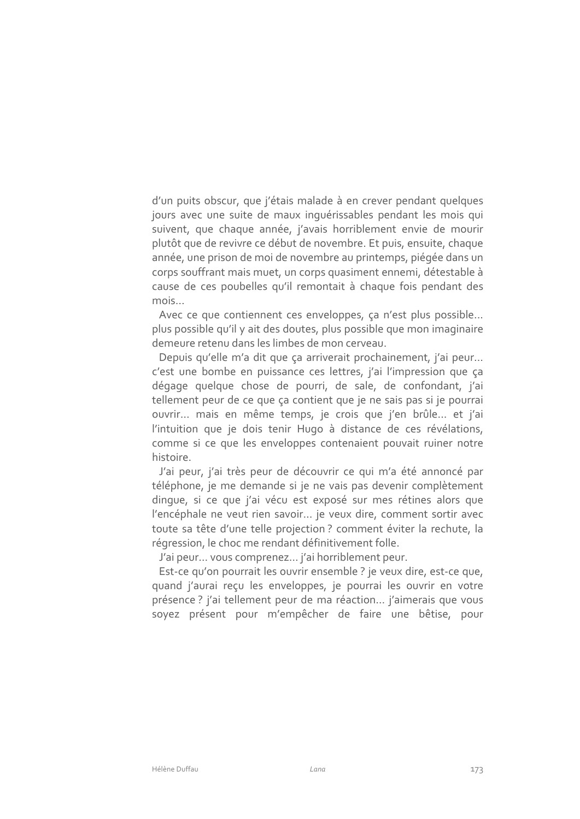d'un puits obscur, que j'étais malade à en crever pendant quelques jours avec une suite de maux inquérissables pendant les mois qui suivent, que chaque année, j'avais horriblement envie de mourir plutôt que de revivre ce début de novembre. Et puis, ensuite, chaque année, une prison de moi de novembre au printemps, piégée dans un corps souffrant mais muet, un corps quasiment ennemi, détestable à cause de ces poubelles qu'il remontait à chaque fois pendant des  $mois...$ 

Avec ce que contiennent ces enveloppes, ca n'est plus possible... plus possible qu'il y ait des doutes, plus possible que mon imaginaire demeure retenu dans les limbes de mon cerveau.

Depuis qu'elle m'a dit que ca arriverait prochainement, j'ai peur... c'est une bombe en puissance ces lettres, j'ai l'impression que ça dégage quelque chose de pourri, de sale, de confondant, j'ai tellement peur de ce que ça contient que je ne sais pas si je pourrai ouvrir... mais en même temps, je crois que j'en brûle... et j'ai l'intuition que je dois tenir Hugo à distance de ces révélations, comme si ce que les enveloppes contenaient pouvait ruiner notre histoire.

J'ai peur, j'ai très peur de découvrir ce qui m'a été annoncé par téléphone, je me demande si je ne vais pas devenir complètement dinque, si ce que j'ai vécu est exposé sur mes rétines alors que l'encéphale ne veut rien savoir... je veux dire, comment sortir avec toute sa tête d'une telle projection ? comment éviter la rechute, la régression, le choc me rendant définitivement folle.

J'ai peur... vous comprenez... j'ai horriblement peur.

Est-ce qu'on pourrait les ouvrir ensemble ? je veux dire, est-ce que, quand j'aurai reçu les enveloppes, je pourrai les ouvrir en votre présence ? j'ai tellement peur de ma réaction... j'aimerais que vous soyez présent pour m'empêcher de faire une bêtise, pour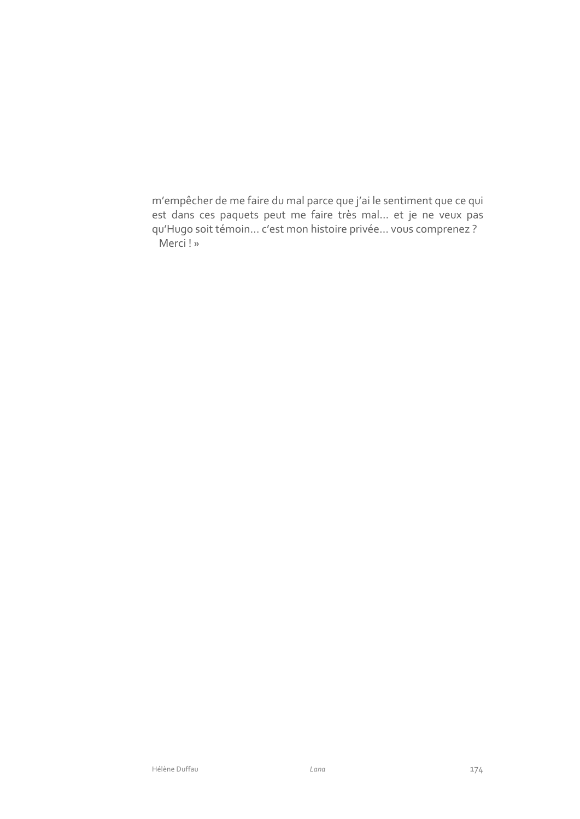m'empêcher de me faire du mal parce que j'ai le sentiment que ce qui est dans ces paquets peut me faire très mal... et je ne veux pas qu'Hugo soit témoin... c'est mon histoire privée... vous comprenez ? Merci!»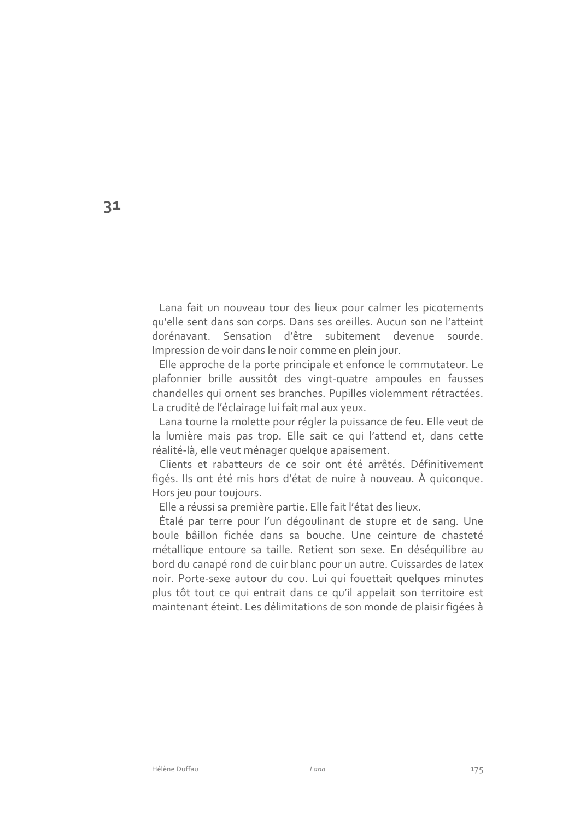Lana fait un nouveau tour des lieux pour calmer les picotements gu'elle sent dans son corps. Dans ses oreilles. Aucun son ne l'atteint dorénavant. Sensation d'être subitement devenue sourde. Impression de voir dans le noir comme en plein jour.

Elle approche de la porte principale et enfonce le commutateur. Le plafonnier brille aussitôt des vingt-quatre ampoules en fausses chandelles qui ornent ses branches. Pupilles violemment rétractées. La crudité de l'éclairage lui fait mal aux yeux.

Lana tourne la molette pour régler la puissance de feu. Elle veut de la lumière mais pas trop. Elle sait ce qui l'attend et, dans cette réalité-là, elle veut ménager quelque apaisement.

Clients et rabatteurs de ce soir ont été arrêtés. Définitivement figés. Ils ont été mis hors d'état de nuire à nouveau. À quiconque. Hors jeu pour toujours.

Elle a réussi sa première partie. Elle fait l'état des lieux.

Étalé par terre pour l'un dégoulinant de stupre et de sang. Une boule bâillon fichée dans sa bouche. Une ceinture de chasteté métallique entoure sa taille. Retient son sexe. En déséquilibre au bord du canapé rond de cuir blanc pour un autre. Cuissardes de latex noir. Porte-sexe autour du cou. Lui qui fouettait quelques minutes plus tôt tout ce qui entrait dans ce qu'il appelait son territoire est maintenant éteint. Les délimitations de son monde de plaisir figées à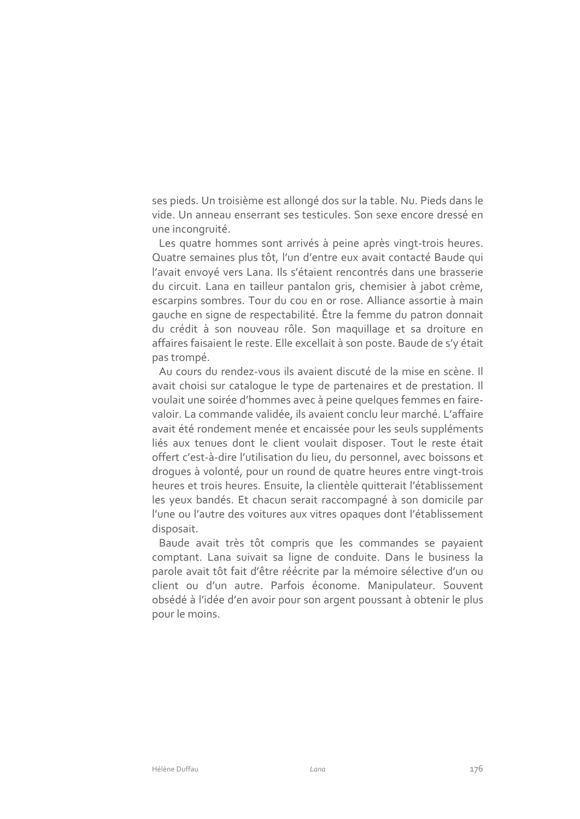ses pieds. Un troisième est allongé dos sur la table. Nu. Pieds dans le vide. Un anneau enserrant ses testicules. Son sexe encore dressé en une incongruité.

Les quatre hommes sont arrivés à peine après vingt-trois heures. Quatre semaines plus tôt, l'un d'entre eux avait contacté Baude qui l'avait envoyé vers Lana. Ils s'étaient rencontrés dans une brasserie du circuit. Lana en tailleur pantalon gris, chemisier à jabot crème, escarpins sombres. Tour du cou en or rose. Alliance assortie à main gauche en signe de respectabilité. Être la femme du patron donnait du crédit à son nouveau rôle. Son maquillage et sa droiture en affaires faisaient le reste. Elle excellait à son poste. Baude de s'y était pas trompé.

Au cours du rendez-vous ils avaient discuté de la mise en scène. Il avait choisi sur cataloque le type de partenaires et de prestation. Il voulait une soirée d'hommes avec à peine quelques femmes en fairevaloir. La commande validée, ils avaient conclu leur marché. L'affaire avait été rondement menée et encaissée pour les seuls suppléments liés aux tenues dont le client voulait disposer. Tout le reste était offert c'est-à-dire l'utilisation du lieu, du personnel, avec boissons et droques à volonté, pour un round de quatre heures entre vingt-trois heures et trois heures. Ensuite, la clientèle quitterait l'établissement les yeux bandés. Et chacun serait raccompagné à son domicile par l'une ou l'autre des voitures aux vitres opaques dont l'établissement disposait.

Baude avait très tôt compris que les commandes se payaient comptant. Lana suivait sa ligne de conduite. Dans le business la parole avait tôt fait d'être réécrite par la mémoire sélective d'un ou client ou d'un autre. Parfois économe. Manipulateur. Souvent obsédé à l'idée d'en avoir pour son argent poussant à obtenir le plus pour le moins.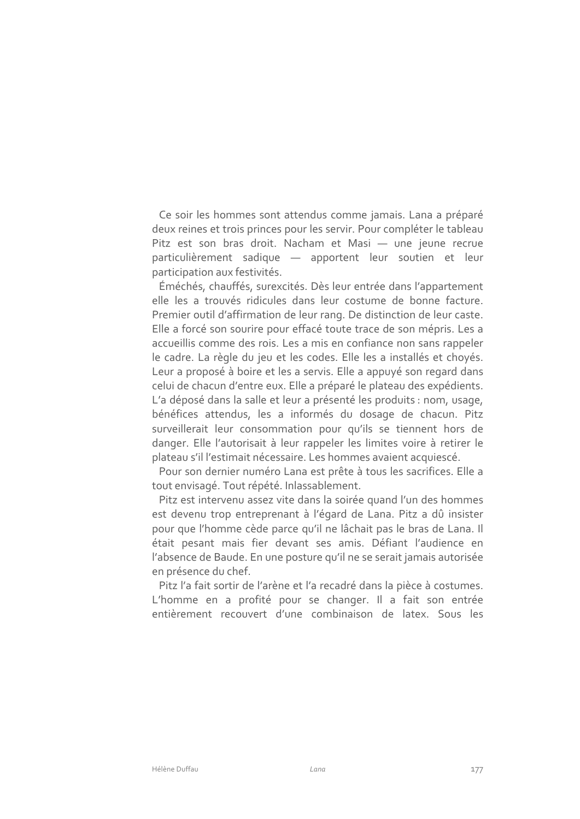Ce soir les hommes sont attendus comme jamais. Lana a préparé deux reines et trois princes pour les servir. Pour compléter le tableau Pitz est son bras droit. Nacham et Masi - une jeune recrue particulièrement sadique - apportent leur soutien et leur participation aux festivités.

Éméchés, chauffés, surexcités. Dès leur entrée dans l'appartement elle les a trouvés ridicules dans leur costume de bonne facture. Premier outil d'affirmation de leur rang. De distinction de leur caste. Elle a forcé son sourire pour effacé toute trace de son mépris. Les a accueillis comme des rois. Les a mis en confiance non sans rappeler le cadre. La règle du jeu et les codes. Elle les a installés et choyés. Leur a proposé à boire et les a servis. Elle a appuyé son regard dans celui de chacun d'entre eux. Elle a préparé le plateau des expédients. L'a déposé dans la salle et leur a présenté les produits : nom, usage, bénéfices attendus, les a informés du dosage de chacun. Pitz surveillerait leur consommation pour qu'ils se tiennent hors de danger. Elle l'autorisait à leur rappeler les limites voire à retirer le plateau s'il l'estimait nécessaire. Les hommes avaient acquiescé.

Pour son dernier numéro Lana est prête à tous les sacrifices. Elle a tout envisagé. Tout répété. Inlassablement.

Pitz est intervenu assez vite dans la soirée quand l'un des hommes est devenu trop entreprenant à l'égard de Lana. Pitz a dû insister pour que l'homme cède parce qu'il ne lâchait pas le bras de Lana. Il était pesant mais fier devant ses amis. Défiant l'audience en l'absence de Baude. En une posture qu'il ne se serait jamais autorisée en présence du chef.

Pitz l'a fait sortir de l'arène et l'a recadré dans la pièce à costumes. L'homme en a profité pour se changer. Il a fait son entrée entièrement recouvert d'une combinaison de latex. Sous les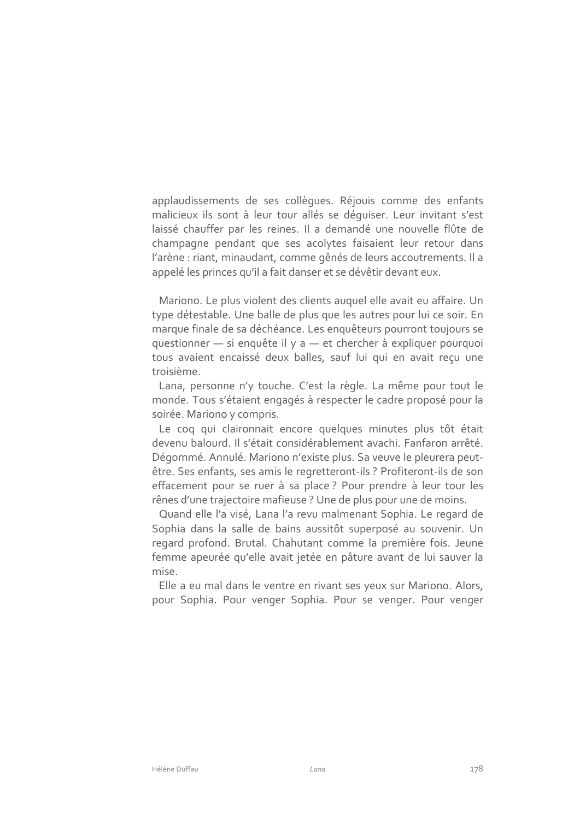applaudissements de ses collègues. Réjouis comme des enfants malicieux ils sont à leur tour allés se déquiser. Leur invitant s'est laissé chauffer par les reines. Il a demandé une nouvelle flûte de champagne pendant que ses acolytes faisaient leur retour dans l'arène : riant, minaudant, comme gênés de leurs accoutrements. Il a appelé les princes qu'il a fait danser et se dévêtir devant eux.

Mariono. Le plus violent des clients auquel elle avait eu affaire. Un type détestable. Une balle de plus que les autres pour lui ce soir. En marque finale de sa déchéance. Les enquêteurs pourront toujours se questionner - si enquête il y a - et chercher à expliquer pourquoi tous avaient encaissé deux balles, sauf lui qui en avait recu une troisième.

Lana, personne n'y touche. C'est la règle. La même pour tout le monde. Tous s'étaient engagés à respecter le cadre proposé pour la soirée. Mariono y compris.

Le cog qui claironnait encore quelques minutes plus tôt était devenu balourd. Il s'était considérablement avachi. Fanfaron arrêté. Dégommé. Annulé. Mariono n'existe plus. Sa veuve le pleurera peutêtre. Ses enfants, ses amis le regretteront-ils ? Profiteront-ils de son effacement pour se ruer à sa place ? Pour prendre à leur tour les rênes d'une trajectoire mafieuse ? Une de plus pour une de moins.

Quand elle l'a visé, Lana l'a revu malmenant Sophia. Le regard de Sophia dans la salle de bains aussitôt superposé au souvenir. Un regard profond. Brutal. Chahutant comme la première fois. Jeune femme apeurée qu'elle avait jetée en pâture avant de lui sauver la mise

Elle a eu mal dans le ventre en rivant ses yeux sur Mariono. Alors, pour Sophia. Pour venger Sophia. Pour se venger. Pour venger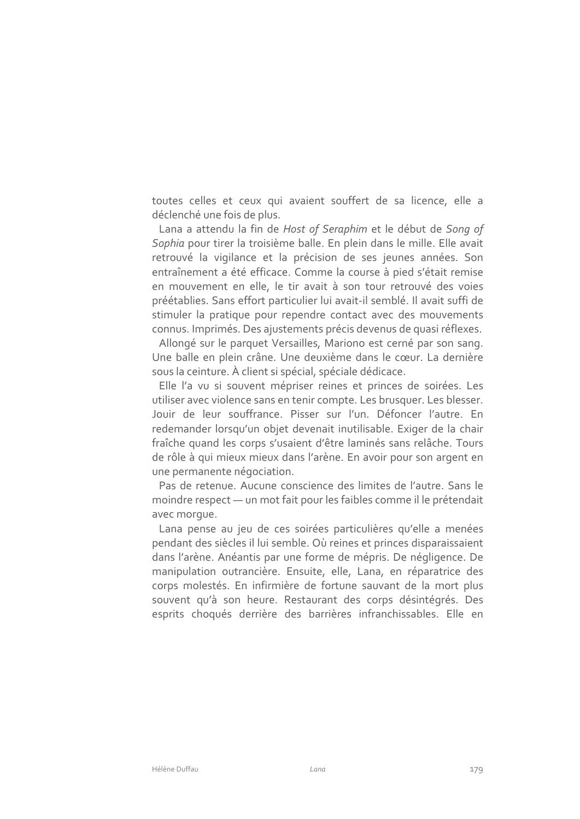toutes celles et ceux qui avaient souffert de sa licence, elle a déclenché une fois de plus.

Lana a attendu la fin de Host of Seraphim et le début de Song of Sophia pour tirer la troisième balle. En plein dans le mille. Elle avait retrouvé la vigilance et la précision de ses jeunes années. Son entraînement a été efficace. Comme la course à pied s'était remise en mouvement en elle, le tir avait à son tour retrouvé des voies préétablies. Sans effort particulier lui avait-il semblé. Il avait suffi de stimuler la pratique pour rependre contact avec des mouvements connus. Imprimés. Des ajustements précis devenus de quasi réflexes.

Allongé sur le parquet Versailles, Mariono est cerné par son sang. Une balle en plein crâne. Une deuxième dans le cœur. La dernière sous la ceinture. À client si spécial, spéciale dédicace.

Elle l'a vu si souvent mépriser reines et princes de soirées. Les utiliser avec violence sans en tenir compte. Les brusquer. Les blesser. Jouir de leur souffrance. Pisser sur l'un. Défoncer l'autre. En redemander lorsqu'un objet devenait inutilisable. Exiger de la chair fraîche quand les corps s'usaient d'être laminés sans relâche. Tours de rôle à qui mieux mieux dans l'arène. En avoir pour son argent en une permanente négociation.

Pas de retenue. Aucune conscience des limites de l'autre. Sans le moindre respect - un mot fait pour les faibles comme il le prétendait avec morque.

Lana pense au jeu de ces soirées particulières qu'elle a menées pendant des siècles il lui semble. Où reines et princes disparaissaient dans l'arène. Anéantis par une forme de mépris. De négligence. De manipulation outrancière. Ensuite, elle, Lana, en réparatrice des corps molestés. En infirmière de fortune sauvant de la mort plus souvent qu'à son heure. Restaurant des corps désintégrés. Des esprits choqués derrière des barrières infranchissables. Elle en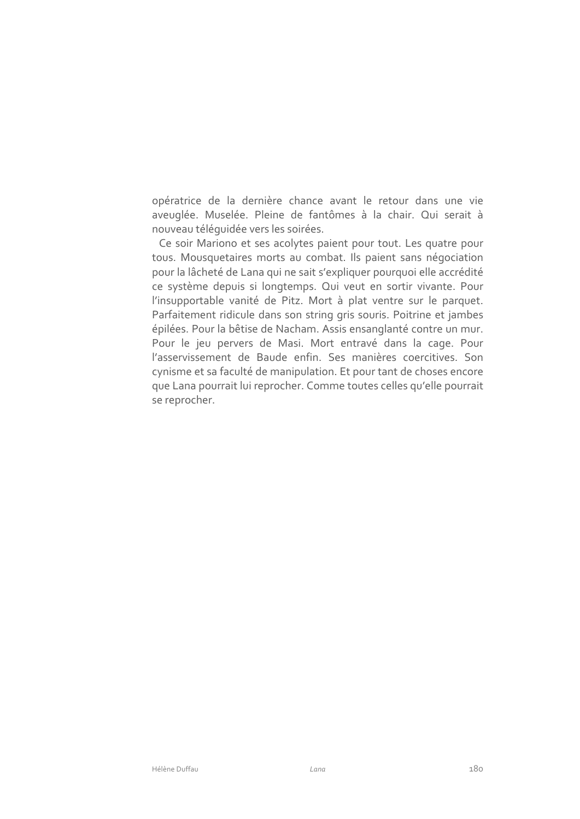opératrice de la dernière chance avant le retour dans une vie aveuglée. Muselée. Pleine de fantômes à la chair. Qui serait à nouveau téléquidée vers les soirées.

Ce soir Mariono et ses acolytes paient pour tout. Les quatre pour tous. Mousquetaires morts au combat. Ils paient sans négociation pour la lâcheté de Lana qui ne sait s'expliquer pourquoi elle accrédité ce système depuis si longtemps. Qui veut en sortir vivante. Pour l'insupportable vanité de Pitz. Mort à plat ventre sur le parquet. Parfaitement ridicule dans son string gris souris. Poitrine et jambes épilées. Pour la bêtise de Nacham. Assis ensanglanté contre un mur. Pour le jeu pervers de Masi. Mort entravé dans la cage. Pour l'asservissement de Baude enfin. Ses manières coercitives. Son cynisme et sa faculté de manipulation. Et pour tant de choses encore que Lana pourrait lui reprocher. Comme toutes celles qu'elle pourrait se reprocher.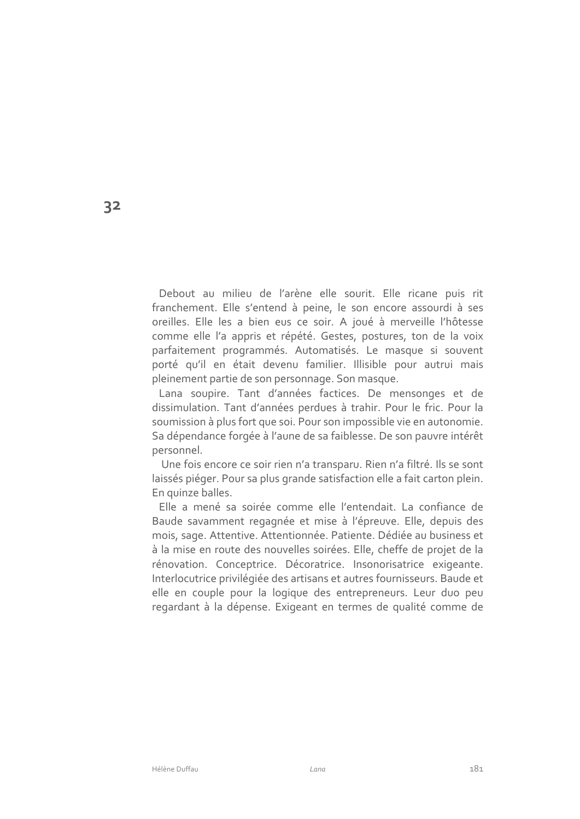Debout au milieu de l'arène elle sourit. Elle ricane puis rit franchement. Elle s'entend à peine, le son encore assourdi à ses oreilles. Elle les a bien eus ce soir. A joué à merveille l'hôtesse comme elle l'a appris et répété. Gestes, postures, ton de la voix parfaitement programmés. Automatisés. Le masque si souvent porté qu'il en était devenu familier. Illisible pour autrui mais pleinement partie de son personnage. Son masque.

Lana soupire. Tant d'années factices. De mensonges et de dissimulation. Tant d'années perdues à trahir. Pour le fric. Pour la soumission à plus fort que soi. Pour son impossible vie en autonomie. Sa dépendance forgée à l'aune de sa faiblesse. De son pauvre intérêt personnel.

Une fois encore ce soir rien n'a transparu. Rien n'a filtré. Ils se sont laissés piéger. Pour sa plus grande satisfaction elle a fait carton plein. En quinze balles.

Elle a mené sa soirée comme elle l'entendait. La confiance de Baude savamment regagnée et mise à l'épreuve. Elle, depuis des mois, sage. Attentive. Attentionnée. Patiente. Dédiée au business et à la mise en route des nouvelles soirées. Elle, cheffe de projet de la rénovation. Conceptrice. Décoratrice. Insonorisatrice exigeante. Interlocutrice privilégiée des artisans et autres fournisseurs. Baude et elle en couple pour la logique des entrepreneurs. Leur duo peu regardant à la dépense. Exigeant en termes de qualité comme de

32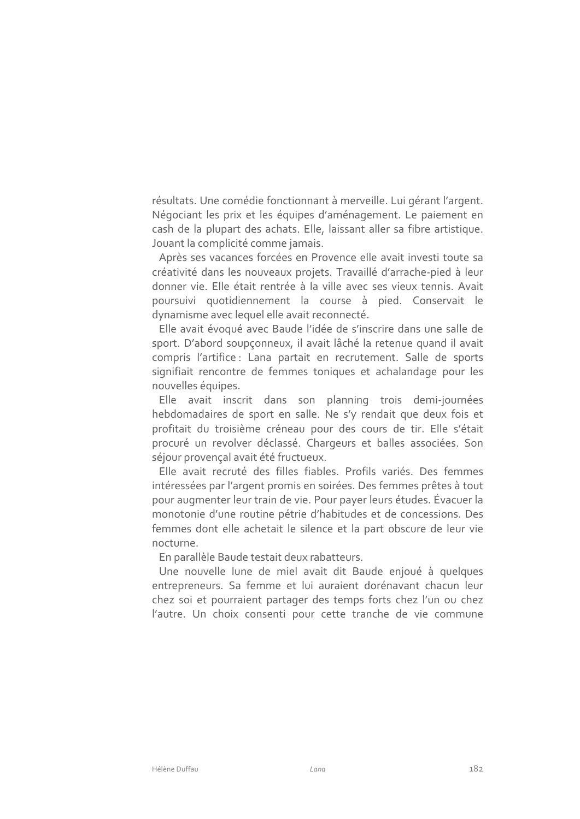résultats. Une comédie fonctionnant à merveille. Lui gérant l'argent. Négociant les prix et les équipes d'aménagement. Le paiement en cash de la plupart des achats. Elle, laissant aller sa fibre artistique. Jouant la complicité comme jamais.

Après ses vacances forcées en Provence elle avait investi toute sa créativité dans les nouveaux projets. Travaillé d'arrache-pied à leur donner vie. Elle était rentrée à la ville avec ses vieux tennis. Avait poursuivi quotidiennement la course à pied. Conservait le dynamisme avec lequel elle avait reconnecté.

Elle avait évoqué avec Baude l'idée de s'inscrire dans une salle de sport. D'abord soupçonneux, il avait lâché la retenue quand il avait compris l'artifice : Lana partait en recrutement. Salle de sports signifiait rencontre de femmes toniques et achalandage pour les nouvelles équipes.

Elle avait inscrit dans son planning trois demi-journées hebdomadaires de sport en salle. Ne s'y rendait que deux fois et profitait du troisième créneau pour des cours de tir. Elle s'était procuré un revolver déclassé. Chargeurs et balles associées. Son séjour provençal avait été fructueux.

Elle avait recruté des filles fiables. Profils variés. Des femmes intéressées par l'argent promis en soirées. Des femmes prêtes à tout pour augmenter leur train de vie. Pour payer leurs études. Évacuer la monotonie d'une routine pétrie d'habitudes et de concessions. Des femmes dont elle achetait le silence et la part obscure de leur vie nocturne.

En parallèle Baude testait deux rabatteurs.

Une nouvelle lune de miel avait dit Baude enjoué à quelques entrepreneurs. Sa femme et lui auraient dorénavant chacun leur chez soi et pourraient partager des temps forts chez l'un ou chez l'autre. Un choix consenti pour cette tranche de vie commune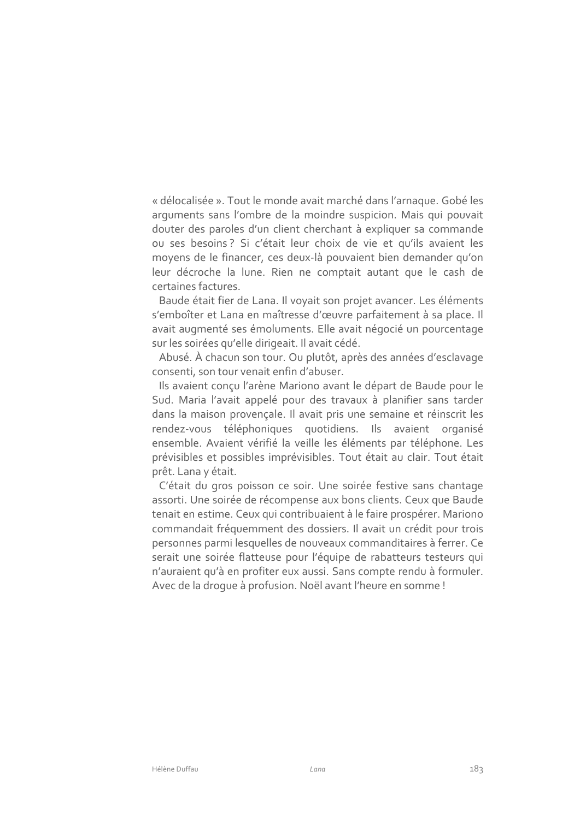« délocalisée ». Tout le monde avait marché dans l'arnaque. Gobé les arguments sans l'ombre de la moindre suspicion. Mais qui pouvait douter des paroles d'un client cherchant à expliquer sa commande ou ses besoins? Si c'était leur choix de vie et qu'ils avaient les moyens de le financer, ces deux-là pouvaient bien demander qu'on leur décroche la lune. Rien ne comptait autant que le cash de certaines factures.

Baude était fier de Lana. Il voyait son projet avancer. Les éléments s'emboîter et Lana en maîtresse d'œuvre parfaitement à sa place. Il avait augmenté ses émoluments. Elle avait négocié un pourcentage sur les soirées qu'elle dirigeait. Il avait cédé.

Abusé. À chacun son tour. Ou plutôt, après des années d'esclavage consenti, son tour venait enfin d'abuser.

Ils avaient conçu l'arène Mariono avant le départ de Baude pour le Sud. Maria l'avait appelé pour des travaux à planifier sans tarder dans la maison provençale. Il avait pris une semaine et réinscrit les rendez-vous téléphoniques quotidiens. Ils avaient organisé ensemble. Avaient vérifié la veille les éléments par téléphone. Les prévisibles et possibles imprévisibles. Tout était au clair. Tout était prêt. Lana y était.

C'était du gros poisson ce soir. Une soirée festive sans chantage assorti. Une soirée de récompense aux bons clients. Ceux que Baude tenait en estime. Ceux qui contribuaient à le faire prospérer. Mariono commandait fréquemment des dossiers. Il avait un crédit pour trois personnes parmi lesquelles de nouveaux commanditaires à ferrer. Ce serait une soirée flatteuse pour l'équipe de rabatteurs testeurs qui n'auraient qu'à en profiter eux aussi. Sans compte rendu à formuler. Avec de la droque à profusion. Noël avant l'heure en somme !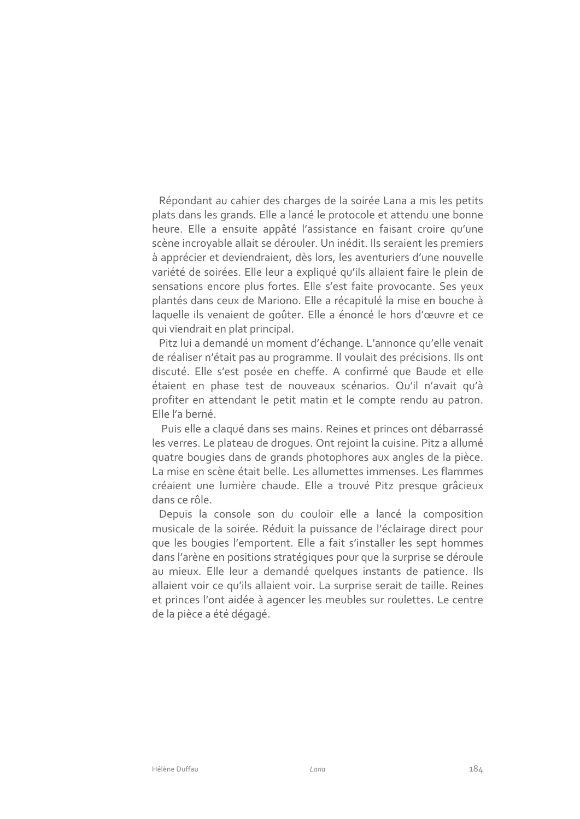Répondant au cahier des charges de la soirée Lana a mis les petits plats dans les grands. Elle a lancé le protocole et attendu une bonne heure. Elle a ensuite appâté l'assistance en faisant croire qu'une scène incroyable allait se dérouler. Un inédit. Ils seraient les premiers à apprécier et deviendraient, dès lors, les aventuriers d'une nouvelle variété de soirées. Elle leur a expliqué qu'ils allaient faire le plein de sensations encore plus fortes. Elle s'est faite provocante. Ses yeux plantés dans ceux de Mariono. Elle a récapitulé la mise en bouche à laquelle ils venaient de goûter. Elle a énoncé le hors d'œuvre et ce qui viendrait en plat principal.

Pitz lui a demandé un moment d'échange. L'annonce qu'elle venait de réaliser n'était pas au programme. Il voulait des précisions. Ils ont discuté. Elle s'est posée en cheffe. A confirmé que Baude et elle étaient en phase test de nouveaux scénarios. Qu'il n'avait qu'à profiter en attendant le petit matin et le compte rendu au patron. Elle l'a berné.

Puis elle a claqué dans ses mains. Reines et princes ont débarrassé les verres. Le plateau de droques. Ont rejoint la cuisine. Pitz a allumé quatre bougies dans de grands photophores aux angles de la pièce. La mise en scène était belle. Les allumettes immenses. Les flammes créaient une lumière chaude. Elle a trouvé Pitz presque grâcieux dans ce rôle.

Depuis la console son du couloir elle a lancé la composition musicale de la soirée. Réduit la puissance de l'éclairage direct pour que les bougies l'emportent. Elle a fait s'installer les sept hommes dans l'arène en positions stratégiques pour que la surprise se déroule au mieux. Elle leur a demandé quelques instants de patience. Ils allaient voir ce qu'ils allaient voir. La surprise serait de taille. Reines et princes l'ont aidée à agencer les meubles sur roulettes. Le centre de la pièce a été dégagé.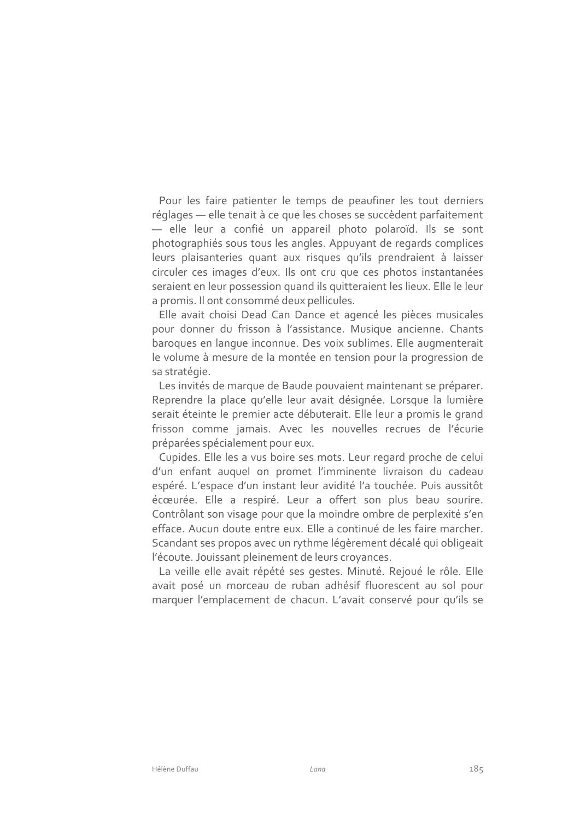Pour les faire patienter le temps de peaufiner les tout derniers réglages - elle tenait à ce que les choses se succèdent parfaitement - elle leur a confié un appareil photo polaroïd. Ils se sont photographiés sous tous les angles. Appuyant de regards complices leurs plaisanteries quant aux risques qu'ils prendraient à laisser circuler ces images d'eux. Ils ont cru que ces photos instantanées seraient en leur possession quand ils quitteraient les lieux. Elle le leur a promis. Il ont consommé deux pellicules.

Elle avait choisi Dead Can Dance et agencé les pièces musicales pour donner du frisson à l'assistance. Musique ancienne. Chants baroques en langue inconnue. Des voix sublimes. Elle augmenterait le volume à mesure de la montée en tension pour la progression de sa stratégie.

Les invités de marque de Baude pouvaient maintenant se préparer. Reprendre la place qu'elle leur avait désignée. Lorsque la lumière serait éteinte le premier acte débuterait. Elle leur a promis le grand frisson comme jamais. Avec les nouvelles recrues de l'écurie préparées spécialement pour eux.

Cupides. Elle les a vus boire ses mots. Leur regard proche de celui d'un enfant auquel on promet l'imminente livraison du cadeau espéré. L'espace d'un instant leur avidité l'a touchée. Puis aussitôt écœurée. Elle a respiré. Leur a offert son plus beau sourire. Contrôlant son visage pour que la moindre ombre de perplexité s'en efface. Aucun doute entre eux. Elle a continué de les faire marcher. Scandant ses propos avec un rythme légèrement décalé qui obligeait l'écoute. Jouissant pleinement de leurs croyances.

La veille elle avait répété ses gestes. Minuté. Rejoué le rôle. Elle avait posé un morceau de ruban adhésif fluorescent au sol pour marquer l'emplacement de chacun. L'avait conservé pour qu'ils se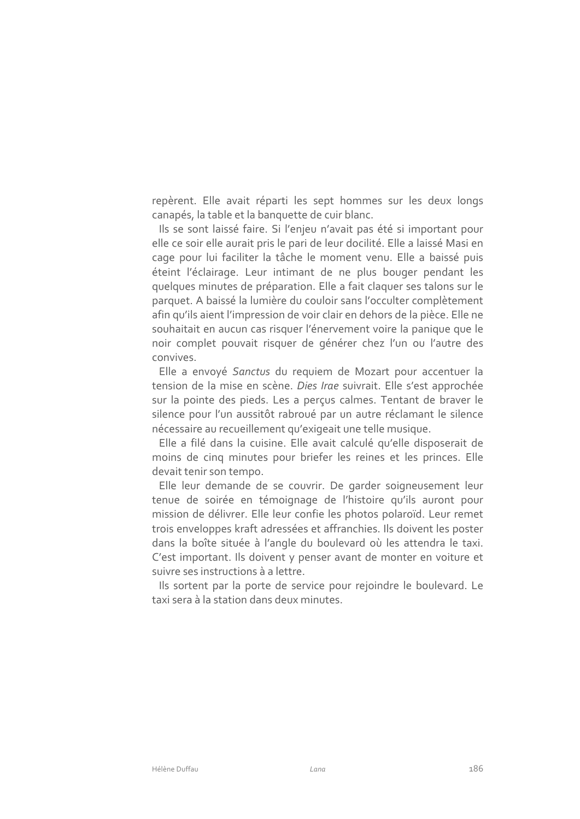repèrent. Elle avait réparti les sept hommes sur les deux longs canapés, la table et la banquette de cuir blanc.

Ils se sont laissé faire. Si l'enjeu n'avait pas été si important pour elle ce soir elle aurait pris le pari de leur docilité. Elle a laissé Masi en cage pour lui faciliter la tâche le moment venu. Elle a baissé puis éteint l'éclairage. Leur intimant de ne plus bouger pendant les quelques minutes de préparation. Elle a fait claquer ses talons sur le parquet. A baissé la lumière du couloir sans l'occulter complètement afin qu'ils aient l'impression de voir clair en dehors de la pièce. Elle ne souhaitait en aucun cas risquer l'énervement voire la panique que le noir complet pouvait risquer de générer chez l'un ou l'autre des convives.

Elle a envoyé Sanctus du requiem de Mozart pour accentuer la tension de la mise en scène. Dies Irae suivrait. Elle s'est approchée sur la pointe des pieds. Les a perçus calmes. Tentant de braver le silence pour l'un aussitôt rabroué par un autre réclamant le silence nécessaire au recueillement qu'exigeait une telle musique.

Elle a filé dans la cuisine. Elle avait calculé qu'elle disposerait de moins de cinq minutes pour briefer les reines et les princes. Elle devait tenir son tempo.

Elle leur demande de se couvrir. De garder soigneusement leur tenue de soirée en témoignage de l'histoire qu'ils auront pour mission de délivrer. Elle leur confie les photos polaroïd. Leur remet trois enveloppes kraft adressées et affranchies. Ils doivent les poster dans la boîte située à l'angle du boulevard où les attendra le taxi. C'est important. Ils doivent y penser avant de monter en voiture et suivre ses instructions à a lettre.

Ils sortent par la porte de service pour rejoindre le boulevard. Le taxi sera à la station dans deux minutes.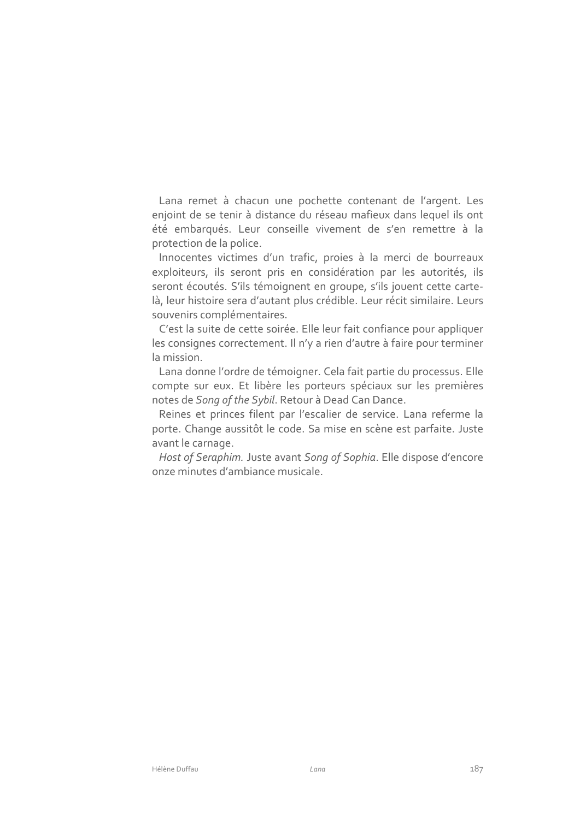Lana remet à chacun une pochette contenant de l'argent. Les enjoint de se tenir à distance du réseau mafieux dans lequel ils ont été embarqués. Leur conseille vivement de s'en remettre à la protection de la police.

Innocentes victimes d'un trafic, proies à la merci de bourreaux exploiteurs, ils seront pris en considération par les autorités, ils seront écoutés. S'ils témoignent en groupe, s'ils jouent cette cartelà, leur histoire sera d'autant plus crédible. Leur récit similaire. Leurs souvenirs complémentaires.

C'est la suite de cette soirée. Elle leur fait confiance pour appliquer les consignes correctement. Il n'y a rien d'autre à faire pour terminer la mission.

Lana donne l'ordre de témoigner. Cela fait partie du processus. Elle compte sur eux. Et libère les porteurs spéciaux sur les premières notes de Song of the Sybil. Retour à Dead Can Dance.

Reines et princes filent par l'escalier de service. Lana referme la porte. Change aussitôt le code. Sa mise en scène est parfaite. Juste avant le carnage.

Host of Seraphim. Juste avant Song of Sophia. Elle dispose d'encore onze minutes d'ambiance musicale.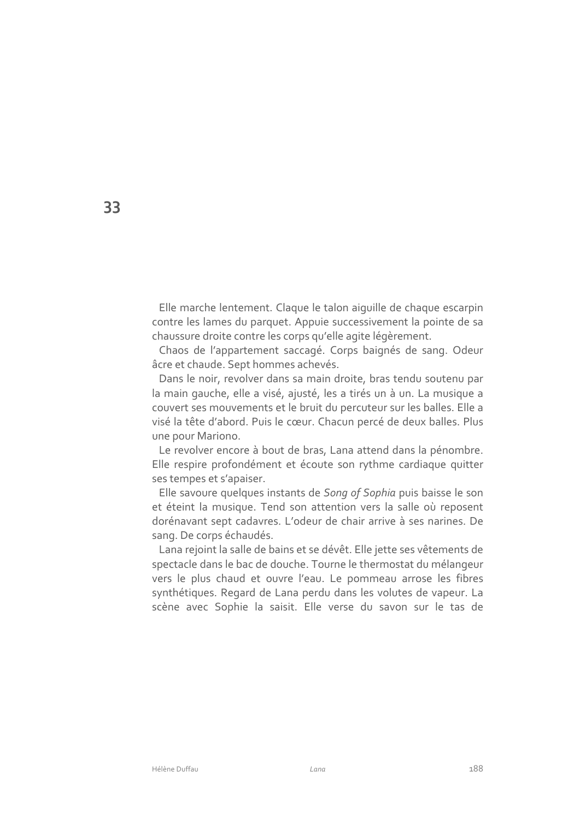Elle marche lentement. Claque le talon aiquille de chaque escarpin contre les lames du parquet. Appuie successivement la pointe de sa chaussure droite contre les corps qu'elle agite légèrement.

Chaos de l'appartement saccagé. Corps baignés de sang. Odeur âcre et chaude. Sept hommes achevés.

Dans le noir, revolver dans sa main droite, bras tendu soutenu par la main gauche, elle a visé, ajusté, les a tirés un à un. La musique a couvert ses mouvements et le bruit du percuteur sur les balles. Elle a visé la tête d'abord. Puis le cœur. Chacun percé de deux balles. Plus une pour Mariono.

Le revolver encore à bout de bras, Lana attend dans la pénombre. Elle respire profondément et écoute son rythme cardiaque quitter ses tempes et s'apaiser.

Elle savoure quelques instants de Song of Sophia puis baisse le son et éteint la musique. Tend son attention vers la salle où reposent dorénavant sept cadavres. L'odeur de chair arrive à ses narines. De sang. De corps échaudés.

Lana rejoint la salle de bains et se dévêt. Elle jette ses vêtements de spectacle dans le bac de douche. Tourne le thermostat du mélangeur vers le plus chaud et ouvre l'eau. Le pommeau arrose les fibres synthétiques. Regard de Lana perdu dans les volutes de vapeur. La scène avec Sophie la saisit. Elle verse du savon sur le tas de

33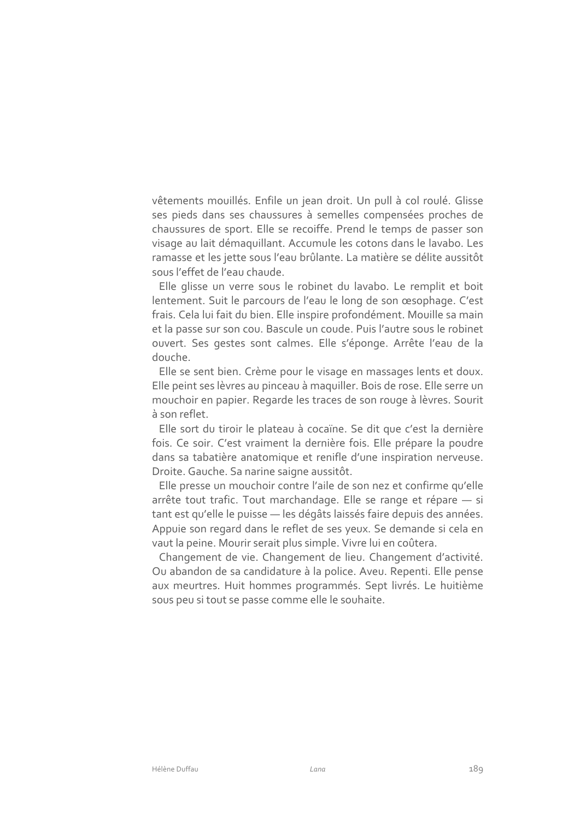vêtements mouillés. Enfile un jean droit. Un pull à col roulé. Glisse ses pieds dans ses chaussures à semelles compensées proches de chaussures de sport. Elle se recoiffe. Prend le temps de passer son visage au lait démaguillant. Accumule les cotons dans le lavabo. Les ramasse et les jette sous l'eau brûlante. La matière se délite aussitôt sous l'effet de l'eau chaude.

Elle glisse un verre sous le robinet du lavabo. Le remplit et boit lentement. Suit le parcours de l'eau le long de son œsophage. C'est frais. Cela lui fait du bien. Elle inspire profondément. Mouille sa main et la passe sur son cou. Bascule un coude. Puis l'autre sous le robinet ouvert. Ses gestes sont calmes. Elle s'éponge. Arrête l'eau de la douche.

Elle se sent bien. Crème pour le visage en massages lents et doux. Elle peint ses lèvres au pinceau à maquiller. Bois de rose. Elle serre un mouchoir en papier. Regarde les traces de son rouge à lèvres. Sourit à son reflet.

Elle sort du tiroir le plateau à cocaïne. Se dit que c'est la dernière fois. Ce soir. C'est vraiment la dernière fois. Elle prépare la poudre dans sa tabatière anatomique et renifle d'une inspiration nerveuse. Droite. Gauche. Sa narine saigne aussitôt.

Elle presse un mouchoir contre l'aile de son nez et confirme qu'elle arrête tout trafic. Tout marchandage. Elle se range et répare - si tant est qu'elle le puisse - les dégâts laissés faire depuis des années. Appuie son regard dans le reflet de ses yeux. Se demande si cela en vaut la peine. Mourir serait plus simple. Vivre lui en coûtera.

Changement de vie. Changement de lieu. Changement d'activité. Ou abandon de sa candidature à la police. Aveu. Repenti. Elle pense aux meurtres. Huit hommes programmés. Sept livrés. Le huitième sous peu si tout se passe comme elle le souhaite.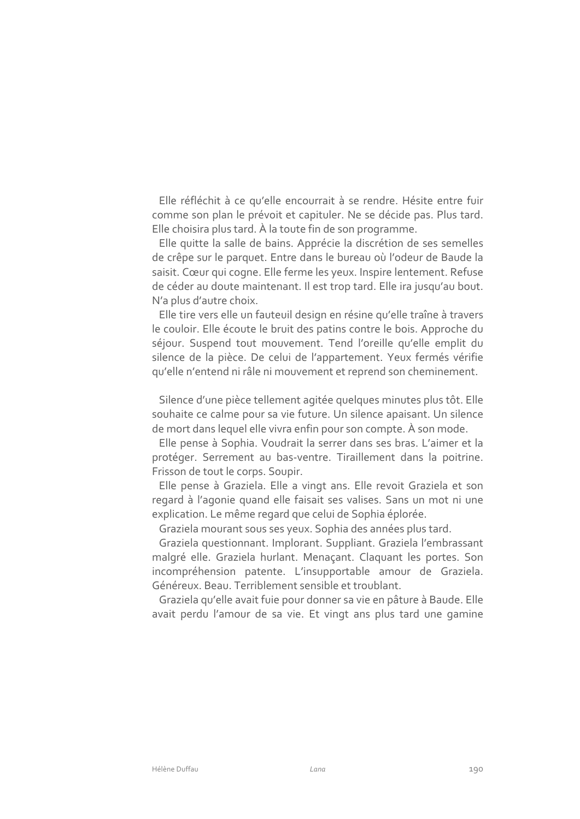Elle réfléchit à ce qu'elle encourrait à se rendre. Hésite entre fuir comme son plan le prévoit et capituler. Ne se décide pas. Plus tard. Elle choisira plus tard. À la toute fin de son programme.

Elle quitte la salle de bains. Apprécie la discrétion de ses semelles de crêpe sur le parquet. Entre dans le bureau où l'odeur de Baude la saisit. Cœur qui cogne. Elle ferme les yeux. Inspire lentement. Refuse de céder au doute maintenant. Il est trop tard. Elle ira jusqu'au bout. N'a plus d'autre choix.

Elle tire vers elle un fauteuil design en résine qu'elle traîne à travers le couloir. Elle écoute le bruit des patins contre le bois. Approche du séjour. Suspend tout mouvement. Tend l'oreille qu'elle emplit du silence de la pièce. De celui de l'appartement. Yeux fermés vérifie qu'elle n'entend ni râle ni mouvement et reprend son cheminement.

Silence d'une pièce tellement agitée quelques minutes plus tôt. Elle souhaite ce calme pour sa vie future. Un silence apaisant. Un silence de mort dans lequel elle vivra enfin pour son compte. À son mode.

Elle pense à Sophia. Voudrait la serrer dans ses bras. L'aimer et la protéger. Serrement au bas-ventre. Tiraillement dans la poitrine. Frisson de tout le corps. Soupir.

Elle pense à Graziela. Elle a vingt ans. Elle revoit Graziela et son regard à l'agonie quand elle faisait ses valises. Sans un mot ni une explication. Le même regard que celui de Sophia éplorée.

Graziela mourant sous ses yeux. Sophia des années plus tard.

Graziela questionnant. Implorant. Suppliant. Graziela l'embrassant malgré elle. Graziela hurlant. Menaçant. Claquant les portes. Son incompréhension patente. L'insupportable amour de Graziela. Généreux. Beau. Terriblement sensible et troublant.

Graziela qu'elle avait fuie pour donner sa vie en pâture à Baude. Elle avait perdu l'amour de sa vie. Et vingt ans plus tard une gamine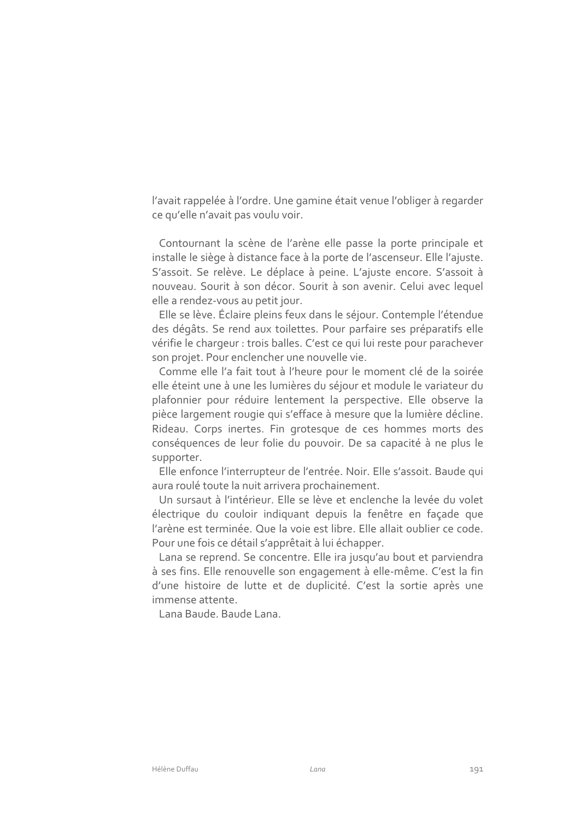l'avait rappelée à l'ordre. Une gamine était venue l'obliger à regarder ce qu'elle n'avait pas voulu voir.

Contournant la scène de l'arène elle passe la porte principale et installe le siège à distance face à la porte de l'ascenseur. Elle l'ajuste. S'assoit. Se relève. Le déplace à peine. L'ajuste encore. S'assoit à nouveau. Sourit à son décor. Sourit à son avenir. Celui avec lequel elle a rendez-vous au petit jour.

Elle se lève. Éclaire pleins feux dans le séjour. Contemple l'étendue des dégâts. Se rend aux toilettes. Pour parfaire ses préparatifs elle vérifie le chargeur : trois balles. C'est ce qui lui reste pour parachever son projet. Pour enclencher une nouvelle vie.

Comme elle l'a fait tout à l'heure pour le moment clé de la soirée elle éteint une à une les lumières du séjour et module le variateur du plafonnier pour réduire lentement la perspective. Elle observe la pièce largement rougie qui s'efface à mesure que la lumière décline. Rideau. Corps inertes. Fin grotesque de ces hommes morts des conséquences de leur folie du pouvoir. De sa capacité à ne plus le supporter.

Elle enfonce l'interrupteur de l'entrée. Noir. Elle s'assoit. Baude qui aura roulé toute la nuit arrivera prochainement.

Un sursaut à l'intérieur. Elle se lève et enclenche la levée du volet électrique du couloir indiquant depuis la fenêtre en façade que l'arène est terminée. Que la voie est libre. Elle allait oublier ce code. Pour une fois ce détail s'apprêtait à lui échapper.

Lana se reprend. Se concentre. Elle ira jusqu'au bout et parviendra à ses fins. Elle renouvelle son engagement à elle-même. C'est la fin d'une histoire de lutte et de duplicité. C'est la sortie après une immense attente.

Lana Baude, Baude Lana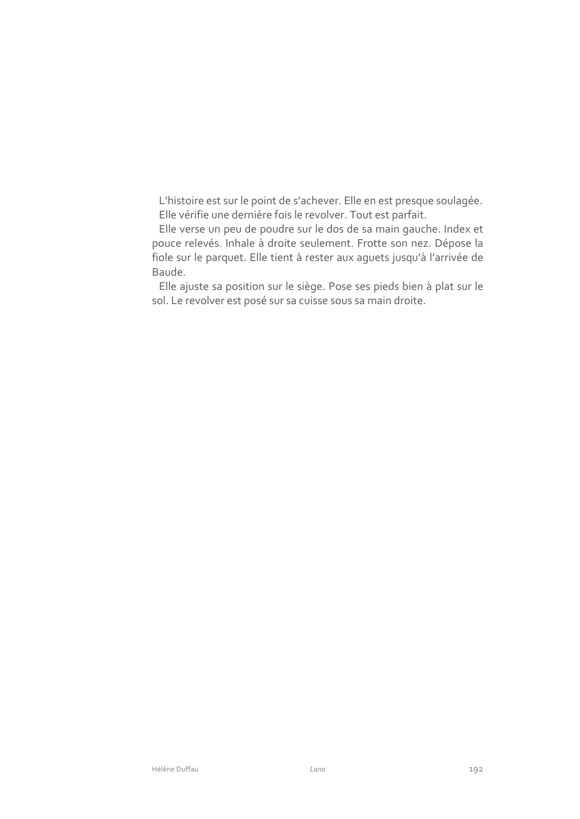L'histoire est sur le point de s'achever. Elle en est presque soulagée. Elle vérifie une dernière fois le revolver. Tout est parfait.

Elle verse un peu de poudre sur le dos de sa main gauche. Index et pouce relevés. Inhale à droite seulement. Frotte son nez. Dépose la fiole sur le parquet. Elle tient à rester aux aguets jusqu'à l'arrivée de Baude.

Elle ajuste sa position sur le siège. Pose ses pieds bien à plat sur le sol. Le revolver est posé sur sa cuisse sous sa main droite.